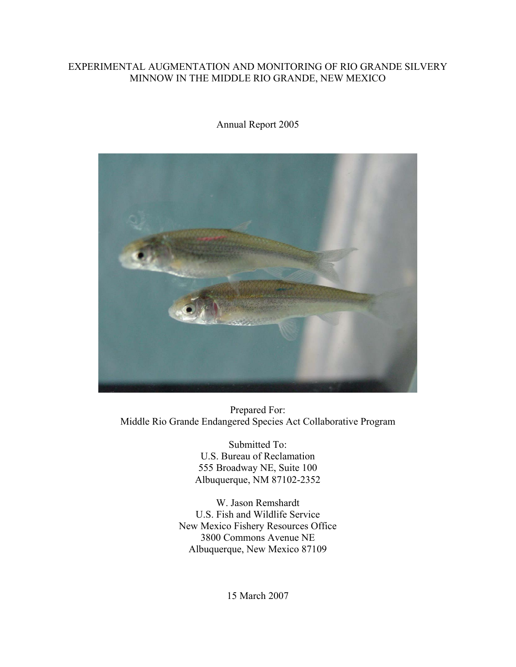### EXPERIMENTAL AUGMENTATION AND MONITORING OF RIO GRANDE SILVERY MINNOW IN THE MIDDLE RIO GRANDE, NEW MEXICO

Annual Report 2005



Prepared For: Middle Rio Grande Endangered Species Act Collaborative Program

> Submitted To: U.S. Bureau of Reclamation 555 Broadway NE, Suite 100 Albuquerque, NM 87102-2352

W. Jason Remshardt U.S. Fish and Wildlife Service New Mexico Fishery Resources Office 3800 Commons Avenue NE Albuquerque, New Mexico 87109

15 March 2007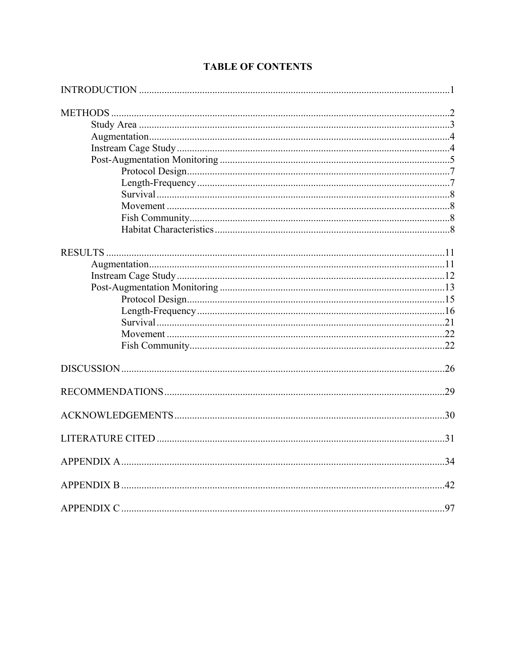| .97 |
|-----|

# **TABLE OF CONTENTS**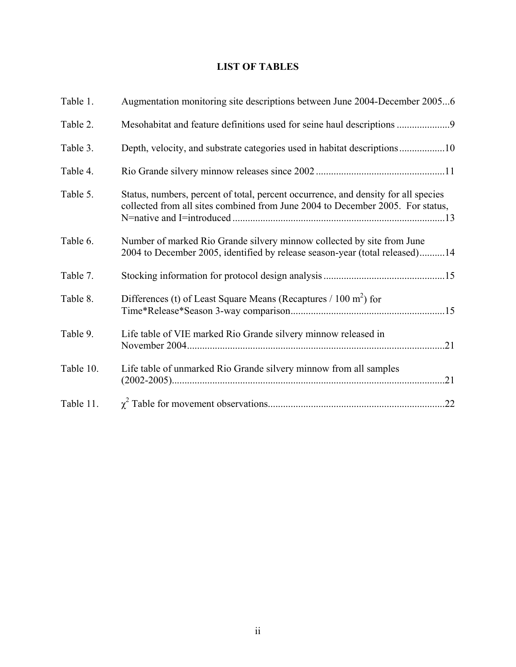# **LIST OF TABLES**

| Table 1.  | Augmentation monitoring site descriptions between June 2004-December 20056                                                                                           |
|-----------|----------------------------------------------------------------------------------------------------------------------------------------------------------------------|
| Table 2.  | Mesohabitat and feature definitions used for seine haul descriptions 9                                                                                               |
| Table 3.  |                                                                                                                                                                      |
| Table 4.  |                                                                                                                                                                      |
| Table 5.  | Status, numbers, percent of total, percent occurrence, and density for all species<br>collected from all sites combined from June 2004 to December 2005. For status, |
| Table 6.  | Number of marked Rio Grande silvery minnow collected by site from June<br>2004 to December 2005, identified by release season-year (total released)14                |
| Table 7.  |                                                                                                                                                                      |
| Table 8.  | Differences (t) of Least Square Means (Recaptures $/ 100$ m <sup>2</sup> ) for                                                                                       |
| Table 9.  | Life table of VIE marked Rio Grande silvery minnow released in<br>.21                                                                                                |
| Table 10. | Life table of unmarked Rio Grande silvery minnow from all samples<br>.21                                                                                             |
| Table 11. | .22                                                                                                                                                                  |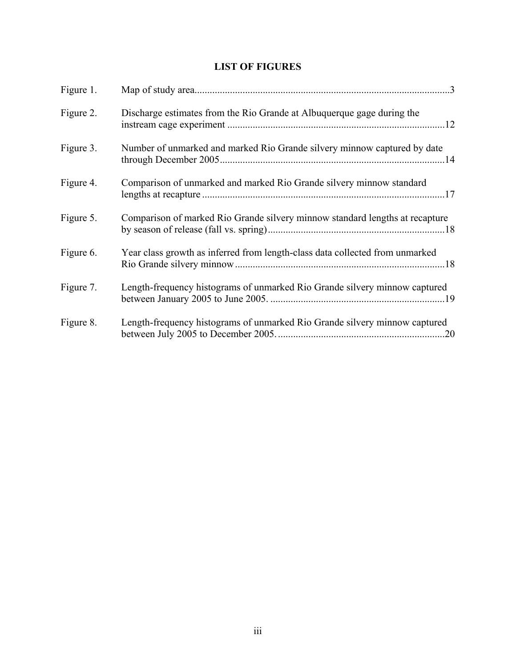# **LIST OF FIGURES**

| Figure 1. |                                                                              |
|-----------|------------------------------------------------------------------------------|
| Figure 2. | Discharge estimates from the Rio Grande at Albuquerque gage during the       |
| Figure 3. | Number of unmarked and marked Rio Grande silvery minnow captured by date     |
| Figure 4. | Comparison of unmarked and marked Rio Grande silvery minnow standard         |
| Figure 5. | Comparison of marked Rio Grande silvery minnow standard lengths at recapture |
| Figure 6. | Year class growth as inferred from length-class data collected from unmarked |
| Figure 7. | Length-frequency histograms of unmarked Rio Grande silvery minnow captured   |
| Figure 8. | Length-frequency histograms of unmarked Rio Grande silvery minnow captured   |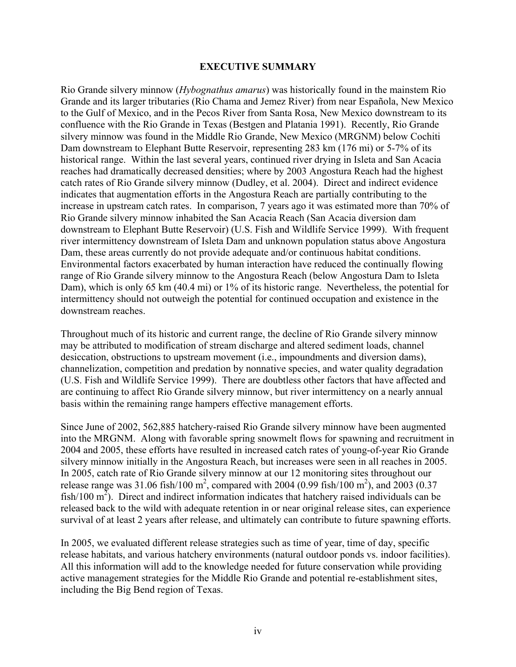#### **EXECUTIVE SUMMARY**

Rio Grande silvery minnow (*Hybognathus amarus*) was historically found in the mainstem Rio Grande and its larger tributaries (Rio Chama and Jemez River) from near Española, New Mexico to the Gulf of Mexico, and in the Pecos River from Santa Rosa, New Mexico downstream to its confluence with the Rio Grande in Texas (Bestgen and Platania 1991). Recently, Rio Grande silvery minnow was found in the Middle Rio Grande, New Mexico (MRGNM) below Cochiti Dam downstream to Elephant Butte Reservoir, representing 283 km (176 mi) or 5-7% of its historical range. Within the last several years, continued river drying in Isleta and San Acacia reaches had dramatically decreased densities; where by 2003 Angostura Reach had the highest catch rates of Rio Grande silvery minnow (Dudley, et al. 2004). Direct and indirect evidence indicates that augmentation efforts in the Angostura Reach are partially contributing to the increase in upstream catch rates. In comparison, 7 years ago it was estimated more than 70% of Rio Grande silvery minnow inhabited the San Acacia Reach (San Acacia diversion dam downstream to Elephant Butte Reservoir) (U.S. Fish and Wildlife Service 1999). With frequent river intermittency downstream of Isleta Dam and unknown population status above Angostura Dam, these areas currently do not provide adequate and/or continuous habitat conditions. Environmental factors exacerbated by human interaction have reduced the continually flowing range of Rio Grande silvery minnow to the Angostura Reach (below Angostura Dam to Isleta Dam), which is only 65 km (40.4 mi) or 1% of its historic range. Nevertheless, the potential for intermittency should not outweigh the potential for continued occupation and existence in the downstream reaches.

Throughout much of its historic and current range, the decline of Rio Grande silvery minnow may be attributed to modification of stream discharge and altered sediment loads, channel desiccation, obstructions to upstream movement (i.e., impoundments and diversion dams), channelization, competition and predation by nonnative species, and water quality degradation (U.S. Fish and Wildlife Service 1999). There are doubtless other factors that have affected and are continuing to affect Rio Grande silvery minnow, but river intermittency on a nearly annual basis within the remaining range hampers effective management efforts.

Since June of 2002, 562,885 hatchery-raised Rio Grande silvery minnow have been augmented into the MRGNM. Along with favorable spring snowmelt flows for spawning and recruitment in 2004 and 2005, these efforts have resulted in increased catch rates of young-of-year Rio Grande silvery minnow initially in the Angostura Reach, but increases were seen in all reaches in 2005. In 2005, catch rate of Rio Grande silvery minnow at our 12 monitoring sites throughout our release range was 31.06 fish/100 m<sup>2</sup>, compared with 2004 (0.99 fish/100 m<sup>2</sup>), and 2003 (0.37 fish/100  $m^2$ ). Direct and indirect information indicates that hatchery raised individuals can be released back to the wild with adequate retention in or near original release sites, can experience survival of at least 2 years after release, and ultimately can contribute to future spawning efforts.

In 2005, we evaluated different release strategies such as time of year, time of day, specific release habitats, and various hatchery environments (natural outdoor ponds vs. indoor facilities). All this information will add to the knowledge needed for future conservation while providing active management strategies for the Middle Rio Grande and potential re-establishment sites, including the Big Bend region of Texas.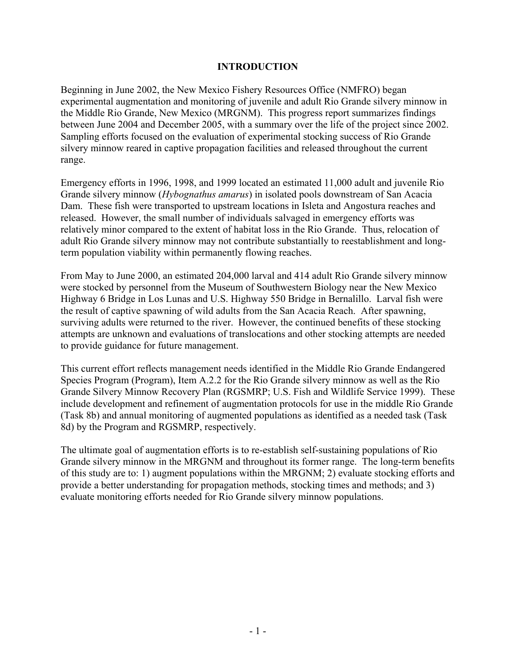### **INTRODUCTION**

Beginning in June 2002, the New Mexico Fishery Resources Office (NMFRO) began experimental augmentation and monitoring of juvenile and adult Rio Grande silvery minnow in the Middle Rio Grande, New Mexico (MRGNM). This progress report summarizes findings between June 2004 and December 2005, with a summary over the life of the project since 2002. Sampling efforts focused on the evaluation of experimental stocking success of Rio Grande silvery minnow reared in captive propagation facilities and released throughout the current range.

Emergency efforts in 1996, 1998, and 1999 located an estimated 11,000 adult and juvenile Rio Grande silvery minnow (*Hybognathus amarus*) in isolated pools downstream of San Acacia Dam. These fish were transported to upstream locations in Isleta and Angostura reaches and released. However, the small number of individuals salvaged in emergency efforts was relatively minor compared to the extent of habitat loss in the Rio Grande. Thus, relocation of adult Rio Grande silvery minnow may not contribute substantially to reestablishment and longterm population viability within permanently flowing reaches.

From May to June 2000, an estimated 204,000 larval and 414 adult Rio Grande silvery minnow were stocked by personnel from the Museum of Southwestern Biology near the New Mexico Highway 6 Bridge in Los Lunas and U.S. Highway 550 Bridge in Bernalillo. Larval fish were the result of captive spawning of wild adults from the San Acacia Reach. After spawning, surviving adults were returned to the river. However, the continued benefits of these stocking attempts are unknown and evaluations of translocations and other stocking attempts are needed to provide guidance for future management.

This current effort reflects management needs identified in the Middle Rio Grande Endangered Species Program (Program), Item A.2.2 for the Rio Grande silvery minnow as well as the Rio Grande Silvery Minnow Recovery Plan (RGSMRP; U.S. Fish and Wildlife Service 1999). These include development and refinement of augmentation protocols for use in the middle Rio Grande (Task 8b) and annual monitoring of augmented populations as identified as a needed task (Task 8d) by the Program and RGSMRP, respectively.

The ultimate goal of augmentation efforts is to re-establish self-sustaining populations of Rio Grande silvery minnow in the MRGNM and throughout its former range. The long-term benefits of this study are to: 1) augment populations within the MRGNM; 2) evaluate stocking efforts and provide a better understanding for propagation methods, stocking times and methods; and 3) evaluate monitoring efforts needed for Rio Grande silvery minnow populations.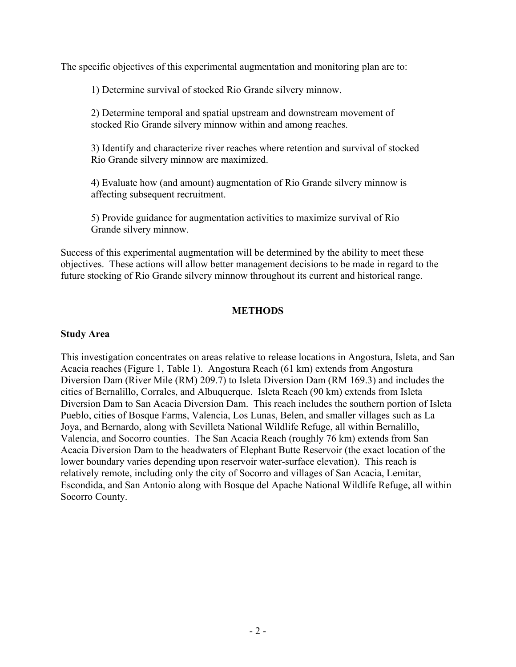The specific objectives of this experimental augmentation and monitoring plan are to:

1) Determine survival of stocked Rio Grande silvery minnow.

2) Determine temporal and spatial upstream and downstream movement of stocked Rio Grande silvery minnow within and among reaches.

3) Identify and characterize river reaches where retention and survival of stocked Rio Grande silvery minnow are maximized.

4) Evaluate how (and amount) augmentation of Rio Grande silvery minnow is affecting subsequent recruitment.

5) Provide guidance for augmentation activities to maximize survival of Rio Grande silvery minnow.

Success of this experimental augmentation will be determined by the ability to meet these objectives. These actions will allow better management decisions to be made in regard to the future stocking of Rio Grande silvery minnow throughout its current and historical range.

## **METHODS**

### **Study Area**

This investigation concentrates on areas relative to release locations in Angostura, Isleta, and San Acacia reaches (Figure 1, Table 1). Angostura Reach (61 km) extends from Angostura Diversion Dam (River Mile (RM) 209.7) to Isleta Diversion Dam (RM 169.3) and includes the cities of Bernalillo, Corrales, and Albuquerque. Isleta Reach (90 km) extends from Isleta Diversion Dam to San Acacia Diversion Dam. This reach includes the southern portion of Isleta Pueblo, cities of Bosque Farms, Valencia, Los Lunas, Belen, and smaller villages such as La Joya, and Bernardo, along with Sevilleta National Wildlife Refuge, all within Bernalillo, Valencia, and Socorro counties. The San Acacia Reach (roughly 76 km) extends from San Acacia Diversion Dam to the headwaters of Elephant Butte Reservoir (the exact location of the lower boundary varies depending upon reservoir water-surface elevation). This reach is relatively remote, including only the city of Socorro and villages of San Acacia, Lemitar, Escondida, and San Antonio along with Bosque del Apache National Wildlife Refuge, all within Socorro County.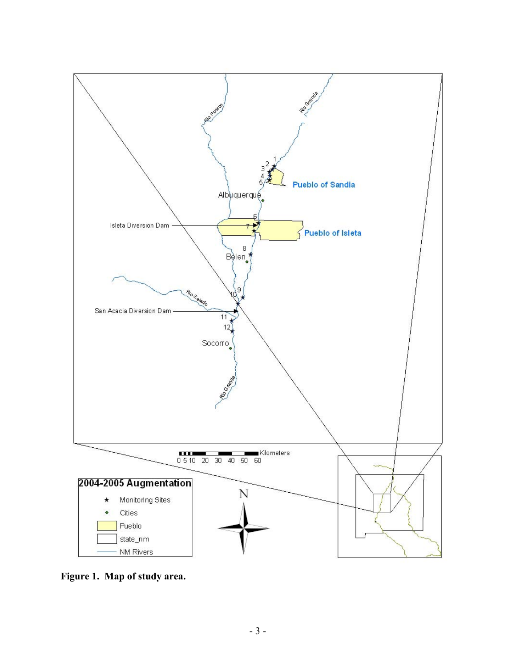

**Figure 1. Map of study area.**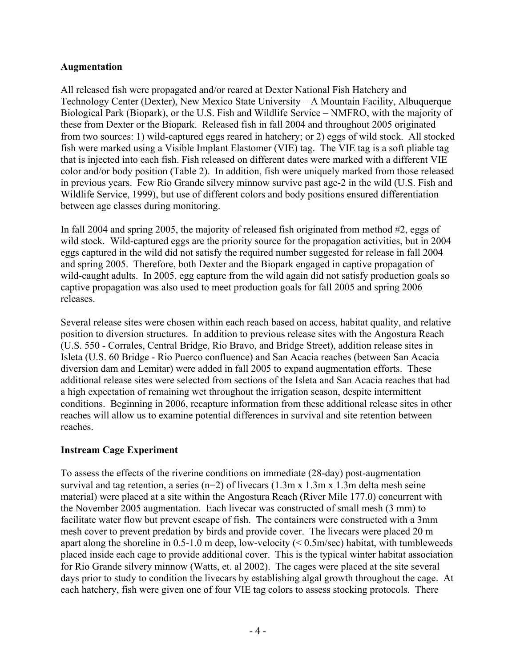## **Augmentation**

All released fish were propagated and/or reared at Dexter National Fish Hatchery and Technology Center (Dexter), New Mexico State University – A Mountain Facility, Albuquerque Biological Park (Biopark), or the U.S. Fish and Wildlife Service – NMFRO, with the majority of these from Dexter or the Biopark. Released fish in fall 2004 and throughout 2005 originated from two sources: 1) wild-captured eggs reared in hatchery; or 2) eggs of wild stock. All stocked fish were marked using a Visible Implant Elastomer (VIE) tag. The VIE tag is a soft pliable tag that is injected into each fish. Fish released on different dates were marked with a different VIE color and/or body position (Table 2). In addition, fish were uniquely marked from those released in previous years. Few Rio Grande silvery minnow survive past age-2 in the wild (U.S. Fish and Wildlife Service, 1999), but use of different colors and body positions ensured differentiation between age classes during monitoring.

In fall 2004 and spring 2005, the majority of released fish originated from method #2, eggs of wild stock. Wild-captured eggs are the priority source for the propagation activities, but in 2004 eggs captured in the wild did not satisfy the required number suggested for release in fall 2004 and spring 2005. Therefore, both Dexter and the Biopark engaged in captive propagation of wild-caught adults. In 2005, egg capture from the wild again did not satisfy production goals so captive propagation was also used to meet production goals for fall 2005 and spring 2006 releases.

Several release sites were chosen within each reach based on access, habitat quality, and relative position to diversion structures. In addition to previous release sites with the Angostura Reach (U.S. 550 - Corrales, Central Bridge, Rio Bravo, and Bridge Street), addition release sites in Isleta (U.S. 60 Bridge - Rio Puerco confluence) and San Acacia reaches (between San Acacia diversion dam and Lemitar) were added in fall 2005 to expand augmentation efforts. These additional release sites were selected from sections of the Isleta and San Acacia reaches that had a high expectation of remaining wet throughout the irrigation season, despite intermittent conditions. Beginning in 2006, recapture information from these additional release sites in other reaches will allow us to examine potential differences in survival and site retention between reaches.

## **Instream Cage Experiment**

To assess the effects of the riverine conditions on immediate (28-day) post-augmentation survival and tag retention, a series ( $n=2$ ) of livecars (1.3m x 1.3m x 1.3m delta mesh seine material) were placed at a site within the Angostura Reach (River Mile 177.0) concurrent with the November 2005 augmentation. Each livecar was constructed of small mesh (3 mm) to facilitate water flow but prevent escape of fish. The containers were constructed with a 3mm mesh cover to prevent predation by birds and provide cover. The livecars were placed 20 m apart along the shoreline in 0.5-1.0 m deep, low-velocity  $(< 0.5$ m/sec) habitat, with tumbleweeds placed inside each cage to provide additional cover. This is the typical winter habitat association for Rio Grande silvery minnow (Watts, et. al 2002). The cages were placed at the site several days prior to study to condition the livecars by establishing algal growth throughout the cage. At each hatchery, fish were given one of four VIE tag colors to assess stocking protocols. There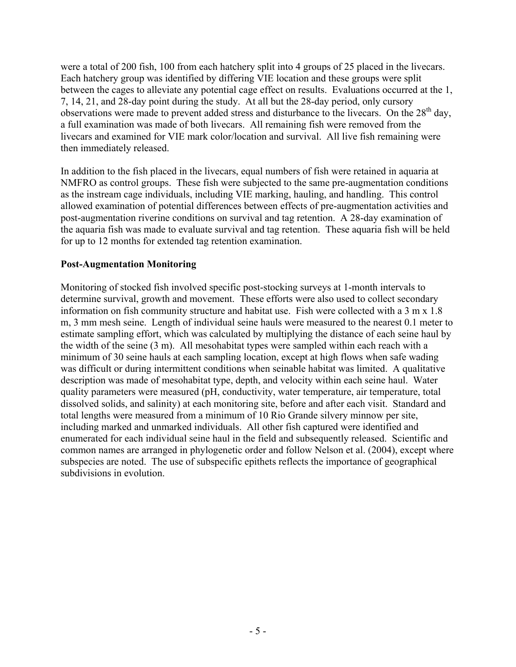were a total of 200 fish, 100 from each hatchery split into 4 groups of 25 placed in the livecars. Each hatchery group was identified by differing VIE location and these groups were split between the cages to alleviate any potential cage effect on results. Evaluations occurred at the 1, 7, 14, 21, and 28-day point during the study. At all but the 28-day period, only cursory observations were made to prevent added stress and disturbance to the livecars. On the 28<sup>th</sup> day, a full examination was made of both livecars. All remaining fish were removed from the livecars and examined for VIE mark color/location and survival. All live fish remaining were then immediately released.

In addition to the fish placed in the livecars, equal numbers of fish were retained in aquaria at NMFRO as control groups. These fish were subjected to the same pre-augmentation conditions as the instream cage individuals, including VIE marking, hauling, and handling. This control allowed examination of potential differences between effects of pre-augmentation activities and post-augmentation riverine conditions on survival and tag retention. A 28-day examination of the aquaria fish was made to evaluate survival and tag retention. These aquaria fish will be held for up to 12 months for extended tag retention examination.

## **Post-Augmentation Monitoring**

Monitoring of stocked fish involved specific post-stocking surveys at 1-month intervals to determine survival, growth and movement. These efforts were also used to collect secondary information on fish community structure and habitat use. Fish were collected with a 3 m x 1.8 m, 3 mm mesh seine. Length of individual seine hauls were measured to the nearest 0.1 meter to estimate sampling effort, which was calculated by multiplying the distance of each seine haul by the width of the seine (3 m). All mesohabitat types were sampled within each reach with a minimum of 30 seine hauls at each sampling location, except at high flows when safe wading was difficult or during intermittent conditions when seinable habitat was limited. A qualitative description was made of mesohabitat type, depth, and velocity within each seine haul. Water quality parameters were measured (pH, conductivity, water temperature, air temperature, total dissolved solids, and salinity) at each monitoring site, before and after each visit. Standard and total lengths were measured from a minimum of 10 Rio Grande silvery minnow per site, including marked and unmarked individuals. All other fish captured were identified and enumerated for each individual seine haul in the field and subsequently released. Scientific and common names are arranged in phylogenetic order and follow Nelson et al. (2004), except where subspecies are noted. The use of subspecific epithets reflects the importance of geographical subdivisions in evolution.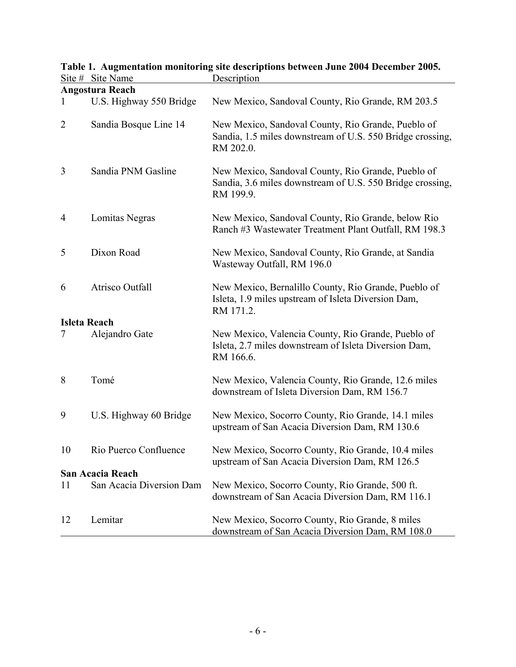|                | <b>Angostura Reach</b>   |                                                                                                                              |
|----------------|--------------------------|------------------------------------------------------------------------------------------------------------------------------|
|                | U.S. Highway 550 Bridge  | New Mexico, Sandoval County, Rio Grande, RM 203.5                                                                            |
| $\overline{2}$ | Sandia Bosque Line 14    | New Mexico, Sandoval County, Rio Grande, Pueblo of<br>Sandia, 1.5 miles downstream of U.S. 550 Bridge crossing,<br>RM 202.0. |
| 3              | Sandia PNM Gasline       | New Mexico, Sandoval County, Rio Grande, Pueblo of<br>Sandia, 3.6 miles downstream of U.S. 550 Bridge crossing,<br>RM 199.9. |
| 4              | Lomitas Negras           | New Mexico, Sandoval County, Rio Grande, below Rio<br>Ranch #3 Wastewater Treatment Plant Outfall, RM 198.3                  |
| 5              | Dixon Road               | New Mexico, Sandoval County, Rio Grande, at Sandia<br>Wasteway Outfall, RM 196.0                                             |
| 6              | Atrisco Outfall          | New Mexico, Bernalillo County, Rio Grande, Pueblo of<br>Isleta, 1.9 miles upstream of Isleta Diversion Dam,<br>RM 171.2.     |
|                | <b>Isleta Reach</b>      |                                                                                                                              |
| 7              | Alejandro Gate           | New Mexico, Valencia County, Rio Grande, Pueblo of<br>Isleta, 2.7 miles downstream of Isleta Diversion Dam,<br>RM 166.6.     |
| 8              | Tomé                     | New Mexico, Valencia County, Rio Grande, 12.6 miles<br>downstream of Isleta Diversion Dam, RM 156.7                          |
| 9              | U.S. Highway 60 Bridge   | New Mexico, Socorro County, Rio Grande, 14.1 miles<br>upstream of San Acacia Diversion Dam, RM 130.6                         |
| 10             | Rio Puerco Confluence    | New Mexico, Socorro County, Rio Grande, 10.4 miles<br>upstream of San Acacia Diversion Dam, RM 126.5                         |
|                | San Acacia Reach         |                                                                                                                              |
| 11             | San Acacia Diversion Dam | New Mexico, Socorro County, Rio Grande, 500 ft.<br>downstream of San Acacia Diversion Dam, RM 116.1                          |
| 12             | Lemitar                  | New Mexico, Socorro County, Rio Grande, 8 miles<br>downstream of San Acacia Diversion Dam, RM 108.0                          |

### **Table 1. Augmentation monitoring site descriptions between June 2004 December 2005.**  Site # Site Name Description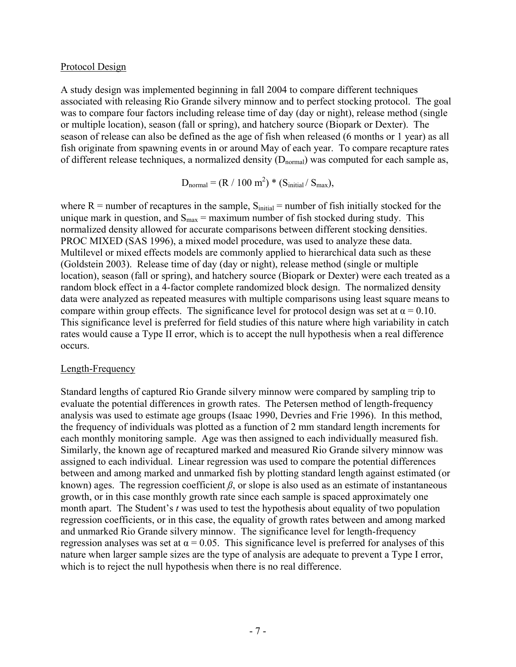### Protocol Design

A study design was implemented beginning in fall 2004 to compare different techniques associated with releasing Rio Grande silvery minnow and to perfect stocking protocol. The goal was to compare four factors including release time of day (day or night), release method (single or multiple location), season (fall or spring), and hatchery source (Biopark or Dexter). The season of release can also be defined as the age of fish when released (6 months or 1 year) as all fish originate from spawning events in or around May of each year. To compare recapture rates of different release techniques, a normalized density  $(D_{normal})$  was computed for each sample as,

 $D_{\text{normal}} = (R / 100 \text{ m}^2) * (S_{\text{initial}} / S_{\text{max}}),$ 

where  $R =$  number of recaptures in the sample,  $S<sub>initial</sub> =$  number of fish initially stocked for the unique mark in question, and  $S_{\text{max}} = \text{maximum number of fish stocked during study. This}$ normalized density allowed for accurate comparisons between different stocking densities. PROC MIXED (SAS 1996), a mixed model procedure, was used to analyze these data. Multilevel or mixed effects models are commonly applied to hierarchical data such as these (Goldstein 2003). Release time of day (day or night), release method (single or multiple location), season (fall or spring), and hatchery source (Biopark or Dexter) were each treated as a random block effect in a 4-factor complete randomized block design. The normalized density data were analyzed as repeated measures with multiple comparisons using least square means to compare within group effects. The significance level for protocol design was set at  $\alpha = 0.10$ . This significance level is preferred for field studies of this nature where high variability in catch rates would cause a Type II error, which is to accept the null hypothesis when a real difference occurs.

#### Length-Frequency

Standard lengths of captured Rio Grande silvery minnow were compared by sampling trip to evaluate the potential differences in growth rates. The Petersen method of length-frequency analysis was used to estimate age groups (Isaac 1990, Devries and Frie 1996). In this method, the frequency of individuals was plotted as a function of 2 mm standard length increments for each monthly monitoring sample. Age was then assigned to each individually measured fish. Similarly, the known age of recaptured marked and measured Rio Grande silvery minnow was assigned to each individual. Linear regression was used to compare the potential differences between and among marked and unmarked fish by plotting standard length against estimated (or known) ages. The regression coefficient  $\beta$ , or slope is also used as an estimate of instantaneous growth, or in this case monthly growth rate since each sample is spaced approximately one month apart. The Student's *t* was used to test the hypothesis about equality of two population regression coefficients, or in this case, the equality of growth rates between and among marked and unmarked Rio Grande silvery minnow. The significance level for length-frequency regression analyses was set at  $\alpha = 0.05$ . This significance level is preferred for analyses of this nature when larger sample sizes are the type of analysis are adequate to prevent a Type I error, which is to reject the null hypothesis when there is no real difference.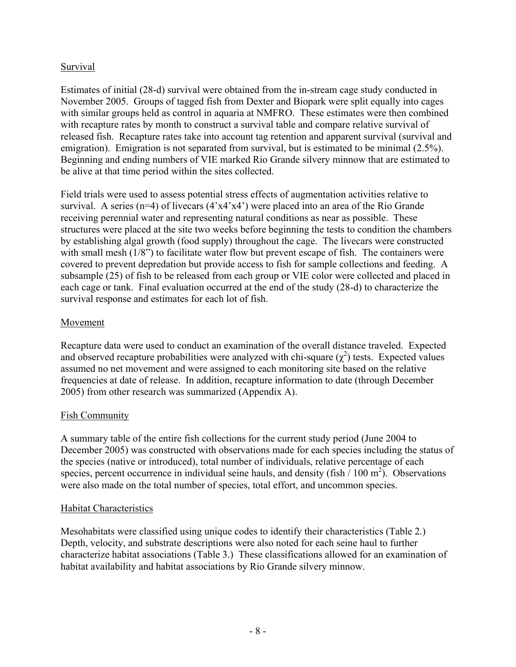## Survival

Estimates of initial (28-d) survival were obtained from the in-stream cage study conducted in November 2005. Groups of tagged fish from Dexter and Biopark were split equally into cages with similar groups held as control in aquaria at NMFRO. These estimates were then combined with recapture rates by month to construct a survival table and compare relative survival of released fish. Recapture rates take into account tag retention and apparent survival (survival and emigration). Emigration is not separated from survival, but is estimated to be minimal (2.5%). Beginning and ending numbers of VIE marked Rio Grande silvery minnow that are estimated to be alive at that time period within the sites collected.

Field trials were used to assess potential stress effects of augmentation activities relative to survival. A series  $(n=4)$  of livecars  $(4 \times 4 \times 4)$  were placed into an area of the Rio Grande receiving perennial water and representing natural conditions as near as possible. These structures were placed at the site two weeks before beginning the tests to condition the chambers by establishing algal growth (food supply) throughout the cage. The livecars were constructed with small mesh  $(1/8)$  to facilitate water flow but prevent escape of fish. The containers were covered to prevent depredation but provide access to fish for sample collections and feeding. A subsample (25) of fish to be released from each group or VIE color were collected and placed in each cage or tank. Final evaluation occurred at the end of the study (28-d) to characterize the survival response and estimates for each lot of fish.

## Movement

Recapture data were used to conduct an examination of the overall distance traveled. Expected and observed recapture probabilities were analyzed with chi-square  $(\chi^2)$  tests. Expected values assumed no net movement and were assigned to each monitoring site based on the relative frequencies at date of release. In addition, recapture information to date (through December 2005) from other research was summarized (Appendix A).

## Fish Community

A summary table of the entire fish collections for the current study period (June 2004 to December 2005) was constructed with observations made for each species including the status of the species (native or introduced), total number of individuals, relative percentage of each species, percent occurrence in individual seine hauls, and density (fish  $/ 100 \text{ m}^2$ ). Observations were also made on the total number of species, total effort, and uncommon species.

## Habitat Characteristics

Mesohabitats were classified using unique codes to identify their characteristics (Table 2.) Depth, velocity, and substrate descriptions were also noted for each seine haul to further characterize habitat associations (Table 3.) These classifications allowed for an examination of habitat availability and habitat associations by Rio Grande silvery minnow.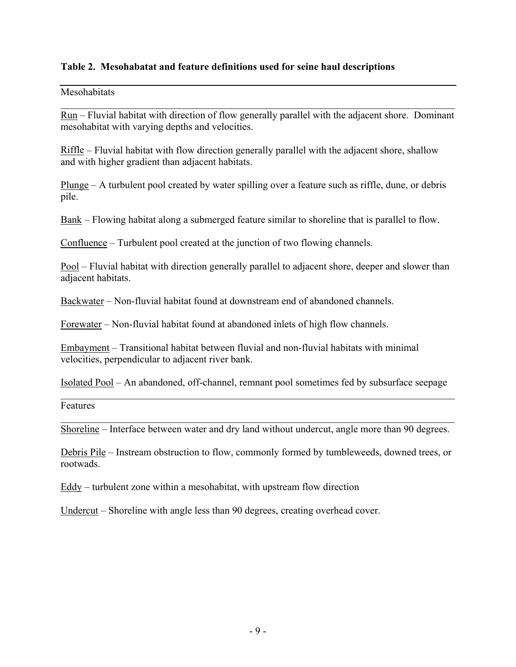### **Table 2. Mesohabatat and feature definitions used for seine haul descriptions**

#### Mesohabitats

Run – Fluvial habitat with direction of flow generally parallel with the adjacent shore. Dominant mesohabitat with varying depths and velocities.

 $\mathcal{L}_\mathcal{L} = \{ \mathcal{L}_\mathcal{L} = \{ \mathcal{L}_\mathcal{L} = \{ \mathcal{L}_\mathcal{L} = \{ \mathcal{L}_\mathcal{L} = \{ \mathcal{L}_\mathcal{L} = \{ \mathcal{L}_\mathcal{L} = \{ \mathcal{L}_\mathcal{L} = \{ \mathcal{L}_\mathcal{L} = \{ \mathcal{L}_\mathcal{L} = \{ \mathcal{L}_\mathcal{L} = \{ \mathcal{L}_\mathcal{L} = \{ \mathcal{L}_\mathcal{L} = \{ \mathcal{L}_\mathcal{L} = \{ \mathcal{L}_\mathcal{$ 

Riffle – Fluvial habitat with flow direction generally parallel with the adjacent shore, shallow and with higher gradient than adjacent habitats.

Plunge – A turbulent pool created by water spilling over a feature such as riffle, dune, or debris pile.

Bank – Flowing habitat along a submerged feature similar to shoreline that is parallel to flow.

Confluence – Turbulent pool created at the junction of two flowing channels.

Pool – Fluvial habitat with direction generally parallel to adjacent shore, deeper and slower than adjacent habitats.

Backwater – Non-fluvial habitat found at downstream end of abandoned channels.

Forewater – Non-fluvial habitat found at abandoned inlets of high flow channels.

Embayment – Transitional habitat between fluvial and non-fluvial habitats with minimal velocities, perpendicular to adjacent river bank.

Isolated Pool – An abandoned, off-channel, remnant pool sometimes fed by subsurface seepage  $\mathcal{L}_\mathcal{L} = \mathcal{L}_\mathcal{L} = \mathcal{L}_\mathcal{L} = \mathcal{L}_\mathcal{L} = \mathcal{L}_\mathcal{L} = \mathcal{L}_\mathcal{L} = \mathcal{L}_\mathcal{L} = \mathcal{L}_\mathcal{L} = \mathcal{L}_\mathcal{L} = \mathcal{L}_\mathcal{L} = \mathcal{L}_\mathcal{L} = \mathcal{L}_\mathcal{L} = \mathcal{L}_\mathcal{L} = \mathcal{L}_\mathcal{L} = \mathcal{L}_\mathcal{L} = \mathcal{L}_\mathcal{L} = \mathcal{L}_\mathcal{L}$ 

Features

 $\mathcal{L}_\mathcal{L} = \mathcal{L}_\mathcal{L} = \mathcal{L}_\mathcal{L} = \mathcal{L}_\mathcal{L} = \mathcal{L}_\mathcal{L} = \mathcal{L}_\mathcal{L} = \mathcal{L}_\mathcal{L} = \mathcal{L}_\mathcal{L} = \mathcal{L}_\mathcal{L} = \mathcal{L}_\mathcal{L} = \mathcal{L}_\mathcal{L} = \mathcal{L}_\mathcal{L} = \mathcal{L}_\mathcal{L} = \mathcal{L}_\mathcal{L} = \mathcal{L}_\mathcal{L} = \mathcal{L}_\mathcal{L} = \mathcal{L}_\mathcal{L}$ Shoreline – Interface between water and dry land without undercut, angle more than 90 degrees.

Debris Pile – Instream obstruction to flow, commonly formed by tumbleweeds, downed trees, or rootwads.

Eddy – turbulent zone within a mesohabitat, with upstream flow direction

Undercut – Shoreline with angle less than 90 degrees, creating overhead cover.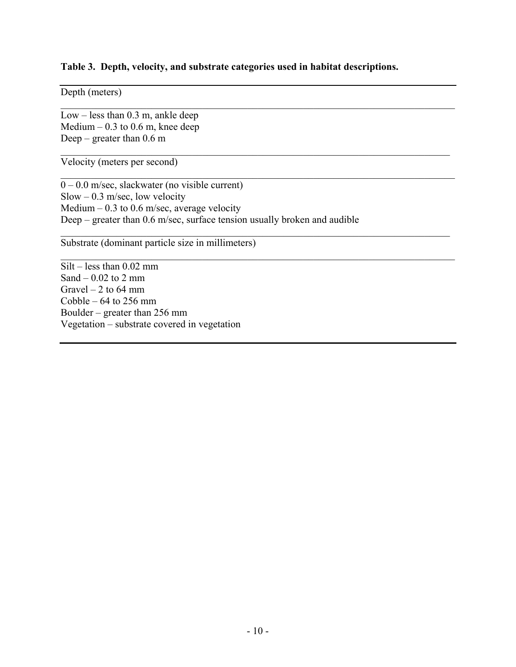#### **Table 3. Depth, velocity, and substrate categories used in habitat descriptions.**

 $\mathcal{L}_\mathcal{L} = \{ \mathcal{L}_\mathcal{L} = \{ \mathcal{L}_\mathcal{L} = \{ \mathcal{L}_\mathcal{L} = \{ \mathcal{L}_\mathcal{L} = \{ \mathcal{L}_\mathcal{L} = \{ \mathcal{L}_\mathcal{L} = \{ \mathcal{L}_\mathcal{L} = \{ \mathcal{L}_\mathcal{L} = \{ \mathcal{L}_\mathcal{L} = \{ \mathcal{L}_\mathcal{L} = \{ \mathcal{L}_\mathcal{L} = \{ \mathcal{L}_\mathcal{L} = \{ \mathcal{L}_\mathcal{L} = \{ \mathcal{L}_\mathcal{$ 

 $\mathcal{L}_\mathcal{L} = \{ \mathcal{L}_\mathcal{L} = \{ \mathcal{L}_\mathcal{L} = \{ \mathcal{L}_\mathcal{L} = \{ \mathcal{L}_\mathcal{L} = \{ \mathcal{L}_\mathcal{L} = \{ \mathcal{L}_\mathcal{L} = \{ \mathcal{L}_\mathcal{L} = \{ \mathcal{L}_\mathcal{L} = \{ \mathcal{L}_\mathcal{L} = \{ \mathcal{L}_\mathcal{L} = \{ \mathcal{L}_\mathcal{L} = \{ \mathcal{L}_\mathcal{L} = \{ \mathcal{L}_\mathcal{L} = \{ \mathcal{L}_\mathcal{$ 

 $\mathcal{L}_\mathcal{L} = \mathcal{L}_\mathcal{L} = \mathcal{L}_\mathcal{L} = \mathcal{L}_\mathcal{L} = \mathcal{L}_\mathcal{L} = \mathcal{L}_\mathcal{L} = \mathcal{L}_\mathcal{L} = \mathcal{L}_\mathcal{L} = \mathcal{L}_\mathcal{L} = \mathcal{L}_\mathcal{L} = \mathcal{L}_\mathcal{L} = \mathcal{L}_\mathcal{L} = \mathcal{L}_\mathcal{L} = \mathcal{L}_\mathcal{L} = \mathcal{L}_\mathcal{L} = \mathcal{L}_\mathcal{L} = \mathcal{L}_\mathcal{L}$ 

 $\mathcal{L}_\mathcal{L} = \{ \mathcal{L}_\mathcal{L} = \{ \mathcal{L}_\mathcal{L} = \{ \mathcal{L}_\mathcal{L} = \{ \mathcal{L}_\mathcal{L} = \{ \mathcal{L}_\mathcal{L} = \{ \mathcal{L}_\mathcal{L} = \{ \mathcal{L}_\mathcal{L} = \{ \mathcal{L}_\mathcal{L} = \{ \mathcal{L}_\mathcal{L} = \{ \mathcal{L}_\mathcal{L} = \{ \mathcal{L}_\mathcal{L} = \{ \mathcal{L}_\mathcal{L} = \{ \mathcal{L}_\mathcal{L} = \{ \mathcal{L}_\mathcal{$ 

 $\mathcal{L}_\mathcal{L} = \mathcal{L}_\mathcal{L} = \mathcal{L}_\mathcal{L} = \mathcal{L}_\mathcal{L} = \mathcal{L}_\mathcal{L} = \mathcal{L}_\mathcal{L} = \mathcal{L}_\mathcal{L} = \mathcal{L}_\mathcal{L} = \mathcal{L}_\mathcal{L} = \mathcal{L}_\mathcal{L} = \mathcal{L}_\mathcal{L} = \mathcal{L}_\mathcal{L} = \mathcal{L}_\mathcal{L} = \mathcal{L}_\mathcal{L} = \mathcal{L}_\mathcal{L} = \mathcal{L}_\mathcal{L} = \mathcal{L}_\mathcal{L}$ 

Depth (meters)

Low – less than 0.3 m, ankle deep Medium –  $0.3$  to  $0.6$  m, knee deep Deep – greater than  $0.6$  m

Velocity (meters per second)

 $\overline{0 - 0.0}$  m/sec, slackwater (no visible current) Slow – 0.3 m/sec, low velocity Medium – 0.3 to 0.6 m/sec, average velocity Deep – greater than 0.6 m/sec, surface tension usually broken and audible

Substrate (dominant particle size in millimeters)

Silt – less than 0.02 mm Sand  $-0.02$  to 2 mm Gravel  $-2$  to 64 mm Cobble  $-64$  to 256 mm Boulder – greater than 256 mm Vegetation – substrate covered in vegetation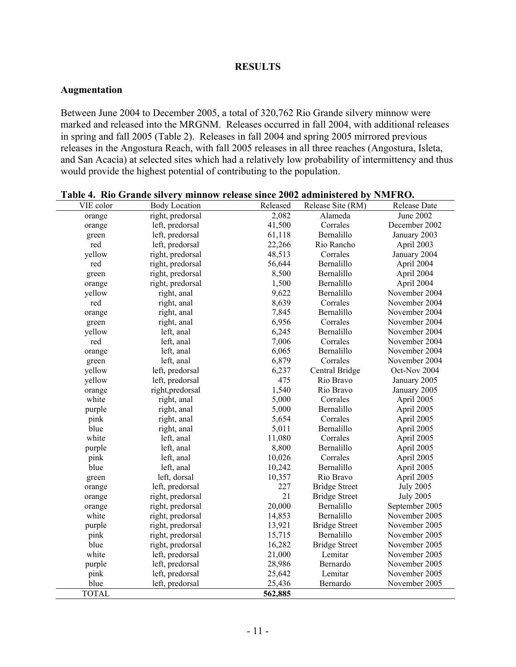### **RESULTS**

### **Augmentation**

Between June 2004 to December 2005, a total of 320,762 Rio Grande silvery minnow were marked and released into the MRGNM. Releases occurred in fall 2004, with additional releases in spring and fall 2005 (Table 2). Releases in fall 2004 and spring 2005 mirrored previous releases in the Angostura Reach, with fall 2005 releases in all three reaches (Angostura, Isleta, and San Acacia) at selected sites which had a relatively low probability of intermittency and thus would provide the highest potential of contributing to the population.

| VIE color    | <b>Body Location</b> | Released | Release Site (RM)    | Release Date     |
|--------------|----------------------|----------|----------------------|------------------|
| orange       | right, predorsal     | 2,082    | Alameda              | <b>June 2002</b> |
| orange       | left, predorsal      | 41,500   | Corrales             | December 2002    |
| green        | left, predorsal      | 61,118   | Bernalillo           | January 2003     |
| red          | left, predorsal      | 22,266   | Rio Rancho           | April 2003       |
| yellow       | right, predorsal     | 48,513   | Corrales             | January 2004     |
| red          | right, predorsal     | 56,644   | Bernalillo           | April 2004       |
| green        | right, predorsal     | 8,500    | Bernalillo           | April 2004       |
| orange       | right, predorsal     | 1,500    | Bernalillo           | April 2004       |
| yellow       | right, anal          | 9,622    | Bernalillo           | November 2004    |
| red          | right, anal          | 8,639    | Corrales             | November 2004    |
| orange       | right, anal          | 7,845    | Bernalillo           | November 2004    |
| green        | right, anal          | 6,956    | Corrales             | November 2004    |
| yellow       | left, anal           | 6,245    | Bernalillo           | November 2004    |
| red          | left, anal           | 7,006    | Corrales             | November 2004    |
| orange       | left, anal           | 6,065    | Bernalillo           | November 2004    |
| green        | left, anal           | 6,879    | Corrales             | November 2004    |
| yellow       | left, predorsal      | 6,237    | Central Bridge       | Oct-Nov 2004     |
| yellow       | left, predorsal      | 475      | Rio Bravo            | January 2005     |
| orange       | right, predorsal     | 1,540    | Rio Bravo            | January 2005     |
| white        | right, anal          | 5,000    | Corrales             | April 2005       |
| purple       | right, anal          | 5,000    | Bernalillo           | April 2005       |
| pink         | right, anal          | 5,654    | Corrales             | April 2005       |
| blue         | right, anal          | 5,011    | Bernalillo           | April 2005       |
| white        | left, anal           | 11,080   | Corrales             | April 2005       |
| purple       | left, anal           | 8,800    | Bernalillo           | April 2005       |
| pink         | left, anal           | 10,026   | Corrales             | April 2005       |
| blue         | left, anal           | 10,242   | Bernalillo           | April 2005       |
| green        | left, dorsal         | 10,357   | Rio Bravo            | April 2005       |
| orange       | left, predorsal      | 227      | <b>Bridge Street</b> | <b>July 2005</b> |
| orange       | right, predorsal     | 21       | <b>Bridge Street</b> | <b>July 2005</b> |
| orange       | right, predorsal     | 20,000   | Bernalillo           | September 2005   |
| white        | right, predorsal     | 14,853   | Bernalillo           | November 2005    |
| purple       | right, predorsal     | 13,921   | <b>Bridge Street</b> | November 2005    |
| pink         | right, predorsal     | 15,715   | Bernalillo           | November 2005    |
| blue         | right, predorsal     | 16,282   | <b>Bridge Street</b> | November 2005    |
| white        | left, predorsal      | 21,000   | Lemitar              | November 2005    |
| purple       | left, predorsal      | 28,986   | Bernardo             | November 2005    |
| pink         | left, predorsal      | 25,642   | Lemitar              | November 2005    |
| blue         | left, predorsal      | 25,436   | Bernardo             | November 2005    |
| <b>TOTAL</b> |                      | 562,885  |                      |                  |

#### **Table 4. Rio Grande silvery minnow release since 2002 administered by NMFRO.**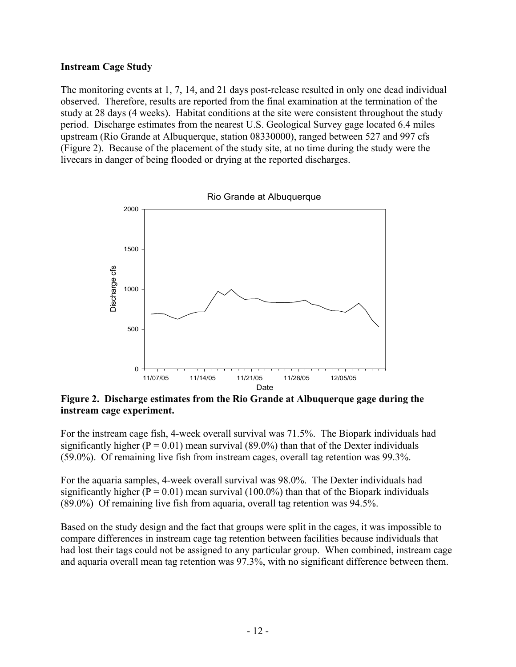### **Instream Cage Study**

The monitoring events at 1, 7, 14, and 21 days post-release resulted in only one dead individual observed. Therefore, results are reported from the final examination at the termination of the study at 28 days (4 weeks). Habitat conditions at the site were consistent throughout the study period. Discharge estimates from the nearest U.S. Geological Survey gage located 6.4 miles upstream (Rio Grande at Albuquerque, station 08330000), ranged between 527 and 997 cfs (Figure 2). Because of the placement of the study site, at no time during the study were the livecars in danger of being flooded or drying at the reported discharges.



**Figure 2. Discharge estimates from the Rio Grande at Albuquerque gage during the instream cage experiment.** 

For the instream cage fish, 4-week overall survival was 71.5%. The Biopark individuals had significantly higher ( $P = 0.01$ ) mean survival (89.0%) than that of the Dexter individuals (59.0%). Of remaining live fish from instream cages, overall tag retention was 99.3%.

For the aquaria samples, 4-week overall survival was 98.0%. The Dexter individuals had significantly higher ( $P = 0.01$ ) mean survival (100.0%) than that of the Biopark individuals (89.0%) Of remaining live fish from aquaria, overall tag retention was 94.5%.

Based on the study design and the fact that groups were split in the cages, it was impossible to compare differences in instream cage tag retention between facilities because individuals that had lost their tags could not be assigned to any particular group. When combined, instream cage and aquaria overall mean tag retention was 97.3%, with no significant difference between them.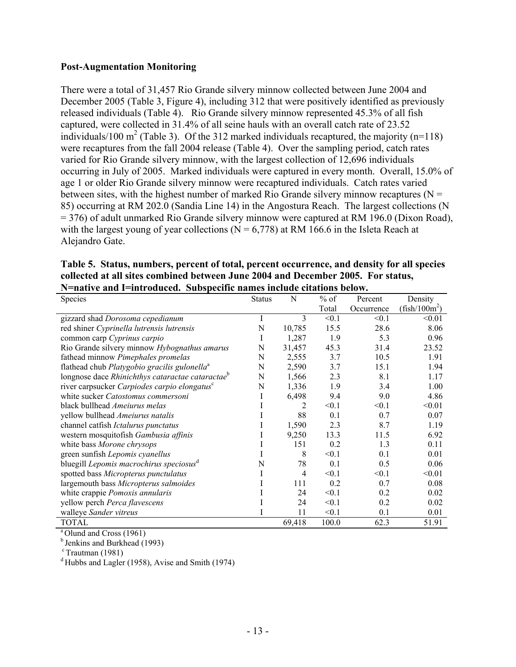#### **Post-Augmentation Monitoring**

There were a total of 31,457 Rio Grande silvery minnow collected between June 2004 and December 2005 (Table 3, Figure 4), including 312 that were positively identified as previously released individuals (Table 4). Rio Grande silvery minnow represented 45.3% of all fish captured, were collected in 31.4% of all seine hauls with an overall catch rate of 23.52 individuals/100 m<sup>2</sup> (Table 3). Of the 312 marked individuals recaptured, the majority (n=118) were recaptures from the fall 2004 release (Table 4). Over the sampling period, catch rates varied for Rio Grande silvery minnow, with the largest collection of 12,696 individuals occurring in July of 2005. Marked individuals were captured in every month. Overall, 15.0% of age 1 or older Rio Grande silvery minnow were recaptured individuals. Catch rates varied between sites, with the highest number of marked Rio Grande silvery minnow recaptures ( $N =$ 85) occurring at RM 202.0 (Sandia Line 14) in the Angostura Reach. The largest collections (N = 376) of adult unmarked Rio Grande silvery minnow were captured at RM 196.0 (Dixon Road), with the largest young of year collections ( $N = 6,778$ ) at RM 166.6 in the Isleta Reach at Alejandro Gate.

| Table 5. Status, numbers, percent of total, percent occurrence, and density for all species |
|---------------------------------------------------------------------------------------------|
| collected at all sites combined between June 2004 and December 2005. For status,            |
| N=native and I=introduced. Subspecific names include citations below.                       |

| Species                                                      | <b>Status</b> | N      | $%$ of | Percent    | Density         |
|--------------------------------------------------------------|---------------|--------|--------|------------|-----------------|
|                                                              |               |        | Total  | Occurrence | $(fish/100m^2)$ |
| gizzard shad Dorosoma cepedianum                             | I             | 3      | < 0.1  | < 0.1      | < 0.01          |
| red shiner Cyprinella lutrensis lutrensis                    | N             | 10,785 | 15.5   | 28.6       | 8.06            |
| common carp Cyprinus carpio                                  | Ι             | 1,287  | 1.9    | 5.3        | 0.96            |
| Rio Grande silvery minnow Hybognathus amarus                 | N             | 31,457 | 45.3   | 31.4       | 23.52           |
| fathead minnow Pimephales promelas                           | N             | 2,555  | 3.7    | 10.5       | 1.91            |
| flathead chub Platygobio gracilis gulonella <sup>a</sup>     | N             | 2,590  | 3.7    | 15.1       | 1.94            |
| longnose dace Rhinichthys cataractae cataractae <sup>b</sup> | N             | 1,566  | 2.3    | 8.1        | 1.17            |
| river carpsucker Carpiodes carpio elongatus <sup>c</sup>     | N             | 1,336  | 1.9    | 3.4        | 1.00            |
| white sucker Catostomus commersoni                           |               | 6,498  | 9.4    | 9.0        | 4.86            |
| black bullhead Ameiurus melas                                |               | 2      | < 0.1  | < 0.1      | < 0.01          |
| yellow bullhead Ameiurus natalis                             |               | 88     | 0.1    | 0.7        | 0.07            |
| channel catfish Ictalurus punctatus                          |               | 1,590  | 2.3    | 8.7        | 1.19            |
| western mosquitofish Gambusia affinis                        |               | 9,250  | 13.3   | 11.5       | 6.92            |
| white bass Morone chrysops                                   |               | 151    | 0.2    | 1.3        | 0.11            |
| green sunfish Lepomis cyanellus                              |               | 8      | < 0.1  | 0.1        | 0.01            |
| bluegill Lepomis macrochirus speciosus <sup>d</sup>          | N             | 78     | 0.1    | 0.5        | 0.06            |
| spotted bass Micropterus punctulatus                         |               | 4      | < 0.1  | < 0.1      | < 0.01          |
| largemouth bass Micropterus salmoides                        |               | 111    | 0.2    | 0.7        | 0.08            |
| white crappie Pomoxis annularis                              |               | 24     | < 0.1  | 0.2        | 0.02            |
| yellow perch Perca flavescens                                |               | 24     | < 0.1  | 0.2        | 0.02            |
| walleye Sander vitreus                                       |               | 11     | < 0.1  | 0.1        | 0.01            |
| <b>TOTAL</b>                                                 |               | 69,418 | 100.0  | 62.3       | 51.91           |

<sup>a</sup> Olund and Cross (1961)

 $<sup>b</sup>$  Jenkins and Burkhead (1993)</sup>

 $\text{c}$  Trautman (1981)

<sup>d</sup> Hubbs and Lagler (1958), Avise and Smith (1974)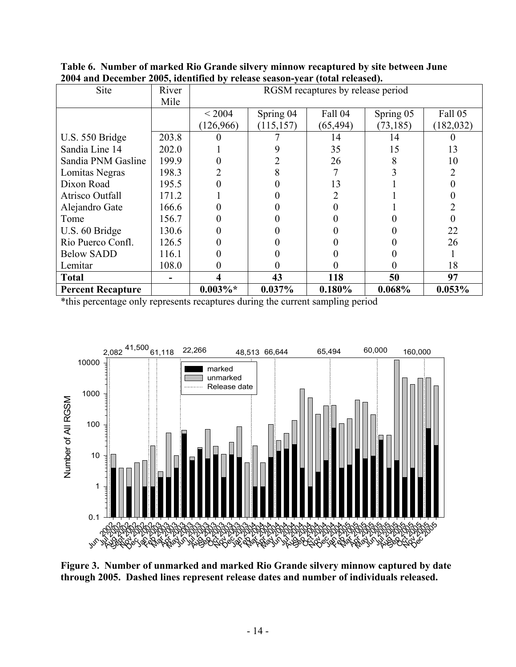| Site                     | River | RGSM recaptures by release period |            |           |           |            |  |  |
|--------------------------|-------|-----------------------------------|------------|-----------|-----------|------------|--|--|
|                          | Mile  |                                   |            |           |           |            |  |  |
|                          |       | < 2004                            | Spring 04  | Fall 04   | Spring 05 | Fall 05    |  |  |
|                          |       | (126, 966)                        | (115, 157) | (65, 494) | (73, 185) | (182, 032) |  |  |
| U.S. 550 Bridge          | 203.8 |                                   |            | 14        | 14        |            |  |  |
| Sandia Line 14           | 202.0 |                                   |            | 35        | 15        | 13         |  |  |
| Sandia PNM Gasline       | 199.9 |                                   |            | 26        |           | 10         |  |  |
| Lomitas Negras           | 198.3 |                                   |            |           |           |            |  |  |
| Dixon Road               | 195.5 |                                   |            | 13        |           |            |  |  |
| Atrisco Outfall          | 171.2 |                                   |            |           |           |            |  |  |
| Alejandro Gate           | 166.6 |                                   |            |           |           |            |  |  |
| Tome                     | 156.7 |                                   |            |           |           |            |  |  |
| U.S. 60 Bridge           | 130.6 |                                   |            |           |           | 22         |  |  |
| Rio Puerco Confl.        | 126.5 |                                   |            |           |           | 26         |  |  |
| <b>Below SADD</b>        | 116.1 |                                   |            |           |           |            |  |  |
| Lemitar                  | 108.0 | 0                                 |            |           |           | 18         |  |  |
| <b>Total</b>             |       | 4                                 | 43         | 118       | 50        | 97         |  |  |
| <b>Percent Recapture</b> |       | $0.003\%*$                        | $0.037\%$  | $0.180\%$ | 0.068%    | $0.053\%$  |  |  |

**Table 6. Number of marked Rio Grande silvery minnow recaptured by site between June 2004 and December 2005, identified by release season-year (total released).** 

\*this percentage only represents recaptures during the current sampling period



**Figure 3. Number of unmarked and marked Rio Grande silvery minnow captured by date through 2005. Dashed lines represent release dates and number of individuals released.**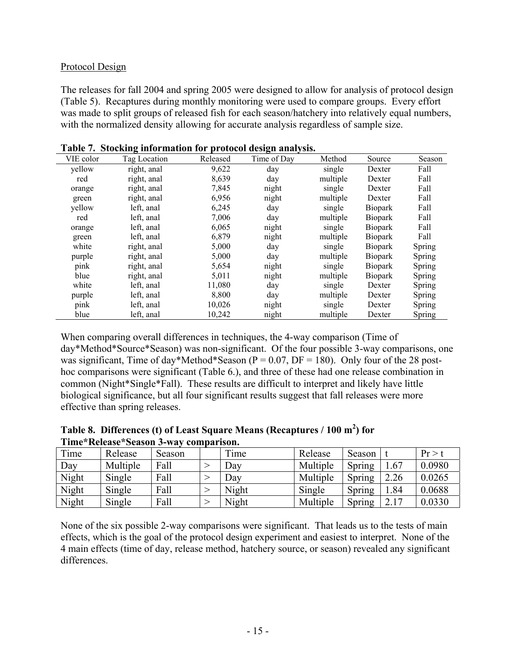### Protocol Design

The releases for fall 2004 and spring 2005 were designed to allow for analysis of protocol design (Table 5). Recaptures during monthly monitoring were used to compare groups. Every effort was made to split groups of released fish for each season/hatchery into relatively equal numbers, with the normalized density allowing for accurate analysis regardless of sample size.

| VIE color | Tag Location | Released | Time of Day | Method   | Source         | Season        |
|-----------|--------------|----------|-------------|----------|----------------|---------------|
| yellow    | right, anal  | 9,622    | day         | single   | Dexter         | Fall          |
| red       | right, anal  | 8,639    | day         | multiple | Dexter         | Fall          |
| orange    | right, anal  | 7,845    | night       | single   | Dexter         | Fall          |
| green     | right, anal  | 6,956    | night       | multiple | Dexter         | Fall          |
| yellow    | left, anal   | 6,245    | day         | single   | <b>Biopark</b> | Fall          |
| red       | left, anal   | 7,006    | day         | multiple | <b>Biopark</b> | Fall          |
| orange    | left, anal   | 6,065    | night       | single   | <b>Biopark</b> | Fall          |
| green     | left, anal   | 6,879    | night       | multiple | <b>Biopark</b> | Fall          |
| white     | right, anal  | 5,000    | day         | single   | <b>Biopark</b> | Spring        |
| purple    | right, anal  | 5,000    | day         | multiple | <b>Biopark</b> | Spring        |
| pink      | right, anal  | 5,654    | night       | single   | <b>Biopark</b> | Spring        |
| blue      | right, anal  | 5,011    | night       | multiple | <b>Biopark</b> | Spring        |
| white     | left, anal   | 11,080   | day         | single   | Dexter         | Spring        |
| purple    | left, anal   | 8,800    | day         | multiple | Dexter         | <b>Spring</b> |
| pink      | left, anal   | 10,026   | night       | single   | Dexter         | <b>Spring</b> |
| blue      | left, anal   | 10,242   | night       | multiple | Dexter         | Spring        |

**Table 7. Stocking information for protocol design analysis.** 

When comparing overall differences in techniques, the 4-way comparison (Time of day\*Method\*Source\*Season) was non-significant. Of the four possible 3-way comparisons, one was significant, Time of day\*Method\*Season ( $P = 0.07$ ,  $DF = 180$ ). Only four of the 28 posthoc comparisons were significant (Table 6.), and three of these had one release combination in common (Night\*Single\*Fall). These results are difficult to interpret and likely have little biological significance, but all four significant results suggest that fall releases were more effective than spring releases.

|                                       |  | Table 8. Differences (t) of Least Square Means (Recaptures / $100 \text{ m}^2$ ) for |  |  |
|---------------------------------------|--|--------------------------------------------------------------------------------------|--|--|
| Time*Release*Season 3-way comparison. |  |                                                                                      |  |  |
|                                       |  |                                                                                      |  |  |

| Time  | Release  | Season | Time  | Release  | Season |      | Pr > 1 |
|-------|----------|--------|-------|----------|--------|------|--------|
| Day   | Multiple | Fall   | Day   | Multiple | Spring | .67  | 0.0980 |
| Night | Single   | Fall   | Day   | Multiple | Spring | 2.26 | 0.0265 |
| Night | Single   | Fall   | Night | Single   | Spring | .84  | 0.0688 |
| Night | Single   | Fall   | Night | Multiple | Spring | າ 17 | 0.0330 |

None of the six possible 2-way comparisons were significant. That leads us to the tests of main effects, which is the goal of the protocol design experiment and easiest to interpret. None of the 4 main effects (time of day, release method, hatchery source, or season) revealed any significant differences.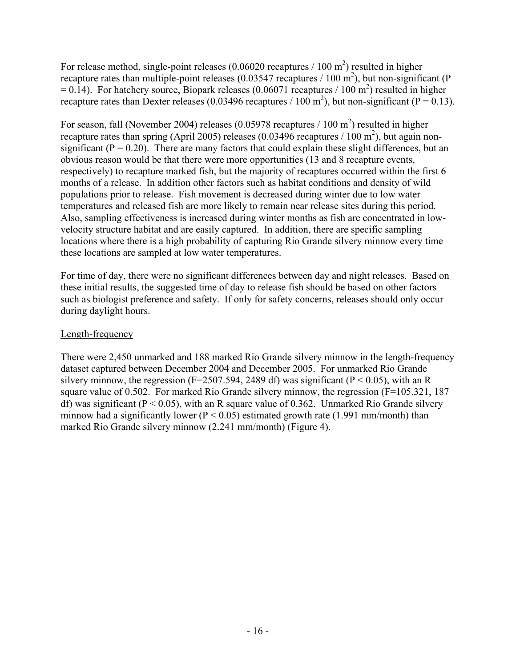For release method, single-point releases  $(0.06020$  recaptures  $/ 100$  m<sup>2</sup>) resulted in higher recapture rates than multiple-point releases  $(0.03547$  recaptures  $/ 100$  m<sup>2</sup>), but non-significant (P)  $= 0.14$ ). For hatchery source, Biopark releases (0.06071 recaptures / 100 m<sup>2</sup>) resulted in higher recapture rates than Dexter releases (0.03496 recaptures / 100 m<sup>2</sup>), but non-significant (P = 0.13).

For season, fall (November 2004) releases (0.05978 recaptures  $/ 100 \text{ m}^2$ ) resulted in higher recapture rates than spring (April 2005) releases (0.03496 recaptures / 100 m<sup>2</sup>), but again nonsignificant ( $P = 0.20$ ). There are many factors that could explain these slight differences, but an obvious reason would be that there were more opportunities (13 and 8 recapture events, respectively) to recapture marked fish, but the majority of recaptures occurred within the first 6 months of a release. In addition other factors such as habitat conditions and density of wild populations prior to release. Fish movement is decreased during winter due to low water temperatures and released fish are more likely to remain near release sites during this period. Also, sampling effectiveness is increased during winter months as fish are concentrated in lowvelocity structure habitat and are easily captured. In addition, there are specific sampling locations where there is a high probability of capturing Rio Grande silvery minnow every time these locations are sampled at low water temperatures.

For time of day, there were no significant differences between day and night releases. Based on these initial results, the suggested time of day to release fish should be based on other factors such as biologist preference and safety. If only for safety concerns, releases should only occur during daylight hours.

## Length-frequency

There were 2,450 unmarked and 188 marked Rio Grande silvery minnow in the length-frequency dataset captured between December 2004 and December 2005. For unmarked Rio Grande silvery minnow, the regression (F=2507.594, 2489 df) was significant (P < 0.05), with an R square value of 0.502. For marked Rio Grande silvery minnow, the regression (F=105.321, 187 df) was significant ( $P < 0.05$ ), with an R square value of 0.362. Unmarked Rio Grande silvery minnow had a significantly lower ( $P < 0.05$ ) estimated growth rate (1.991 mm/month) than marked Rio Grande silvery minnow (2.241 mm/month) (Figure 4).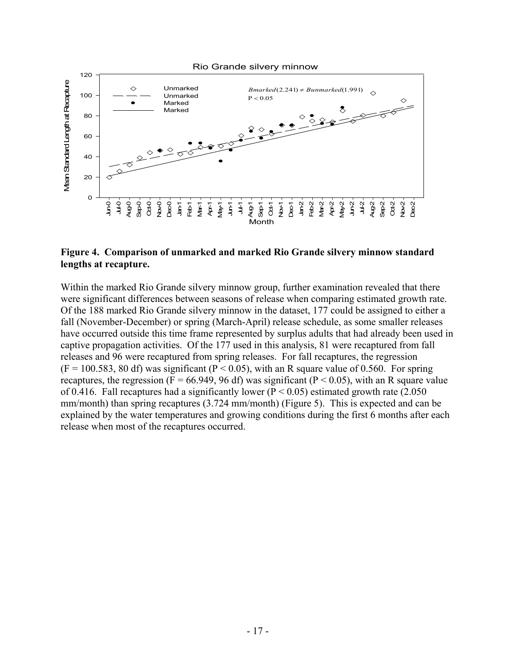

#### **Figure 4. Comparison of unmarked and marked Rio Grande silvery minnow standard lengths at recapture.**

Within the marked Rio Grande silvery minnow group, further examination revealed that there were significant differences between seasons of release when comparing estimated growth rate. Of the 188 marked Rio Grande silvery minnow in the dataset, 177 could be assigned to either a fall (November-December) or spring (March-April) release schedule, as some smaller releases have occurred outside this time frame represented by surplus adults that had already been used in captive propagation activities. Of the 177 used in this analysis, 81 were recaptured from fall releases and 96 were recaptured from spring releases. For fall recaptures, the regression  $(F = 100.583, 80$  df) was significant  $(P < 0.05)$ , with an R square value of 0.560. For spring recaptures, the regression ( $F = 66.949$ , 96 df) was significant ( $P < 0.05$ ), with an R square value of 0.416. Fall recaptures had a significantly lower ( $P < 0.05$ ) estimated growth rate (2.050) mm/month) than spring recaptures (3.724 mm/month) (Figure 5). This is expected and can be explained by the water temperatures and growing conditions during the first 6 months after each release when most of the recaptures occurred.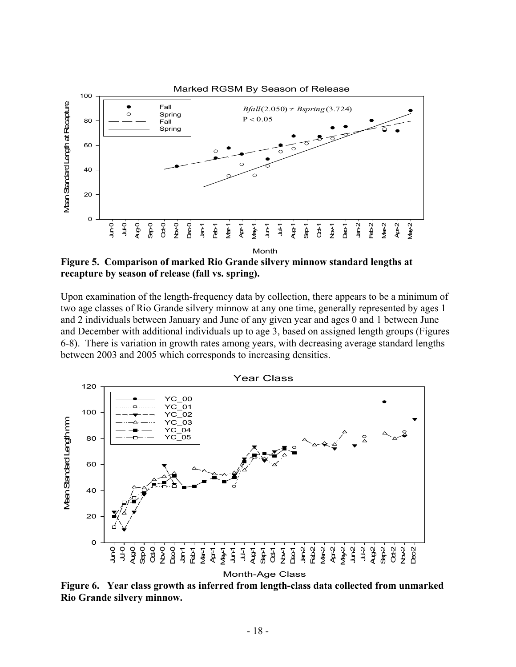

**Figure 5. Comparison of marked Rio Grande silvery minnow standard lengths at recapture by season of release (fall vs. spring).** 

Upon examination of the length-frequency data by collection, there appears to be a minimum of two age classes of Rio Grande silvery minnow at any one time, generally represented by ages 1 and 2 individuals between January and June of any given year and ages 0 and 1 between June and December with additional individuals up to age 3, based on assigned length groups (Figures 6-8). There is variation in growth rates among years, with decreasing average standard lengths between 2003 and 2005 which corresponds to increasing densities.



**Figure 6. Year class growth as inferred from length-class data collected from unmarked Rio Grande silvery minnow.**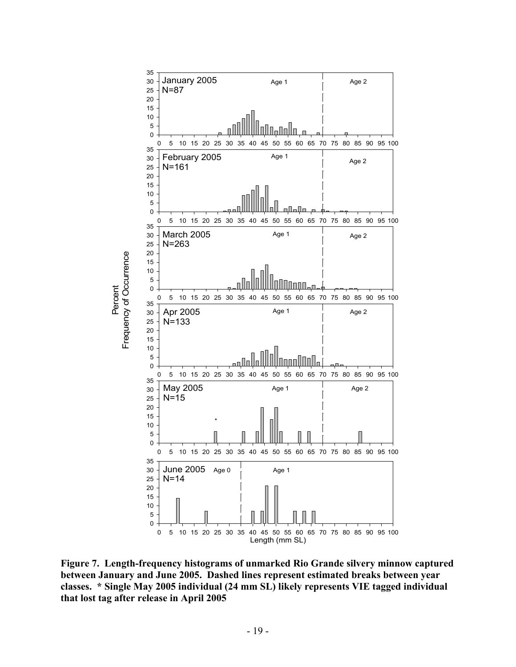

**Figure 7. Length-frequency histograms of unmarked Rio Grande silvery minnow captured between January and June 2005. Dashed lines represent estimated breaks between year classes. \* Single May 2005 individual (24 mm SL) likely represents VIE tagged individual that lost tag after release in April 2005**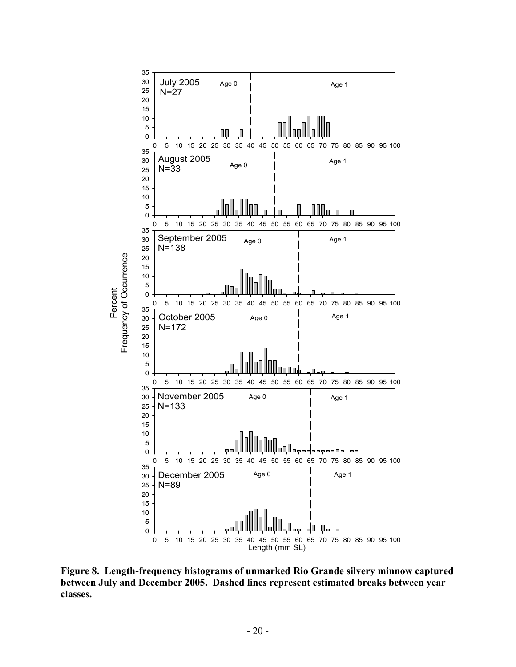

**Figure 8. Length-frequency histograms of unmarked Rio Grande silvery minnow captured between July and December 2005. Dashed lines represent estimated breaks between year classes.**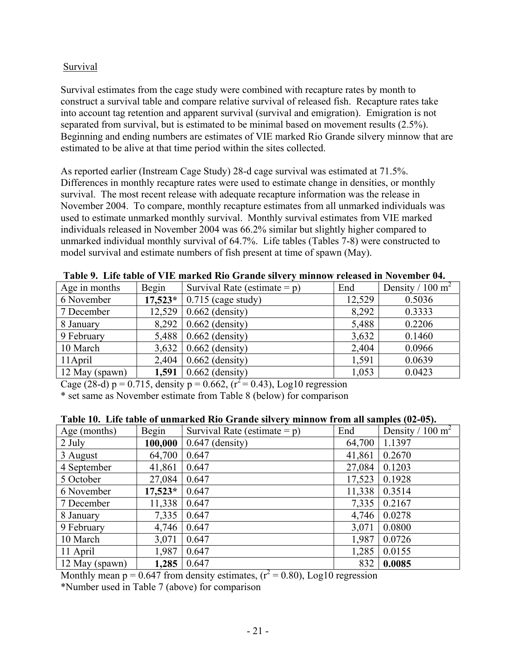## Survival

Survival estimates from the cage study were combined with recapture rates by month to construct a survival table and compare relative survival of released fish. Recapture rates take into account tag retention and apparent survival (survival and emigration). Emigration is not separated from survival, but is estimated to be minimal based on movement results (2.5%). Beginning and ending numbers are estimates of VIE marked Rio Grande silvery minnow that are estimated to be alive at that time period within the sites collected.

As reported earlier (Instream Cage Study) 28-d cage survival was estimated at 71.5%. Differences in monthly recapture rates were used to estimate change in densities, or monthly survival. The most recent release with adequate recapture information was the release in November 2004. To compare, monthly recapture estimates from all unmarked individuals was used to estimate unmarked monthly survival. Monthly survival estimates from VIE marked individuals released in November 2004 was 66.2% similar but slightly higher compared to unmarked individual monthly survival of 64.7%. Life tables (Tables 7-8) were constructed to model survival and estimate numbers of fish present at time of spawn (May).

| THOIC )! THIS MOIS OF THE HIM HOW THO OFMING SHIPLEY HIMMID AT LOOKSOM HE FOTOHOLD TH |           |                                 |        |                              |  |  |  |  |  |
|---------------------------------------------------------------------------------------|-----------|---------------------------------|--------|------------------------------|--|--|--|--|--|
| Age in months                                                                         | Begin     | Survival Rate (estimate = $p$ ) | End    | Density / 100 m <sup>2</sup> |  |  |  |  |  |
| 6 November                                                                            | $17,523*$ | $\vert$ 0.715 (cage study)      | 12,529 | 0.5036                       |  |  |  |  |  |
| 7 December                                                                            | 12,529    | $0.662$ (density)               | 8,292  | 0.3333                       |  |  |  |  |  |
| 8 January                                                                             |           | $8,292$   0.662 (density)       | 5,488  | 0.2206                       |  |  |  |  |  |
| 9 February                                                                            |           | 5,488   $0.662$ (density)       | 3,632  | 0.1460                       |  |  |  |  |  |
| 10 March                                                                              |           | $3,632$   0.662 (density)       | 2,404  | 0.0966                       |  |  |  |  |  |
| 11 April                                                                              |           | $2,404$   0.662 (density)       | 1.591  | 0.0639                       |  |  |  |  |  |
| 12 May (spawn)                                                                        |           | 1,591   $0.662$ (density)       | 1,053  | 0.0423                       |  |  |  |  |  |

| Table 9. Life table of VIE marked Rio Grande silvery minnow released in November 04. |  |
|--------------------------------------------------------------------------------------|--|
|--------------------------------------------------------------------------------------|--|

Cage (28-d) p = 0.715, density p = 0.662,  $(r^2 = 0.43)$ , Log10 regression

\* set same as November estimate from Table 8 (below) for comparison

| Age (months)      | Begin     | Survival Rate (estimate = $p$ ) | End    | Density / 100 m <sup>2</sup> |
|-------------------|-----------|---------------------------------|--------|------------------------------|
| 100,000<br>2 July |           | $0.647$ (density)               | 64,700 | 1.1397                       |
| 3 August          | 64,700    | 0.647                           | 41,861 | 0.2670                       |
| 4 September       | 41,861    | 0.647                           | 27,084 | 0.1203                       |
| 5 October         | 27,084    | 0.647                           | 17,523 | 0.1928                       |
| 6 November        | $17,523*$ | 0.647                           | 11,338 | 0.3514                       |
| 7 December        | 11,338    | 0.647                           | 7,335  | 0.2167                       |
| 8 January         | 7,335     | 0.647                           | 4,746  | 0.0278                       |
| 9 February        | 4,746     | 0.647                           | 3,071  | 0.0800                       |
| 10 March          | 3,071     | 0.647                           | 1,987  | 0.0726                       |
| 11 April          | 1,987     | 0.647                           | 1,285  | 0.0155                       |
| 12 May (spawn)    | 1,285     | 0.647                           | 832    | 0.0085                       |

## **Table 10. Life table of unmarked Rio Grande silvery minnow from all samples (02-05).**

Monthly mean  $p = 0.647$  from density estimates,  $(r^2 = 0.80)$ , Log10 regression

\*Number used in Table 7 (above) for comparison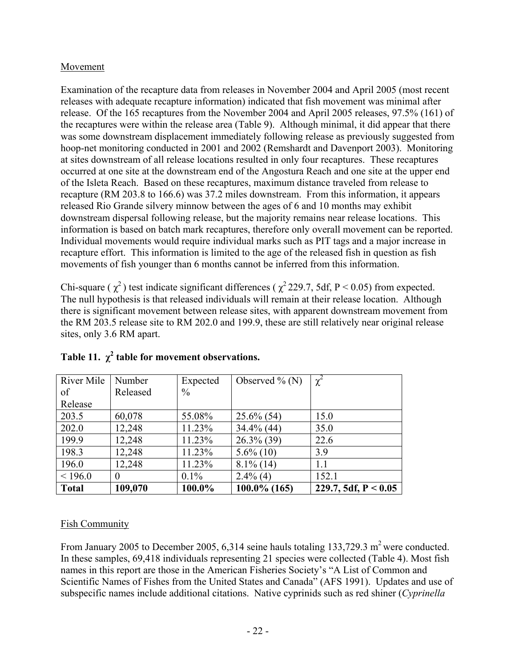## Movement

Examination of the recapture data from releases in November 2004 and April 2005 (most recent releases with adequate recapture information) indicated that fish movement was minimal after release. Of the 165 recaptures from the November 2004 and April 2005 releases, 97.5% (161) of the recaptures were within the release area (Table 9). Although minimal, it did appear that there was some downstream displacement immediately following release as previously suggested from hoop-net monitoring conducted in 2001 and 2002 (Remshardt and Davenport 2003). Monitoring at sites downstream of all release locations resulted in only four recaptures. These recaptures occurred at one site at the downstream end of the Angostura Reach and one site at the upper end of the Isleta Reach. Based on these recaptures, maximum distance traveled from release to recapture (RM 203.8 to 166.6) was 37.2 miles downstream. From this information, it appears released Rio Grande silvery minnow between the ages of 6 and 10 months may exhibit downstream dispersal following release, but the majority remains near release locations. This information is based on batch mark recaptures, therefore only overall movement can be reported. Individual movements would require individual marks such as PIT tags and a major increase in recapture effort. This information is limited to the age of the released fish in question as fish movements of fish younger than 6 months cannot be inferred from this information.

Chi-square ( $\chi^2$ ) test indicate significant differences ( $\chi^2$ 229.7, 5df, P < 0.05) from expected. The null hypothesis is that released individuals will remain at their release location. Although there is significant movement between release sites, with apparent downstream movement from the RM 203.5 release site to RM 202.0 and 199.9, these are still relatively near original release sites, only 3.6 RM apart.

| River Mile   | Number   | Expected      | Observed $\%$ (N) | $\chi$ <sup><math>\chi</math></sup> |
|--------------|----------|---------------|-------------------|-------------------------------------|
| of           | Released | $\frac{0}{0}$ |                   |                                     |
| Release      |          |               |                   |                                     |
| 203.5        | 60,078   | 55.08%        | $25.6\%$ (54)     | 15.0                                |
| 202.0        | 12,248   | 11.23%        | 34.4% (44)        | 35.0                                |
| 199.9        | 12,248   | 11.23%        | $26.3\%$ (39)     | 22.6                                |
| 198.3        | 12,248   | 11.23%        | $5.6\%$ (10)      | 3.9                                 |
| 196.0        | 12,248   | 11.23%        | $8.1\%$ (14)      | 1.1                                 |
| < 196.0      | 0        | $0.1\%$       | $2.4\%$ (4)       | 152.1                               |
| <b>Total</b> | 109,070  | 100.0%        | $100.0\%$ (165)   | 229.7, 5df, $P < 0.05$              |

# Table 11.  $\chi^2$  table for movement observations.

## Fish Community

From January 2005 to December 2005, 6,314 seine hauls totaling  $133,729.3$  m<sup>2</sup> were conducted. In these samples, 69,418 individuals representing 21 species were collected (Table 4). Most fish names in this report are those in the American Fisheries Society's "A List of Common and Scientific Names of Fishes from the United States and Canada" (AFS 1991). Updates and use of subspecific names include additional citations. Native cyprinids such as red shiner (*Cyprinella*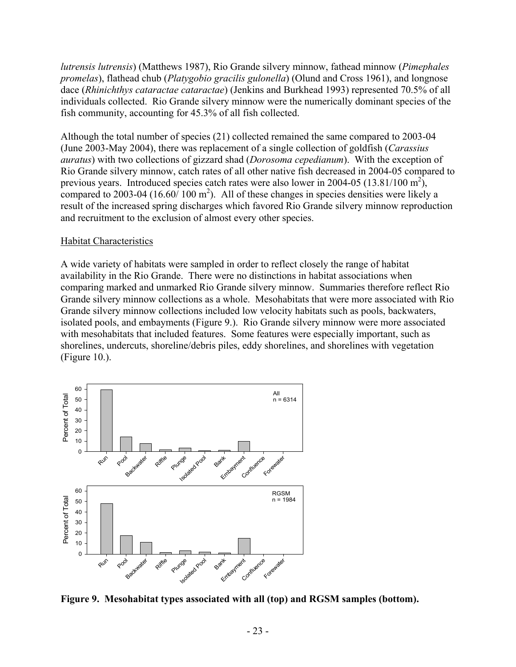*lutrensis lutrensis*) (Matthews 1987), Rio Grande silvery minnow, fathead minnow (*Pimephales promelas*), flathead chub (*Platygobio gracilis gulonella*) (Olund and Cross 1961), and longnose dace (*Rhinichthys cataractae cataractae*) (Jenkins and Burkhead 1993) represented 70.5% of all individuals collected. Rio Grande silvery minnow were the numerically dominant species of the fish community, accounting for 45.3% of all fish collected.

Although the total number of species (21) collected remained the same compared to 2003-04 (June 2003-May 2004), there was replacement of a single collection of goldfish (*Carassius auratus*) with two collections of gizzard shad (*Dorosoma cepedianum*). With the exception of Rio Grande silvery minnow, catch rates of all other native fish decreased in 2004-05 compared to previous years. Introduced species catch rates were also lower in 2004-05 (13.81/100 m<sup>2</sup>), compared to 2003-04 (16.60/ 100  $m^2$ ). All of these changes in species densities were likely a result of the increased spring discharges which favored Rio Grande silvery minnow reproduction and recruitment to the exclusion of almost every other species.

#### Habitat Characteristics

A wide variety of habitats were sampled in order to reflect closely the range of habitat availability in the Rio Grande. There were no distinctions in habitat associations when comparing marked and unmarked Rio Grande silvery minnow. Summaries therefore reflect Rio Grande silvery minnow collections as a whole. Mesohabitats that were more associated with Rio Grande silvery minnow collections included low velocity habitats such as pools, backwaters, isolated pools, and embayments (Figure 9.). Rio Grande silvery minnow were more associated with mesohabitats that included features. Some features were especially important, such as shorelines, undercuts, shoreline/debris piles, eddy shorelines, and shorelines with vegetation (Figure 10.).



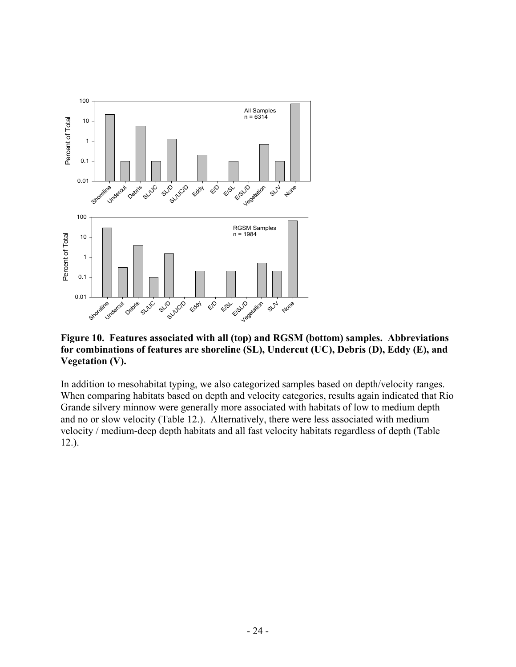

**Figure 10. Features associated with all (top) and RGSM (bottom) samples. Abbreviations for combinations of features are shoreline (SL), Undercut (UC), Debris (D), Eddy (E), and Vegetation (V).** 

In addition to mesohabitat typing, we also categorized samples based on depth/velocity ranges. When comparing habitats based on depth and velocity categories, results again indicated that Rio Grande silvery minnow were generally more associated with habitats of low to medium depth and no or slow velocity (Table 12.). Alternatively, there were less associated with medium velocity / medium-deep depth habitats and all fast velocity habitats regardless of depth (Table 12.).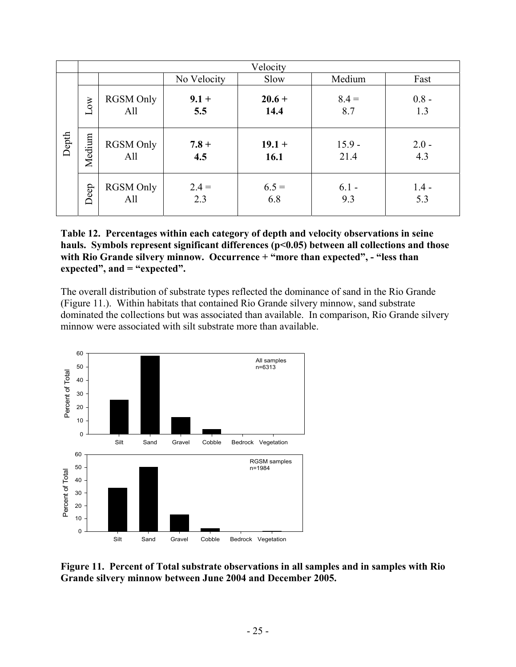|       | Velocity |                         |                |                  |                  |                |  |
|-------|----------|-------------------------|----------------|------------------|------------------|----------------|--|
|       |          |                         | No Velocity    | Slow             | Medium           | Fast           |  |
| Depth | Low      | <b>RGSM Only</b><br>All | $9.1 +$<br>5.5 | $20.6 +$<br>14.4 | $8.4 =$<br>8.7   | $0.8 -$<br>1.3 |  |
|       | Medium   | <b>RGSM Only</b><br>All | $7.8 +$<br>4.5 | $19.1 +$<br>16.1 | $15.9 -$<br>21.4 | $2.0 -$<br>4.3 |  |
|       | Deep     | <b>RGSM</b> Only<br>All | $2.4 =$<br>2.3 | $6.5 =$<br>6.8   | $6.1 -$<br>9.3   | $1.4 -$<br>5.3 |  |

**Table 12. Percentages within each category of depth and velocity observations in seine hauls. Symbols represent significant differences (p<0.05) between all collections and those**  with Rio Grande silvery minnow. Occurrence + "more than expected", - "less than **expected", and = "expected".** 

The overall distribution of substrate types reflected the dominance of sand in the Rio Grande (Figure 11.). Within habitats that contained Rio Grande silvery minnow, sand substrate dominated the collections but was associated than available. In comparison, Rio Grande silvery minnow were associated with silt substrate more than available.



**Figure 11. Percent of Total substrate observations in all samples and in samples with Rio Grande silvery minnow between June 2004 and December 2005.**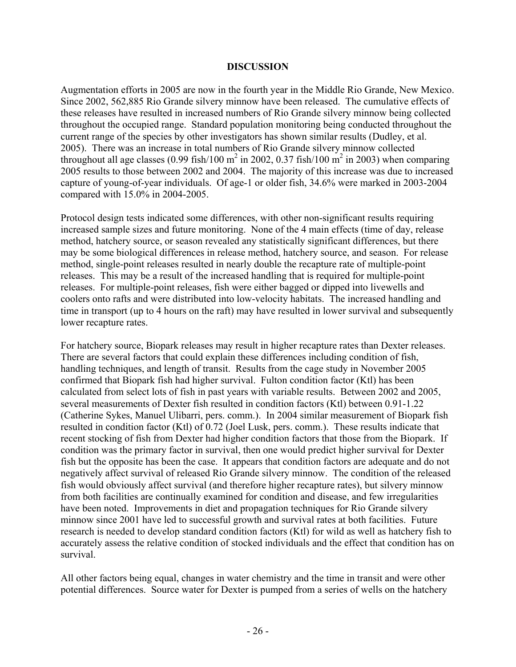#### **DISCUSSION**

Augmentation efforts in 2005 are now in the fourth year in the Middle Rio Grande, New Mexico. Since 2002, 562,885 Rio Grande silvery minnow have been released. The cumulative effects of these releases have resulted in increased numbers of Rio Grande silvery minnow being collected throughout the occupied range. Standard population monitoring being conducted throughout the current range of the species by other investigators has shown similar results (Dudley, et al. 2005). There was an increase in total numbers of Rio Grande silvery minnow collected throughout all age classes (0.99 fish/100 m<sup>2</sup> in 2002, 0.37 fish/100 m<sup>2</sup> in 2003) when comparing 2005 results to those between 2002 and 2004. The majority of this increase was due to increased capture of young-of-year individuals. Of age-1 or older fish, 34.6% were marked in 2003-2004 compared with 15.0% in 2004-2005.

Protocol design tests indicated some differences, with other non-significant results requiring increased sample sizes and future monitoring. None of the 4 main effects (time of day, release method, hatchery source, or season revealed any statistically significant differences, but there may be some biological differences in release method, hatchery source, and season. For release method, single-point releases resulted in nearly double the recapture rate of multiple-point releases. This may be a result of the increased handling that is required for multiple-point releases. For multiple-point releases, fish were either bagged or dipped into livewells and coolers onto rafts and were distributed into low-velocity habitats. The increased handling and time in transport (up to 4 hours on the raft) may have resulted in lower survival and subsequently lower recapture rates.

For hatchery source, Biopark releases may result in higher recapture rates than Dexter releases. There are several factors that could explain these differences including condition of fish, handling techniques, and length of transit. Results from the cage study in November 2005 confirmed that Biopark fish had higher survival. Fulton condition factor (Ktl) has been calculated from select lots of fish in past years with variable results. Between 2002 and 2005, several measurements of Dexter fish resulted in condition factors (Ktl) between 0.91-1.22 (Catherine Sykes, Manuel Ulibarri, pers. comm.). In 2004 similar measurement of Biopark fish resulted in condition factor (Ktl) of 0.72 (Joel Lusk, pers. comm.). These results indicate that recent stocking of fish from Dexter had higher condition factors that those from the Biopark. If condition was the primary factor in survival, then one would predict higher survival for Dexter fish but the opposite has been the case. It appears that condition factors are adequate and do not negatively affect survival of released Rio Grande silvery minnow. The condition of the released fish would obviously affect survival (and therefore higher recapture rates), but silvery minnow from both facilities are continually examined for condition and disease, and few irregularities have been noted. Improvements in diet and propagation techniques for Rio Grande silvery minnow since 2001 have led to successful growth and survival rates at both facilities. Future research is needed to develop standard condition factors (Ktl) for wild as well as hatchery fish to accurately assess the relative condition of stocked individuals and the effect that condition has on survival.

All other factors being equal, changes in water chemistry and the time in transit and were other potential differences. Source water for Dexter is pumped from a series of wells on the hatchery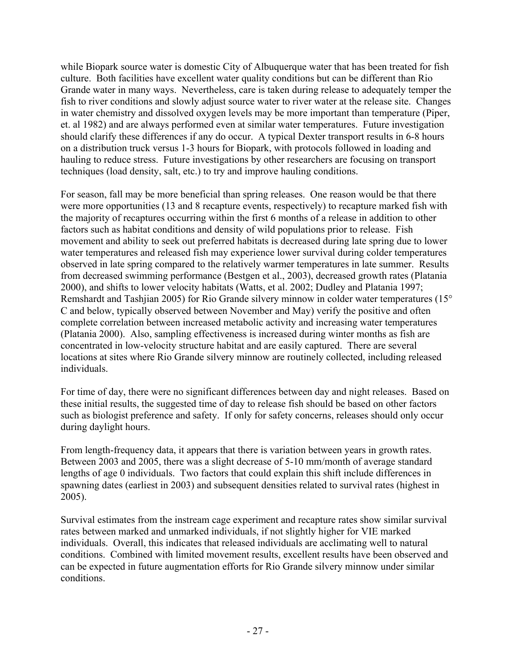while Biopark source water is domestic City of Albuquerque water that has been treated for fish culture. Both facilities have excellent water quality conditions but can be different than Rio Grande water in many ways. Nevertheless, care is taken during release to adequately temper the fish to river conditions and slowly adjust source water to river water at the release site. Changes in water chemistry and dissolved oxygen levels may be more important than temperature (Piper, et. al 1982) and are always performed even at similar water temperatures. Future investigation should clarify these differences if any do occur. A typical Dexter transport results in 6-8 hours on a distribution truck versus 1-3 hours for Biopark, with protocols followed in loading and hauling to reduce stress. Future investigations by other researchers are focusing on transport techniques (load density, salt, etc.) to try and improve hauling conditions.

For season, fall may be more beneficial than spring releases. One reason would be that there were more opportunities (13 and 8 recapture events, respectively) to recapture marked fish with the majority of recaptures occurring within the first 6 months of a release in addition to other factors such as habitat conditions and density of wild populations prior to release. Fish movement and ability to seek out preferred habitats is decreased during late spring due to lower water temperatures and released fish may experience lower survival during colder temperatures observed in late spring compared to the relatively warmer temperatures in late summer. Results from decreased swimming performance (Bestgen et al., 2003), decreased growth rates (Platania 2000), and shifts to lower velocity habitats (Watts, et al. 2002; Dudley and Platania 1997; Remshardt and Tashjian 2005) for Rio Grande silvery minnow in colder water temperatures (15° C and below, typically observed between November and May) verify the positive and often complete correlation between increased metabolic activity and increasing water temperatures (Platania 2000). Also, sampling effectiveness is increased during winter months as fish are concentrated in low-velocity structure habitat and are easily captured. There are several locations at sites where Rio Grande silvery minnow are routinely collected, including released individuals.

For time of day, there were no significant differences between day and night releases. Based on these initial results, the suggested time of day to release fish should be based on other factors such as biologist preference and safety. If only for safety concerns, releases should only occur during daylight hours.

From length-frequency data, it appears that there is variation between years in growth rates. Between 2003 and 2005, there was a slight decrease of 5-10 mm/month of average standard lengths of age 0 individuals. Two factors that could explain this shift include differences in spawning dates (earliest in 2003) and subsequent densities related to survival rates (highest in 2005).

Survival estimates from the instream cage experiment and recapture rates show similar survival rates between marked and unmarked individuals, if not slightly higher for VIE marked individuals. Overall, this indicates that released individuals are acclimating well to natural conditions. Combined with limited movement results, excellent results have been observed and can be expected in future augmentation efforts for Rio Grande silvery minnow under similar conditions.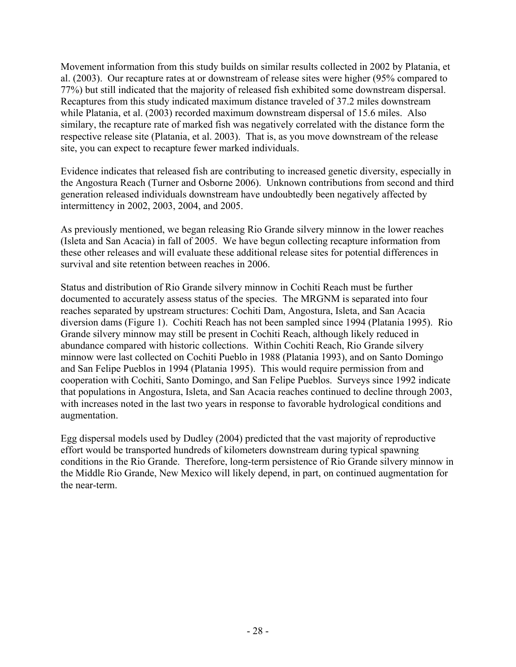Movement information from this study builds on similar results collected in 2002 by Platania, et al. (2003). Our recapture rates at or downstream of release sites were higher (95% compared to 77%) but still indicated that the majority of released fish exhibited some downstream dispersal. Recaptures from this study indicated maximum distance traveled of 37.2 miles downstream while Platania, et al. (2003) recorded maximum downstream dispersal of 15.6 miles. Also similary, the recapture rate of marked fish was negatively correlated with the distance form the respective release site (Platania, et al. 2003). That is, as you move downstream of the release site, you can expect to recapture fewer marked individuals.

Evidence indicates that released fish are contributing to increased genetic diversity, especially in the Angostura Reach (Turner and Osborne 2006). Unknown contributions from second and third generation released individuals downstream have undoubtedly been negatively affected by intermittency in 2002, 2003, 2004, and 2005.

As previously mentioned, we began releasing Rio Grande silvery minnow in the lower reaches (Isleta and San Acacia) in fall of 2005. We have begun collecting recapture information from these other releases and will evaluate these additional release sites for potential differences in survival and site retention between reaches in 2006.

Status and distribution of Rio Grande silvery minnow in Cochiti Reach must be further documented to accurately assess status of the species. The MRGNM is separated into four reaches separated by upstream structures: Cochiti Dam, Angostura, Isleta, and San Acacia diversion dams (Figure 1). Cochiti Reach has not been sampled since 1994 (Platania 1995). Rio Grande silvery minnow may still be present in Cochiti Reach, although likely reduced in abundance compared with historic collections. Within Cochiti Reach, Rio Grande silvery minnow were last collected on Cochiti Pueblo in 1988 (Platania 1993), and on Santo Domingo and San Felipe Pueblos in 1994 (Platania 1995). This would require permission from and cooperation with Cochiti, Santo Domingo, and San Felipe Pueblos. Surveys since 1992 indicate that populations in Angostura, Isleta, and San Acacia reaches continued to decline through 2003, with increases noted in the last two years in response to favorable hydrological conditions and augmentation.

Egg dispersal models used by Dudley (2004) predicted that the vast majority of reproductive effort would be transported hundreds of kilometers downstream during typical spawning conditions in the Rio Grande. Therefore, long-term persistence of Rio Grande silvery minnow in the Middle Rio Grande, New Mexico will likely depend, in part, on continued augmentation for the near-term.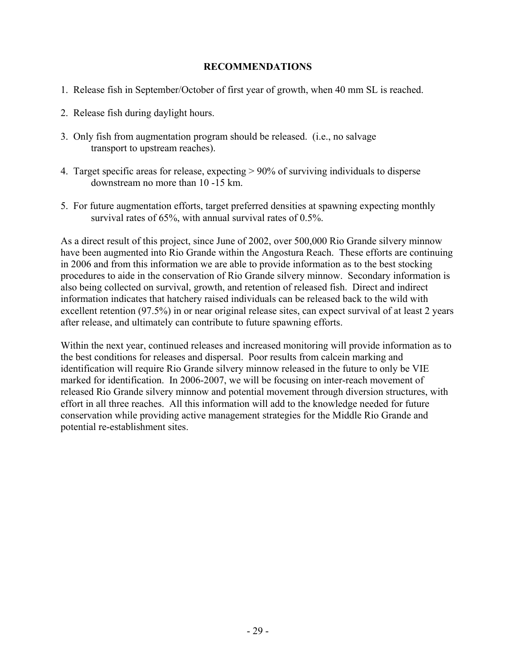### **RECOMMENDATIONS**

- 1. Release fish in September/October of first year of growth, when 40 mm SL is reached.
- 2. Release fish during daylight hours.
- 3. Only fish from augmentation program should be released. (i.e., no salvage transport to upstream reaches).
- 4. Target specific areas for release, expecting > 90% of surviving individuals to disperse downstream no more than 10 -15 km.
- 5. For future augmentation efforts, target preferred densities at spawning expecting monthly survival rates of 65%, with annual survival rates of 0.5%.

As a direct result of this project, since June of 2002, over 500,000 Rio Grande silvery minnow have been augmented into Rio Grande within the Angostura Reach. These efforts are continuing in 2006 and from this information we are able to provide information as to the best stocking procedures to aide in the conservation of Rio Grande silvery minnow. Secondary information is also being collected on survival, growth, and retention of released fish. Direct and indirect information indicates that hatchery raised individuals can be released back to the wild with excellent retention (97.5%) in or near original release sites, can expect survival of at least 2 years after release, and ultimately can contribute to future spawning efforts.

Within the next year, continued releases and increased monitoring will provide information as to the best conditions for releases and dispersal. Poor results from calcein marking and identification will require Rio Grande silvery minnow released in the future to only be VIE marked for identification. In 2006-2007, we will be focusing on inter-reach movement of released Rio Grande silvery minnow and potential movement through diversion structures, with effort in all three reaches. All this information will add to the knowledge needed for future conservation while providing active management strategies for the Middle Rio Grande and potential re-establishment sites.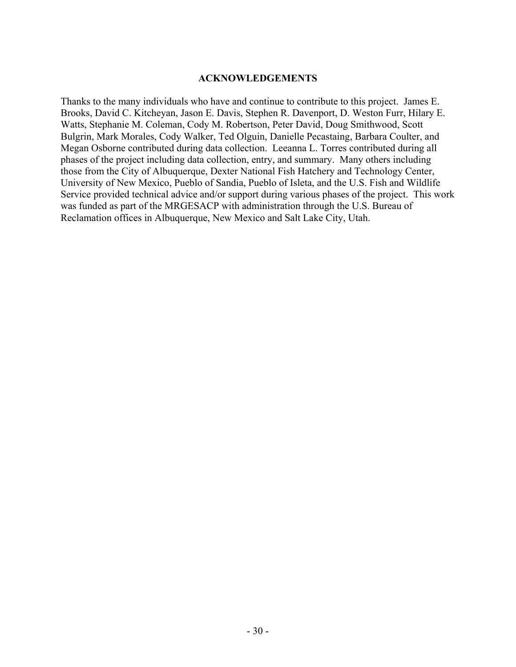#### **ACKNOWLEDGEMENTS**

Thanks to the many individuals who have and continue to contribute to this project. James E. Brooks, David C. Kitcheyan, Jason E. Davis, Stephen R. Davenport, D. Weston Furr, Hilary E. Watts, Stephanie M. Coleman, Cody M. Robertson, Peter David, Doug Smithwood, Scott Bulgrin, Mark Morales, Cody Walker, Ted Olguin, Danielle Pecastaing, Barbara Coulter, and Megan Osborne contributed during data collection. Leeanna L. Torres contributed during all phases of the project including data collection, entry, and summary. Many others including those from the City of Albuquerque, Dexter National Fish Hatchery and Technology Center, University of New Mexico, Pueblo of Sandia, Pueblo of Isleta, and the U.S. Fish and Wildlife Service provided technical advice and/or support during various phases of the project. This work was funded as part of the MRGESACP with administration through the U.S. Bureau of Reclamation offices in Albuquerque, New Mexico and Salt Lake City, Utah.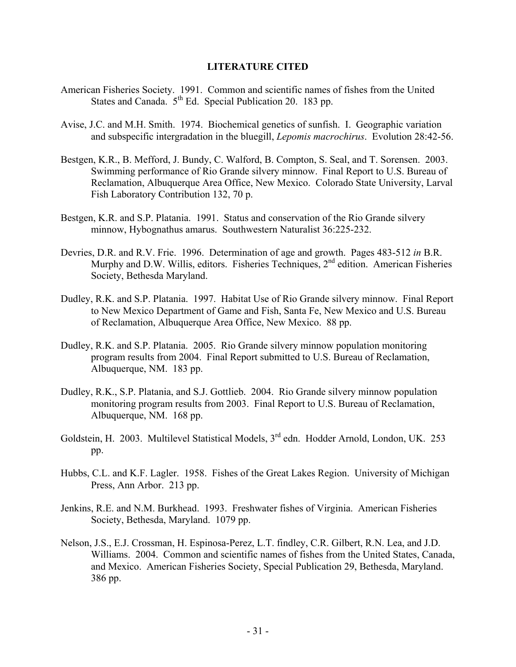#### **LITERATURE CITED**

- American Fisheries Society. 1991. Common and scientific names of fishes from the United States and Canada.  $5<sup>th</sup>$  Ed. Special Publication 20. 183 pp.
- Avise, J.C. and M.H. Smith. 1974. Biochemical genetics of sunfish. I. Geographic variation and subspecific intergradation in the bluegill, *Lepomis macrochirus*. Evolution 28:42-56.
- Bestgen, K.R., B. Mefford, J. Bundy, C. Walford, B. Compton, S. Seal, and T. Sorensen. 2003. Swimming performance of Rio Grande silvery minnow. Final Report to U.S. Bureau of Reclamation, Albuquerque Area Office, New Mexico. Colorado State University, Larval Fish Laboratory Contribution 132, 70 p.
- Bestgen, K.R. and S.P. Platania. 1991. Status and conservation of the Rio Grande silvery minnow, Hybognathus amarus. Southwestern Naturalist 36:225-232.
- Devries, D.R. and R.V. Frie. 1996. Determination of age and growth. Pages 483-512 *in* B.R. Murphy and D.W. Willis, editors. Fisheries Techniques,  $2<sup>nd</sup>$  edition. American Fisheries Society, Bethesda Maryland.
- Dudley, R.K. and S.P. Platania. 1997. Habitat Use of Rio Grande silvery minnow. Final Report to New Mexico Department of Game and Fish, Santa Fe, New Mexico and U.S. Bureau of Reclamation, Albuquerque Area Office, New Mexico. 88 pp.
- Dudley, R.K. and S.P. Platania. 2005. Rio Grande silvery minnow population monitoring program results from 2004. Final Report submitted to U.S. Bureau of Reclamation, Albuquerque, NM. 183 pp.
- Dudley, R.K., S.P. Platania, and S.J. Gottlieb. 2004. Rio Grande silvery minnow population monitoring program results from 2003. Final Report to U.S. Bureau of Reclamation, Albuquerque, NM. 168 pp.
- Goldstein, H. 2003. Multilevel Statistical Models, 3<sup>rd</sup> edn. Hodder Arnold, London, UK. 253 pp.
- Hubbs, C.L. and K.F. Lagler. 1958. Fishes of the Great Lakes Region. University of Michigan Press, Ann Arbor. 213 pp.
- Jenkins, R.E. and N.M. Burkhead. 1993. Freshwater fishes of Virginia. American Fisheries Society, Bethesda, Maryland. 1079 pp.
- Nelson, J.S., E.J. Crossman, H. Espinosa-Perez, L.T. findley, C.R. Gilbert, R.N. Lea, and J.D. Williams. 2004. Common and scientific names of fishes from the United States, Canada, and Mexico. American Fisheries Society, Special Publication 29, Bethesda, Maryland. 386 pp.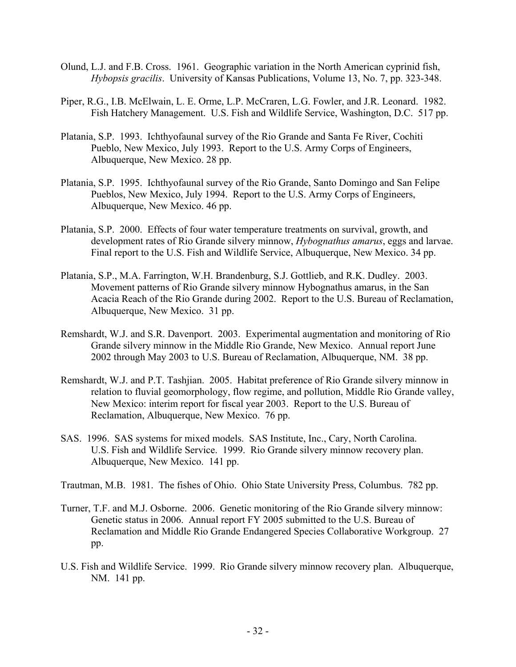- Olund, L.J. and F.B. Cross. 1961. Geographic variation in the North American cyprinid fish, *Hybopsis gracilis*. University of Kansas Publications, Volume 13, No. 7, pp. 323-348.
- Piper, R.G., I.B. McElwain, L. E. Orme, L.P. McCraren, L.G. Fowler, and J.R. Leonard. 1982. Fish Hatchery Management. U.S. Fish and Wildlife Service, Washington, D.C. 517 pp.
- Platania, S.P. 1993. Ichthyofaunal survey of the Rio Grande and Santa Fe River, Cochiti Pueblo, New Mexico, July 1993. Report to the U.S. Army Corps of Engineers, Albuquerque, New Mexico. 28 pp.
- Platania, S.P. 1995. Ichthyofaunal survey of the Rio Grande, Santo Domingo and San Felipe Pueblos, New Mexico, July 1994. Report to the U.S. Army Corps of Engineers, Albuquerque, New Mexico. 46 pp.
- Platania, S.P. 2000. Effects of four water temperature treatments on survival, growth, and development rates of Rio Grande silvery minnow, *Hybognathus amarus*, eggs and larvae. Final report to the U.S. Fish and Wildlife Service, Albuquerque, New Mexico. 34 pp.
- Platania, S.P., M.A. Farrington, W.H. Brandenburg, S.J. Gottlieb, and R.K. Dudley. 2003. Movement patterns of Rio Grande silvery minnow Hybognathus amarus, in the San Acacia Reach of the Rio Grande during 2002. Report to the U.S. Bureau of Reclamation, Albuquerque, New Mexico. 31 pp.
- Remshardt, W.J. and S.R. Davenport. 2003. Experimental augmentation and monitoring of Rio Grande silvery minnow in the Middle Rio Grande, New Mexico. Annual report June 2002 through May 2003 to U.S. Bureau of Reclamation, Albuquerque, NM. 38 pp.
- Remshardt, W.J. and P.T. Tashjian. 2005. Habitat preference of Rio Grande silvery minnow in relation to fluvial geomorphology, flow regime, and pollution, Middle Rio Grande valley, New Mexico: interim report for fiscal year 2003. Report to the U.S. Bureau of Reclamation, Albuquerque, New Mexico. 76 pp.
- SAS. 1996. SAS systems for mixed models. SAS Institute, Inc., Cary, North Carolina. U.S. Fish and Wildlife Service. 1999. Rio Grande silvery minnow recovery plan. Albuquerque, New Mexico. 141 pp.

Trautman, M.B. 1981. The fishes of Ohio. Ohio State University Press, Columbus. 782 pp.

- Turner, T.F. and M.J. Osborne. 2006. Genetic monitoring of the Rio Grande silvery minnow: Genetic status in 2006. Annual report FY 2005 submitted to the U.S. Bureau of Reclamation and Middle Rio Grande Endangered Species Collaborative Workgroup. 27 pp.
- U.S. Fish and Wildlife Service. 1999. Rio Grande silvery minnow recovery plan. Albuquerque, NM. 141 pp.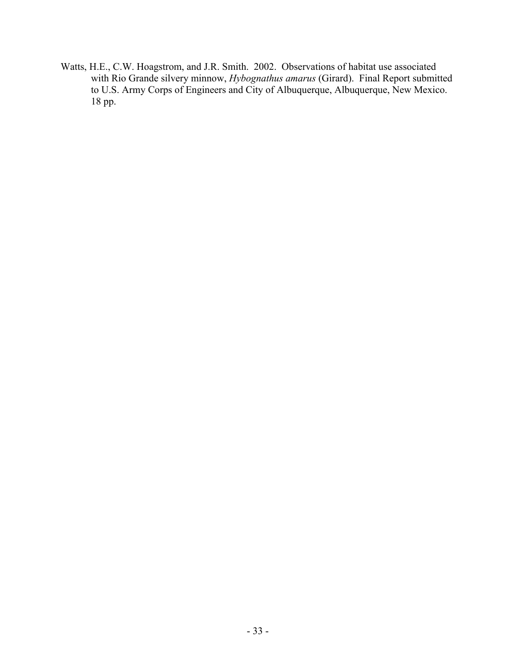Watts, H.E., C.W. Hoagstrom, and J.R. Smith. 2002. Observations of habitat use associated with Rio Grande silvery minnow, *Hybognathus amarus* (Girard). Final Report submitted to U.S. Army Corps of Engineers and City of Albuquerque, Albuquerque, New Mexico. 18 pp.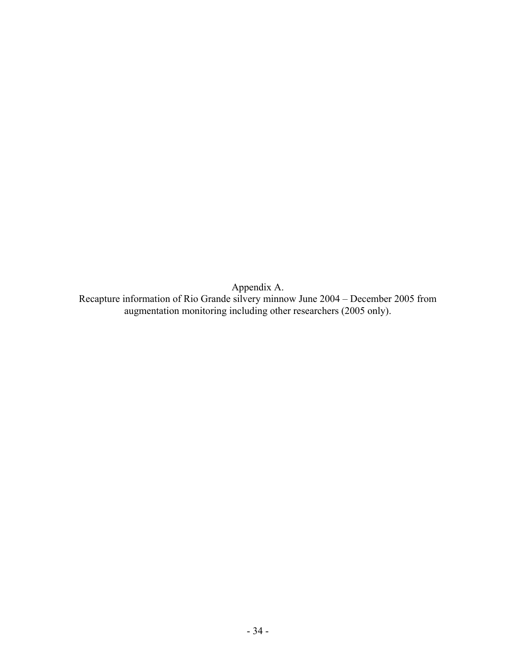Appendix A. Recapture information of Rio Grande silvery minnow June 2004 – December 2005 from augmentation monitoring including other researchers (2005 only).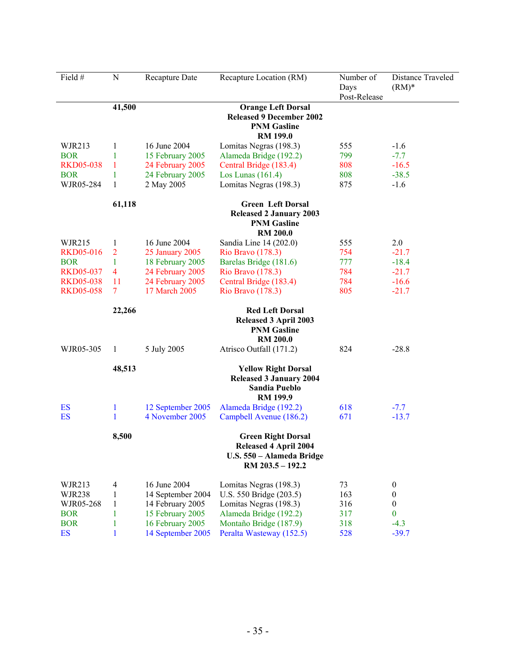| Field #          | $\mathbf N$    | <b>Recapture Date</b> | Recapture Location (RM)                                                                                    | Number of<br>Days<br>Post-Release | Distance Traveled<br>$(RM)*$ |
|------------------|----------------|-----------------------|------------------------------------------------------------------------------------------------------------|-----------------------------------|------------------------------|
|                  | 41,500         |                       | <b>Orange Left Dorsal</b>                                                                                  |                                   |                              |
|                  |                |                       | <b>Released 9 December 2002</b>                                                                            |                                   |                              |
|                  |                |                       | <b>PNM Gasline</b><br><b>RM 199.0</b>                                                                      |                                   |                              |
| WJR213           | 1              | 16 June 2004          | Lomitas Negras (198.3)                                                                                     | 555                               | $-1.6$                       |
| <b>BOR</b>       | 1              | 15 February 2005      | Alameda Bridge (192.2)                                                                                     | 799                               | $-7.7$                       |
| <b>RKD05-038</b> | 1              | 24 February 2005      | Central Bridge (183.4)                                                                                     | 808                               | $-16.5$                      |
| <b>BOR</b>       | 1              | 24 February 2005      | Los Lunas $(161.4)$                                                                                        | 808                               | $-38.5$                      |
| WJR05-284        | 1              | 2 May 2005            | Lomitas Negras (198.3)                                                                                     | 875                               | $-1.6$                       |
|                  | 61,118         |                       | <b>Green Left Dorsal</b>                                                                                   |                                   |                              |
|                  |                |                       | <b>Released 2 January 2003</b><br><b>PNM Gasline</b><br><b>RM 200.0</b>                                    |                                   |                              |
| WJR215           | 1              | 16 June 2004          | Sandia Line 14 (202.0)                                                                                     | 555                               | 2.0                          |
| <b>RKD05-016</b> | $\overline{2}$ | 25 January 2005       | Rio Bravo (178.3)                                                                                          | 754                               | $-21.7$                      |
| <b>BOR</b>       | 1              | 18 February 2005      | Barelas Bridge (181.6)                                                                                     | 777                               | $-18.4$                      |
| <b>RKD05-037</b> | 4              | 24 February 2005      | Rio Bravo (178.3)                                                                                          | 784                               | $-21.7$                      |
| <b>RKD05-038</b> | 11             | 24 February 2005      | Central Bridge (183.4)                                                                                     | 784                               | $-16.6$                      |
| <b>RKD05-058</b> | 7              | 17 March 2005         | Rio Bravo (178.3)                                                                                          | 805                               | $-21.7$                      |
|                  | 22,266         |                       | <b>Red Left Dorsal</b><br><b>Released 3 April 2003</b><br><b>PNM Gasline</b><br><b>RM 200.0</b>            |                                   |                              |
| WJR05-305        | 1              | 5 July 2005           | Atrisco Outfall (171.2)                                                                                    | 824                               | $-28.8$                      |
|                  | 48,513         |                       | <b>Yellow Right Dorsal</b><br><b>Released 3 January 2004</b><br><b>Sandia Pueblo</b><br><b>RM 199.9</b>    |                                   |                              |
| ES               | 1              | 12 September 2005     | Alameda Bridge (192.2)                                                                                     | 618                               | $-7.7$                       |
| <b>ES</b>        | 1              | 4 November 2005       | Campbell Avenue (186.2)                                                                                    | 671                               | $-13.7$                      |
|                  | 8,500          |                       | <b>Green Right Dorsal</b><br><b>Released 4 April 2004</b><br>U.S. 550 - Alameda Bridge<br>RM 203.5 - 192.2 |                                   |                              |
| WJR213           | 4              | 16 June 2004          | Lomitas Negras (198.3)                                                                                     | 73                                | $\boldsymbol{0}$             |
| <b>WJR238</b>    | 1              | 14 September 2004     | U.S. 550 Bridge (203.5)                                                                                    | 163                               | $\boldsymbol{0}$             |
| WJR05-268        | 1              | 14 February 2005      | Lomitas Negras (198.3)                                                                                     | 316                               | $\boldsymbol{0}$             |
| <b>BOR</b>       | 1              | 15 February 2005      | Alameda Bridge (192.2)                                                                                     | 317                               | $\bf{0}$                     |
| <b>BOR</b>       | 1              | 16 February 2005      | Montaño Bridge (187.9)                                                                                     | 318                               | $-4.3$                       |
| <b>ES</b>        | 1              | 14 September 2005     | Peralta Wasteway (152.5)                                                                                   | 528                               | $-39.7$                      |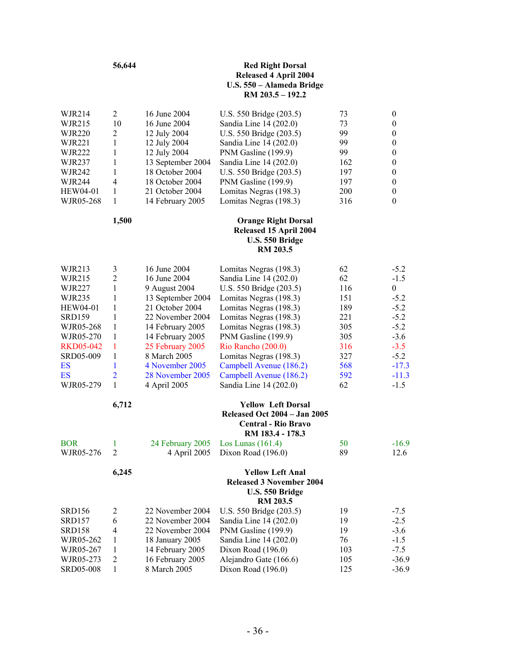|                  | 56,644              |                                 | <b>Red Right Dorsal</b><br><b>Released 4 April 2004</b><br>U.S. 550 - Alameda Bridge<br>RM 203.5 - 192.2           |            |                    |
|------------------|---------------------|---------------------------------|--------------------------------------------------------------------------------------------------------------------|------------|--------------------|
| WJR214           | $\overline{2}$      | 16 June 2004                    | U.S. 550 Bridge (203.5)                                                                                            | 73         | $\boldsymbol{0}$   |
| WJR215           | 10                  | 16 June 2004                    | Sandia Line 14 (202.0)                                                                                             | 73         | $\boldsymbol{0}$   |
| <b>WJR220</b>    | $\overline{c}$      | 12 July 2004                    | U.S. 550 Bridge (203.5)                                                                                            | 99         | $\boldsymbol{0}$   |
| <b>WJR221</b>    | 1                   | 12 July 2004                    | Sandia Line 14 (202.0)                                                                                             | 99         | $\boldsymbol{0}$   |
| WJR222           | 1                   | 12 July 2004                    | PNM Gasline (199.9)                                                                                                | 99         | $\boldsymbol{0}$   |
| WJR237           | 1                   | 13 September 2004               | Sandia Line 14 (202.0)                                                                                             | 162        | $\boldsymbol{0}$   |
| WJR242           | 1                   | 18 October 2004                 | U.S. 550 Bridge (203.5)                                                                                            | 197        | $\boldsymbol{0}$   |
| WJR244           | 4                   | 18 October 2004                 | PNM Gasline (199.9)                                                                                                | 197        | $\theta$           |
| HEW04-01         | 1                   | 21 October 2004                 | Lomitas Negras (198.3)                                                                                             | 200        | $\boldsymbol{0}$   |
| WJR05-268        | 1                   | 14 February 2005                | Lomitas Negras (198.3)                                                                                             | 316        | $\theta$           |
|                  | 1,500               |                                 | <b>Orange Right Dorsal</b><br>Released 15 April 2004<br>U.S. 550 Bridge<br><b>RM 203.5</b>                         |            |                    |
| WJR213           | 3                   | 16 June 2004                    | Lomitas Negras (198.3)                                                                                             | 62         | $-5.2$             |
| WJR215           | 2                   | 16 June 2004                    | Sandia Line 14 (202.0)                                                                                             | 62         | $-1.5$             |
| WJR227           | 1                   | 9 August 2004                   | U.S. 550 Bridge (203.5)                                                                                            | 116        | $\mathbf{0}$       |
| WJR235           | 1                   | 13 September 2004               | Lomitas Negras (198.3)                                                                                             | 151        | $-5.2$             |
| HEW04-01         | 1                   | 21 October 2004                 | Lomitas Negras (198.3)                                                                                             | 189        | $-5.2$             |
| <b>SRD159</b>    | 1                   | 22 November 2004                | Lomitas Negras (198.3)                                                                                             | 221        | $-5.2$             |
| WJR05-268        | 1                   | 14 February 2005                | Lomitas Negras (198.3)                                                                                             | 305        | $-5.2$             |
| WJR05-270        | 1                   | 14 February 2005                | PNM Gasline (199.9)                                                                                                | 305        | $-3.6$             |
| <b>RKD05-042</b> | 1                   | 25 February 2005                | Rio Rancho (200.0)                                                                                                 | 316        | $-3.5$             |
| SRD05-009        | 1                   | 8 March 2005<br>4 November 2005 | Lomitas Negras (198.3)                                                                                             | 327        | $-5.2$             |
| ES<br>ES         | 1<br>$\overline{2}$ | 28 November 2005                | Campbell Avenue (186.2)<br>Campbell Avenue (186.2)                                                                 | 568<br>592 | $-17.3$<br>$-11.3$ |
| WJR05-279        | 1                   | 4 April 2005                    | Sandia Line 14 (202.0)                                                                                             | 62         | $-1.5$             |
|                  | 6,712               |                                 | <b>Yellow Left Dorsal</b><br><b>Released Oct 2004 – Jan 2005</b><br><b>Central - Rio Bravo</b><br>RM 183.4 - 178.3 |            |                    |
| <b>BOR</b>       | 1                   | 24 February 2005                | Los Lunas $(161.4)$                                                                                                | 50         | $-16.9$            |
| WJR05-276        | $\overline{c}$      | 4 April 2005                    | Dixon Road (196.0)                                                                                                 | 89         | 12.6               |
|                  | 6,245               |                                 | <b>Yellow Left Anal</b><br><b>Released 3 November 2004</b><br>U.S. 550 Bridge                                      |            |                    |
|                  |                     |                                 | <b>RM 203.5</b>                                                                                                    |            |                    |
| <b>SRD156</b>    | 2                   | 22 November 2004                | U.S. 550 Bridge (203.5)                                                                                            | 19         | $-7.5$             |
| SRD157           | 6                   | 22 November 2004                | Sandia Line 14 (202.0)                                                                                             | 19         | $-2.5$             |
| SRD158           | 4                   | 22 November 2004                | PNM Gasline (199.9)                                                                                                | 19         | $-3.6$             |
| WJR05-262        | 1                   | 18 January 2005                 | Sandia Line 14 (202.0)                                                                                             | 76         | $-1.5$             |
| WJR05-267        | 1                   | 14 February 2005                | Dixon Road (196.0)                                                                                                 | 103        | $-7.5$             |
| WJR05-273        | $\boldsymbol{2}$    | 16 February 2005                | Alejandro Gate (166.6)                                                                                             | 105        | $-36.9$            |
| SRD05-008        | 1                   | 8 March 2005                    | Dixon Road (196.0)                                                                                                 | 125        | $-36.9$            |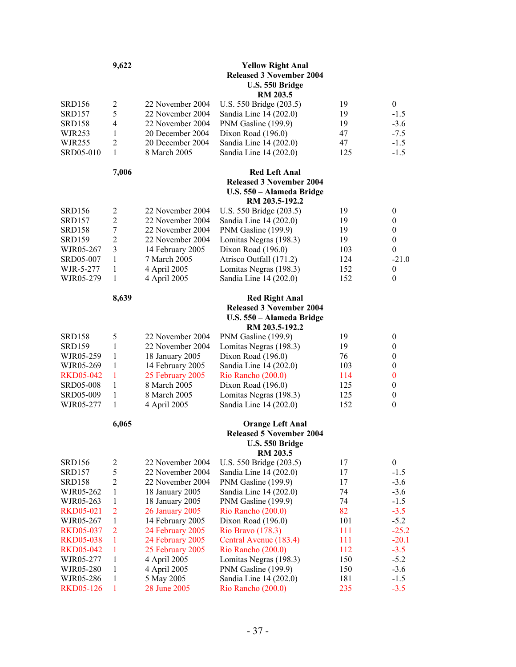| RM 203.5<br>$\mathfrak{2}$<br>U.S. 550 Bridge (203.5)<br><b>SRD156</b><br>22 November 2004<br>19<br>5<br><b>SRD157</b><br>22 November 2004<br>Sandia Line 14 (202.0)<br>19<br>4<br><b>SRD158</b><br>22 November 2004<br>PNM Gasline (199.9)<br>19<br><b>WJR253</b><br>$\mathbf{1}$<br>20 December 2004<br>Dixon Road (196.0)<br>47<br>$\overline{2}$<br>20 December 2004<br>Sandia Line 14 (202.0)<br>WJR255<br>47<br>$\mathbf{1}$<br>Sandia Line 14 (202.0)<br>SRD05-010<br>8 March 2005<br>125<br>7,006<br><b>Red Left Anal</b> | $\mathbf{0}$<br>$-1.5$<br>$-3.6$<br>$-7.5$<br>$-1.5$<br>$-1.5$ |
|-----------------------------------------------------------------------------------------------------------------------------------------------------------------------------------------------------------------------------------------------------------------------------------------------------------------------------------------------------------------------------------------------------------------------------------------------------------------------------------------------------------------------------------|----------------------------------------------------------------|
|                                                                                                                                                                                                                                                                                                                                                                                                                                                                                                                                   |                                                                |
|                                                                                                                                                                                                                                                                                                                                                                                                                                                                                                                                   |                                                                |
|                                                                                                                                                                                                                                                                                                                                                                                                                                                                                                                                   |                                                                |
|                                                                                                                                                                                                                                                                                                                                                                                                                                                                                                                                   |                                                                |
|                                                                                                                                                                                                                                                                                                                                                                                                                                                                                                                                   |                                                                |
|                                                                                                                                                                                                                                                                                                                                                                                                                                                                                                                                   |                                                                |
| <b>Released 3 November 2004</b><br>U.S. 550 - Alameda Bridge<br>RM 203.5-192.2                                                                                                                                                                                                                                                                                                                                                                                                                                                    |                                                                |
| $\overline{c}$<br>22 November 2004<br>U.S. 550 Bridge (203.5)<br>19<br>SRD156                                                                                                                                                                                                                                                                                                                                                                                                                                                     | $\boldsymbol{0}$                                               |
| $\overline{c}$<br>22 November 2004<br>Sandia Line 14 (202.0)<br>19<br>SRD157                                                                                                                                                                                                                                                                                                                                                                                                                                                      | $\boldsymbol{0}$                                               |
| $\boldsymbol{7}$<br>PNM Gasline (199.9)<br><b>SRD158</b><br>22 November 2004<br>19                                                                                                                                                                                                                                                                                                                                                                                                                                                | $\boldsymbol{0}$                                               |
| $\overline{2}$<br>Lomitas Negras (198.3)<br><b>SRD159</b><br>22 November 2004<br>19                                                                                                                                                                                                                                                                                                                                                                                                                                               | $\boldsymbol{0}$                                               |
| 3<br>WJR05-267<br>14 February 2005<br>Dixon Road (196.0)<br>103                                                                                                                                                                                                                                                                                                                                                                                                                                                                   | $\boldsymbol{0}$                                               |
| 7 March 2005<br>Atrisco Outfall (171.2)<br>SRD05-007<br>$\mathbf{1}$<br>124                                                                                                                                                                                                                                                                                                                                                                                                                                                       | $-21.0$                                                        |
| 4 April 2005<br>1<br>Lomitas Negras (198.3)<br>152<br>WJR-5-277                                                                                                                                                                                                                                                                                                                                                                                                                                                                   | $\theta$                                                       |
| 4 April 2005<br>Sandia Line 14 (202.0)<br>152<br>WJR05-279<br>1                                                                                                                                                                                                                                                                                                                                                                                                                                                                   | $\mathbf{0}$                                                   |
| 8,639<br><b>Red Right Anal</b><br><b>Released 3 November 2004</b>                                                                                                                                                                                                                                                                                                                                                                                                                                                                 |                                                                |
| U.S. 550 - Alameda Bridge<br>RM 203.5-192.2                                                                                                                                                                                                                                                                                                                                                                                                                                                                                       |                                                                |
| 5<br>22 November 2004<br><b>SRD158</b><br>PNM Gasline (199.9)<br>19                                                                                                                                                                                                                                                                                                                                                                                                                                                               | $\boldsymbol{0}$                                               |
| 1<br>Lomitas Negras (198.3)<br>19<br><b>SRD159</b><br>22 November 2004                                                                                                                                                                                                                                                                                                                                                                                                                                                            | $\boldsymbol{0}$                                               |
| WJR05-259<br>$\mathbf{1}$<br>18 January 2005<br>Dixon Road (196.0)<br>76                                                                                                                                                                                                                                                                                                                                                                                                                                                          | $\boldsymbol{0}$                                               |
| 14 February 2005<br>WJR05-269<br>$\mathbf{1}$<br>Sandia Line 14 (202.0)<br>103                                                                                                                                                                                                                                                                                                                                                                                                                                                    | $\boldsymbol{0}$                                               |
| 25 February 2005<br><b>RKD05-042</b><br>1<br>Rio Rancho (200.0)<br>114                                                                                                                                                                                                                                                                                                                                                                                                                                                            | $\boldsymbol{0}$                                               |
| <b>SRD05-008</b><br>$\mathbf{1}$<br>8 March 2005<br>Dixon Road (196.0)<br>125                                                                                                                                                                                                                                                                                                                                                                                                                                                     | $\boldsymbol{0}$                                               |
| SRD05-009<br>8 March 2005<br>Lomitas Negras (198.3)<br>125<br>$\mathbf{1}$                                                                                                                                                                                                                                                                                                                                                                                                                                                        | $\boldsymbol{0}$                                               |
| 4 April 2005<br>Sandia Line 14 (202.0)<br>152<br>WJR05-277<br>$\mathbf{1}$                                                                                                                                                                                                                                                                                                                                                                                                                                                        | $\boldsymbol{0}$                                               |
| 6,065<br><b>Orange Left Anal</b><br><b>Released 5 November 2004</b><br>U.S. 550 Bridge<br><b>RM 203.5</b>                                                                                                                                                                                                                                                                                                                                                                                                                         |                                                                |
| <b>SRD156</b><br>$\overline{c}$<br>22 November 2004<br>U.S. 550 Bridge (203.5)<br>17                                                                                                                                                                                                                                                                                                                                                                                                                                              | $\boldsymbol{0}$                                               |
| 5<br>22 November 2004<br>17<br>SRD157<br>Sandia Line 14 (202.0)                                                                                                                                                                                                                                                                                                                                                                                                                                                                   | $-1.5$                                                         |
| $\sqrt{2}$<br>22 November 2004<br>PNM Gasline (199.9)<br>SRD158<br>17                                                                                                                                                                                                                                                                                                                                                                                                                                                             | $-3.6$                                                         |
| WJR05-262<br>$\mathbf{1}$<br>18 January 2005<br>Sandia Line 14 (202.0)<br>74                                                                                                                                                                                                                                                                                                                                                                                                                                                      | $-3.6$                                                         |
| 1<br>18 January 2005<br>PNM Gasline (199.9)<br>74<br>WJR05-263                                                                                                                                                                                                                                                                                                                                                                                                                                                                    | $-1.5$                                                         |
| $\overline{2}$<br>82<br><b>26 January 2005</b><br>Rio Rancho (200.0)<br><b>RKD05-021</b>                                                                                                                                                                                                                                                                                                                                                                                                                                          | $-3.5$                                                         |
| 14 February 2005<br>101<br>WJR05-267<br>1<br>Dixon Road (196.0)<br>$\overline{2}$                                                                                                                                                                                                                                                                                                                                                                                                                                                 | $-5.2$                                                         |
| 24 February 2005<br>111<br>Rio Bravo (178.3)<br><b>RKD05-037</b>                                                                                                                                                                                                                                                                                                                                                                                                                                                                  | $-25.2$                                                        |
| $\mathbf{1}$<br>24 February 2005<br><b>RKD05-038</b><br>Central Avenue (183.4)<br>111<br>$\mathbf{1}$<br>25 February 2005<br>Rio Rancho (200.0)<br><b>RKD05-042</b><br>112                                                                                                                                                                                                                                                                                                                                                        | $-20.1$<br>$-3.5$                                              |
| $\mathbf{1}$<br>4 April 2005<br>Lomitas Negras (198.3)<br>150<br>WJR05-277                                                                                                                                                                                                                                                                                                                                                                                                                                                        | $-5.2$                                                         |
| 4 April 2005<br>1<br>PNM Gasline (199.9)<br>150<br>WJR05-280                                                                                                                                                                                                                                                                                                                                                                                                                                                                      | $-3.6$                                                         |
|                                                                                                                                                                                                                                                                                                                                                                                                                                                                                                                                   | $-1.5$                                                         |
| 5 May 2005<br>Sandia Line 14 (202.0)<br>WJR05-286<br>1<br>181                                                                                                                                                                                                                                                                                                                                                                                                                                                                     | $-3.5$                                                         |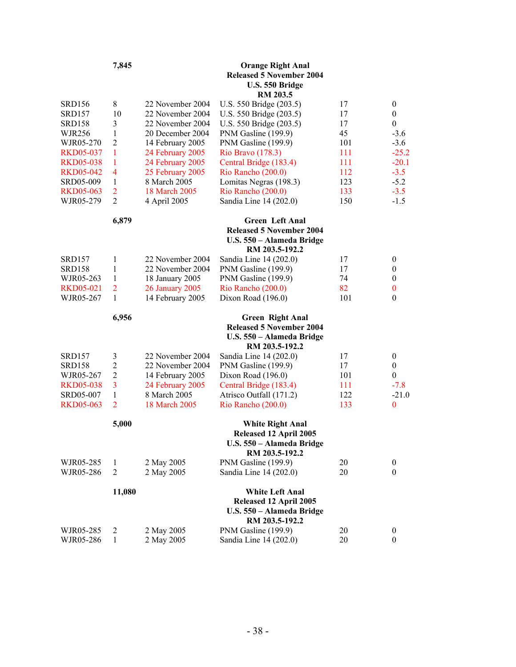|                               | 7,845               |                                  | <b>Orange Right Anal</b><br><b>Released 5 November 2004</b><br>U.S. 550 Bridge<br><b>RM 203.5</b>        |            |                                  |
|-------------------------------|---------------------|----------------------------------|----------------------------------------------------------------------------------------------------------|------------|----------------------------------|
| <b>SRD156</b>                 | 8                   | 22 November 2004                 | U.S. 550 Bridge (203.5)                                                                                  | 17         | $\mathbf{0}$                     |
| <b>SRD157</b>                 | 10                  | 22 November 2004                 | U.S. 550 Bridge (203.5)                                                                                  | 17         | $\boldsymbol{0}$                 |
| SRD158                        | 3                   | 22 November 2004                 | U.S. 550 Bridge (203.5)                                                                                  | 17         | $\boldsymbol{0}$                 |
| <b>WJR256</b>                 | 1                   | 20 December 2004                 | PNM Gasline (199.9)                                                                                      | 45         | $-3.6$                           |
| WJR05-270                     | $\overline{2}$      | 14 February 2005                 | PNM Gasline (199.9)                                                                                      | 101        | $-3.6$                           |
| <b>RKD05-037</b>              | $\mathbf{1}$        | 24 February 2005                 | Rio Bravo (178.3)                                                                                        | 111        | $-25.2$                          |
| <b>RKD05-038</b>              | 1<br>$\overline{4}$ | 24 February 2005                 | Central Bridge (183.4)                                                                                   | 111<br>112 | $-20.1$<br>$-3.5$                |
| <b>RKD05-042</b><br>SRD05-009 | 1                   | 25 February 2005<br>8 March 2005 | Rio Rancho (200.0)<br>Lomitas Negras (198.3)                                                             | 123        | $-5.2$                           |
| <b>RKD05-063</b>              | $\overline{2}$      | 18 March 2005                    | Rio Rancho (200.0)                                                                                       | 133        | $-3.5$                           |
| WJR05-279                     | $\overline{2}$      | 4 April 2005                     | Sandia Line 14 (202.0)                                                                                   | 150        | $-1.5$                           |
|                               |                     |                                  |                                                                                                          |            |                                  |
|                               | 6,879               |                                  | <b>Green Left Anal</b><br><b>Released 5 November 2004</b><br>U.S. 550 - Alameda Bridge<br>RM 203.5-192.2 |            |                                  |
| <b>SRD157</b>                 | 1                   | 22 November 2004                 | Sandia Line 14 (202.0)                                                                                   | 17         | $\boldsymbol{0}$                 |
| <b>SRD158</b>                 | 1                   | 22 November 2004                 | PNM Gasline (199.9)                                                                                      | 17         | $\boldsymbol{0}$                 |
| WJR05-263                     | $\mathbf{1}$        | 18 January 2005                  | PNM Gasline (199.9)                                                                                      | 74         | $\boldsymbol{0}$                 |
| <b>RKD05-021</b>              | $\overline{2}$      | <b>26 January 2005</b>           | Rio Rancho (200.0)                                                                                       | 82         | $\bf{0}$                         |
| WJR05-267                     | $\mathbf{1}$        | 14 February 2005                 | Dixon Road (196.0)                                                                                       | 101        | $\boldsymbol{0}$                 |
|                               | 6,956               |                                  | <b>Green Right Anal</b><br><b>Released 5 November 2004</b><br>U.S. 550 - Alameda Bridge                  |            |                                  |
|                               |                     |                                  | RM 203.5-192.2                                                                                           |            |                                  |
| <b>SRD157</b>                 | $\mathfrak{Z}$      | 22 November 2004                 | Sandia Line 14 (202.0)                                                                                   | 17         | $\boldsymbol{0}$                 |
| <b>SRD158</b>                 | $\overline{2}$      | 22 November 2004                 | PNM Gasline (199.9)                                                                                      | 17         | $\boldsymbol{0}$                 |
| WJR05-267                     | $\overline{2}$      | 14 February 2005                 | Dixon Road (196.0)                                                                                       | 101        | $\boldsymbol{0}$                 |
| <b>RKD05-038</b>              | 3                   | 24 February 2005                 | Central Bridge (183.4)                                                                                   | 111        | $-7.8$                           |
| SRD05-007                     | $\mathbf{1}$        | 8 March 2005                     | Atrisco Outfall (171.2)                                                                                  | 122        | $-21.0$                          |
| <b>RKD05-063</b>              | $\overline{2}$      | 18 March 2005                    | Rio Rancho (200.0)                                                                                       | 133        | $\bf{0}$                         |
|                               | 5,000               |                                  | <b>White Right Anal</b><br>Released 12 April 2005<br>U.S. 550 - Alameda Bridge                           |            |                                  |
| WJR05-285                     | $\mathbf{1}$        | 2 May 2005                       | RM 203.5-192.2<br>PNM Gasline (199.9)                                                                    | 20         |                                  |
| WJR05-286                     | $\overline{2}$      | 2 May 2005                       | Sandia Line 14 (202.0)                                                                                   | 20         | $\boldsymbol{0}$<br>$\mathbf{0}$ |
|                               | 11,080              |                                  | <b>White Left Anal</b><br>Released 12 April 2005<br>U.S. 550 - Alameda Bridge<br>RM 203.5-192.2          |            |                                  |
| WJR05-285                     | 2                   | 2 May 2005                       | PNM Gasline (199.9)                                                                                      | 20         | $\boldsymbol{0}$                 |
| WJR05-286                     | 1                   | 2 May 2005                       | Sandia Line 14 (202.0)                                                                                   | 20         | $\theta$                         |
|                               |                     |                                  |                                                                                                          |            |                                  |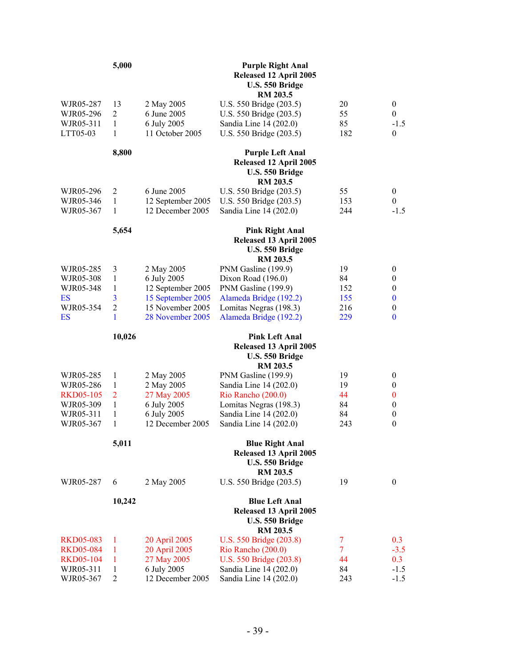|                  | 5,000                   |                   | <b>Purple Right Anal</b><br>Released 12 April 2005<br>U.S. 550 Bridge<br>RM 203.5       |                |                  |
|------------------|-------------------------|-------------------|-----------------------------------------------------------------------------------------|----------------|------------------|
| WJR05-287        | 13                      | 2 May 2005        | U.S. 550 Bridge (203.5)                                                                 | 20             | $\boldsymbol{0}$ |
| WJR05-296        | $\overline{c}$          | 6 June 2005       | U.S. 550 Bridge (203.5)                                                                 | 55             | $\boldsymbol{0}$ |
| WJR05-311        | $\mathbf{1}$            | 6 July 2005       | Sandia Line 14 (202.0)                                                                  | 85             | $-1.5$           |
| LTT05-03         | 1                       | 11 October 2005   | U.S. 550 Bridge (203.5)                                                                 | 182            | $\boldsymbol{0}$ |
|                  | 8,800                   |                   | <b>Purple Left Anal</b><br>Released 12 April 2005<br>U.S. 550 Bridge<br><b>RM 203.5</b> |                |                  |
| WJR05-296        | 2                       | 6 June 2005       | U.S. 550 Bridge (203.5)                                                                 | 55             | $\boldsymbol{0}$ |
| WJR05-346        | $\mathbf{1}$            | 12 September 2005 | U.S. 550 Bridge (203.5)                                                                 | 153            | $\theta$         |
| WJR05-367        | $\mathbf{1}$            | 12 December 2005  | Sandia Line 14 (202.0)                                                                  | 244            | $-1.5$           |
|                  | 5,654                   |                   | <b>Pink Right Anal</b><br>Released 13 April 2005<br>U.S. 550 Bridge<br><b>RM 203.5</b>  |                |                  |
| WJR05-285        | 3                       | 2 May 2005        | PNM Gasline (199.9)                                                                     | 19             | $\boldsymbol{0}$ |
| WJR05-308        | 1                       | 6 July 2005       | Dixon Road (196.0)                                                                      | 84             | $\boldsymbol{0}$ |
| WJR05-348        | 1                       | 12 September 2005 | PNM Gasline (199.9)                                                                     | 152            | $\boldsymbol{0}$ |
| ES               | $\overline{\mathbf{3}}$ | 15 September 2005 | Alameda Bridge (192.2)                                                                  | 155            | $\bf{0}$         |
| WJR05-354        | $\overline{c}$          | 15 November 2005  | Lomitas Negras (198.3)                                                                  | 216            | $\boldsymbol{0}$ |
| ES               | 1                       | 28 November 2005  | Alameda Bridge (192.2)                                                                  | 229            | $\bf{0}$         |
|                  | 10,026                  |                   | <b>Pink Left Anal</b><br>Released 13 April 2005                                         |                |                  |
|                  |                         |                   | U.S. 550 Bridge<br><b>RM 203.5</b>                                                      |                |                  |
| WJR05-285        | 1                       | 2 May 2005        | PNM Gasline (199.9)                                                                     | 19             | $\boldsymbol{0}$ |
| WJR05-286        | 1                       | 2 May 2005        | Sandia Line 14 (202.0)                                                                  | 19             | $\boldsymbol{0}$ |
| <b>RKD05-105</b> | $\overline{2}$          | 27 May 2005       | Rio Rancho (200.0)                                                                      | 44             | $\bf{0}$         |
| WJR05-309        | 1                       | 6 July 2005       | Lomitas Negras (198.3)                                                                  | 84             | $\boldsymbol{0}$ |
| WJR05-311        | 1                       | 6 July 2005       | Sandia Line 14 (202.0)                                                                  | 84             | $\boldsymbol{0}$ |
| WJR05-367        | 1                       | 12 December 2005  | Sandia Line 14 (202.0)                                                                  | 243            | $\theta$         |
|                  | 5,011                   |                   | <b>Blue Right Anal</b><br>Released 13 April 2005<br>U.S. 550 Bridge                     |                |                  |
| WJR05-287        | 6                       | 2 May 2005        | <b>RM 203.5</b><br>U.S. 550 Bridge (203.5)                                              | 19             | $\mathbf{0}$     |
|                  | 10,242                  |                   | <b>Blue Left Anal</b><br>Released 13 April 2005                                         |                |                  |
|                  |                         |                   | U.S. 550 Bridge<br>RM 203.5                                                             |                |                  |
| <b>RKD05-083</b> | 1                       | 20 April 2005     | U.S. 550 Bridge (203.8)                                                                 | 7              | 0.3              |
| <b>RKD05-084</b> | 1                       | 20 April 2005     | Rio Rancho (200.0)                                                                      | $\overline{7}$ | $-3.5$           |
| <b>RKD05-104</b> | 1                       | 27 May 2005       | U.S. 550 Bridge (203.8)                                                                 | 44             | 0.3              |
| WJR05-311        | 1                       | 6 July 2005       | Sandia Line 14 (202.0)                                                                  | 84             | $-1.5$           |
| WJR05-367        | $\overline{c}$          | 12 December 2005  | Sandia Line 14 (202.0)                                                                  | 243            | $-1.5$           |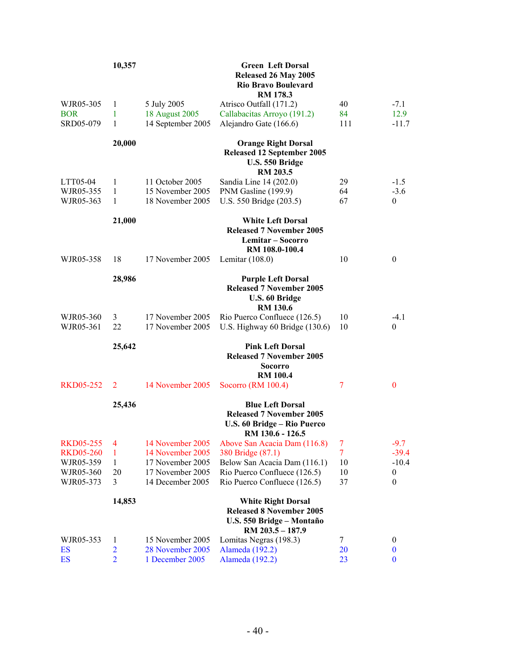|                        | 10,357         |                                      | <b>Green Left Dorsal</b><br>Released 26 May 2005<br><b>Rio Bravo Boulevard</b><br>RM 178.3                    |                |                    |
|------------------------|----------------|--------------------------------------|---------------------------------------------------------------------------------------------------------------|----------------|--------------------|
| WJR05-305              | 1              | 5 July 2005                          | Atrisco Outfall (171.2)                                                                                       | 40             | $-7.1$             |
| <b>BOR</b>             | 1              | 18 August 2005                       | Callabacitas Arroyo (191.2)                                                                                   | 84             | 12.9               |
| SRD05-079              | 1              | 14 September 2005                    | Alejandro Gate (166.6)                                                                                        | 111            | $-11.7$            |
|                        | 20,000         |                                      | <b>Orange Right Dorsal</b><br><b>Released 12 September 2005</b><br>U.S. 550 Bridge<br><b>RM 203.5</b>         |                |                    |
| LTT05-04               | 1              | 11 October 2005                      | Sandia Line 14 (202.0)                                                                                        | 29             | $-1.5$             |
| WJR05-355              | 1              | 15 November 2005                     | PNM Gasline (199.9)                                                                                           | 64             | $-3.6$             |
| WJR05-363              | 1              | 18 November 2005                     | U.S. 550 Bridge (203.5)                                                                                       | 67             | $\mathbf{0}$       |
|                        | 21,000         |                                      | <b>White Left Dorsal</b><br><b>Released 7 November 2005</b><br>Lemitar – Socorro<br>RM 108.0-100.4            |                |                    |
| WJR05-358              | 18             | 17 November 2005                     | Lemitar $(108.0)$                                                                                             | 10             | $\mathbf{0}$       |
|                        | 28,986         |                                      | <b>Purple Left Dorsal</b><br><b>Released 7 November 2005</b><br>U.S. 60 Bridge<br><b>RM 130.6</b>             |                |                    |
| WJR05-360<br>WJR05-361 | 3<br>22        | 17 November 2005<br>17 November 2005 | Rio Puerco Confluece (126.5)<br>U.S. Highway 60 Bridge (130.6)                                                | 10<br>10       | $-4.1$<br>$\theta$ |
|                        | 25,642         |                                      | <b>Pink Left Dorsal</b><br><b>Released 7 November 2005</b><br><b>Socorro</b><br><b>RM 100.4</b>               |                |                    |
| <b>RKD05-252</b>       | $\overline{2}$ | 14 November 2005                     | Socorro (RM 100.4)                                                                                            | 7              | $\mathbf{0}$       |
|                        | 25,436         |                                      | <b>Blue Left Dorsal</b><br><b>Released 7 November 2005</b><br>U.S. 60 Bridge - Rio Puerco<br>RM 130.6 - 126.5 |                |                    |
| <b>RKD05-255</b>       | $\overline{4}$ | 14 November 2005                     | Above San Acacia Dam (116.8)                                                                                  | 7              | $-9.7$             |
| <b>RKD05-260</b>       | 1              | 14 November 2005                     | 380 Bridge (87.1)                                                                                             | $\overline{7}$ | $-39.4$            |
| WJR05-359              | $\mathbf{1}$   | 17 November 2005                     | Below San Acacia Dam (116.1)                                                                                  | 10             | $-10.4$            |
| WJR05-360              | 20             | 17 November 2005                     | Rio Puerco Confluece (126.5)                                                                                  | 10             | $\boldsymbol{0}$   |
| WJR05-373              | 3              | 14 December 2005                     | Rio Puerco Confluece (126.5)                                                                                  | 37             | 0                  |
|                        | 14,853         |                                      | <b>White Right Dorsal</b><br><b>Released 8 November 2005</b><br>U.S. 550 Bridge - Montaño<br>RM 203.5 - 187.9 |                |                    |
| WJR05-353              | 1              | 15 November 2005                     | Lomitas Negras (198.3)                                                                                        | 7              | $\boldsymbol{0}$   |
| ES                     | $\overline{2}$ | 28 November 2005                     | Alameda (192.2)                                                                                               | 20             | $\boldsymbol{0}$   |
| ES                     | $\overline{2}$ | 1 December 2005                      | Alameda (192.2)                                                                                               | 23             | $\bf{0}$           |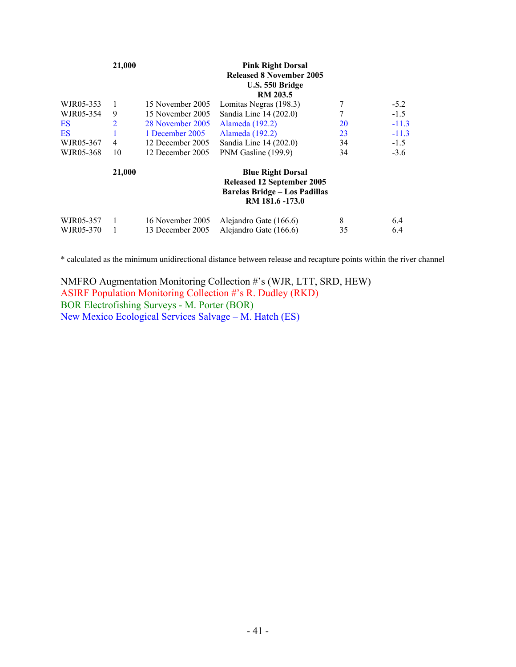|                        | 21,000         |                                      | <b>Pink Right Dorsal</b><br><b>Released 8 November 2005</b><br>U.S. 550 Bridge<br><b>RM 203.5</b>                        |         |            |
|------------------------|----------------|--------------------------------------|--------------------------------------------------------------------------------------------------------------------------|---------|------------|
| WJR05-353              |                | 15 November 2005                     | Lomitas Negras (198.3)                                                                                                   | 7       | $-5.2$     |
| WJR05-354              | 9              | 15 November 2005                     | Sandia Line 14 (202.0)                                                                                                   | 7       | $-1.5$     |
| ES                     | $\overline{2}$ | 28 November 2005                     | Alameda (192.2)                                                                                                          | 20      | $-11.3$    |
| <b>ES</b>              |                | 1 December 2005                      | Alameda (192.2)                                                                                                          | 23      | $-11.3$    |
| WJR05-367              | 4              | 12 December 2005                     | Sandia Line 14 (202.0)                                                                                                   | 34      | $-1.5$     |
| WJR05-368              | 10             | 12 December 2005                     | PNM Gasline (199.9)                                                                                                      | 34      | $-3.6$     |
|                        | 21,000         |                                      | <b>Blue Right Dorsal</b><br><b>Released 12 September 2005</b><br><b>Barelas Bridge - Los Padillas</b><br>RM 181.6 -173.0 |         |            |
| WJR05-357<br>WJR05-370 |                | 16 November 2005<br>13 December 2005 | Alejandro Gate (166.6)<br>Alejandro Gate (166.6)                                                                         | 8<br>35 | 6.4<br>6.4 |

\* calculated as the minimum unidirectional distance between release and recapture points within the river channel

NMFRO Augmentation Monitoring Collection #'s (WJR, LTT, SRD, HEW) ASIRF Population Monitoring Collection #'s R. Dudley (RKD) BOR Electrofishing Surveys - M. Porter (BOR) New Mexico Ecological Services Salvage – M. Hatch (ES)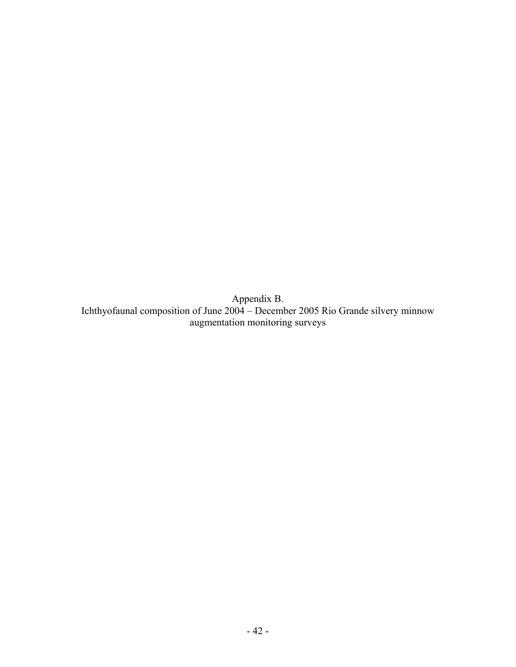Appendix B. Ichthyofaunal composition of June 2004 – December 2005 Rio Grande silvery minnow augmentation monitoring surveys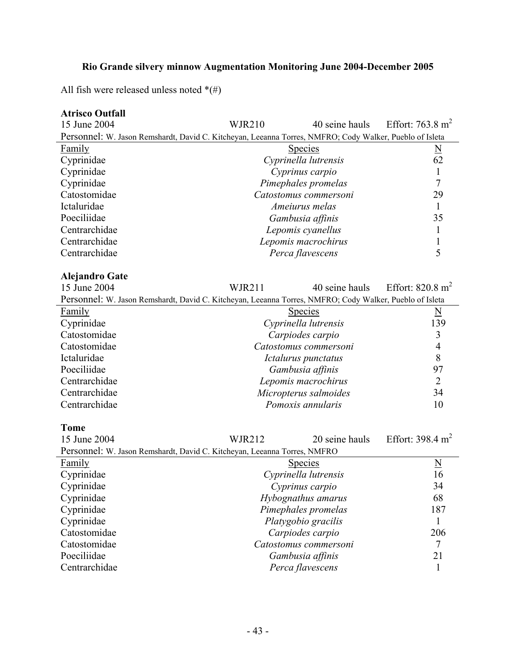# **Rio Grande silvery minnow Augmentation Monitoring June 2004-December 2005**

All fish were released unless noted  $^*(\#)$ 

| <b>Atrisco Outfall</b> |  |
|------------------------|--|
|                        |  |

| 15 June 2004                                                                                            | <b>WJR210</b>       | 40 seine hauls        | Effort: $763.8 \text{ m}^2$ |
|---------------------------------------------------------------------------------------------------------|---------------------|-----------------------|-----------------------------|
| Personnel: W. Jason Remshardt, David C. Kitcheyan, Leeanna Torres, NMFRO; Cody Walker, Pueblo of Isleta |                     |                       |                             |
| Family                                                                                                  |                     | <b>Species</b>        | $\underline{\underline{N}}$ |
| Cyprinidae                                                                                              |                     | Cyprinella lutrensis  | 62                          |
| Cyprinidae                                                                                              |                     | Cyprinus carpio       | 1                           |
| Cyprinidae                                                                                              |                     | Pimephales promelas   | 7                           |
| Catostomidae                                                                                            |                     | Catostomus commersoni | 29                          |
| Ictaluridae                                                                                             |                     | Ameiurus melas        | $\mathbf{1}$                |
| Poeciliidae                                                                                             |                     | Gambusia affinis      | 35                          |
| Centrarchidae                                                                                           |                     | Lepomis cyanellus     | 1                           |
| Centrarchidae                                                                                           |                     | Lepomis macrochirus   | 1                           |
| Centrarchidae                                                                                           |                     | Perca flavescens      | 5                           |
|                                                                                                         |                     |                       |                             |
| <b>Alejandro Gate</b>                                                                                   |                     |                       |                             |
| 15 June 2004                                                                                            | <b>WJR211</b>       | 40 seine hauls        | Effort: $820.8 \text{ m}^2$ |
| Personnel: W. Jason Remshardt, David C. Kitcheyan, Leeanna Torres, NMFRO; Cody Walker, Pueblo of Isleta |                     |                       |                             |
| <b>Family</b>                                                                                           |                     | <b>Species</b>        | $\underline{\rm N}$         |
| Cyprinidae                                                                                              |                     | Cyprinella lutrensis  | 139                         |
| Catostomidae                                                                                            |                     | Carpiodes carpio      | 3                           |
| Catostomidae                                                                                            |                     | Catostomus commersoni | $\overline{4}$              |
| Ictaluridae                                                                                             |                     | Ictalurus punctatus   | 8                           |
| Poeciliidae                                                                                             |                     | Gambusia affinis      | 97                          |
| Centrarchidae                                                                                           |                     | Lepomis macrochirus   | $\overline{2}$              |
| Centrarchidae                                                                                           |                     | Micropterus salmoides | 34                          |
| Centrarchidae                                                                                           |                     | Pomoxis annularis     | 10                          |
|                                                                                                         |                     |                       |                             |
| <b>Tome</b>                                                                                             |                     |                       |                             |
| 15 June 2004                                                                                            | <b>WJR212</b>       | 20 seine hauls        | Effort: $398.4 \text{ m}^2$ |
| Personnel: W. Jason Remshardt, David C. Kitcheyan, Leeanna Torres, NMFRO                                |                     |                       |                             |
| Family                                                                                                  |                     | <b>Species</b>        | $\underline{\rm N}$         |
| Cyprinidae                                                                                              |                     | Cyprinella lutrensis  | 16                          |
| Cyprinidae                                                                                              |                     | Cyprinus carpio       | 34                          |
| Cyprinidae                                                                                              | Hybognathus amarus  |                       | 68                          |
| Cyprinidae                                                                                              | Pimephales promelas |                       | 187                         |
| Cyprinidae                                                                                              |                     | Platygobio gracilis   | 1                           |
| Catostomidae                                                                                            | Carpiodes carpio    |                       | 206                         |
| Catostomidae                                                                                            |                     | Catostomus commersoni | $\overline{7}$              |
| Poeciliidae                                                                                             |                     | Gambusia affinis      | 21                          |
| Centrarchidae                                                                                           | Perca flavescens    |                       | 1                           |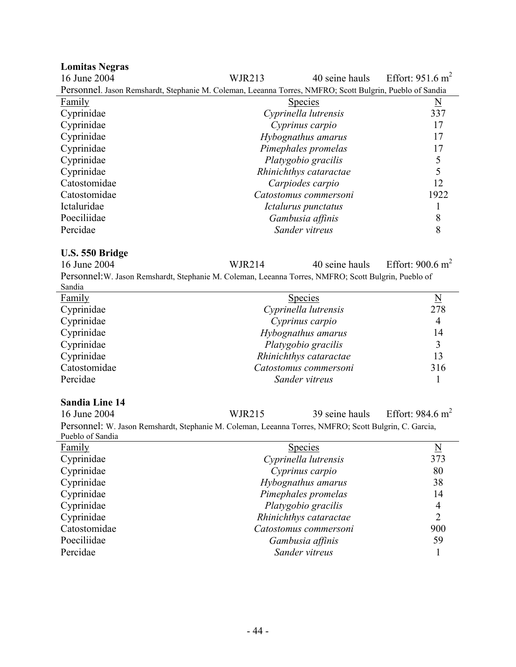| <b>Lomitas Negras</b>                                                                                    |                        |                        |                             |
|----------------------------------------------------------------------------------------------------------|------------------------|------------------------|-----------------------------|
| 16 June 2004                                                                                             | <b>WJR213</b>          | 40 seine hauls         | Effort: $951.6 \text{ m}^2$ |
| Personnel. Jason Remshardt, Stephanie M. Coleman, Leeanna Torres, NMFRO; Scott Bulgrin, Pueblo of Sandia |                        |                        |                             |
| Family                                                                                                   |                        | <b>Species</b>         | $\underline{\rm N}$         |
| Cyprinidae                                                                                               |                        | Cyprinella lutrensis   | 337                         |
| Cyprinidae                                                                                               |                        | Cyprinus carpio        | 17                          |
| Cyprinidae                                                                                               |                        | Hybognathus amarus     | 17                          |
| Cyprinidae                                                                                               |                        | Pimephales promelas    | 17                          |
| Cyprinidae                                                                                               |                        | Platygobio gracilis    | $\sqrt{5}$                  |
| Cyprinidae                                                                                               |                        | Rhinichthys cataractae | 5                           |
| Catostomidae                                                                                             |                        | Carpiodes carpio       | 12                          |
| Catostomidae                                                                                             |                        | Catostomus commersoni  | 1922                        |
| Ictaluridae                                                                                              |                        | Ictalurus punctatus    | 1                           |
| Poeciliidae                                                                                              |                        | Gambusia affinis       | 8                           |
| Percidae                                                                                                 |                        | Sander vitreus         | 8                           |
|                                                                                                          |                        |                        |                             |
| U.S. 550 Bridge                                                                                          |                        |                        |                             |
| 16 June 2004                                                                                             | <b>WJR214</b>          | 40 seine hauls         | Effort: $900.6 \text{ m}^2$ |
| Personnel: W. Jason Remshardt, Stephanie M. Coleman, Leeanna Torres, NMFRO; Scott Bulgrin, Pueblo of     |                        |                        |                             |
| Sandia                                                                                                   |                        |                        |                             |
| <b>Family</b>                                                                                            |                        | <b>Species</b>         | $\underline{\mathbf{N}}$    |
| Cyprinidae                                                                                               |                        | Cyprinella lutrensis   | 278                         |
| Cyprinidae                                                                                               |                        | Cyprinus carpio        | $\overline{4}$              |
| Cyprinidae                                                                                               |                        | Hybognathus amarus     | 14                          |
| Cyprinidae                                                                                               |                        | Platygobio gracilis    | 3                           |
| Cyprinidae                                                                                               |                        | Rhinichthys cataractae | 13                          |
| Catostomidae                                                                                             |                        | Catostomus commersoni  | 316                         |
| Percidae                                                                                                 |                        | Sander vitreus         | 1                           |
|                                                                                                          |                        |                        |                             |
| <b>Sandia Line 14</b>                                                                                    |                        |                        |                             |
| 16 June 2004                                                                                             | <b>WJR215</b>          | 39 seine hauls         | Effort: $984.6 \text{ m}^2$ |
| Personnel: W. Jason Remshardt, Stephanie M. Coleman, Leeanna Torres, NMFRO; Scott Bulgrin, C. Garcia,    |                        |                        |                             |
| Pueblo of Sandia                                                                                         |                        |                        |                             |
| Family                                                                                                   |                        | <b>Species</b>         | $\underline{\mathrm{N}}$    |
| Cyprinidae                                                                                               | Cyprinella lutrensis   |                        | 373                         |
| Cyprinidae                                                                                               | Cyprinus carpio        |                        | 80                          |
| Cyprinidae                                                                                               |                        | Hybognathus amarus     | 38                          |
| Cyprinidae                                                                                               |                        | Pimephales promelas    | 14<br>4                     |
| Cyprinidae                                                                                               | Platygobio gracilis    |                        |                             |
| Cyprinidae                                                                                               | Rhinichthys cataractae |                        |                             |
| Catostomidae                                                                                             | Catostomus commersoni  |                        | 900                         |

Poeciliidae *Gambusia affinis* 59 Percidae *Sander vitreus* 1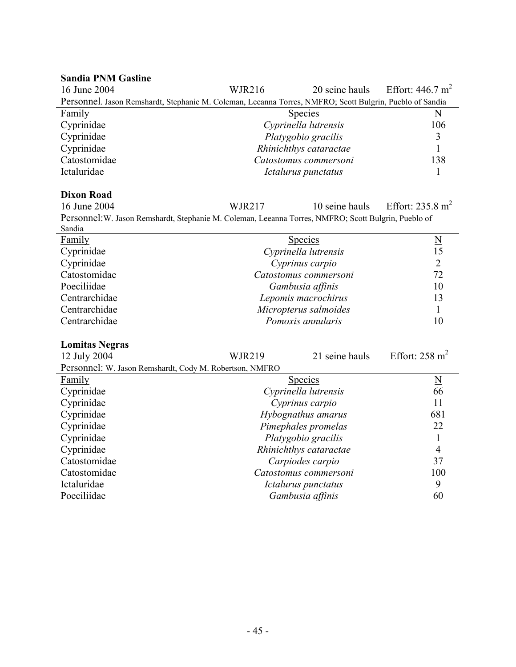#### **Sandia PNM Gasline**

| 16 June 2004                                                                                             | <b>WJR216</b> |                        | 20 seine hauls Effort: $446.7 \text{ m}^2$ |  |
|----------------------------------------------------------------------------------------------------------|---------------|------------------------|--------------------------------------------|--|
| Personnel. Jason Remshardt, Stephanie M. Coleman, Leeanna Torres, NMFRO; Scott Bulgrin, Pueblo of Sandia |               |                        |                                            |  |
| Family                                                                                                   |               | <b>Species</b>         | N                                          |  |
| Cyprinidae                                                                                               |               | Cyprinella lutrensis   | 106                                        |  |
| Cyprinidae                                                                                               |               | Platygobio gracilis    |                                            |  |
| Cyprinidae                                                                                               |               | Rhinichthys cataractae |                                            |  |
| Catostomidae                                                                                             |               | Catostomus commersoni  | 138                                        |  |
| Ictaluridae                                                                                              |               | Ictalurus punctatus    |                                            |  |

# **Dixon Road** 16 June 2004

l,

WJR217 10 seine hauls Effort:  $235.8 \text{ m}^2$ 

Personnel:W. Jason Remshardt, Stephanie M. Coleman, Leeanna Torres, NMFRO; Scott Bulgrin, Pueblo of Sandia

| Danuia        |                       |    |
|---------------|-----------------------|----|
| Family        | <b>Species</b>        |    |
| Cyprinidae    | Cyprinella lutrensis  |    |
| Cyprinidae    | Cyprinus carpio       |    |
| Catostomidae  | Catostomus commersoni | 72 |
| Poeciliidae   | Gambusia affinis      | 10 |
| Centrarchidae | Lepomis macrochirus   |    |
| Centrarchidae | Micropterus salmoides |    |
| Centrarchidae | Pomoxis annularis     | 10 |
|               |                       |    |

#### **Lomitas Negras**

| 12 July 2004                                            | <b>WJR219</b>          | 21 seine hauls       | Effort: $258 \text{ m}^2$ |
|---------------------------------------------------------|------------------------|----------------------|---------------------------|
| Personnel: W. Jason Remshardt, Cody M. Robertson, NMFRO |                        |                      |                           |
| Family                                                  |                        | <b>Species</b>       | $\underline{\rm N}$       |
| Cyprinidae                                              |                        | Cyprinella lutrensis | 66                        |
| Cyprinidae                                              |                        | Cyprinus carpio      | 11                        |
| Cyprinidae                                              |                        | Hybognathus amarus   | 681                       |
| Cyprinidae                                              | Pimephales promelas    |                      | 22                        |
| Cyprinidae                                              | Platygobio gracilis    |                      |                           |
| Cyprinidae                                              | Rhinichthys cataractae |                      | 4                         |
| Catostomidae                                            | Carpiodes carpio       |                      | 37                        |
| Catostomidae                                            | Catostomus commersoni  |                      | 100                       |
| Ictaluridae                                             |                        | Ictalurus punctatus  | 9                         |
| Poeciliidae                                             |                        | Gambusia affinis     | 60                        |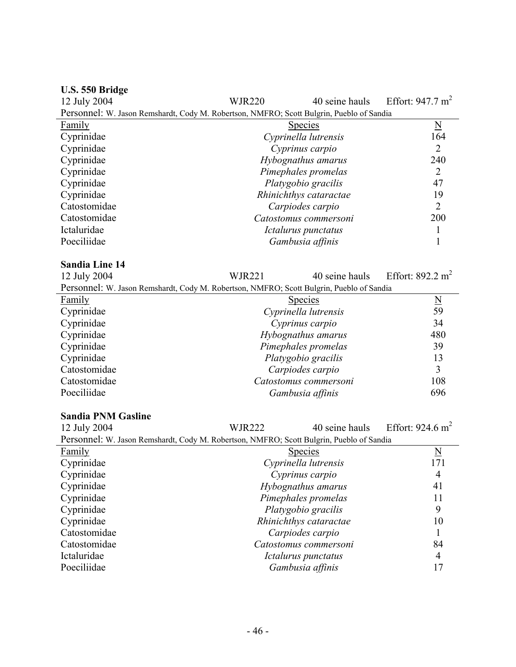| U.S. 550 Bridge                                                                          |                                            |                        |                             |
|------------------------------------------------------------------------------------------|--------------------------------------------|------------------------|-----------------------------|
| 12 July 2004                                                                             | <b>WJR220</b>                              | 40 seine hauls         | Effort: $947.7 \text{ m}^2$ |
| Personnel: W. Jason Remshardt, Cody M. Robertson, NMFRO; Scott Bulgrin, Pueblo of Sandia |                                            |                        |                             |
| <b>Family</b>                                                                            | $\underline{\mathbf{N}}$<br><b>Species</b> |                        |                             |
| Cyprinidae                                                                               |                                            | Cyprinella lutrensis   | 164                         |
| Cyprinidae                                                                               |                                            | Cyprinus carpio        | $\overline{2}$              |
| Cyprinidae                                                                               |                                            | Hybognathus amarus     | 240                         |
| Cyprinidae                                                                               |                                            | Pimephales promelas    | $\overline{2}$              |
| Cyprinidae                                                                               |                                            | Platygobio gracilis    | 47                          |
| Cyprinidae                                                                               |                                            | Rhinichthys cataractae | 19                          |
| Catostomidae                                                                             |                                            | Carpiodes carpio       | $\overline{2}$              |
| Catostomidae                                                                             |                                            | Catostomus commersoni  | 200                         |
| Ictaluridae                                                                              |                                            | Ictalurus punctatus    | 1                           |
| Poeciliidae                                                                              |                                            | Gambusia affinis       | 1                           |
|                                                                                          |                                            |                        |                             |
| <b>Sandia Line 14</b>                                                                    |                                            |                        |                             |
| 12 July 2004                                                                             | <b>WJR221</b>                              | 40 seine hauls         | Effort: $892.2 \text{ m}^2$ |
| Personnel: W. Jason Remshardt, Cody M. Robertson, NMFRO; Scott Bulgrin, Pueblo of Sandia |                                            |                        |                             |
| <b>Family</b>                                                                            |                                            | <b>Species</b>         | $\underline{\mathbf{N}}$    |
| Cyprinidae                                                                               |                                            | Cyprinella lutrensis   | 59                          |
| Cyprinidae                                                                               |                                            | Cyprinus carpio        | 34                          |
| Cyprinidae                                                                               |                                            | Hybognathus amarus     | 480                         |
| Cyprinidae                                                                               |                                            | Pimephales promelas    | 39                          |
| Cyprinidae                                                                               |                                            | Platygobio gracilis    | 13                          |
| Catostomidae                                                                             |                                            | Carpiodes carpio       | 3                           |
| Catostomidae                                                                             |                                            | Catostomus commersoni  | 108                         |
| Poeciliidae                                                                              |                                            | Gambusia affinis       | 696                         |
|                                                                                          |                                            |                        |                             |
| <b>Sandia PNM Gasline</b>                                                                |                                            |                        |                             |
| 12 July 2004                                                                             | <b>WJR222</b>                              | 40 seine hauls         | Effort: $924.6 \text{ m}^2$ |
| Personnel: W. Jason Remshardt, Cody M. Robertson, NMFRO; Scott Bulgrin, Pueblo of Sandia |                                            |                        |                             |
| <b>Family</b>                                                                            |                                            | <b>Species</b>         | $\underline{\rm N}$         |
| Cyprinidae                                                                               |                                            | Cyprinella lutrensis   | 171                         |
| Cyprinidae                                                                               |                                            | Cyprinus carpio        | $\overline{4}$              |
| Cyprinidae                                                                               | Hybognathus amarus                         |                        | 41                          |
| Cyprinidae                                                                               | Pimephales promelas                        |                        | 11                          |
| Cyprinidae                                                                               | Platygobio gracilis                        |                        | 9                           |
| Cyprinidae                                                                               | Rhinichthys cataractae                     |                        | 10                          |
| Catostomidae                                                                             |                                            | Carpiodes carpio       | 1                           |
| Catostomidae                                                                             |                                            | Catostomus commersoni  | 84                          |
| Ictaluridae                                                                              |                                            | Ictalurus punctatus    | $\overline{4}$              |
| Poeciliidae                                                                              |                                            | Gambusia affinis       | 17                          |
|                                                                                          |                                            |                        |                             |

# - 46 -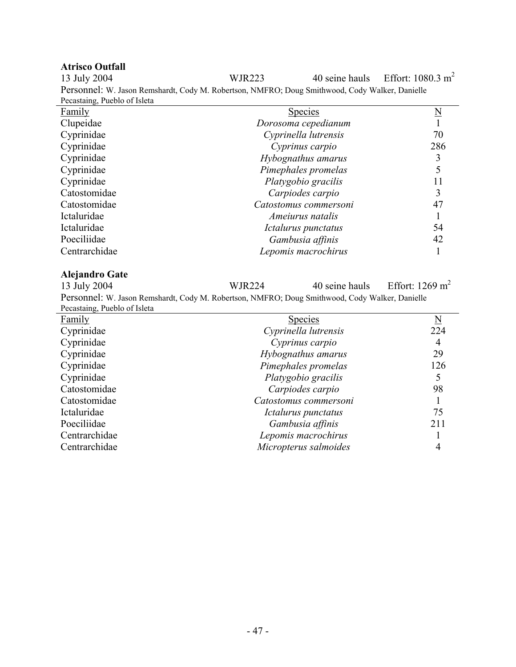**Atrisco Outfall**  WJR223 40 seine hauls Effort:  $1080.3 \text{ m}^2$ Personnel: W. Jason Remshardt, Cody M. Robertson, NMFRO; Doug Smithwood, Cody Walker, Danielle Pecastaing, Pueblo of Isleta

| <b>Species</b>          |     |
|-------------------------|-----|
| Dorosoma cepedianum     |     |
| Cyprinella lutrensis    | 70  |
| Cyprinus carpio         | 286 |
| Hybognathus amarus      |     |
| Pimephales promelas     |     |
| Platygobio gracilis     |     |
| Carpiodes carpio        | 3   |
| Catostomus commersoni   | 47  |
| <i>Ameiurus natalis</i> |     |
| Ictalurus punctatus     | 54  |
| Gambusia affinis        | 42  |
| Lepomis macrochirus     |     |
|                         |     |

#### **Alejandro Gate**

13 July 2004 WJR224 40 seine hauls Effort: 1269 m<sup>2</sup> Personnel: W. Jason Remshardt, Cody M. Robertson, NMFRO; Doug Smithwood, Cody Walker, Danielle Pecastaing, Pueblo of Isleta

| I ceastaing, I acolo of Isleta |                       |                     |
|--------------------------------|-----------------------|---------------------|
| Family                         | <b>Species</b>        | $\underline{\rm N}$ |
| Cyprinidae                     | Cyprinella lutrensis  | 224                 |
| Cyprinidae                     | Cyprinus carpio       | 4                   |
| Cyprinidae                     | Hybognathus amarus    | 29                  |
| Cyprinidae                     | Pimephales promelas   | 126                 |
| Cyprinidae                     | Platygobio gracilis   |                     |
| Catostomidae                   | Carpiodes carpio      | 98                  |
| Catostomidae                   | Catostomus commersoni |                     |
| Ictaluridae                    | Ictalurus punctatus   | 75                  |
| Poeciliidae                    | Gambusia affinis      | 211                 |
| Centrarchidae                  | Lepomis macrochirus   |                     |
| Centrarchidae                  | Micropterus salmoides | 4                   |
|                                |                       |                     |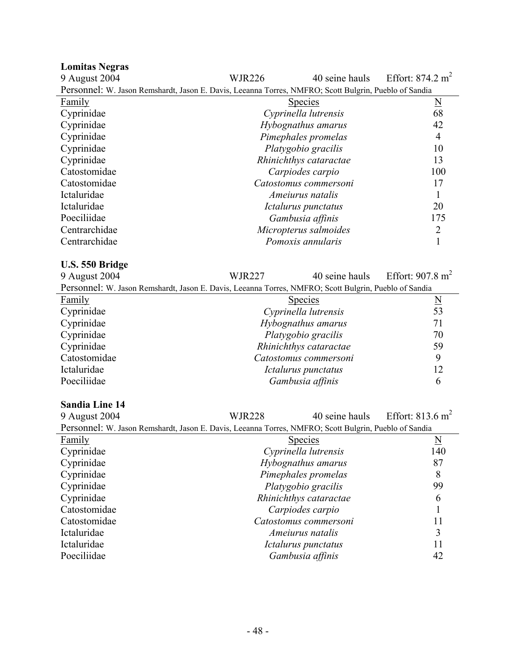| <b>Lomitas Negras</b>                                                                                 |               |                        |                             |
|-------------------------------------------------------------------------------------------------------|---------------|------------------------|-----------------------------|
| 9 August 2004                                                                                         | <b>WJR226</b> | 40 seine hauls         | Effort: $874.2 \text{ m}^2$ |
| Personnel: W. Jason Remshardt, Jason E. Davis, Leeanna Torres, NMFRO; Scott Bulgrin, Pueblo of Sandia |               |                        |                             |
| Family                                                                                                |               | <b>Species</b>         | $\overline{\mathbf{N}}$     |
| Cyprinidae                                                                                            |               | Cyprinella lutrensis   | 68                          |
| Cyprinidae                                                                                            |               | Hybognathus amarus     | 42                          |
| Cyprinidae                                                                                            |               | Pimephales promelas    | 4                           |
| Cyprinidae                                                                                            |               | Platygobio gracilis    | 10                          |
| Cyprinidae                                                                                            |               | Rhinichthys cataractae | 13                          |
| Catostomidae                                                                                          |               | Carpiodes carpio       | 100                         |
| Catostomidae                                                                                          |               | Catostomus commersoni  | 17                          |
| Ictaluridae                                                                                           |               | Ameiurus natalis       |                             |
| Ictaluridae                                                                                           |               | Ictalurus punctatus    | 20                          |
| Poeciliidae                                                                                           |               | Gambusia affinis       | 175                         |
| Centrarchidae                                                                                         |               | Micropterus salmoides  | $\overline{2}$              |
| Centrarchidae                                                                                         |               | Pomoxis annularis      |                             |

#### **U.S. 550 Bridge**

| 9 August 2004                                                                                         | <b>WJR227</b>       |                        | 40 seine hauls Effort: $907.8 \text{ m}^2$ |
|-------------------------------------------------------------------------------------------------------|---------------------|------------------------|--------------------------------------------|
| Personnel: W. Jason Remshardt, Jason E. Davis, Leeanna Torres, NMFRO; Scott Bulgrin, Pueblo of Sandia |                     |                        |                                            |
| <b>Family</b>                                                                                         |                     | <b>Species</b>         | $\overline{\mathbf{N}}$                    |
| Cyprinidae                                                                                            |                     | Cyprinella lutrensis   | 53                                         |
| Cyprinidae                                                                                            | Hybognathus amarus  |                        | 71                                         |
| Cyprinidae                                                                                            | Platygobio gracilis |                        | 70                                         |
| Cyprinidae                                                                                            |                     | Rhinichthys cataractae | 59                                         |
| Catostomidae                                                                                          |                     | Catostomus commersoni  | 9                                          |
| Ictaluridae                                                                                           |                     | Ictalurus punctatus    | 12                                         |
| Poeciliidae                                                                                           |                     | Gambusia affinis       | 6                                          |

### **Sandia Line 14**

| 9 August 2004                                                                                         | <b>WJR228</b> | 40 seine hauls          | Effort: $813.6 \text{ m}^2$ |  |
|-------------------------------------------------------------------------------------------------------|---------------|-------------------------|-----------------------------|--|
| Personnel: W. Jason Remshardt, Jason E. Davis, Leeanna Torres, NMFRO; Scott Bulgrin, Pueblo of Sandia |               |                         |                             |  |
| <b>Family</b>                                                                                         |               | <b>Species</b>          | <u>N</u>                    |  |
| Cyprinidae                                                                                            |               | Cyprinella lutrensis    | 140                         |  |
| Cyprinidae                                                                                            |               | Hybognathus amarus      | 87                          |  |
| Cyprinidae                                                                                            |               | Pimephales promelas     | 8                           |  |
| Cyprinidae                                                                                            |               | Platygobio gracilis     | 99                          |  |
| Cyprinidae                                                                                            |               | Rhinichthys cataractae  | 6                           |  |
| Catostomidae                                                                                          |               | Carpiodes carpio        |                             |  |
| Catostomidae                                                                                          |               | Catostomus commersoni   | 11                          |  |
| Ictaluridae                                                                                           |               | <i>Ameiurus natalis</i> | 3                           |  |
| Ictaluridae                                                                                           |               | Ictalurus punctatus     | 11                          |  |
| Poeciliidae                                                                                           |               | Gambusia affinis        | 42                          |  |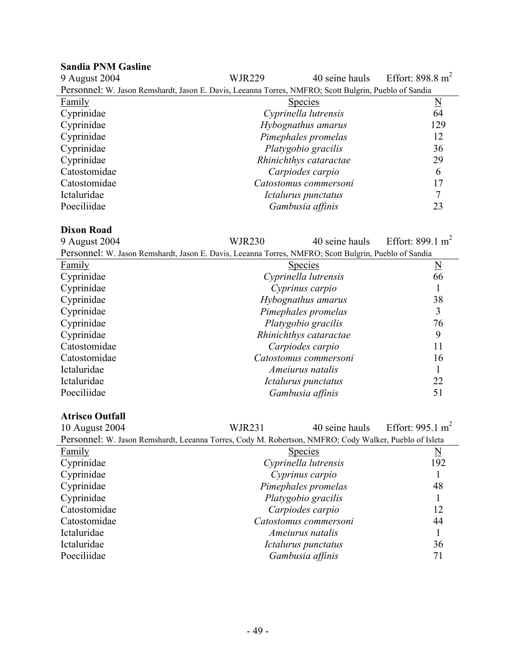## **Sandia PNM Gasline**

| 9 August 2004                                                                                         | <b>WJR229</b> | 40 seine hauls         | Effort: 898.8 $m2$      |
|-------------------------------------------------------------------------------------------------------|---------------|------------------------|-------------------------|
| Personnel: W. Jason Remshardt, Jason E. Davis, Leeanna Torres, NMFRO; Scott Bulgrin, Pueblo of Sandia |               |                        |                         |
| Family                                                                                                |               | <b>Species</b>         | $\overline{\mathbf{N}}$ |
| Cyprinidae                                                                                            |               | Cyprinella lutrensis   | 64                      |
| Cyprinidae                                                                                            |               | Hybognathus amarus     | 129                     |
| Cyprinidae                                                                                            |               | Pimephales promelas    | 12                      |
| Cyprinidae                                                                                            |               | Platygobio gracilis    | 36                      |
| Cyprinidae                                                                                            |               | Rhinichthys cataractae | 29                      |
| Catostomidae                                                                                          |               | Carpiodes carpio       | 6                       |
| Catostomidae                                                                                          |               | Catostomus commersoni  | 17                      |
| Ictaluridae                                                                                           |               | Ictalurus punctatus    |                         |
| Poeciliidae                                                                                           |               | Gambusia affinis       | 23                      |

#### **Dixon Road**

| 9 August 2004                                                                                          | <b>WJR230</b>                           | 40 seine hauls                         | Effort: 899.1 m <sup>2</sup> |
|--------------------------------------------------------------------------------------------------------|-----------------------------------------|----------------------------------------|------------------------------|
| Personnel: W. Jason Remshardt, Jason E. Davis, Leeanna Torres, NMFRO; Scott Bulgrin, Pueblo of Sandia  |                                         |                                        |                              |
| <b>Family</b>                                                                                          | <b>Species</b>                          | $\underline{N}$                        |                              |
| Cyprinidae                                                                                             | Cyprinella lutrensis                    |                                        | 66                           |
| Cyprinidae                                                                                             |                                         | Cyprinus carpio                        | 1                            |
| Cyprinidae                                                                                             |                                         | Hybognathus amarus                     | 38                           |
| Cyprinidae                                                                                             |                                         | Pimephales promelas                    | 3                            |
| Cyprinidae                                                                                             |                                         | Platygobio gracilis                    | 76                           |
| Cyprinidae                                                                                             |                                         | Rhinichthys cataractae                 | 9                            |
| Catostomidae                                                                                           |                                         | Carpiodes carpio                       | 11                           |
| Catostomidae                                                                                           |                                         | Catostomus commersoni                  | 16                           |
| Ictaluridae                                                                                            |                                         | Ameiurus natalis                       | 1                            |
| Ictaluridae                                                                                            |                                         | Ictalurus punctatus                    | 22                           |
| Poeciliidae                                                                                            | Gambusia affinis                        |                                        | 51                           |
| <b>Atrisco Outfall</b>                                                                                 |                                         |                                        |                              |
| 10 August 2004                                                                                         | <b>WJR231</b>                           | 40 seine hauls                         | Effort: 995.1 m <sup>2</sup> |
|                                                                                                        |                                         |                                        |                              |
| Personnel: W. Jason Remshardt, Leeanna Torres, Cody M. Robertson, NMFRO; Cody Walker, Pueblo of Isleta |                                         |                                        |                              |
| Family<br>Cyprinidae                                                                                   |                                         | <b>Species</b><br>Cyprinella lutrensis | $\underline{\rm N}$<br>192   |
| Cyprinidae                                                                                             |                                         |                                        |                              |
| Cyprinidae                                                                                             | Cyprinus carpio                         |                                        | 48                           |
| Cyprinidae                                                                                             | Pimephales promelas                     |                                        | 1                            |
| Catostomidae                                                                                           | Platygobio gracilis<br>Carpiodes carpio |                                        | 12                           |
| Catostomidae                                                                                           |                                         |                                        | 44                           |
| Ictaluridae                                                                                            |                                         | Catostomus commersoni                  |                              |
|                                                                                                        |                                         | Ameiurus natalis                       | 1                            |
| Ictaluridae                                                                                            |                                         | Ictalurus punctatus                    | 36                           |

Poeciliidae *Gambusia affinis* 71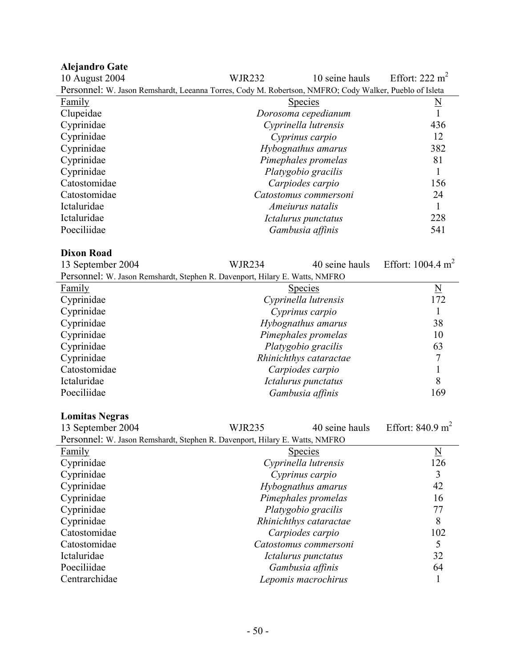| <b>Alejandro Gate</b>                                                                                  |                  |                       |                              |
|--------------------------------------------------------------------------------------------------------|------------------|-----------------------|------------------------------|
| 10 August 2004                                                                                         | WJR232           | 10 seine hauls        | Effort: 222 m <sup>2</sup>   |
| Personnel: W. Jason Remshardt, Leeanna Torres, Cody M. Robertson, NMFRO; Cody Walker, Pueblo of Isleta |                  |                       |                              |
| <b>Family</b>                                                                                          |                  | <b>Species</b>        | <u>N</u>                     |
| Clupeidae                                                                                              |                  | Dorosoma cepedianum   |                              |
| Cyprinidae                                                                                             |                  | Cyprinella lutrensis  | 436                          |
| Cyprinidae                                                                                             |                  | Cyprinus carpio       | 12                           |
| Cyprinidae                                                                                             |                  | Hybognathus amarus    | 382                          |
| Cyprinidae                                                                                             |                  | Pimephales promelas   | 81                           |
| Cyprinidae                                                                                             |                  | Platygobio gracilis   |                              |
| Catostomidae                                                                                           |                  | Carpiodes carpio      | 156                          |
| Catostomidae                                                                                           |                  | Catostomus commersoni |                              |
| Ictaluridae                                                                                            |                  | Ameiurus natalis      |                              |
| Ictaluridae                                                                                            |                  | Ictalurus punctatus   | 228                          |
| Poeciliidae                                                                                            | Gambusia affinis |                       | 541                          |
| <b>Dixon Road</b>                                                                                      |                  |                       |                              |
| 13 September 2004                                                                                      | <b>WJR234</b>    | 40 seine hauls        | Effort: $1004.4 \text{ m}^2$ |
| Personnel: W. Jason Remshardt, Stephen R. Davenport, Hilary E. Watts, NMFRO                            |                  |                       |                              |
| $F_{2m}$ ily                                                                                           |                  | S <sub>n</sub> arice  | N                            |

| Family       | <b>Species</b>         | $\overline{\mathsf{N}}$ |
|--------------|------------------------|-------------------------|
| Cyprinidae   | Cyprinella lutrensis   | 172                     |
| Cyprinidae   | Cyprinus carpio        |                         |
| Cyprinidae   | Hybognathus amarus     | 38                      |
| Cyprinidae   | Pimephales promelas    | 10                      |
| Cyprinidae   | Platygobio gracilis    | 63                      |
| Cyprinidae   | Rhinichthys cataractae |                         |
| Catostomidae | Carpiodes carpio       |                         |
| Ictaluridae  | Ictalurus punctatus    | 8                       |
| Poeciliidae  | Gambusia affinis       | 169                     |

#### **Lomitas Negras**

| <b>Lomitas Negras</b>                                                       |               |                        |                             |
|-----------------------------------------------------------------------------|---------------|------------------------|-----------------------------|
| 13 September 2004                                                           | <b>WJR235</b> | 40 seine hauls         | Effort: $840.9 \text{ m}^2$ |
| Personnel: W. Jason Remshardt, Stephen R. Davenport, Hilary E. Watts, NMFRO |               |                        |                             |
| Family                                                                      |               | <b>Species</b>         | $\underline{\rm N}$         |
| Cyprinidae                                                                  |               | Cyprinella lutrensis   | 126                         |
| Cyprinidae                                                                  |               | Cyprinus carpio        | 3                           |
| Cyprinidae                                                                  |               | Hybognathus amarus     | 42                          |
| Cyprinidae                                                                  |               | Pimephales promelas    | 16                          |
| Cyprinidae                                                                  |               | Platygobio gracilis    | 77                          |
| Cyprinidae                                                                  |               | Rhinichthys cataractae | 8                           |
| Catostomidae                                                                |               | Carpiodes carpio       | 102                         |
| Catostomidae                                                                |               | Catostomus commersoni  |                             |
| Ictaluridae                                                                 |               | Ictalurus punctatus    | 32                          |
| Poeciliidae                                                                 |               | Gambusia affinis       | 64                          |
| Centrarchidae                                                               |               | Lepomis macrochirus    |                             |
|                                                                             |               |                        |                             |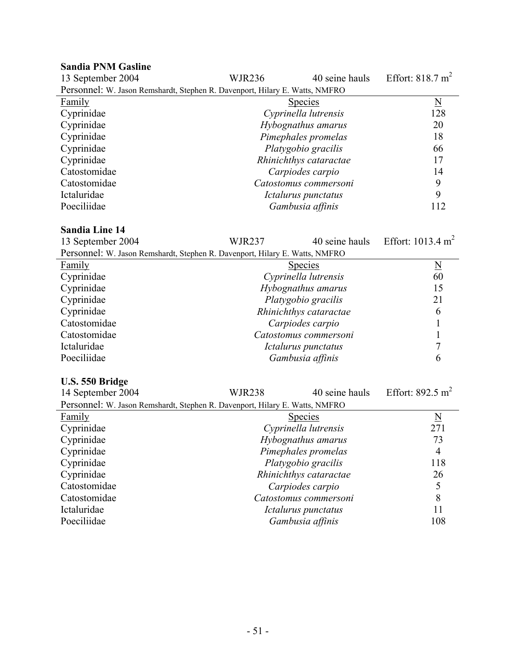#### **Sandia PNM Gasline**  13 September 2004 WJR236 40 seine hauls Effort: 818.7 m<sup>2</sup> Personnel: W. Jason Remshardt, Stephen R. Davenport, Hilary E. Watts, NMFRO Family Species Number of Species Species Number of Species Number of Species Number of Number of Number of Number of Number of Number of Number of Number of Number of Number of Number of Number of Number of Number of Numbe Cyprinidae *Cyprinella lutrensis* 128 Cyprinidae *Hybognathus amarus* 20 Cyprinidae *Pimephales promelas* 18 Cyprinidae *Platygobio gracilis* 66 Cyprinidae *Rhinichthys cataractae* 17 Catostomidae *Carpiodes carpio* 14 Catostomidae *Catostomus commersoni* 9 Ictaluridae *Ictalurus punctatus* 9 Poeciliidae *Gambusia affinis* 112

#### **Sandia Line 14**

| 13 September 2004                                                           | <b>WJR237</b>       | 40 seine hauls         | Effort: $1013.4 \text{ m}^2$ |
|-----------------------------------------------------------------------------|---------------------|------------------------|------------------------------|
| Personnel: W. Jason Remshardt, Stephen R. Davenport, Hilary E. Watts, NMFRO |                     |                        |                              |
| Family                                                                      |                     | <u>Species</u>         | $\underline{\rm N}$          |
| Cyprinidae                                                                  |                     | Cyprinella lutrensis   | 60                           |
| Cyprinidae                                                                  |                     | Hybognathus amarus     | 15                           |
| Cyprinidae                                                                  |                     | Platygobio gracilis    | 21                           |
| Cyprinidae                                                                  |                     | Rhinichthys cataractae | 6                            |
| Catostomidae                                                                |                     | Carpiodes carpio       |                              |
| Catostomidae                                                                |                     | Catostomus commersoni  |                              |
| Ictaluridae                                                                 |                     | Ictalurus punctatus    |                              |
| Poeciliidae                                                                 |                     | Gambusia affinis       | 6                            |
|                                                                             |                     |                        |                              |
| U.S. 550 Bridge                                                             |                     |                        |                              |
| 14 September 2004                                                           | <b>WJR238</b>       | 40 seine hauls         | Effort: $892.5 \text{ m}^2$  |
| Personnel: W. Jason Remshardt, Stephen R. Davenport, Hilary E. Watts, NMFRO |                     |                        |                              |
| <b>Family</b>                                                               |                     | <b>Species</b>         | $\underline{\mathbf{N}}$     |
| Cyprinidae                                                                  |                     | Cyprinella lutrensis   | 271                          |
| Cyprinidae                                                                  |                     | Hybognathus amarus     | 73                           |
| Cyprinidae                                                                  | Pimephales promelas |                        | $\overline{4}$               |
| Cyprinidae                                                                  | Platygobio gracilis |                        | 118                          |
| Cyprinidae                                                                  |                     | Rhinichthys cataractae | 26                           |
| Catostomidae                                                                |                     | Carpiodes carpio       | 5                            |
| Catostomidae                                                                |                     | Catostomus commersoni  | 8                            |

Catostomidae *Catostomus commersoni* 8

Ictaluridae *Ictalurus punctatus* 11 Poeciliidae *Gambusia affinis* 108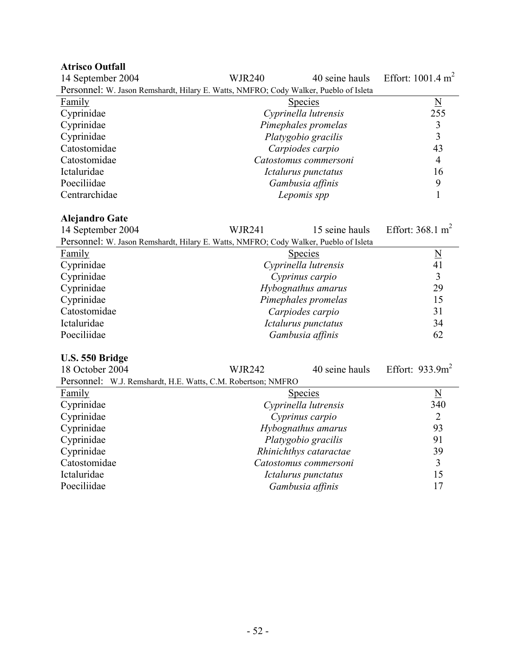#### **Atrisco Outfall**

| 14 September 2004                                                                    | <b>WJR240</b> | 40 seine hauls        | Effort: $1001.4 \text{ m}^2$ |
|--------------------------------------------------------------------------------------|---------------|-----------------------|------------------------------|
| Personnel: W. Jason Remshardt, Hilary E. Watts, NMFRO; Cody Walker, Pueblo of Isleta |               |                       |                              |
| Family                                                                               |               | <b>Species</b>        | $\underline{N}$              |
| Cyprinidae                                                                           |               | Cyprinella lutrensis  | 255                          |
| Cyprinidae                                                                           |               | Pimephales promelas   |                              |
| Cyprinidae                                                                           |               | Platygobio gracilis   | 3                            |
| Catostomidae                                                                         |               | Carpiodes carpio      | 43                           |
| Catostomidae                                                                         |               | Catostomus commersoni | 4                            |
| Ictaluridae                                                                          |               | Ictalurus punctatus   | 16                           |
| Poeciliidae                                                                          |               | Gambusia affinis      | 9                            |
| Centrarchidae                                                                        |               | Lepomis spp           |                              |

#### **Alejandro Gate**

| 14 September 2004                                                                    | <b>WJR241</b> | 15 seine hauls       | Effort: $368.1 \text{ m}^2$ |
|--------------------------------------------------------------------------------------|---------------|----------------------|-----------------------------|
| Personnel: W. Jason Remshardt, Hilary E. Watts, NMFRO; Cody Walker, Pueblo of Isleta |               |                      |                             |
| Family                                                                               |               | <b>Species</b>       | $\overline{\mathbf{N}}$     |
| Cyprinidae                                                                           |               | Cyprinella lutrensis | 41                          |
| Cyprinidae                                                                           |               | Cyprinus carpio      |                             |
| Cyprinidae                                                                           |               | Hybognathus amarus   | 29                          |
| Cyprinidae                                                                           |               | Pimephales promelas  | 15                          |
| Catostomidae                                                                         |               | Carpiodes carpio     | 31                          |
| Ictaluridae                                                                          |               | Ictalurus punctatus  | 34                          |
| Poeciliidae                                                                          |               | Gambusia affinis     | 62                          |
|                                                                                      |               |                      |                             |

#### **U.S. 550 Bridge**

| 18 October 2004                                              | <b>WJR242</b>          | 40 seine hauls | Effort: $933.9m^2$      |
|--------------------------------------------------------------|------------------------|----------------|-------------------------|
| Personnel: W.J. Remshardt, H.E. Watts, C.M. Robertson; NMFRO |                        |                |                         |
| <b>Family</b>                                                | <b>Species</b>         |                | $\overline{\mathbf{N}}$ |
| Cyprinidae                                                   | Cyprinella lutrensis   |                | 340                     |
| Cyprinidae                                                   | Cyprinus carpio        |                | 2                       |
| Cyprinidae                                                   | Hybognathus amarus     |                | 93                      |
| Cyprinidae                                                   | Platygobio gracilis    |                | 91                      |
| Cyprinidae                                                   | Rhinichthys cataractae |                | 39                      |
| Catostomidae                                                 | Catostomus commersoni  |                | 3                       |
| Ictaluridae                                                  | Ictalurus punctatus    |                | 15                      |
| Poeciliidae                                                  | Gambusia affinis       |                | 17                      |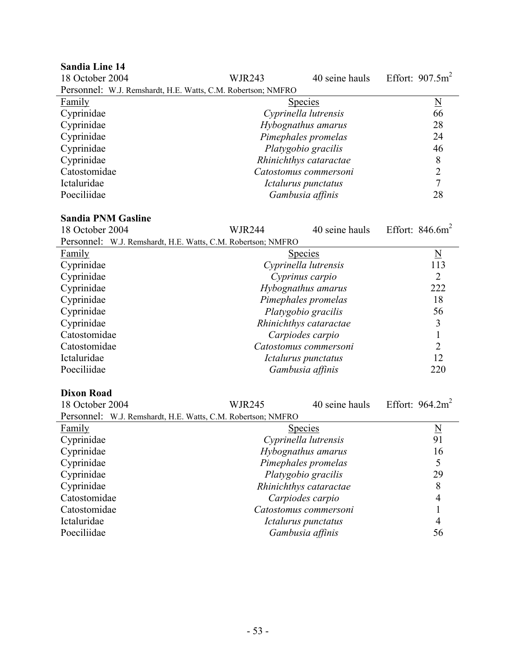| <b>Sandia Line 14</b>                                        |                        |                        |                         |
|--------------------------------------------------------------|------------------------|------------------------|-------------------------|
| 18 October 2004                                              | <b>WJR243</b>          | 40 seine hauls         | Effort: $907.5m^2$      |
| Personnel: W.J. Remshardt, H.E. Watts, C.M. Robertson; NMFRO |                        |                        |                         |
| <b>Family</b>                                                |                        | <b>Species</b>         | $\overline{\mathbf{N}}$ |
| Cyprinidae                                                   |                        | Cyprinella lutrensis   | 66                      |
| Cyprinidae                                                   |                        | Hybognathus amarus     | 28                      |
| Cyprinidae                                                   |                        | Pimephales promelas    | 24                      |
| Cyprinidae                                                   |                        | Platygobio gracilis    | 46                      |
| Cyprinidae                                                   |                        | Rhinichthys cataractae | $\,8$                   |
| Catostomidae                                                 |                        | Catostomus commersoni  | $\overline{2}$          |
| Ictaluridae                                                  |                        | Ictalurus punctatus    | $\overline{7}$          |
| Poeciliidae                                                  |                        | Gambusia affinis       | 28                      |
| <b>Sandia PNM Gasline</b>                                    |                        |                        |                         |
| 18 October 2004                                              | <b>WJR244</b>          | 40 seine hauls         | Effort: $846.6m^2$      |
| Personnel: W.J. Remshardt, H.E. Watts, C.M. Robertson; NMFRO |                        |                        |                         |
| <b>Family</b>                                                |                        | Species                | $\underline{\rm N}$     |
| Cyprinidae                                                   |                        | Cyprinella lutrensis   | 113                     |
| Cyprinidae                                                   |                        | Cyprinus carpio        | $\overline{2}$          |
| Cyprinidae                                                   |                        | Hybognathus amarus     | 222                     |
| Cyprinidae                                                   |                        | Pimephales promelas    | 18                      |
| Cyprinidae                                                   |                        | Platygobio gracilis    | 56                      |
| Cyprinidae                                                   | Rhinichthys cataractae |                        | $\overline{3}$          |
| Catostomidae                                                 |                        | Carpiodes carpio       | $\mathbf{1}$            |
| Catostomidae                                                 |                        | Catostomus commersoni  | $\overline{2}$          |
| Ictaluridae                                                  |                        | Ictalurus punctatus    | 12                      |
| Poeciliidae                                                  |                        | Gambusia affinis       | 220                     |
|                                                              |                        |                        |                         |
| <b>Dixon Road</b>                                            |                        |                        |                         |
| 18 October 2004                                              | <b>WJR245</b>          | 40 seine hauls         | Effort: $964.2m2$       |
| Personnel: W.J. Remshardt, H.E. Watts, C.M. Robertson; NMFRO |                        |                        |                         |
| <b>Family</b>                                                |                        | <b>Species</b>         | <u>N</u>                |
| Cyprinidae                                                   |                        | Cyprinella lutrensis   | 91                      |
| Cyprinidae                                                   |                        | Hybognathus amarus     | 16                      |
| Cyprinidae                                                   | Pimephales promelas    |                        | 5                       |
| Cyprinidae                                                   | Platygobio gracilis    |                        | 29                      |
| Cyprinidae                                                   | Rhinichthys cataractae |                        | 8                       |
| Catostomidae                                                 |                        | Carpiodes carpio       | $\overline{4}$          |
| Catostomidae                                                 |                        | Catostomus commersoni  | 1                       |
| Ictaluridae                                                  |                        | Ictalurus punctatus    | $\overline{4}$          |
| Poeciliidae                                                  |                        | Gambusia affinis       | 56                      |
|                                                              |                        |                        |                         |

- 53 -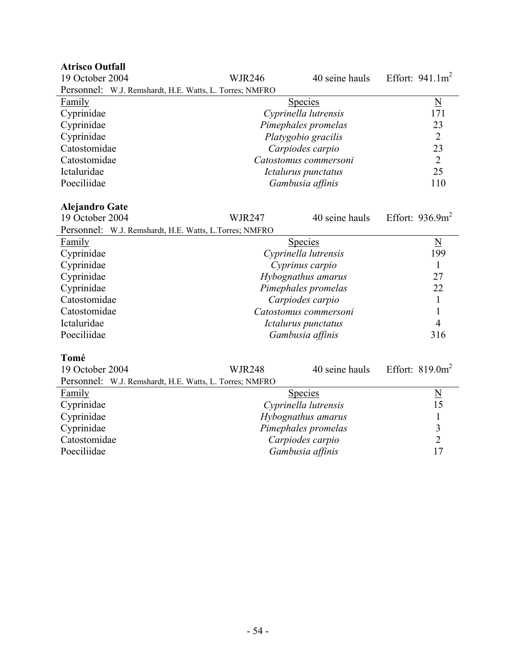| 19 October 2004                                         | <b>WJR246</b>       | 40 seine hauls        | Effort: $941.1m^2$       |
|---------------------------------------------------------|---------------------|-----------------------|--------------------------|
| Personnel: W.J. Remshardt, H.E. Watts, L. Torres; NMFRO |                     |                       |                          |
| Family                                                  |                     | <b>Species</b>        | $\underline{\mathbf{N}}$ |
| Cyprinidae                                              |                     | Cyprinella lutrensis  | 171                      |
| Cyprinidae                                              |                     | Pimephales promelas   | 23                       |
| Cyprinidae                                              |                     | Platygobio gracilis   | $\overline{2}$           |
| Catostomidae                                            |                     | Carpiodes carpio      | 23                       |
| Catostomidae                                            |                     | Catostomus commersoni | $\overline{2}$           |
| Ictaluridae                                             |                     | Ictalurus punctatus   | 25                       |
| Poeciliidae                                             |                     | Gambusia affinis      | 110                      |
|                                                         |                     |                       |                          |
| <b>Alejandro Gate</b>                                   |                     |                       |                          |
| 19 October 2004                                         | <b>WJR247</b>       | 40 seine hauls        | Effort: $936.9m^2$       |
| Personnel: W.J. Remshardt, H.E. Watts, L.Torres; NMFRO  |                     |                       |                          |
| Family                                                  |                     | <b>Species</b>        | $\underline{\mathbf{N}}$ |
| Cyprinidae                                              |                     | Cyprinella lutrensis  | 199                      |
| Cyprinidae                                              |                     | Cyprinus carpio       | 1                        |
| Cyprinidae                                              | Hybognathus amarus  |                       | 27                       |
| Cyprinidae                                              | Pimephales promelas |                       | 22                       |
| Catostomidae                                            |                     | Carpiodes carpio      | $\mathbf{1}$             |
| Catostomidae                                            |                     | Catostomus commersoni | $\mathbf{1}$             |
| Ictaluridae                                             |                     | Ictalurus punctatus   | $\overline{4}$           |
| Poeciliidae                                             |                     | Gambusia affinis      | 316                      |
|                                                         |                     |                       |                          |
| Tomé                                                    |                     |                       |                          |
| 19 October 2004                                         | <b>WJR248</b>       | 40 seine hauls        | Effort: $819.0m^2$       |
| Personnel: W.J. Remshardt, H.E. Watts, L. Torres; NMFRO |                     |                       |                          |
| Family                                                  | <b>Species</b>      |                       | $\underline{\mathrm{N}}$ |
| Cyprinidae                                              |                     | Cyprinella lutrensis  | 15                       |
| Cyprinidae                                              | Hybognathus amarus  |                       | $\mathbf{1}$             |
| Cyprinidae                                              |                     | Pimephales promelas   | $\overline{\mathbf{3}}$  |
| Catostomidae                                            |                     | Carpiodes carpio      | $\overline{2}$           |
| Poeciliidae                                             |                     | Gambusia affinis      | 17                       |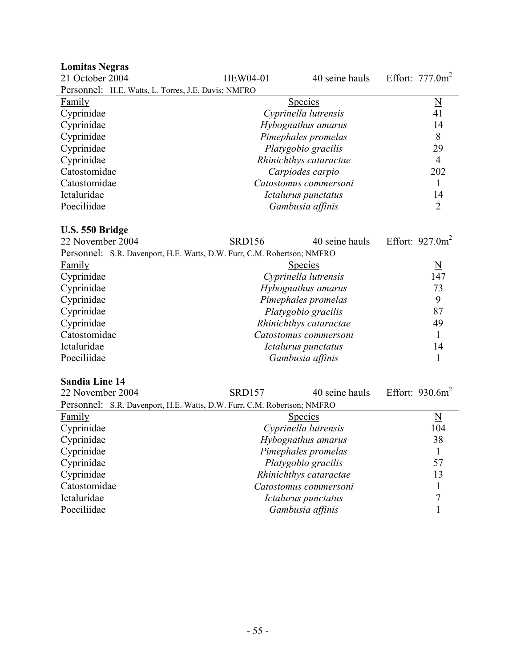| <b>Lomitas Negras</b>                                                   |                        |                        |                          |
|-------------------------------------------------------------------------|------------------------|------------------------|--------------------------|
| 21 October 2004                                                         | <b>HEW04-01</b>        | 40 seine hauls         | Effort: $777.0m^2$       |
| Personnel: H.E. Watts, L. Torres, J.E. Davis; NMFRO                     |                        |                        |                          |
| <b>Family</b>                                                           |                        | <b>Species</b>         | $\underline{N}$          |
| Cyprinidae                                                              |                        | Cyprinella lutrensis   | 41                       |
| Cyprinidae                                                              |                        | Hybognathus amarus     | 14                       |
| Cyprinidae                                                              |                        | Pimephales promelas    | 8                        |
| Cyprinidae                                                              |                        | Platygobio gracilis    | 29                       |
| Cyprinidae                                                              |                        | Rhinichthys cataractae | $\overline{4}$           |
| Catostomidae                                                            |                        | Carpiodes carpio       | 202                      |
| Catostomidae                                                            |                        | Catostomus commersoni  | 1                        |
| Ictaluridae                                                             |                        | Ictalurus punctatus    | 14                       |
| Poeciliidae                                                             |                        | Gambusia affinis       | $\overline{2}$           |
|                                                                         |                        |                        |                          |
| U.S. 550 Bridge                                                         |                        |                        |                          |
| 22 November 2004                                                        | <b>SRD156</b>          | 40 seine hauls         | Effort: $927.0m^2$       |
| Personnel: S.R. Davenport, H.E. Watts, D.W. Furr, C.M. Robertson; NMFRO |                        |                        |                          |
| <b>Family</b>                                                           |                        | <b>Species</b>         | $\underline{\mathbf{N}}$ |
| Cyprinidae                                                              |                        | Cyprinella lutrensis   | 147                      |
| Cyprinidae                                                              |                        | Hybognathus amarus     | 73                       |
| Cyprinidae                                                              |                        | Pimephales promelas    | 9                        |
| Cyprinidae                                                              |                        | Platygobio gracilis    | 87                       |
| Cyprinidae                                                              | Rhinichthys cataractae |                        | 49                       |
| Catostomidae                                                            |                        | Catostomus commersoni  | 1                        |
| Ictaluridae                                                             |                        | Ictalurus punctatus    | 14                       |
| Poeciliidae                                                             |                        | Gambusia affinis       | 1                        |
|                                                                         |                        |                        |                          |
| <b>Sandia Line 14</b>                                                   |                        |                        |                          |
| 22 November 2004                                                        | <b>SRD157</b>          | 40 seine hauls         | Effort: $930.6m^2$       |
| Personnel: S.R. Davenport, H.E. Watts, D.W. Furr, C.M. Robertson; NMFRO |                        |                        |                          |
| Family                                                                  |                        | <b>Species</b>         | N                        |
| Cyprinidae                                                              |                        | Cyprinella lutrensis   | 104                      |
| Cyprinidae                                                              |                        | Hybognathus amarus     | 38                       |
| Cyprinidae                                                              |                        | Pimephales promelas    | 1                        |
| Cyprinidae                                                              |                        | Platygobio gracilis    | 57                       |
| Cyprinidae                                                              |                        | Rhinichthys cataractae | 13                       |
| Catostomidae                                                            |                        | Catostomus commersoni  | 1                        |
| Ictaluridae                                                             |                        | Ictalurus punctatus    | 7                        |
| Poeciliidae                                                             |                        | Gambusia affinis       | 1                        |
|                                                                         |                        |                        |                          |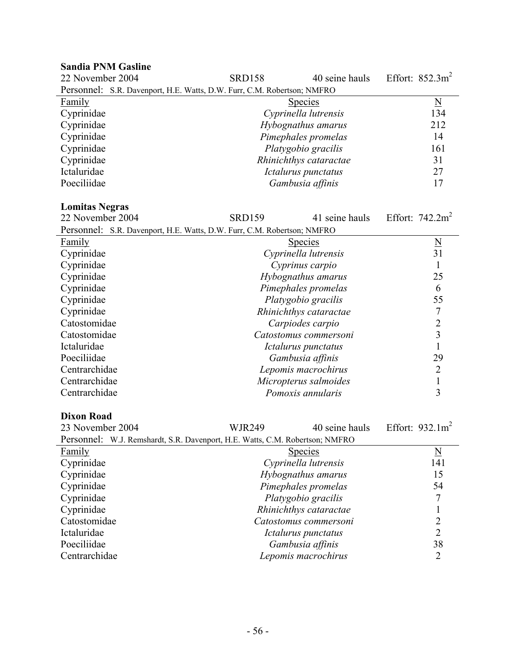| <b>Sandia PNM Gasline</b>                                               |                     |                        |                     |
|-------------------------------------------------------------------------|---------------------|------------------------|---------------------|
| 22 November 2004                                                        | <b>SRD158</b>       | 40 seine hauls         | Effort: $852.3m^2$  |
| Personnel: S.R. Davenport, H.E. Watts, D.W. Furr, C.M. Robertson; NMFRO |                     |                        |                     |
| <b>Family</b>                                                           |                     | <b>Species</b>         | $\underline{\rm N}$ |
| Cyprinidae                                                              |                     | Cyprinella lutrensis   | 134                 |
| Cyprinidae                                                              | Hybognathus amarus  |                        | 212                 |
| Cyprinidae                                                              | Pimephales promelas |                        | 14                  |
| Cyprinidae                                                              |                     | Platygobio gracilis    | 161                 |
| Cyprinidae                                                              |                     | Rhinichthys cataractae | 31                  |
| Ictaluridae                                                             |                     | Ictalurus punctatus    | 27                  |
| Poeciliidae                                                             |                     | Gambusia affinis       | 17                  |

#### **Lomitas Negras**

| 22 November 2004                                                        | <b>SRD159</b> | 41 seine hauls             | Effort: $742.2m2$   |
|-------------------------------------------------------------------------|---------------|----------------------------|---------------------|
| Personnel: S.R. Davenport, H.E. Watts, D.W. Furr, C.M. Robertson; NMFRO |               |                            |                     |
| Family                                                                  |               | <b>Species</b>             | $\underline{\rm N}$ |
| Cyprinidae                                                              |               | Cyprinella lutrensis       | 31                  |
| Cyprinidae                                                              |               | Cyprinus carpio            |                     |
| Cyprinidae                                                              |               | Hybognathus amarus         | 25                  |
| Cyprinidae                                                              |               | Pimephales promelas        | 6                   |
| Cyprinidae                                                              |               | Platygobio gracilis        | 55                  |
| Cyprinidae                                                              |               | Rhinichthys cataractae     |                     |
| Catostomidae                                                            |               | Carpiodes carpio           |                     |
| Catostomidae                                                            |               | Catostomus commersoni      | 3                   |
| Ictaluridae                                                             |               | <i>Ictalurus punctatus</i> |                     |
| Poeciliidae                                                             |               | Gambusia affinis           | 29                  |
| Centrarchidae                                                           |               | Lepomis macrochirus        | $\overline{2}$      |
| Centrarchidae                                                           |               | Micropterus salmoides      |                     |
| Centrarchidae                                                           |               | Pomoxis annularis          | 3                   |

#### **Dixon Road**

23 November 2004 WJR249 40 seine hauls Effort: 932.1m<sup>2</sup> Personnel: W.J. Remshardt, S.R. Davenport, H.E. Watts, C.M. Robertson; NMFRO

|               | I CLOOTHICI. W.J. KUHSHAHI, O.K. DAVUIDOH, IT.L. WARS, C.IVI. KOOGHOOH, IVIVII KO |                |
|---------------|-----------------------------------------------------------------------------------|----------------|
| <b>Family</b> | <b>Species</b>                                                                    | N              |
| Cyprinidae    | Cyprinella lutrensis                                                              | 141            |
| Cyprinidae    | Hybognathus amarus                                                                | 15             |
| Cyprinidae    | Pimephales promelas                                                               | 54             |
| Cyprinidae    | Platygobio gracilis                                                               |                |
| Cyprinidae    | Rhinichthys cataractae                                                            |                |
| Catostomidae  | Catostomus commersoni                                                             |                |
| Ictaluridae   | Ictalurus punctatus                                                               | $\overline{2}$ |
| Poeciliidae   | Gambusia affinis                                                                  | 38             |
| Centrarchidae | Lepomis macrochirus                                                               |                |
|               |                                                                                   |                |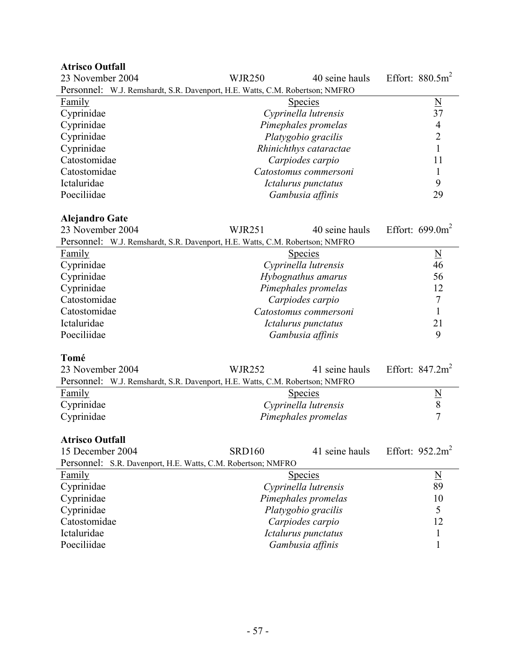| <b>Atrisco Outfall</b>                                                       |                      |                        |                          |
|------------------------------------------------------------------------------|----------------------|------------------------|--------------------------|
| 23 November 2004                                                             | <b>WJR250</b>        | 40 seine hauls         | Effort: $880.5m^2$       |
| Personnel: W.J. Remshardt, S.R. Davenport, H.E. Watts, C.M. Robertson; NMFRO |                      |                        |                          |
| Family                                                                       |                      | <b>Species</b>         | $\underline{\mathrm{N}}$ |
| Cyprinidae                                                                   |                      | Cyprinella lutrensis   | 37                       |
| Cyprinidae                                                                   |                      | Pimephales promelas    | $\overline{4}$           |
| Cyprinidae                                                                   |                      | Platygobio gracilis    | $\overline{c}$           |
| Cyprinidae                                                                   |                      | Rhinichthys cataractae | $\mathbf{1}$             |
| Catostomidae                                                                 |                      | Carpiodes carpio       | 11                       |
| Catostomidae                                                                 |                      | Catostomus commersoni  | 1                        |
| Ictaluridae                                                                  |                      | Ictalurus punctatus    | 9                        |
| Poeciliidae                                                                  |                      | Gambusia affinis       | 29                       |
|                                                                              |                      |                        |                          |
| <b>Alejandro Gate</b>                                                        |                      |                        |                          |
| 23 November 2004                                                             | <b>WJR251</b>        | 40 seine hauls         | Effort: $699.0m^2$       |
| Personnel: W.J. Remshardt, S.R. Davenport, H.E. Watts, C.M. Robertson; NMFRO |                      |                        |                          |
| Family                                                                       | <b>Species</b>       |                        | $\underline{\rm N}$      |
| Cyprinidae                                                                   |                      | Cyprinella lutrensis   | 46                       |
| Cyprinidae                                                                   |                      | Hybognathus amarus     | 56                       |
| Cyprinidae                                                                   | Pimephales promelas  |                        | 12                       |
| Catostomidae                                                                 |                      | Carpiodes carpio       | $\overline{7}$           |
| Catostomidae                                                                 |                      | Catostomus commersoni  | $\mathbf{1}$             |
| Ictaluridae                                                                  |                      | Ictalurus punctatus    | 21                       |
| Poeciliidae                                                                  |                      | Gambusia affinis       | 9                        |
|                                                                              |                      |                        |                          |
| Tomé                                                                         |                      |                        |                          |
| 23 November 2004                                                             | <b>WJR252</b>        | 41 seine hauls         | Effort: $847.2m2$        |
| Personnel: W.J. Remshardt, S.R. Davenport, H.E. Watts, C.M. Robertson; NMFRO |                      |                        |                          |
| <b>Family</b>                                                                |                      | <b>Species</b>         |                          |
| Cyprinidae                                                                   | Cyprinella lutrensis |                        | $\frac{N}{8}$            |
| Cyprinidae                                                                   |                      | Pimephales promelas    |                          |
|                                                                              |                      |                        |                          |
| <b>Atrisco Outfall</b>                                                       |                      |                        |                          |
| 15 December 2004                                                             | <b>SRD160</b>        | 41 seine hauls         | Effort: $952.2m^2$       |
| Personnel: S.R. Davenport, H.E. Watts, C.M. Robertson; NMFRO                 |                      |                        |                          |
| Family                                                                       |                      | Species                | $\underline{N}$          |

| r amily      | <b>Species</b>       | 1N |
|--------------|----------------------|----|
| Cyprinidae   | Cyprinella lutrensis | 89 |
| Cyprinidae   | Pimephales promelas  | 10 |
| Cyprinidae   | Platygobio gracilis  |    |
| Catostomidae | Carpiodes carpio     | 12 |
| Ictaluridae  | Ictalurus punctatus  |    |
| Poeciliidae  | Gambusia affinis     |    |
|              |                      |    |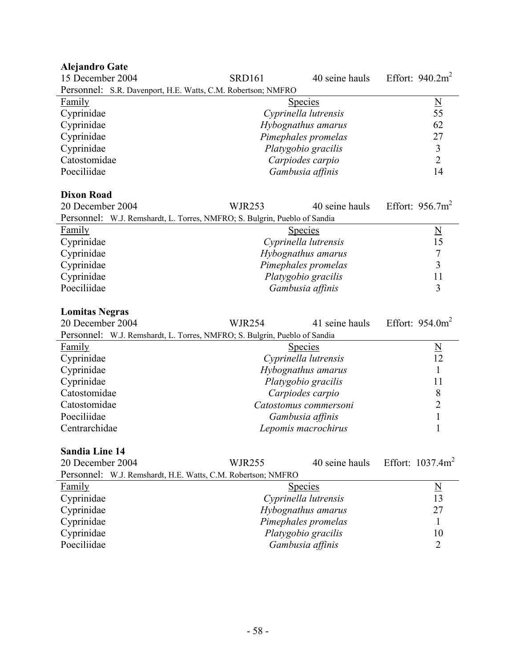# **Alejandro Gate**

| 15 December 2004                                                          | <b>SRD161</b> | 40 seine hauls                          | Effort: $940.2m2$       |
|---------------------------------------------------------------------------|---------------|-----------------------------------------|-------------------------|
| Personnel: S.R. Davenport, H.E. Watts, C.M. Robertson; NMFRO              |               |                                         |                         |
| <b>Family</b>                                                             |               | <b>Species</b>                          | $\overline{\mathbf{N}}$ |
| Cyprinidae                                                                |               | Cyprinella lutrensis                    | 55                      |
| Cyprinidae                                                                |               | Hybognathus amarus                      | 62                      |
| Cyprinidae                                                                |               | Pimephales promelas                     | 27                      |
| Cyprinidae                                                                |               | Platygobio gracilis                     | 3                       |
| Catostomidae                                                              |               | Carpiodes carpio                        | $\overline{2}$          |
| Poeciliidae                                                               |               | Gambusia affinis                        | 14                      |
|                                                                           |               |                                         |                         |
| <b>Dixon Road</b>                                                         |               |                                         |                         |
| 20 December 2004                                                          | <b>WJR253</b> | 40 seine hauls                          | Effort: $956.7m^2$      |
| Personnel: W.J. Remshardt, L. Torres, NMFRO; S. Bulgrin, Pueblo of Sandia |               |                                         |                         |
| Family                                                                    |               | <b>Species</b>                          | $\overline{\mathsf{N}}$ |
| Cyprinidae                                                                |               | Cyprinella lutrensis                    | 15                      |
| Cyprinidae                                                                |               | Hybognathus amarus                      | $\sqrt{ }$              |
| Cyprinidae                                                                |               | Pimephales promelas                     | $\overline{3}$          |
| Cyprinidae                                                                |               | Platygobio gracilis                     | 11                      |
| Poeciliidae                                                               |               | Gambusia affinis                        | 3                       |
|                                                                           |               |                                         |                         |
|                                                                           |               |                                         |                         |
| <b>Lomitas Negras</b>                                                     |               |                                         |                         |
| 20 December 2004                                                          | <b>WJR254</b> | 41 seine hauls                          | Effort: $954.0m^2$      |
| Personnel: W.J. Remshardt, L. Torres, NMFRO; S. Bulgrin, Pueblo of Sandia |               |                                         |                         |
| <b>Family</b>                                                             |               | <b>Species</b>                          |                         |
| Cyprinidae                                                                |               | Cyprinella lutrensis                    | $\frac{N}{12}$          |
| Cyprinidae                                                                |               | Hybognathus amarus                      | 1                       |
| Cyprinidae                                                                |               | Platygobio gracilis                     | 11                      |
| Catostomidae                                                              |               | Carpiodes carpio                        | 8                       |
| Catostomidae                                                              |               | Catostomus commersoni                   | $\overline{2}$          |
| Poeciliidae                                                               |               | Gambusia affinis                        | $\mathbf{1}$            |
| Centrarchidae                                                             |               | Lepomis macrochirus                     | $\mathbf{1}$            |
|                                                                           |               |                                         |                         |
| <b>Sandia Line 14</b>                                                     |               |                                         |                         |
| 20 December 2004                                                          | <b>WJR255</b> | 40 seine hauls                          | Effort: $1037.4m^2$     |
| Personnel: W.J. Remshardt, H.E. Watts, C.M. Robertson; NMFRO              |               |                                         |                         |
| Family                                                                    |               | Species                                 | $\underline{\rm N}$     |
| Cyprinidae                                                                |               | Cyprinella lutrensis                    | 13                      |
| Cyprinidae                                                                |               | Hybognathus amarus                      | 27                      |
| Cyprinidae                                                                |               | Pimephales promelas                     | 1                       |
| Cyprinidae<br>Poeciliidae                                                 |               | Platygobio gracilis<br>Gambusia affinis | 10<br>2                 |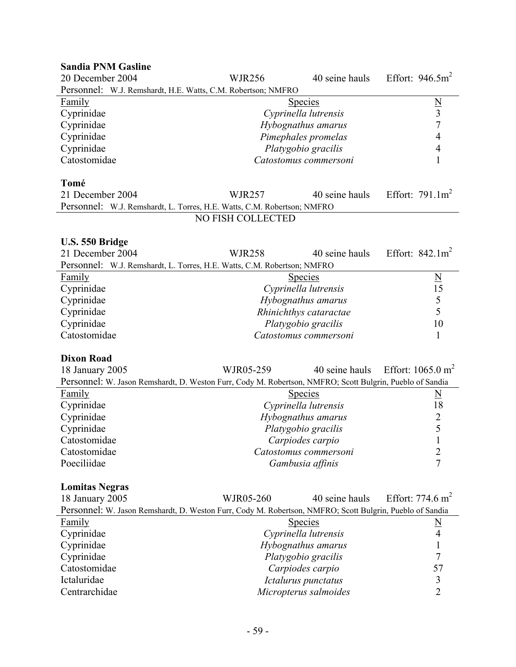| <b>Sandia PNM Gasline</b>                                                                                |                   |                        |                              |
|----------------------------------------------------------------------------------------------------------|-------------------|------------------------|------------------------------|
| 20 December 2004                                                                                         | <b>WJR256</b>     | 40 seine hauls         | Effort: $946.5m2$            |
| Personnel: W.J. Remshardt, H.E. Watts, C.M. Robertson; NMFRO                                             |                   |                        |                              |
| Family                                                                                                   |                   | Species                |                              |
| Cyprinidae                                                                                               |                   | Cyprinella lutrensis   | $\frac{N}{3}$                |
| Cyprinidae                                                                                               |                   | Hybognathus amarus     |                              |
| Cyprinidae                                                                                               |                   | Pimephales promelas    | $\overline{4}$               |
| Cyprinidae                                                                                               |                   | Platygobio gracilis    | $\overline{4}$               |
| Catostomidae                                                                                             |                   | Catostomus commersoni  | 1                            |
|                                                                                                          |                   |                        |                              |
| Tomé                                                                                                     |                   |                        |                              |
| 21 December 2004                                                                                         | <b>WJR257</b>     | 40 seine hauls         | Effort: $791.1m2$            |
| Personnel: W.J. Remshardt, L. Torres, H.E. Watts, C.M. Robertson; NMFRO                                  |                   |                        |                              |
|                                                                                                          | NO FISH COLLECTED |                        |                              |
|                                                                                                          |                   |                        |                              |
| U.S. 550 Bridge<br>21 December 2004                                                                      |                   |                        | Effort: $842.1m2$            |
|                                                                                                          | <b>WJR258</b>     | 40 seine hauls         |                              |
| Personnel: W.J. Remshardt, L. Torres, H.E. Watts, C.M. Robertson; NMFRO                                  |                   |                        |                              |
| <b>Family</b>                                                                                            |                   | <b>Species</b>         | $\underline{N}$              |
| Cyprinidae                                                                                               |                   | Cyprinella lutrensis   | 15                           |
| Cyprinidae                                                                                               |                   | Hybognathus amarus     | $rac{5}{5}$                  |
| Cyprinidae                                                                                               |                   | Rhinichthys cataractae |                              |
| Cyprinidae                                                                                               |                   | Platygobio gracilis    | 10                           |
| Catostomidae                                                                                             |                   | Catostomus commersoni  | 1                            |
| <b>Dixon Road</b>                                                                                        |                   |                        |                              |
|                                                                                                          | WJR05-259         | 40 seine hauls         | Effort: $1065.0 \text{ m}^2$ |
| 18 January 2005                                                                                          |                   |                        |                              |
| Personnel: W. Jason Remshardt, D. Weston Furr, Cody M. Robertson, NMFRO; Scott Bulgrin, Pueblo of Sandia |                   |                        |                              |
| Family                                                                                                   |                   | <b>Species</b>         | $\underline{\underline{N}}$  |
| Cyprinidae                                                                                               |                   | Cyprinella lutrensis   | 18                           |
| Cyprinidae                                                                                               |                   | Hybognathus amarus     | $rac{2}{5}$                  |
| Cyprinidae                                                                                               |                   | Platygobio gracilis    |                              |
| Catostomidae                                                                                             |                   | Carpiodes carpio       | $\mathbf{1}$                 |
| Catostomidae                                                                                             |                   | Catostomus commersoni  | $\overline{2}$               |
| Poeciliidae                                                                                              |                   | Gambusia affinis       | $\overline{7}$               |
| <b>Lomitas Negras</b>                                                                                    |                   |                        |                              |
| 18 January 2005                                                                                          | WJR05-260         | 40 seine hauls         | Effort: $774.6 \text{ m}^2$  |
|                                                                                                          |                   |                        |                              |
| Personnel: W. Jason Remshardt, D. Weston Furr, Cody M. Robertson, NMFRO; Scott Bulgrin, Pueblo of Sandia |                   |                        |                              |
| <b>Family</b>                                                                                            |                   | <b>Species</b>         | $\frac{N}{\cdot}$            |
| Cyprinidae                                                                                               |                   | Cyprinella lutrensis   | $\overline{4}$               |
| Cyprinidae                                                                                               |                   | Hybognathus amarus     |                              |
| Cyprinidae                                                                                               |                   | Platygobio gracilis    | 7                            |
| Catostomidae                                                                                             |                   | Carpiodes carpio       | 57                           |
| Ictaluridae                                                                                              |                   | Ictalurus punctatus    | 3                            |
| Centrarchidae                                                                                            |                   | Micropterus salmoides  | $\overline{2}$               |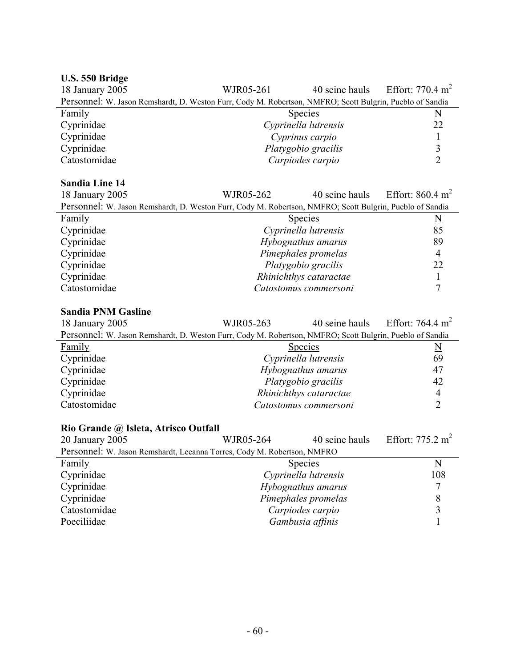# **U.S. 550 Bridge**

| 18 January 2005                                                                                          | WJR05-261            | 40 seine hauls      | Effort: 770.4 $m^2$ |
|----------------------------------------------------------------------------------------------------------|----------------------|---------------------|---------------------|
| Personnel: W. Jason Remshardt, D. Weston Furr, Cody M. Robertson, NMFRO; Scott Bulgrin, Pueblo of Sandia |                      |                     |                     |
| Family                                                                                                   |                      | <b>Species</b>      | N                   |
| Cyprinidae                                                                                               | Cyprinella lutrensis |                     | 22                  |
| Cyprinidae                                                                                               |                      | Cyprinus carpio     |                     |
| Cyprinidae                                                                                               |                      | Platygobio gracilis |                     |
| Catostomidae                                                                                             |                      | Carpiodes carpio    |                     |

#### **Sandia Line 14**

| 18 January 2005                                                                                          | WJR05-262              | 40 seine hauls Effort: $860.4 \text{ m}^2$ |
|----------------------------------------------------------------------------------------------------------|------------------------|--------------------------------------------|
| Personnel: W. Jason Remshardt, D. Weston Furr, Cody M. Robertson, NMFRO; Scott Bulgrin, Pueblo of Sandia |                        |                                            |
| Family                                                                                                   | <b>Species</b>         | $\overline{\mathbf{N}}$                    |
| Cyprinidae                                                                                               | Cyprinella lutrensis   | 85                                         |
| Cyprinidae                                                                                               | Hybognathus amarus     | 89                                         |
| Cyprinidae                                                                                               | Pimephales promelas    | $\overline{4}$                             |
| Cyprinidae                                                                                               | Platygobio gracilis    | 22                                         |
| Cyprinidae                                                                                               | Rhinichthys cataractae |                                            |
| Catostomidae                                                                                             | Catostomus commersoni  |                                            |

#### **Sandia PNM Gasline**

| 18 January 2005                                                                                          | WJR05-263            |                        | 40 seine hauls Effort: 764.4 m <sup>2</sup> |
|----------------------------------------------------------------------------------------------------------|----------------------|------------------------|---------------------------------------------|
| Personnel: W. Jason Remshardt, D. Weston Furr, Cody M. Robertson, NMFRO; Scott Bulgrin, Pueblo of Sandia |                      |                        |                                             |
| Family                                                                                                   |                      | <b>Species</b>         | $\underline{N}$                             |
| Cyprinidae                                                                                               | Cyprinella lutrensis |                        | 69                                          |
| Cyprinidae                                                                                               | Hybognathus amarus   |                        | 47                                          |
| Cyprinidae                                                                                               |                      | Platygobio gracilis    | 42                                          |
| Cyprinidae                                                                                               |                      | Rhinichthys cataractae | 4                                           |
| Catostomidae                                                                                             |                      | Catostomus commersoni  |                                             |

#### **Rio Grande @ Isleta, Atrisco Outfall**

| 20 January 2005                                                         | WJR05-264 | 40 seine hauls       | Effort: $775.2 \text{ m}^2$ |
|-------------------------------------------------------------------------|-----------|----------------------|-----------------------------|
| Personnel: W. Jason Remshardt, Leeanna Torres, Cody M. Robertson, NMFRO |           |                      |                             |
| <b>Family</b>                                                           |           | <b>Species</b>       | N                           |
| Cyprinidae                                                              |           | Cyprinella lutrensis | 108                         |
| Cyprinidae                                                              |           | Hybognathus amarus   |                             |
| Cyprinidae                                                              |           | Pimephales promelas  |                             |
| Catostomidae                                                            |           | Carpiodes carpio     |                             |
| Poeciliidae                                                             |           | Gambusia affinis     |                             |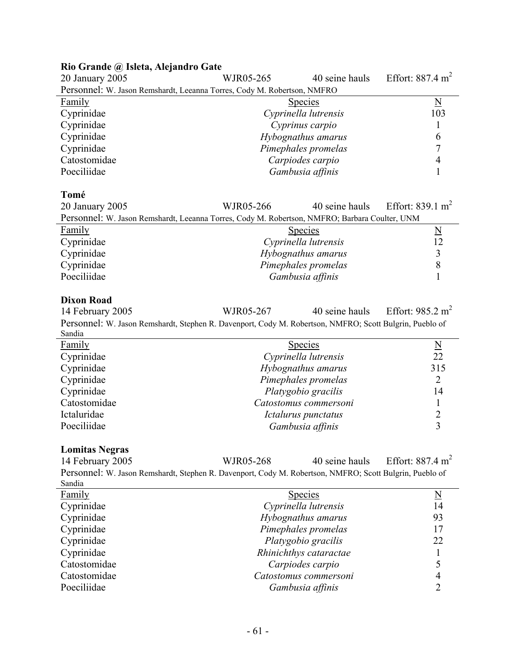#### **Rio Grande @ Isleta, Alejandro Gate**

| 20 January 2005                                                         | WJR05-265 | 40 seine hauls       | Effort: $887.4 \text{ m}^2$ |
|-------------------------------------------------------------------------|-----------|----------------------|-----------------------------|
| Personnel: W. Jason Remshardt, Leeanna Torres, Cody M. Robertson, NMFRO |           |                      |                             |
| <b>Family</b>                                                           |           | <b>Species</b>       | N                           |
| Cyprinidae                                                              |           | Cyprinella lutrensis | 103                         |
| Cyprinidae                                                              |           | Cyprinus carpio      |                             |
| Cyprinidae                                                              |           | Hybognathus amarus   | 6                           |
| Cyprinidae                                                              |           | Pimephales promelas  |                             |
| Catostomidae                                                            |           | Carpiodes carpio     |                             |
| Poeciliidae                                                             |           | Gambusia affinis     |                             |

#### **Tomé**

| 20 January 2005                                                                               | WJR05-266            |                  | 40 seine hauls Effort: 839.1 m <sup>2</sup> |
|-----------------------------------------------------------------------------------------------|----------------------|------------------|---------------------------------------------|
| Personnel: W. Jason Remshardt, Leeanna Torres, Cody M. Robertson, NMFRO; Barbara Coulter, UNM |                      |                  |                                             |
| Family                                                                                        |                      | <b>Species</b>   | N                                           |
| Cyprinidae                                                                                    | Cyprinella lutrensis |                  | 12                                          |
| Cyprinidae                                                                                    | Hybognathus amarus   |                  |                                             |
| Cyprinidae                                                                                    | Pimephales promelas  |                  |                                             |
| Poeciliidae                                                                                   |                      | Gambusia affinis |                                             |

#### **Dixon Road**

14 February 2005 WJR05-267 40 seine hauls Effort: 985.2 m<sup>2</sup> Personnel: W. Jason Remshardt, Stephen R. Davenport, Cody M. Robertson, NMFRO; Scott Bulgrin, Pueblo of Sandia

| Family       | <b>Species</b>        | $\overline{\mathbf{N}}$ |
|--------------|-----------------------|-------------------------|
| Cyprinidae   | Cyprinella lutrensis  | 22                      |
| Cyprinidae   | Hybognathus amarus    | 315                     |
| Cyprinidae   | Pimephales promelas   |                         |
| Cyprinidae   | Platygobio gracilis   | 14                      |
| Catostomidae | Catostomus commersoni |                         |
| Ictaluridae  | Ictalurus punctatus   |                         |
| Poeciliidae  | Gambusia affinis      |                         |

#### **Lomitas Negras**

14 February 2005 WJR05-268 40 seine hauls Effort: 887.4 m<sup>2</sup> Personnel: W. Jason Remshardt, Stephen R. Davenport, Cody M. Robertson, NMFRO; Scott Bulgrin, Pueblo of Sandia Family Species Number of Species Species Number of Species Number of Species Number of Number of Number of Number of Number of Number of Number of Number of Number of Number of Number of Number of Number of Number of Numbe Cyprinidae *Cyprinella lutrensis* 14 Cyprinidae *Hybognathus amarus* 93 Cyprinidae *Pimephales promelas* 17 Cyprinidae *Platygobio gracilis* 22 Cyprinidae *Rhinichthys cataractae* 1 Catostomidae *Carpiodes carpio* 5 Catostomidae *Catostomus commersoni* 4 Poeciliidae *Gambusia affinis* 2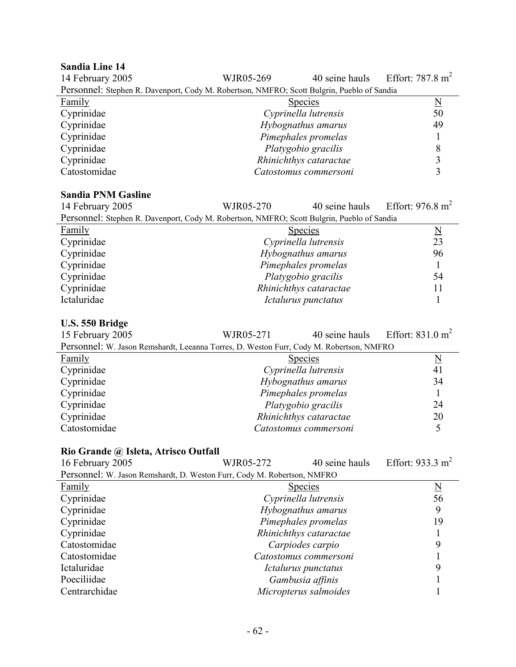#### **Sandia Line 14**

| рација Енис 17                                                                             |                        |                |                             |
|--------------------------------------------------------------------------------------------|------------------------|----------------|-----------------------------|
| 14 February 2005                                                                           | WJR05-269              | 40 seine hauls | Effort: $787.8 \text{ m}^2$ |
| Personnel: Stephen R. Davenport, Cody M. Robertson, NMFRO; Scott Bulgrin, Pueblo of Sandia |                        |                |                             |
| Family                                                                                     | <b>Species</b>         |                | <u>N</u>                    |
| Cyprinidae                                                                                 | Cyprinella lutrensis   |                | 50                          |
| Cyprinidae                                                                                 | Hybognathus amarus     |                | 49                          |
| Cyprinidae                                                                                 | Pimephales promelas    |                |                             |
| Cyprinidae                                                                                 | Platygobio gracilis    |                | 8                           |
| Cyprinidae                                                                                 | Rhinichthys cataractae |                | 3                           |
| Catostomidae                                                                               | Catostomus commersoni  |                | $\mathbf{\mathbf{a}}$       |

#### **Sandia PNM Gasline**

| 14 February 2005                                                                           | WJR05-270              | 40 seine hauls | Effort: $976.8 \text{ m}^2$ |
|--------------------------------------------------------------------------------------------|------------------------|----------------|-----------------------------|
| Personnel: Stephen R. Davenport, Cody M. Robertson, NMFRO; Scott Bulgrin, Pueblo of Sandia |                        |                |                             |
| Family                                                                                     | <b>Species</b>         |                | $\underline{\underline{N}}$ |
| Cyprinidae                                                                                 | Cyprinella lutrensis   |                | 23                          |
| Cyprinidae                                                                                 | Hybognathus amarus     |                | 96                          |
| Cyprinidae                                                                                 | Pimephales promelas    |                |                             |
| Cyprinidae                                                                                 | Platygobio gracilis    |                | 54                          |
| Cyprinidae                                                                                 | Rhinichthys cataractae |                | 11                          |
| Ictaluridae                                                                                | Ictalurus punctatus    |                |                             |

#### **U.S. 550 Bridge**

| 15 February 2005                                                                        | WJR05-271 |                        | 40 seine hauls Effort: $831.0 \text{ m}^2$ |
|-----------------------------------------------------------------------------------------|-----------|------------------------|--------------------------------------------|
| Personnel: W. Jason Remshardt, Leeanna Torres, D. Weston Furr, Cody M. Robertson, NMFRO |           |                        |                                            |
| Family                                                                                  |           | <b>Species</b>         | $\underline{\mathrm{N}}$                   |
| Cyprinidae                                                                              |           | Cyprinella lutrensis   | 41                                         |
| Cyprinidae                                                                              |           | Hybognathus amarus     | 34                                         |
| Cyprinidae                                                                              |           | Pimephales promelas    |                                            |
| Cyprinidae                                                                              |           | Platygobio gracilis    | 24                                         |
| Cyprinidae                                                                              |           | Rhinichthys cataractae | 20                                         |
| Catostomidae                                                                            |           | Catostomus commersoni  |                                            |

| Rio Grande @ Isleta, Atrisco Outfall                                    |           |                        |                             |
|-------------------------------------------------------------------------|-----------|------------------------|-----------------------------|
| 16 February 2005                                                        | WJR05-272 | 40 seine hauls         | Effort: $933.3 \text{ m}^2$ |
| Personnel: W. Jason Remshardt, D. Weston Furr, Cody M. Robertson, NMFRO |           |                        |                             |
| Family                                                                  |           | <b>Species</b>         | $\underline{\rm N}$         |
| Cyprinidae                                                              |           | Cyprinella lutrensis   | 56                          |
| Cyprinidae                                                              |           | Hybognathus amarus     | 9                           |
| Cyprinidae                                                              |           | Pimephales promelas    | 19                          |
| Cyprinidae                                                              |           | Rhinichthys cataractae |                             |
| Catostomidae                                                            |           | Carpiodes carpio       | 9                           |
| Catostomidae                                                            |           | Catostomus commersoni  |                             |
| Ictaluridae                                                             |           | Ictalurus punctatus    | 9                           |
| Poeciliidae                                                             |           | Gambusia affinis       |                             |
| Centrarchidae                                                           |           | Micropterus salmoides  |                             |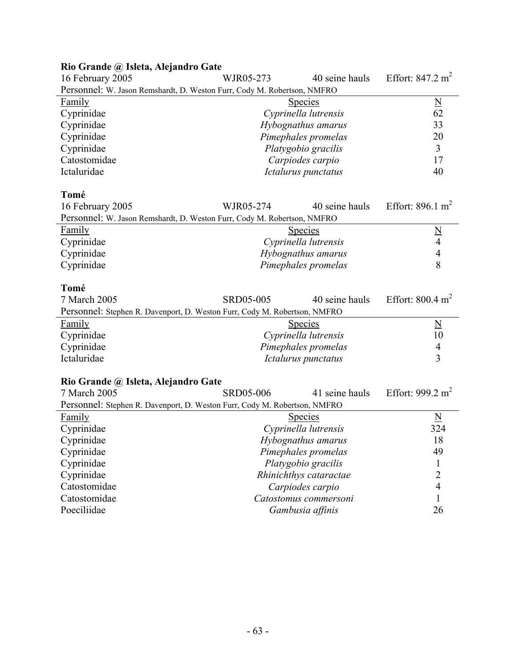# **Rio Grande @ Isleta, Alejandro Gate**

| 16 February 2005                                                        | WJR05-273 | 40 seine hauls       | Effort: $847.2 \text{ m}^2$ |
|-------------------------------------------------------------------------|-----------|----------------------|-----------------------------|
| Personnel: W. Jason Remshardt, D. Weston Furr, Cody M. Robertson, NMFRO |           |                      |                             |
| <b>Family</b>                                                           |           | <b>Species</b>       | $\underline{\rm N}$         |
| Cyprinidae                                                              |           | Cyprinella lutrensis | 62                          |
| Cyprinidae                                                              |           | Hybognathus amarus   | 33                          |
| Cyprinidae                                                              |           | Pimephales promelas  | 20                          |
| Cyprinidae                                                              |           | Platygobio gracilis  | 3                           |
| Catostomidae                                                            |           | Carpiodes carpio     | 17                          |
| Ictaluridae                                                             |           | Ictalurus punctatus  | 40                          |
| Tomé                                                                    |           |                      |                             |

| 16 February 2005                                                        | WJR05-274 | 40 seine hauls       | Effort: 896.1 m <sup>2</sup> |
|-------------------------------------------------------------------------|-----------|----------------------|------------------------------|
| Personnel: W. Jason Remshardt, D. Weston Furr, Cody M. Robertson, NMFRO |           |                      |                              |
| Family                                                                  |           | <b>Species</b>       | $\mathbb N$                  |
| Cyprinidae                                                              |           | Cyprinella lutrensis |                              |
| Cyprinidae                                                              |           | Hybognathus amarus   |                              |
| Cyprinidae                                                              |           | Pimephales promelas  |                              |

#### **Tomé**

 $\overline{a}$ 

| 7 March 2005                                                              | SRD05-005 | 40 seine hauls       | Effort: $800.4 \text{ m}^2$ |
|---------------------------------------------------------------------------|-----------|----------------------|-----------------------------|
| Personnel: Stephen R. Davenport, D. Weston Furr, Cody M. Robertson, NMFRO |           |                      |                             |
| <b>Family</b>                                                             |           | <b>Species</b>       | N                           |
| Cyprinidae                                                                |           | Cyprinella lutrensis | 10                          |
| Cyprinidae                                                                |           | Pimephales promelas  | 4                           |
| Ictaluridae                                                               |           | Ictalurus punctatus  |                             |

# **Rio Grande @ Isleta, Alejandro Gate**

| 7 March 2005                                                              | SRD05-006 | 41 seine hauls         | Effort: 999.2 m <sup>2</sup> |
|---------------------------------------------------------------------------|-----------|------------------------|------------------------------|
| Personnel: Stephen R. Davenport, D. Weston Furr, Cody M. Robertson, NMFRO |           |                        |                              |
| <b>Family</b>                                                             |           | <b>Species</b>         | $\underline{\mathbf{N}}$     |
| Cyprinidae                                                                |           | Cyprinella lutrensis   | 324                          |
| Cyprinidae                                                                |           | Hybognathus amarus     | 18                           |
| Cyprinidae                                                                |           | Pimephales promelas    | 49                           |
| Cyprinidae                                                                |           | Platygobio gracilis    |                              |
| Cyprinidae                                                                |           | Rhinichthys cataractae |                              |
| Catostomidae                                                              |           | Carpiodes carpio       | 4                            |
| Catostomidae                                                              |           | Catostomus commersoni  |                              |
| Poeciliidae                                                               |           | Gambusia affinis       | 26                           |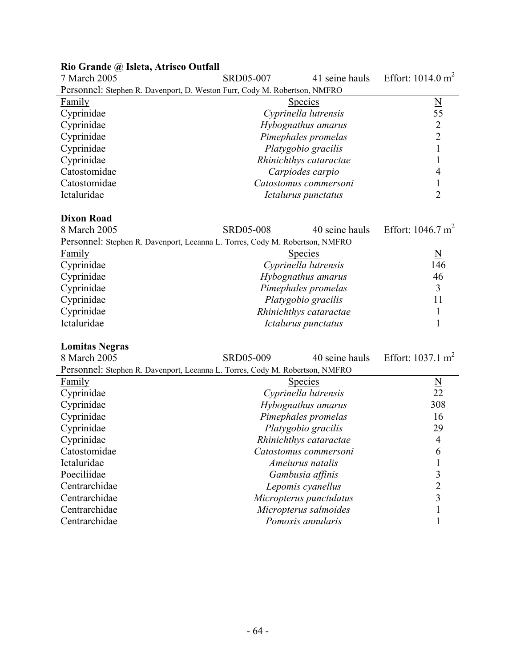| 7 March 2005                                                              | SRD05-007 | 41 seine hauls         | Effort: $1014.0 \text{ m}^2$ |
|---------------------------------------------------------------------------|-----------|------------------------|------------------------------|
| Personnel: Stephen R. Davenport, D. Weston Furr, Cody M. Robertson, NMFRO |           |                        |                              |
| Family                                                                    |           | <b>Species</b>         |                              |
| Cyprinidae                                                                |           | Cyprinella lutrensis   | 55                           |
| Cyprinidae                                                                |           | Hybognathus amarus     |                              |
| Cyprinidae                                                                |           | Pimephales promelas    |                              |
| Cyprinidae                                                                |           | Platygobio gracilis    |                              |
| Cyprinidae                                                                |           | Rhinichthys cataractae |                              |
| Catostomidae                                                              |           | Carpiodes carpio       |                              |
| Catostomidae                                                              |           | Catostomus commersoni  |                              |
| Ictaluridae                                                               |           | Ictalurus punctatus    |                              |

#### **Rio Grande @ Isleta, Atrisco Outfall**

# **Dixon Road**

 $SRD05-008$  40 seine hauls Effort: 1046.7 m<sup>2</sup>

| www.com                          | TU SUIILU IIUUIS | <b>LIULE IVTU.</b> |
|----------------------------------|------------------|--------------------|
| Torres, Cody M. Robertson, NMFRO |                  |                    |

| Personnel: Stephen R. Davenport, Leeanna L. Torres, Cody M. Robertson, NMFRO |                        |     |
|------------------------------------------------------------------------------|------------------------|-----|
| <b>Family</b>                                                                | <b>Species</b>         | N   |
| Cyprinidae                                                                   | Cyprinella lutrensis   | 146 |
| Cyprinidae                                                                   | Hybognathus amarus     | 46  |
| Cyprinidae                                                                   | Pimephales promelas    |     |
| Cyprinidae                                                                   | Platygobio gracilis    | 11  |
| Cyprinidae                                                                   | Rhinichthys cataractae |     |
| Ictaluridae                                                                  | Ictalurus punctatus    |     |

#### **Lomitas Negras**

| 8 March 2005                                                                 | SRD05-009 | 40 seine hauls          | Effort: $1037.1 \text{ m}^2$ |
|------------------------------------------------------------------------------|-----------|-------------------------|------------------------------|
| Personnel: Stephen R. Davenport, Leeanna L. Torres, Cody M. Robertson, NMFRO |           |                         |                              |
| Family                                                                       |           | <b>Species</b>          | $\overline{\mathbf{N}}$      |
| Cyprinidae                                                                   |           | Cyprinella lutrensis    | 22                           |
| Cyprinidae                                                                   |           | Hybognathus amarus      | 308                          |
| Cyprinidae                                                                   |           | Pimephales promelas     | 16                           |
| Cyprinidae                                                                   |           | Platygobio gracilis     | 29                           |
| Cyprinidae                                                                   |           | Rhinichthys cataractae  | 4                            |
| Catostomidae                                                                 |           | Catostomus commersoni   | 6                            |
| Ictaluridae                                                                  |           | <i>Ameiurus natalis</i> |                              |
| Poeciliidae                                                                  |           | Gambusia affinis        | 3                            |
| Centrarchidae                                                                |           | Lepomis cyanellus       | 2                            |
| Centrarchidae                                                                |           | Micropterus punctulatus | 3                            |
| Centrarchidae                                                                |           | Micropterus salmoides   |                              |
| Centrarchidae                                                                |           | Pomoxis annularis       |                              |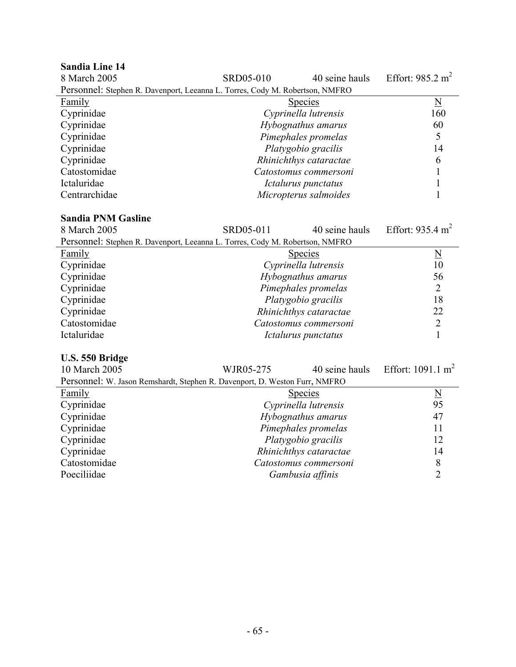| <b>Sandia Line 14</b><br>8 March 2005                                        | SRD05-010              | 40 seine hauls | Effort: $985.2 \text{ m}^2$ |
|------------------------------------------------------------------------------|------------------------|----------------|-----------------------------|
|                                                                              |                        |                |                             |
| Personnel: Stephen R. Davenport, Leeanna L. Torres, Cody M. Robertson, NMFRO |                        |                |                             |
| Family                                                                       | <b>Species</b>         |                | N                           |
| Cyprinidae                                                                   | Cyprinella lutrensis   |                | 160                         |
| Cyprinidae                                                                   | Hybognathus amarus     |                | 60                          |
| Cyprinidae                                                                   | Pimephales promelas    |                |                             |
| Cyprinidae                                                                   | Platygobio gracilis    |                | 14                          |
| Cyprinidae                                                                   | Rhinichthys cataractae |                | 6                           |
| Catostomidae                                                                 | Catostomus commersoni  |                |                             |
| Ictaluridae                                                                  | Ictalurus punctatus    |                |                             |
| Centrarchidae                                                                | Micropterus salmoides  |                |                             |

#### **Sandia PNM Gasline**

| 8 March 2005                                                                 | SRD05-011              | 40 seine hauls | Effort: 935.4 $m2$ |
|------------------------------------------------------------------------------|------------------------|----------------|--------------------|
| Personnel: Stephen R. Davenport, Leeanna L. Torres, Cody M. Robertson, NMFRO |                        |                |                    |
| Family                                                                       | <b>Species</b>         |                | N                  |
| Cyprinidae                                                                   | Cyprinella lutrensis   |                | 10                 |
| Cyprinidae                                                                   | Hybognathus amarus     |                | 56                 |
| Cyprinidae                                                                   | Pimephales promelas    |                | 2                  |
| Cyprinidae                                                                   | Platygobio gracilis    |                | 18                 |
| Cyprinidae                                                                   | Rhinichthys cataractae |                | 22                 |
| Catostomidae                                                                 | Catostomus commersoni  |                | 2                  |
| Ictaluridae                                                                  | Ictalurus punctatus    |                |                    |

#### **U.S. 550 Bridge**

| 10 March 2005                                                              | WJR05-275 | 40 seine hauls         | Effort: $1091.1 \text{ m}^2$ |
|----------------------------------------------------------------------------|-----------|------------------------|------------------------------|
| Personnel: W. Jason Remshardt, Stephen R. Davenport, D. Weston Furr, NMFRO |           |                        |                              |
| <b>Family</b>                                                              |           | <b>Species</b>         | $\underline{\rm N}$          |
| Cyprinidae                                                                 |           | Cyprinella lutrensis   | 95                           |
| Cyprinidae                                                                 |           | Hybognathus amarus     | 47                           |
| Cyprinidae                                                                 |           | Pimephales promelas    | 11                           |
| Cyprinidae                                                                 |           | Platygobio gracilis    | 12                           |
| Cyprinidae                                                                 |           | Rhinichthys cataractae | 14                           |
| Catostomidae                                                               |           | Catostomus commersoni  | 8                            |
| Poeciliidae                                                                |           | Gambusia affinis       |                              |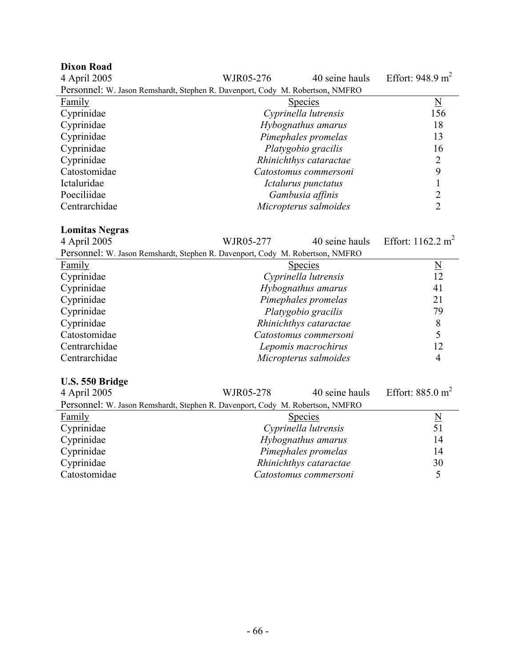| <b>Dixon Road</b>                                                             |                        |                          |                              |  |  |
|-------------------------------------------------------------------------------|------------------------|--------------------------|------------------------------|--|--|
| 4 April 2005                                                                  | WJR05-276              | 40 seine hauls           | Effort: $948.9 \text{ m}^2$  |  |  |
| Personnel: W. Jason Remshardt, Stephen R. Davenport, Cody M. Robertson, NMFRO |                        |                          |                              |  |  |
| <b>Family</b>                                                                 | <b>Species</b>         | $\underline{\mathbf{N}}$ |                              |  |  |
| Cyprinidae                                                                    | Cyprinella lutrensis   |                          | 156                          |  |  |
| Cyprinidae                                                                    | Hybognathus amarus     |                          | 18                           |  |  |
| Cyprinidae                                                                    | Pimephales promelas    |                          | 13                           |  |  |
| Cyprinidae                                                                    | Platygobio gracilis    |                          | 16                           |  |  |
| Cyprinidae                                                                    | Rhinichthys cataractae |                          | $\overline{2}$               |  |  |
| Catostomidae                                                                  | Catostomus commersoni  |                          | 9                            |  |  |
| Ictaluridae                                                                   | Ictalurus punctatus    |                          | $\mathbf{1}$                 |  |  |
| Poeciliidae                                                                   | Gambusia affinis       |                          |                              |  |  |
| Centrarchidae                                                                 | Micropterus salmoides  |                          | $\frac{2}{2}$                |  |  |
|                                                                               |                        |                          |                              |  |  |
| <b>Lomitas Negras</b>                                                         |                        |                          |                              |  |  |
| 4 April 2005                                                                  | WJR05-277              | 40 seine hauls           | Effort: $1162.2 \text{ m}^2$ |  |  |
| Personnel: W. Jason Remshardt, Stephen R. Davenport, Cody M. Robertson, NMFRO |                        |                          |                              |  |  |
| <b>Family</b>                                                                 | <b>Species</b>         |                          | $\overline{\mathsf{N}}$      |  |  |
| Cyprinidae                                                                    | Cyprinella lutrensis   |                          | 12                           |  |  |
| Cyprinidae                                                                    | Hybognathus amarus     |                          | 41                           |  |  |
| Cyprinidae                                                                    | Pimephales promelas    |                          | 21                           |  |  |
| Cyprinidae                                                                    | Platygobio gracilis    |                          | 79                           |  |  |
| Cyprinidae                                                                    | Rhinichthys cataractae |                          | 8                            |  |  |
| Catostomidae                                                                  | Catostomus commersoni  |                          | 5                            |  |  |
| Centrarchidae                                                                 | Lepomis macrochirus    |                          | 12                           |  |  |
| Centrarchidae                                                                 | Micropterus salmoides  |                          | 4                            |  |  |
|                                                                               |                        |                          |                              |  |  |
| U.S. 550 Bridge                                                               |                        |                          |                              |  |  |
| 4 April 2005                                                                  | WJR05-278              | 40 seine hauls           | Effort: $885.0 \text{ m}^2$  |  |  |
| Personnel: W. Jason Remshardt, Stephen R. Davenport, Cody M. Robertson, NMFRO |                        |                          |                              |  |  |
| <b>Family</b>                                                                 | <b>Species</b>         |                          | $rac{N}{51}$                 |  |  |
| Cyprinidae                                                                    | Cyprinella lutrensis   |                          |                              |  |  |
| Cyprinidae                                                                    | Hybognathus amarus     |                          | 14                           |  |  |
| Cyprinidae                                                                    | Pimephales promelas    |                          | 14                           |  |  |
| Cyprinidae                                                                    | Rhinichthys cataractae |                          | 30                           |  |  |
| Catostomidae                                                                  | Catostomus commersoni  |                          | 5                            |  |  |
|                                                                               |                        |                          |                              |  |  |
|                                                                               |                        |                          |                              |  |  |
|                                                                               |                        |                          |                              |  |  |
|                                                                               |                        |                          |                              |  |  |
|                                                                               |                        |                          |                              |  |  |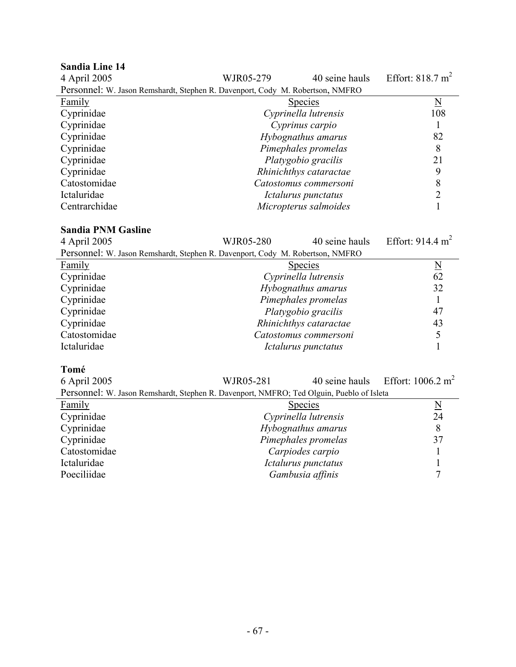| <b>Sandia Line 14</b>                                                                    |                        |                       |                              |  |  |
|------------------------------------------------------------------------------------------|------------------------|-----------------------|------------------------------|--|--|
| 4 April 2005                                                                             | WJR05-279              | 40 seine hauls        | Effort: $818.7 \text{ m}^2$  |  |  |
| Personnel: W. Jason Remshardt, Stephen R. Davenport, Cody M. Robertson, NMFRO            |                        |                       |                              |  |  |
| Family                                                                                   | <b>Species</b>         |                       | $\underline{\mathbf{N}}$     |  |  |
| Cyprinidae                                                                               | Cyprinella lutrensis   |                       | 108                          |  |  |
| Cyprinidae                                                                               | Cyprinus carpio        |                       | 1                            |  |  |
| Cyprinidae                                                                               | Hybognathus amarus     |                       | 82                           |  |  |
| Cyprinidae                                                                               | Pimephales promelas    |                       | 8                            |  |  |
| Cyprinidae                                                                               | Platygobio gracilis    |                       | 21                           |  |  |
| Cyprinidae                                                                               | Rhinichthys cataractae |                       | 9                            |  |  |
| Catostomidae                                                                             | Catostomus commersoni  |                       | 8                            |  |  |
| Ictaluridae                                                                              | Ictalurus punctatus    |                       | $\overline{2}$               |  |  |
| Centrarchidae                                                                            |                        | Micropterus salmoides |                              |  |  |
|                                                                                          |                        |                       |                              |  |  |
| <b>Sandia PNM Gasline</b>                                                                |                        |                       |                              |  |  |
| 4 April 2005                                                                             | WJR05-280              | 40 seine hauls        | Effort: $914.4 \text{ m}^2$  |  |  |
| Personnel: W. Jason Remshardt, Stephen R. Davenport, Cody M. Robertson, NMFRO            |                        |                       |                              |  |  |
| <b>Family</b>                                                                            | <u>Species</u>         |                       | $\frac{N}{62}$               |  |  |
| Cyprinidae                                                                               | Cyprinella lutrensis   |                       |                              |  |  |
| Cyprinidae                                                                               | Hybognathus amarus     |                       | 32                           |  |  |
| Cyprinidae                                                                               | Pimephales promelas    |                       | $\mathbf{1}$                 |  |  |
| Cyprinidae                                                                               | Platygobio gracilis    |                       | 47                           |  |  |
| Cyprinidae                                                                               | Rhinichthys cataractae |                       | 43                           |  |  |
| Catostomidae                                                                             | Catostomus commersoni  |                       | 5                            |  |  |
| Ictaluridae                                                                              | Ictalurus punctatus    |                       | $\mathbf{1}$                 |  |  |
|                                                                                          |                        |                       |                              |  |  |
| Tomé                                                                                     |                        |                       |                              |  |  |
| 6 April 2005                                                                             | WJR05-281              | 40 seine hauls        | Effort: $1006.2 \text{ m}^2$ |  |  |
| Personnel: W. Jason Remshardt, Stephen R. Davenport, NMFRO; Ted Olguin, Pueblo of Isleta |                        |                       |                              |  |  |
| Family                                                                                   | <b>Species</b>         |                       | $\frac{N}{24}$               |  |  |
| Cyprinidae                                                                               | Cyprinella lutrensis   |                       |                              |  |  |
| $C$ <i>vnrinidae</i>                                                                     | Hybograthus amarus     |                       | $\Omega$                     |  |  |

| Family       | <b>Species</b>       | $\mathbf{N}$ |
|--------------|----------------------|--------------|
| Cyprinidae   | Cyprinella lutrensis | 24           |
| Cyprinidae   | Hybognathus amarus   |              |
| Cyprinidae   | Pimephales promelas  | 37           |
| Catostomidae | Carpiodes carpio     |              |
| Ictaluridae  | Ictalurus punctatus  |              |
| Poeciliidae  | Gambusia affinis     |              |
|              |                      |              |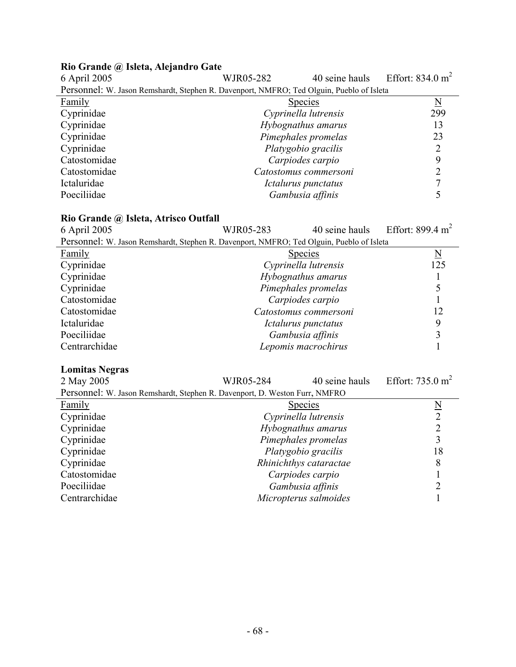| 6 April 2005                                                                             | WJR05-282            | 40 seine hauls        | Effort: $834.0 \text{ m}^2$ |  |
|------------------------------------------------------------------------------------------|----------------------|-----------------------|-----------------------------|--|
| Personnel: W. Jason Remshardt, Stephen R. Davenport, NMFRO; Ted Olguin, Pueblo of Isleta |                      |                       |                             |  |
| Family                                                                                   |                      | <b>Species</b>        | N                           |  |
| Cyprinidae                                                                               | Cyprinella lutrensis |                       | 299                         |  |
| Cyprinidae                                                                               | Hybognathus amarus   |                       | 13                          |  |
| Cyprinidae                                                                               | Pimephales promelas  |                       | 23                          |  |
| Cyprinidae                                                                               | Platygobio gracilis  |                       | 2                           |  |
| Catostomidae                                                                             |                      | Carpiodes carpio      | 9                           |  |
| Catostomidae                                                                             |                      | Catostomus commersoni |                             |  |
| Ictaluridae                                                                              | Ictalurus punctatus  |                       |                             |  |
| Poeciliidae                                                                              | Gambusia affinis     |                       |                             |  |

# **Rio Grande @ Isleta, Alejandro Gate**

### **Rio Grande @ Isleta, Atrisco Outfall**

| <u>And Orange</u> (w) isleed, the second origin                                          |                     |                       |                              |  |
|------------------------------------------------------------------------------------------|---------------------|-----------------------|------------------------------|--|
| 6 April 2005                                                                             | WJR05-283           | 40 seine hauls        | Effort: 899.4 m <sup>2</sup> |  |
| Personnel: W. Jason Remshardt, Stephen R. Davenport, NMFRO; Ted Olguin, Pueblo of Isleta |                     |                       |                              |  |
| Family                                                                                   |                     | <b>Species</b>        | $\underline{\rm N}$          |  |
| Cyprinidae                                                                               |                     | Cyprinella lutrensis  | 125                          |  |
| Cyprinidae                                                                               |                     | Hybognathus amarus    |                              |  |
| Cyprinidae                                                                               |                     | Pimephales promelas   |                              |  |
| Catostomidae                                                                             |                     | Carpiodes carpio      |                              |  |
| Catostomidae                                                                             |                     | Catostomus commersoni |                              |  |
| Ictaluridae                                                                              |                     | Ictalurus punctatus   |                              |  |
| Poeciliidae                                                                              |                     | Gambusia affinis      |                              |  |
| Centrarchidae                                                                            | Lepomis macrochirus |                       |                              |  |

# **Lomitas Negras**

| 2 May 2005                                                                 | WJR05-284              | 40 seine hauls | Effort: $735.0 \text{ m}^2$ |
|----------------------------------------------------------------------------|------------------------|----------------|-----------------------------|
| Personnel: W. Jason Remshardt, Stephen R. Davenport, D. Weston Furr, NMFRO |                        |                |                             |
| Family                                                                     | <b>Species</b>         |                | $\underline{\rm N}$         |
| Cyprinidae                                                                 | Cyprinella lutrensis   |                | $\overline{2}$              |
| Cyprinidae                                                                 | Hybognathus amarus     |                |                             |
| Cyprinidae                                                                 | Pimephales promelas    |                |                             |
| Cyprinidae                                                                 | Platygobio gracilis    |                | 18                          |
| Cyprinidae                                                                 | Rhinichthys cataractae |                | 8                           |
| Catostomidae                                                               | Carpiodes carpio       |                |                             |
| Poeciliidae                                                                | Gambusia affinis       |                |                             |
| Centrarchidae                                                              | Micropterus salmoides  |                |                             |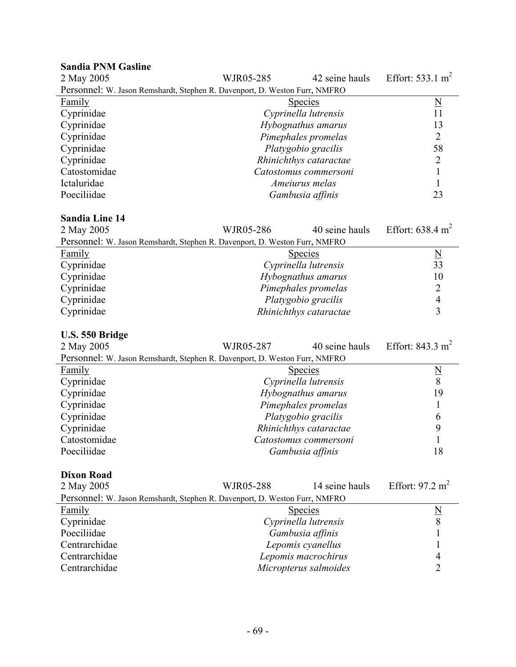#### **Sandia PNM Gasline**  WJR05-285 42 seine hauls Effort: 533.1 m<sup>2</sup> Personnel: W. Jason Remshardt, Stephen R. Davenport, D. Weston Furr, NMFRO Family Species Number of Species Species Number of Species Number of Species Number of Number of Number of Number of Number of Number of Number of Number of Number of Number of Number of Number of Number of Number of Numbe Cyprinidae *Cyprinella lutrensis* 11 Cyprinidae *Hybognathus amarus*<br>
Cyprinidae *Hybognathus amarus*<br> *Pimephales promelas* Pimephales promelas **2** Cyprinidae *Platygobio gracilis* 58 Cyprinidae *Rhinichthys cataractae* 2 Catostomidae *Catostomus commersoni* 1 *Ameiurus melas* 1 Poeciliidae *Gambusia affinis* 23

#### **Sandia Line 14**

| 2 May 2005                                                                 | WJR05-286 | 40 seine hauls         | Effort: $638.4 \text{ m}^2$ |
|----------------------------------------------------------------------------|-----------|------------------------|-----------------------------|
| Personnel: W. Jason Remshardt, Stephen R. Davenport, D. Weston Furr, NMFRO |           |                        |                             |
| Family                                                                     |           | <b>Species</b>         | N                           |
| Cyprinidae                                                                 |           | Cyprinella lutrensis   | 33                          |
| Cyprinidae                                                                 |           | Hybognathus amarus     | 10                          |
| Cyprinidae                                                                 |           | Pimephales promelas    |                             |
| Cyprinidae                                                                 |           | Platygobio gracilis    |                             |
| Cyprinidae                                                                 |           | Rhinichthys cataractae |                             |

#### **U.S. 550 Bridge**

| 2 May 2005                                                                 | WJR05-287           | 40 seine hauls         | Effort: 843.3 m <sup>2</sup> |
|----------------------------------------------------------------------------|---------------------|------------------------|------------------------------|
| Personnel: W. Jason Remshardt, Stephen R. Davenport, D. Weston Furr, NMFRO |                     |                        |                              |
| Family                                                                     |                     | <b>Species</b>         |                              |
| Cyprinidae                                                                 |                     | Cyprinella lutrensis   | 8                            |
| Cyprinidae                                                                 | Hybognathus amarus  |                        | 19                           |
| Cyprinidae                                                                 | Pimephales promelas |                        |                              |
| Cyprinidae                                                                 |                     | Platygobio gracilis    | 6                            |
| Cyprinidae                                                                 |                     | Rhinichthys cataractae | 9                            |
| Catostomidae                                                               |                     | Catostomus commersoni  |                              |
| Poeciliidae                                                                |                     | Gambusia affinis       | 18                           |

#### **Dixon Road**

| 2 May 2005                                                                 | WJR05-288            | 14 seine hauls        | Effort: $97.2 \text{ m}^2$ |
|----------------------------------------------------------------------------|----------------------|-----------------------|----------------------------|
| Personnel: W. Jason Remshardt, Stephen R. Davenport, D. Weston Furr, NMFRO |                      |                       |                            |
| <b>Family</b>                                                              |                      | <b>Species</b>        | N                          |
| Cyprinidae                                                                 | Cyprinella lutrensis |                       | 8                          |
| Poeciliidae                                                                |                      | Gambusia affinis      |                            |
| Centrarchidae                                                              |                      | Lepomis cyanellus     |                            |
| Centrarchidae                                                              |                      | Lepomis macrochirus   | 4                          |
| Centrarchidae                                                              |                      | Micropterus salmoides |                            |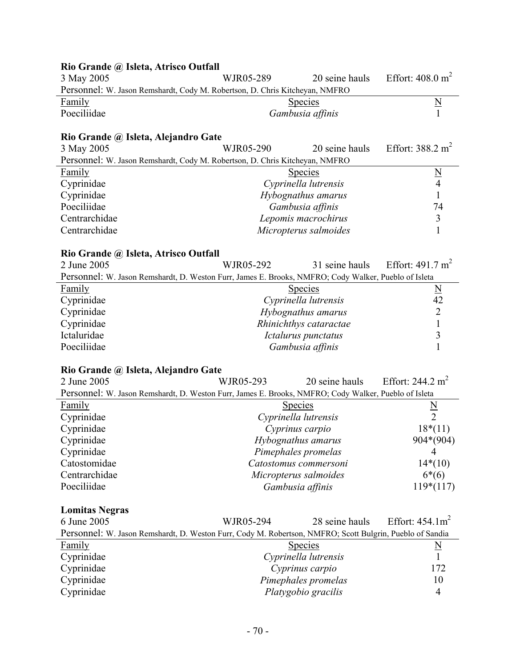| Rio Grande @ Isleta, Atrisco Outfall                                                                     |                                            |                       |                              |
|----------------------------------------------------------------------------------------------------------|--------------------------------------------|-----------------------|------------------------------|
| 3 May 2005                                                                                               | WJR05-289                                  | 20 seine hauls        | Effort: $408.0 \text{ m}^2$  |
| Personnel: W. Jason Remshardt, Cody M. Robertson, D. Chris Kitcheyan, NMFRO                              |                                            |                       |                              |
| <b>Family</b>                                                                                            |                                            | <b>Species</b>        | $\underline{N}$              |
| Poeciliidae                                                                                              |                                            | Gambusia affinis      |                              |
|                                                                                                          |                                            |                       |                              |
| Rio Grande @ Isleta, Alejandro Gate                                                                      |                                            |                       |                              |
| 3 May 2005                                                                                               | WJR05-290                                  | 20 seine hauls        | Effort: $388.2 \text{ m}^2$  |
| Personnel: W. Jason Remshardt, Cody M. Robertson, D. Chris Kitcheyan, NMFRO                              |                                            |                       |                              |
| Family                                                                                                   |                                            | <b>Species</b>        | $\underline{\underline{N}}$  |
| Cyprinidae                                                                                               |                                            | Cyprinella lutrensis  | $\overline{4}$               |
| Cyprinidae                                                                                               |                                            | Hybognathus amarus    | $\mathbf{1}$                 |
| Poeciliidae                                                                                              |                                            | Gambusia affinis      | 74                           |
| Centrarchidae                                                                                            |                                            | Lepomis macrochirus   | $\mathfrak{Z}$               |
| Centrarchidae                                                                                            |                                            | Micropterus salmoides | $\mathbf{1}$                 |
|                                                                                                          |                                            |                       |                              |
| Rio Grande @ Isleta, Atrisco Outfall                                                                     |                                            |                       |                              |
| 2 June 2005                                                                                              | WJR05-292                                  | 31 seine hauls        | Effort: $491.7 \text{ m}^2$  |
| Personnel: W. Jason Remshardt, D. Weston Furr, James E. Brooks, NMFRO; Cody Walker, Pueblo of Isleta     |                                            |                       |                              |
| Family                                                                                                   |                                            | <b>Species</b>        |                              |
| Cyprinidae                                                                                               |                                            | Cyprinella lutrensis  | $\frac{N}{42}$               |
| Cyprinidae                                                                                               | Hybognathus amarus                         |                       | $\overline{2}$               |
| Cyprinidae                                                                                               | Rhinichthys cataractae                     |                       | $\mathbf{1}$                 |
| Ictaluridae                                                                                              |                                            | Ictalurus punctatus   | 3                            |
| Poeciliidae                                                                                              |                                            | Gambusia affinis      | $\mathbf{1}$                 |
|                                                                                                          |                                            |                       |                              |
| Rio Grande @ Isleta, Alejandro Gate                                                                      |                                            |                       |                              |
| 2 June 2005                                                                                              | WJR05-293                                  | 20 seine hauls        | Effort: 244.2 m <sup>2</sup> |
| Personnel: W. Jason Remshardt, D. Weston Furr, James E. Brooks, NMFRO; Cody Walker, Pueblo of Isleta     |                                            |                       |                              |
| <u>Family</u>                                                                                            |                                            | <b>Species</b>        |                              |
| Cyprinidae                                                                                               |                                            | Cyprinella lutrensis  | $\frac{N}{2}$                |
| Cyprinidae                                                                                               |                                            | Cyprinus carpio       | $18*(11)$                    |
| Cyprinidae                                                                                               |                                            | Hybognathus amarus    | 904*(904)                    |
| Cyprinidae                                                                                               |                                            | Pimephales promelas   | 4                            |
| Catostomidae                                                                                             |                                            | Catostomus commersoni | $14*(10)$                    |
| Centrarchidae                                                                                            |                                            | Micropterus salmoides | $6*(6)$                      |
| Poeciliidae                                                                                              |                                            | Gambusia affinis      | $119*(117)$                  |
|                                                                                                          |                                            |                       |                              |
| <b>Lomitas Negras</b>                                                                                    |                                            |                       |                              |
| 6 June 2005                                                                                              | WJR05-294                                  | 28 seine hauls        | Effort: $454.1m^2$           |
| Personnel: W. Jason Remshardt, D. Weston Furr, Cody M. Robertson, NMFRO; Scott Bulgrin, Pueblo of Sandia |                                            |                       |                              |
| <b>Family</b>                                                                                            |                                            | <b>Species</b>        | $\underline{\rm N}$          |
| Cyprinidae                                                                                               |                                            | Cyprinella lutrensis  | $\mathbf{1}$                 |
| Cyprinidae                                                                                               |                                            |                       | 172                          |
| Cyprinidae                                                                                               | Cyprinus carpio                            |                       | 10                           |
|                                                                                                          | Pimephales promelas<br>Platygobio gracilis |                       |                              |
| Cyprinidae                                                                                               |                                            |                       | 4                            |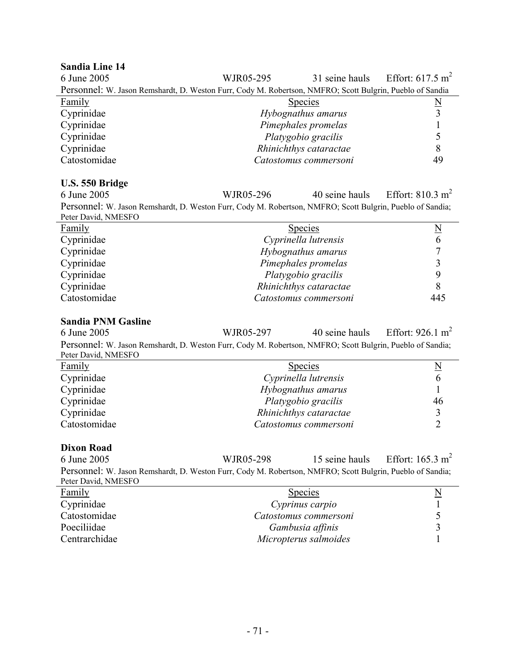#### **Sandia Line 14**

| 6 June 2005                                                                                              | WJR05-295              |  | 31 seine hauls Effort: $617.5 \text{ m}^2$ |
|----------------------------------------------------------------------------------------------------------|------------------------|--|--------------------------------------------|
| Personnel: W. Jason Remshardt, D. Weston Furr, Cody M. Robertson, NMFRO; Scott Bulgrin, Pueblo of Sandia |                        |  |                                            |
| <b>Family</b>                                                                                            | <b>Species</b>         |  | $\underline{\mathrm{N}}$                   |
| Cyprinidae                                                                                               | Hybognathus amarus     |  |                                            |
| Cyprinidae                                                                                               | Pimephales promelas    |  |                                            |
| Cyprinidae                                                                                               | Platygobio gracilis    |  |                                            |
| Cyprinidae                                                                                               | Rhinichthys cataractae |  |                                            |
| Catostomidae                                                                                             | Catostomus commersoni  |  | 49                                         |

#### **U.S. 550 Bridge**

6 June 2005 WJR05-296 40 seine hauls Effort: 810.3 m2 Personnel: W. Jason Remshardt, D. Weston Furr, Cody M. Robertson, NMFRO; Scott Bulgrin, Pueblo of Sandia; Peter David, NMESFO

| <b>Family</b> | <b>Species</b>         |     |
|---------------|------------------------|-----|
| Cyprinidae    | Cyprinella lutrensis   |     |
| Cyprinidae    | Hybognathus amarus     |     |
| Cyprinidae    | Pimephales promelas    |     |
| Cyprinidae    | Platygobio gracilis    |     |
| Cyprinidae    | Rhinichthys cataractae |     |
| Catostomidae  | Catostomus commersoni  | 445 |

#### **Sandia PNM Gasline**

6 June 2005 WJR05-297 40 seine hauls Effort: 926.1 m2 Personnel: W. Jason Remshardt, D. Weston Furr, Cody M. Robertson, NMFRO; Scott Bulgrin, Pueblo of Sandia; Peter David, NMESFO

| <b>Species</b>         | $\mathbb N$ |
|------------------------|-------------|
| Cyprinella lutrensis   |             |
| Hybognathus amarus     |             |
| Platygobio gracilis    | 46          |
| Rhinichthys cataractae |             |
| Catostomus commersoni  |             |
|                        |             |

#### **Dixon Road**

6 June 2005 WJR05-298 15 seine hauls Effort: 165.3 m2 Personnel: W. Jason Remshardt, D. Weston Furr, Cody M. Robertson, NMFRO; Scott Bulgrin, Pueblo of Sandia; Peter David, NMESFO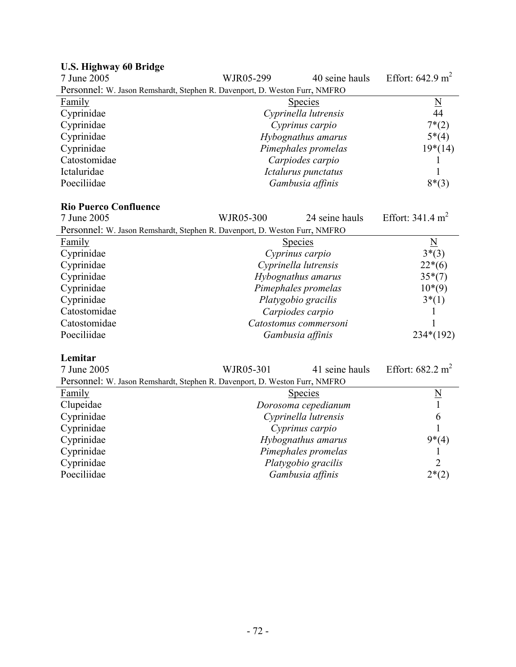| U.S. HIGHWAY OU DITUGU                                                     |           |                      |                             |
|----------------------------------------------------------------------------|-----------|----------------------|-----------------------------|
| 7 June 2005                                                                | WJR05-299 | 40 seine hauls       | Effort: $642.9 \text{ m}^2$ |
| Personnel: W. Jason Remshardt, Stephen R. Davenport, D. Weston Furr, NMFRO |           |                      |                             |
| <b>Family</b>                                                              |           | <b>Species</b>       | $\underline{\rm N}$         |
| Cyprinidae                                                                 |           | Cyprinella lutrensis | 44                          |
| Cyprinidae                                                                 |           | Cyprinus carpio      | $7*(2)$                     |
| Cyprinidae                                                                 |           | Hybognathus amarus   | $5*(4)$                     |
| Cyprinidae                                                                 |           | Pimephales promelas  | $19*(14)$                   |
| Catostomidae                                                               |           | Carpiodes carpio     |                             |
| Ictaluridae                                                                |           | Ictalurus punctatus  |                             |
| Poeciliidae                                                                |           | Gambusia affinis     | $8*(3)$                     |
|                                                                            |           |                      |                             |

# **U.S. Highway 60 Bridge**

## **Rio Puerco Confluence**

| 7 June 2005                                                                | WJR05-300             | 24 seine hauls | Effort: $341.4 \text{ m}^2$ |
|----------------------------------------------------------------------------|-----------------------|----------------|-----------------------------|
| Personnel: W. Jason Remshardt, Stephen R. Davenport, D. Weston Furr, NMFRO |                       |                |                             |
| <b>Family</b>                                                              | <b>Species</b>        |                | $\overline{\mathbf{N}}$     |
| Cyprinidae                                                                 | Cyprinus carpio       |                | $3*(3)$                     |
| Cyprinidae                                                                 | Cyprinella lutrensis  |                | $22*(6)$                    |
| Cyprinidae                                                                 | Hybognathus amarus    |                | $35*(7)$                    |
| Cyprinidae                                                                 | Pimephales promelas   |                | $10*(9)$                    |
| Cyprinidae                                                                 | Platygobio gracilis   |                | $3*(1)$                     |
| Catostomidae                                                               | Carpiodes carpio      |                |                             |
| Catostomidae                                                               | Catostomus commersoni |                |                             |
| Poeciliidae                                                                | Gambusia affinis      |                | $234*(192)$                 |

#### **Lemitar**

| 7 June 2005                                                                | WJR05-301            | 41 seine hauls | Effort: $682.2 \text{ m}^2$ |
|----------------------------------------------------------------------------|----------------------|----------------|-----------------------------|
| Personnel: W. Jason Remshardt, Stephen R. Davenport, D. Weston Furr, NMFRO |                      |                |                             |
| <b>Family</b>                                                              | <b>Species</b>       |                | N                           |
| Clupeidae                                                                  | Dorosoma cepedianum  |                |                             |
| Cyprinidae                                                                 | Cyprinella lutrensis |                | 6                           |
| Cyprinidae                                                                 | Cyprinus carpio      |                |                             |
| Cyprinidae                                                                 | Hybognathus amarus   |                | $9*(4)$                     |
| Cyprinidae                                                                 | Pimephales promelas  |                |                             |
| Cyprinidae                                                                 | Platygobio gracilis  |                | 2                           |
| Poeciliidae                                                                | Gambusia affinis     |                | $2*(2)$                     |
|                                                                            |                      |                |                             |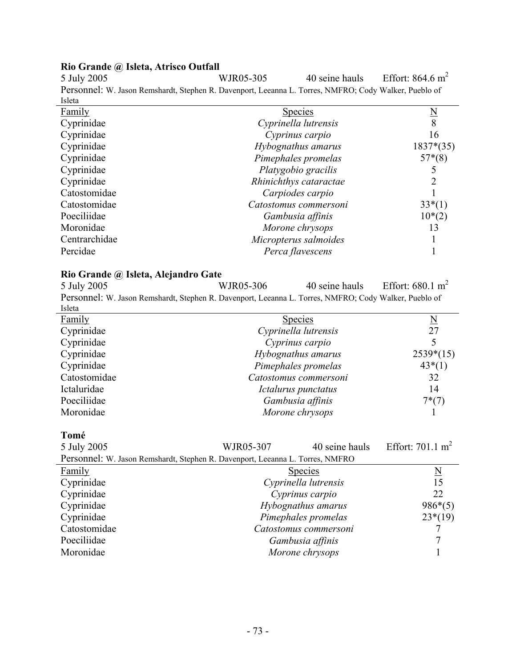#### **Rio Grande @ Isleta, Atrisco Outfall**

5 July 2005 WJR05-305 40 seine hauls Effort: 864.6 m<sup>2</sup> Personnel: W. Jason Remshardt, Stephen R. Davenport, Leeanna L. Torres, NMFRO; Cody Walker, Pueblo of Isleta

| Family        | <b>Species</b>         | $\overline{\mathbf{N}}$ |
|---------------|------------------------|-------------------------|
| Cyprinidae    | Cyprinella lutrensis   | 8                       |
| Cyprinidae    | Cyprinus carpio        | 16                      |
| Cyprinidae    | Hybognathus amarus     | $1837*(35)$             |
| Cyprinidae    | Pimephales promelas    | $57*(8)$                |
| Cyprinidae    | Platygobio gracilis    |                         |
| Cyprinidae    | Rhinichthys cataractae |                         |
| Catostomidae  | Carpiodes carpio       |                         |
| Catostomidae  | Catostomus commersoni  | $33*(1)$                |
| Poeciliidae   | Gambusia affinis       | $10*(2)$                |
| Moronidae     | Morone chrysops        | 13                      |
| Centrarchidae | Micropterus salmoides  |                         |
| Percidae      | Perca flavescens       |                         |

#### **Rio Grande @ Isleta, Alejandro Gate**

5 July 2005 WJR05-306 40 seine hauls Effort:  $680.1 \text{ m}^2$ Personnel: W. Jason Remshardt, Stephen R. Davenport, Leeanna L. Torres, NMFRO; Cody Walker, Pueblo of Isleta Family Species Number of Species Number of Species Number of Species Number of Number of Number of Number of Number of Number of Number of Number of Number of Number of Number of Number of Number of Number of Number of Num Cyprinidae *Cyprinella lutrensis* 27 Cyprinidae *Cyprinus carpio* 5 Cyprinidae *Hybognathus amarus* 2539\*(15) Cyprinidae *Pimephales promelas* 43\*(1) Catostomidae *Catostomus commersoni* 32 Ictaluridae *Ictalurus punctatus* 14<br>
Poeciliidae *Ictalurus punctatus* 14<br> *Gambusia affinis* 7\*(7) Poeciliidae *Gambusia affinis* Moronidae *Morone chrysops* 1

**Tomé** 

| 5 July 2005                                                                   | WJR05-307 | 40 seine hauls        | Effort: $701.1 \text{ m}^2$ |
|-------------------------------------------------------------------------------|-----------|-----------------------|-----------------------------|
| Personnel: W. Jason Remshardt, Stephen R. Davenport, Leeanna L. Torres, NMFRO |           |                       |                             |
| <b>Family</b>                                                                 |           | <b>Species</b>        | N                           |
| Cyprinidae                                                                    |           | Cyprinella lutrensis  | 15                          |
| Cyprinidae                                                                    |           | Cyprinus carpio       | 22                          |
| Cyprinidae                                                                    |           | Hybognathus amarus    | $986*(5)$                   |
| Cyprinidae                                                                    |           | Pimephales promelas   | $23*(19)$                   |
| Catostomidae                                                                  |           | Catostomus commersoni |                             |
| Poeciliidae                                                                   |           | Gambusia affinis      |                             |
| Moronidae                                                                     |           | Morone chrysops       |                             |
|                                                                               |           |                       |                             |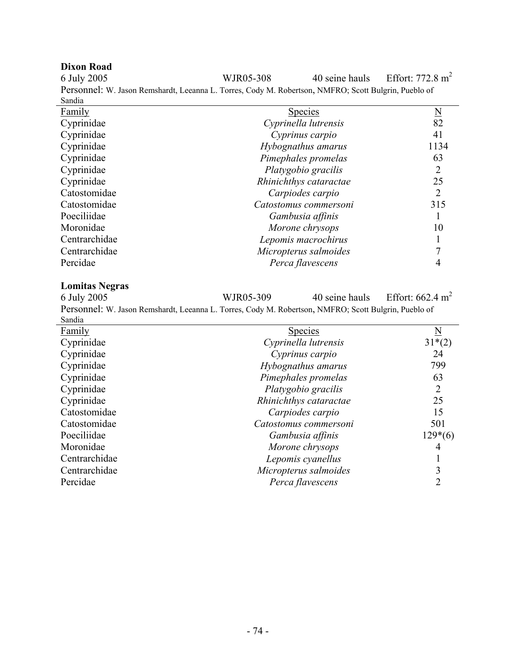**Dixon Road**  WJR05-308 40 seine hauls Effort:  $772.8 \text{ m}^2$ Personnel: W. Jason Remshardt, Leeanna L. Torres, Cody M. Robertson, NMFRO; Scott Bulgrin, Pueblo of Sandia  $\overline{\phantom{0}}$ 

| Family        | <b>Species</b>         | <u>N</u> |
|---------------|------------------------|----------|
| Cyprinidae    | Cyprinella lutrensis   | 82       |
| Cyprinidae    | Cyprinus carpio        | 41       |
| Cyprinidae    | Hybognathus amarus     | 1134     |
| Cyprinidae    | Pimephales promelas    | 63       |
| Cyprinidae    | Platygobio gracilis    | 2        |
| Cyprinidae    | Rhinichthys cataractae | 25       |
| Catostomidae  | Carpiodes carpio       | 2        |
| Catostomidae  | Catostomus commersoni  | 315      |
| Poeciliidae   | Gambusia affinis       |          |
| Moronidae     | Morone chrysops        | 10       |
| Centrarchidae | Lepomis macrochirus    |          |
| Centrarchidae | Micropterus salmoides  |          |
| Percidae      | Perca flavescens       |          |

**Lomitas Negras**  WJR05-309  $40$  seine hauls Effort: 662.4 m<sup>2</sup> Personnel: W. Jason Remshardt, Leeanna L. Torres, Cody M. Robertson, NMFRO; Scott Bulgrin, Pueblo of Sandia

| эапчиа        |                        |           |
|---------------|------------------------|-----------|
| <b>Family</b> | <b>Species</b>         | N         |
| Cyprinidae    | Cyprinella lutrensis   | $31*(2)$  |
| Cyprinidae    | Cyprinus carpio        | 24        |
| Cyprinidae    | Hybognathus amarus     | 799       |
| Cyprinidae    | Pimephales promelas    | 63        |
| Cyprinidae    | Platygobio gracilis    | 2         |
| Cyprinidae    | Rhinichthys cataractae | 25        |
| Catostomidae  | Carpiodes carpio       | 15        |
| Catostomidae  | Catostomus commersoni  | 501       |
| Poeciliidae   | Gambusia affinis       | $129*(6)$ |
| Moronidae     | Morone chrysops        | 4         |
| Centrarchidae | Lepomis cyanellus      |           |
| Centrarchidae | Micropterus salmoides  |           |
| Percidae      | Perca flavescens       |           |
|               |                        |           |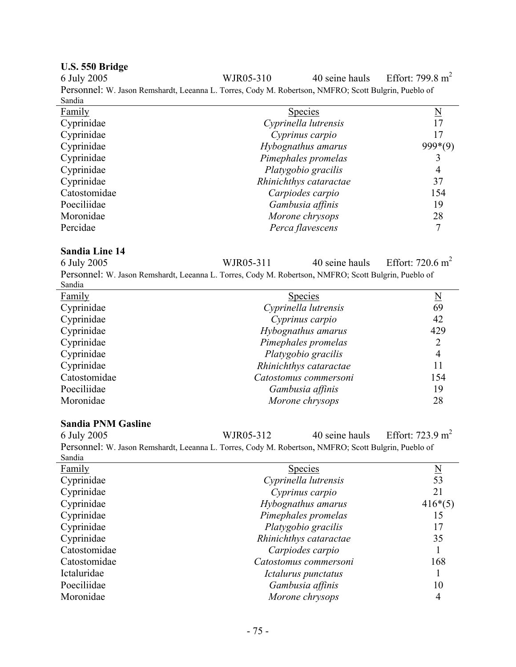**U.S. 550 Bridge**  WJR05-310  $40$  seine hauls Effort: 799.8 m<sup>2</sup> Personnel: W. Jason Remshardt, Leeanna L. Torres, Cody M. Robertson, NMFRO; Scott Bulgrin, Pueblo of Sandia

| <b>Family</b> | <b>Species</b>         |           |
|---------------|------------------------|-----------|
| Cyprinidae    | Cyprinella lutrensis   | 17        |
| Cyprinidae    | Cyprinus carpio        | 17        |
| Cyprinidae    | Hybognathus amarus     | $999*(9)$ |
| Cyprinidae    | Pimephales promelas    |           |
| Cyprinidae    | Platygobio gracilis    | 4         |
| Cyprinidae    | Rhinichthys cataractae | 37        |
| Catostomidae  | Carpiodes carpio       | 154       |
| Poeciliidae   | Gambusia affinis       | 19        |
| Moronidae     | Morone chrysops        | 28        |
| Percidae      | Perca flavescens       |           |

#### **Sandia Line 14**

6 July 2005 WJR05-311 40 seine hauls Effort: 720.6 m2 Personnel: W. Jason Remshardt, Leeanna L. Torres, Cody M. Robertson, NMFRO; Scott Bulgrin, Pueblo of Sandia

| Danan         |                        |          |
|---------------|------------------------|----------|
| <b>Family</b> | <b>Species</b>         | <u>N</u> |
| Cyprinidae    | Cyprinella lutrensis   | 69       |
| Cyprinidae    | Cyprinus carpio        | 42       |
| Cyprinidae    | Hybognathus amarus     | 429      |
| Cyprinidae    | Pimephales promelas    |          |
| Cyprinidae    | Platygobio gracilis    | 4        |
| Cyprinidae    | Rhinichthys cataractae | 11       |
| Catostomidae  | Catostomus commersoni  | 154      |
| Poeciliidae   | Gambusia affinis       | 19       |
| Moronidae     | Morone chrysops        | 28       |
|               |                        |          |

#### **Sandia PNM Gasline**

L.

| 6 July 2005                                                                                          | WJR05-312 | 40 seine hauls       | Effort: 723.9 m <sup>2</sup> |
|------------------------------------------------------------------------------------------------------|-----------|----------------------|------------------------------|
| Personnel: W. Jason Remshardt, Leeanna L. Torres, Cody M. Robertson, NMFRO; Scott Bulgrin, Pueblo of |           |                      |                              |
| Sandia                                                                                               |           |                      |                              |
| <b>Family</b>                                                                                        |           | <b>Species</b>       | N                            |
| Cyprinidae                                                                                           |           | Cyprinella lutrensis | 53                           |
| Cynrinidae                                                                                           |           | Cyprinus carpio      |                              |

| Cyprinidae   | Cyprinus carpio        | 21        |
|--------------|------------------------|-----------|
| Cyprinidae   | Hybognathus amarus     | $416*(5)$ |
| Cyprinidae   | Pimephales promelas    | 15        |
| Cyprinidae   | Platygobio gracilis    | 17        |
| Cyprinidae   | Rhinichthys cataractae | 35        |
| Catostomidae | Carpiodes carpio       |           |
| Catostomidae | Catostomus commersoni  | 168       |
| Ictaluridae  | Ictalurus punctatus    |           |
| Poeciliidae  | Gambusia affinis       | 10        |
| Moronidae    | Morone chrysops        |           |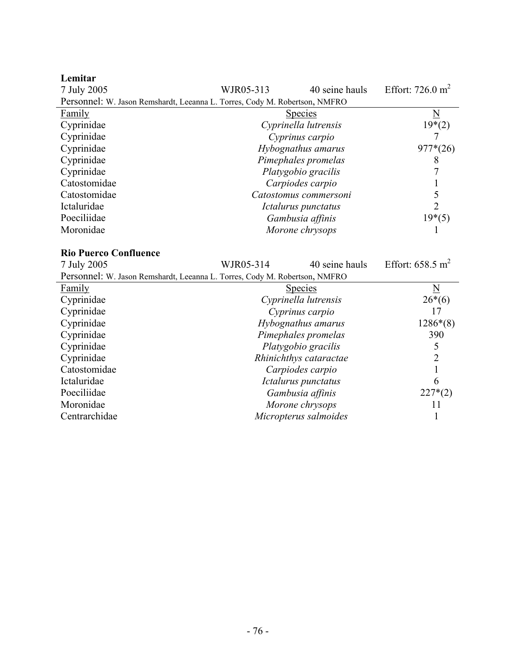| Lemitar                                                                    |           |                        |                             |
|----------------------------------------------------------------------------|-----------|------------------------|-----------------------------|
| 7 July 2005                                                                | WJR05-313 | 40 seine hauls         | Effort: $726.0 \text{ m}^2$ |
| Personnel: W. Jason Remshardt, Leeanna L. Torres, Cody M. Robertson, NMFRO |           |                        |                             |
| Family                                                                     |           | <u>Species</u>         | $\underline{\rm N}$         |
| Cyprinidae                                                                 |           | Cyprinella lutrensis   | $19*(2)$                    |
| Cyprinidae                                                                 |           | Cyprinus carpio        | 7                           |
| Cyprinidae                                                                 |           | Hybognathus amarus     | $977*(26)$                  |
| Cyprinidae                                                                 |           | Pimephales promelas    | 8                           |
| Cyprinidae                                                                 |           | Platygobio gracilis    | 7                           |
| Catostomidae                                                               |           | Carpiodes carpio       | $\mathbf{1}$                |
| Catostomidae                                                               |           | Catostomus commersoni  | $\frac{5}{2}$               |
| Ictaluridae                                                                |           | Ictalurus punctatus    |                             |
| Poeciliidae                                                                |           | Gambusia affinis       | $19*(5)$                    |
| Moronidae                                                                  |           | Morone chrysops        |                             |
|                                                                            |           |                        |                             |
|                                                                            |           |                        |                             |
| <b>Rio Puerco Confluence</b>                                               |           |                        |                             |
| 7 July 2005                                                                | WJR05-314 | 40 seine hauls         | Effort: $658.5 \text{ m}^2$ |
| Personnel: W. Jason Remshardt, Leeanna L. Torres, Cody M. Robertson, NMFRO |           |                        |                             |
| Family                                                                     |           | <b>Species</b>         | $\underline{\mathbf{N}}$    |
| Cyprinidae                                                                 |           | Cyprinella lutrensis   | $26*(6)$                    |
| Cyprinidae                                                                 |           | Cyprinus carpio        | 17                          |
| Cyprinidae                                                                 |           | Hybognathus amarus     | $1286*(8)$                  |
| Cyprinidae                                                                 |           | Pimephales promelas    | 390                         |
| Cyprinidae                                                                 |           | Platygobio gracilis    | 5                           |
| Cyprinidae                                                                 |           | Rhinichthys cataractae | $\overline{2}$              |
| Catostomidae                                                               |           | Carpiodes carpio       | $\mathbf{1}$                |
| Ictaluridae                                                                |           | Ictalurus punctatus    | 6                           |
| Poeciliidae                                                                |           | Gambusia affinis       | $227*(2)$                   |
| Moronidae                                                                  |           | Morone chrysops        | 11                          |

# - 76 -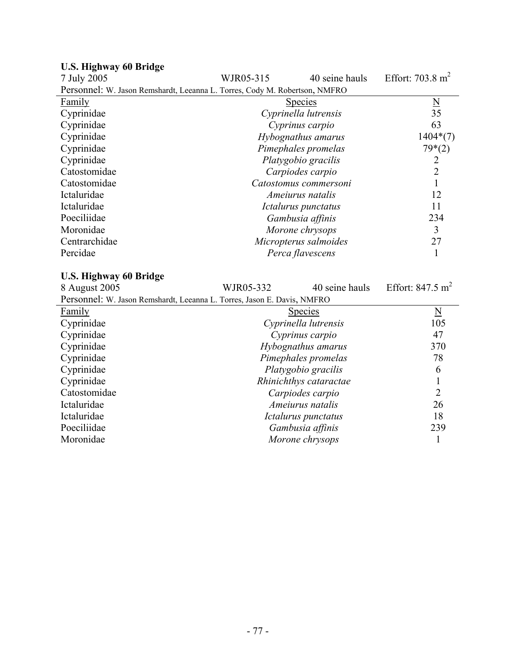| 7 July 2005                                                                | WJR05-315             | 40 seine hauls | Effort: $703.8 \text{ m}^2$ |
|----------------------------------------------------------------------------|-----------------------|----------------|-----------------------------|
| Personnel: W. Jason Remshardt, Leeanna L. Torres, Cody M. Robertson, NMFRO |                       |                |                             |
| <b>Family</b>                                                              | <u>Species</u>        |                | $\frac{N}{35}$              |
| Cyprinidae                                                                 | Cyprinella lutrensis  |                |                             |
| Cyprinidae                                                                 | Cyprinus carpio       |                | 63                          |
| Cyprinidae                                                                 | Hybognathus amarus    |                | $1404*(7)$                  |
| Cyprinidae                                                                 | Pimephales promelas   |                | $79*(2)$                    |
| Cyprinidae                                                                 | Platygobio gracilis   |                |                             |
| Catostomidae                                                               | Carpiodes carpio      |                | $\overline{2}$              |
| Catostomidae                                                               | Catostomus commersoni |                |                             |
| Ictaluridae                                                                | Ameiurus natalis      |                | 12                          |
| Ictaluridae                                                                | Ictalurus punctatus   |                | 11                          |
| Poeciliidae                                                                | Gambusia affinis      |                | 234                         |
| Moronidae                                                                  | Morone chrysops       |                | 3                           |
| Centrarchidae                                                              | Micropterus salmoides |                | 27                          |
| Percidae                                                                   | Perca flavescens      |                |                             |
|                                                                            |                       |                |                             |

#### **U.S. Highway 60 Bridge**

#### **U.S. Highway 60 Bridge**

8 August 2005 WJR05-332 40 seine hauls Effort: 847.5 m<sup>2</sup> Personnel: W. Jason Remshardt, Leeanna L. Torres, Jason E. Davis, NMFRO Family Species Number of Species Species Number of Species Number of Species Number of Number of Number of Number of Number of Number of Number of Number of Number of Number of Number of Number of Number of Number of Numbe Cyprinidae *Cyprinella lutrensis* 105 Cyprinidae *Cyprinus carpio* 47 Cyprinidae *Hybognathus amarus* 370 Cyprinidae *Pimephales promelas* 78 Platygobio gracilis **6** Cyprinidae *Rhinichthys cataractae* 1 Catostomidae *Carpiodes carpio* 2 Ictaluridae *Ameiurus natalis* 26 Ictaluridae *Ictalurus punctatus* 18<br>
Poeciliidae *Gambusia affinis* 239 Poeciliidae *Gambusia affinis* Moronidae *Morone chrysops* 1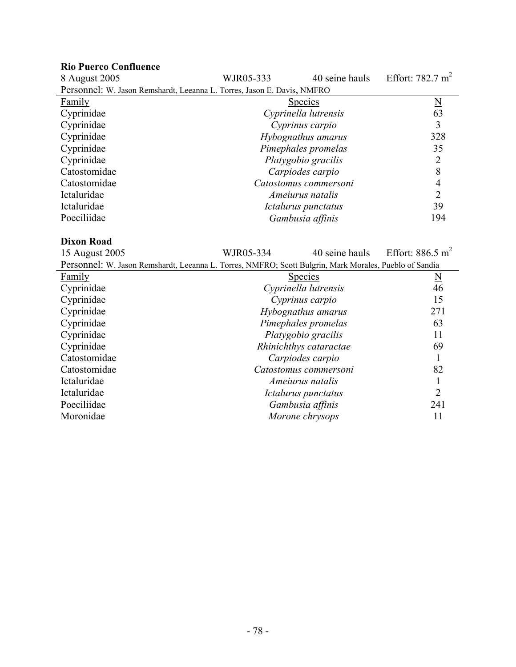| <b>Rio Puerco Confluence</b><br>8 August 2005                           | WJR05-333 | 40 seine hauls        | Effort: $782.7 \text{ m}^2$ |
|-------------------------------------------------------------------------|-----------|-----------------------|-----------------------------|
| Personnel: W. Jason Remshardt, Leeanna L. Torres, Jason E. Davis, NMFRO |           |                       |                             |
| Family                                                                  |           | <b>Species</b>        | $\overline{\mathbf{N}}$     |
| Cyprinidae                                                              |           | Cyprinella lutrensis  | 63                          |
| Cyprinidae                                                              |           | Cyprinus carpio       | 3                           |
| Cyprinidae                                                              |           | Hybognathus amarus    | 328                         |
| Cyprinidae                                                              |           | Pimephales promelas   | 35                          |
| Cyprinidae                                                              |           | Platygobio gracilis   | $\overline{2}$              |
| Catostomidae                                                            |           | Carpiodes carpio      | 8                           |
| Catostomidae                                                            |           | Catostomus commersoni | 4                           |
| Ictaluridae                                                             |           | Ameiurus natalis      | $\overline{2}$              |
| Ictaluridae                                                             |           | Ictalurus punctatus   | 39                          |
| Poeciliidae                                                             |           | Gambusia affinis      | 194                         |

# **Dixon Road**

WJR05-334 40 seine hauls Effort:  $886.5 \text{ m}^2$ 

| Personnel: W. Jason Remshardt, Leeanna L. Torres, NMFRO; Scott Bulgrin, Mark Morales, Pueblo of Sandia |                        |                     |  |
|--------------------------------------------------------------------------------------------------------|------------------------|---------------------|--|
| Family                                                                                                 | <b>Species</b>         | $\underline{\rm N}$ |  |
| Cyprinidae                                                                                             | Cyprinella lutrensis   | 46                  |  |
| Cyprinidae                                                                                             | Cyprinus carpio        | 15                  |  |
| Cyprinidae                                                                                             | Hybognathus amarus     | 271                 |  |
| Cyprinidae                                                                                             | Pimephales promelas    | 63                  |  |
| Cyprinidae                                                                                             | Platygobio gracilis    | 11                  |  |
| Cyprinidae                                                                                             | Rhinichthys cataractae | 69                  |  |
| Catostomidae                                                                                           | Carpiodes carpio       |                     |  |
| Catostomidae                                                                                           | Catostomus commersoni  | 82                  |  |
| Ictaluridae                                                                                            | Ameiurus natalis       |                     |  |
| Ictaluridae                                                                                            | Ictalurus punctatus    | $\overline{2}$      |  |
| Poeciliidae                                                                                            | Gambusia affinis       | 241                 |  |
| Moronidae                                                                                              | Morone chrysops        | 11                  |  |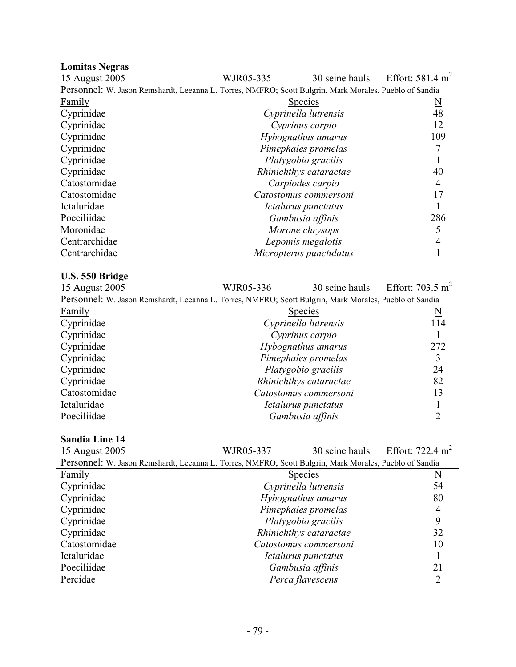15 August 2005 WJR05-335 30 seine hauls Effort: 581.4 m<sup>2</sup> Personnel: W. Jason Remshardt, Leeanna L. Torres, NMFRO; Scott Bulgrin, Mark Morales, Pueblo of Sandia Family Species Number of Species Species Number of Species Number of Species Number of Number of Number of Number of Number of Number of Number of Number of Number of Number of Number of Number of Number of Number of Numbe Cyprinidae *Cyprinella lutrensis* 48 Cyprinidae *Cyprinus carpio* 12 Cyprinidae *Hybognathus amarus* 109 Cyprinidae *Pimephales promelas* 7 Platygobio gracilis **1** Cyprinidae *Rhinichthys cataractae* 40 Catostomidae *Carpiodes carpio* 4 Catostomidae *Catostomus commersoni* 17 Ictaluridae *Ictalurus punctatus* 1 Poeciliidae *Gambusia affinis* 286 Moronidae *Morone chrysops* 5 Centrarchidae *Lepomis megalotis* 4 Centrarchidae *Micropterus punctulatus* 1

#### **U.S. 550 Bridge**

15 August 2005 WJR05-336 30 seine hauls Effort: 703.5 m<sup>2</sup>

| Personnel: W. Jason Remshardt, Leeanna L. Torres, NMFRO; Scott Bulgrin, Mark Morales, Pueblo of Sandia |                        |                          |  |
|--------------------------------------------------------------------------------------------------------|------------------------|--------------------------|--|
| Family                                                                                                 | <b>Species</b>         | $\underline{\mathbf{N}}$ |  |
| Cyprinidae                                                                                             | Cyprinella lutrensis   | 114                      |  |
| Cyprinidae                                                                                             | Cyprinus carpio        |                          |  |
| Cyprinidae                                                                                             | Hybognathus amarus     | 272                      |  |
| Cyprinidae                                                                                             | Pimephales promelas    | 3                        |  |
| Cyprinidae                                                                                             | Platygobio gracilis    | 24                       |  |
| Cyprinidae                                                                                             | Rhinichthys cataractae | 82                       |  |
| Catostomidae                                                                                           | Catostomus commersoni  | 13                       |  |
| Ictaluridae                                                                                            | Ictalurus punctatus    |                          |  |
| Poeciliidae                                                                                            | Gambusia affinis       |                          |  |

#### **Sandia Line 14**

| 15 August 2005                                                                                         | WJR05-337              | 30 seine hauls | Effort: 722.4 m <sup>2</sup> |
|--------------------------------------------------------------------------------------------------------|------------------------|----------------|------------------------------|
| Personnel: W. Jason Remshardt, Leeanna L. Torres, NMFRO; Scott Bulgrin, Mark Morales, Pueblo of Sandia |                        |                |                              |
| Family                                                                                                 | <b>Species</b>         |                | $\mathbb N$                  |
| Cyprinidae                                                                                             | Cyprinella lutrensis   |                | 54                           |
| Cyprinidae                                                                                             | Hybognathus amarus     |                | 80                           |
| Cyprinidae                                                                                             | Pimephales promelas    |                | 4                            |
| Cyprinidae                                                                                             | Platygobio gracilis    |                | 9                            |
| Cyprinidae                                                                                             | Rhinichthys cataractae |                | 32                           |
| Catostomidae                                                                                           | Catostomus commersoni  |                | 10                           |
| Ictaluridae                                                                                            | Ictalurus punctatus    |                |                              |
| Poeciliidae                                                                                            | Gambusia affinis       |                | 21                           |
| Percidae                                                                                               | Perca flavescens       |                |                              |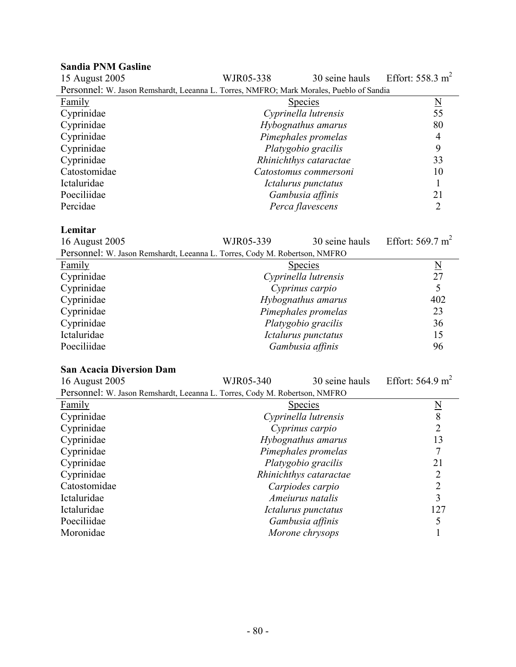| <b>Sandia PNM Gasline</b>                                                               |                      |                        |                             |
|-----------------------------------------------------------------------------------------|----------------------|------------------------|-----------------------------|
| 15 August 2005                                                                          | WJR05-338            | 30 seine hauls         | Effort: $558.3 \text{ m}^2$ |
| Personnel: W. Jason Remshardt, Leeanna L. Torres, NMFRO; Mark Morales, Pueblo of Sandia |                      |                        |                             |
| <b>Family</b>                                                                           |                      | <b>Species</b>         | $\underline{\rm N}$         |
| Cyprinidae                                                                              |                      | Cyprinella lutrensis   | 55                          |
| Cyprinidae                                                                              |                      | Hybognathus amarus     | 80                          |
| Cyprinidae                                                                              |                      | Pimephales promelas    | $\overline{4}$              |
| Cyprinidae                                                                              |                      | Platygobio gracilis    | 9                           |
| Cyprinidae                                                                              |                      | Rhinichthys cataractae | 33                          |
| Catostomidae                                                                            |                      | Catostomus commersoni  | 10                          |
| Ictaluridae                                                                             |                      | Ictalurus punctatus    | 1                           |
| Poeciliidae                                                                             |                      | Gambusia affinis       | 21                          |
| Percidae                                                                                |                      | Perca flavescens       | $\overline{2}$              |
|                                                                                         |                      |                        |                             |
| Lemitar                                                                                 |                      |                        |                             |
| 16 August 2005                                                                          | WJR05-339            | 30 seine hauls         | Effort: $569.7 \text{ m}^2$ |
| Personnel: W. Jason Remshardt, Leeanna L. Torres, Cody M. Robertson, NMFRO              |                      |                        |                             |
| <b>Family</b>                                                                           | <b>Species</b>       |                        | $\overline{\mathbf{N}}$     |
| Cyprinidae                                                                              | Cyprinella lutrensis |                        | 27                          |
| Cyprinidae                                                                              | Cyprinus carpio      |                        | 5                           |
| Cyprinidae                                                                              | Hybognathus amarus   |                        | 402                         |
| Cyprinidae                                                                              | Pimephales promelas  |                        | 23                          |
| Cyprinidae                                                                              | Platygobio gracilis  |                        | 36                          |
| Ictaluridae                                                                             | Ictalurus punctatus  |                        | 15                          |
| Poeciliidae                                                                             |                      | Gambusia affinis       | 96                          |
|                                                                                         |                      |                        |                             |
| <b>San Acacia Diversion Dam</b>                                                         |                      |                        |                             |
| 16 August 2005                                                                          | WJR05-340            | 30 seine hauls         | Effort: $564.9 \text{ m}^2$ |
| Personnel: W. Jason Remshardt, Leeanna L. Torres, Cody M. Robertson, NMFRO              |                      |                        |                             |
| Family                                                                                  | <b>Species</b>       |                        | $\frac{N}{8}$<br>2          |
| Cyprinidae                                                                              | Cyprinella lutrensis |                        |                             |
| Cyprinidae                                                                              | Cyprinus carpio      |                        |                             |
| Cyprinidae                                                                              | Hybognathus amarus   |                        | 13                          |
| Cyprinidae                                                                              | Pimephales promelas  |                        | $\tau$                      |
| Cyprinidae                                                                              | Platygobio gracilis  |                        | 21                          |
| Cyprinidae                                                                              |                      | Rhinichthys cataractae | $\overline{2}$              |
| Catostomidae                                                                            | Carpiodes carpio     |                        | $\overline{2}$              |
| Ictaluridae                                                                             |                      | Ameiurus natalis       | $\overline{3}$              |
| Ictaluridae                                                                             | Ictalurus punctatus  |                        | 127                         |
| Poeciliidae                                                                             | Gambusia affinis     |                        | 5                           |
| Moronidae                                                                               |                      | Morone chrysops        | 1                           |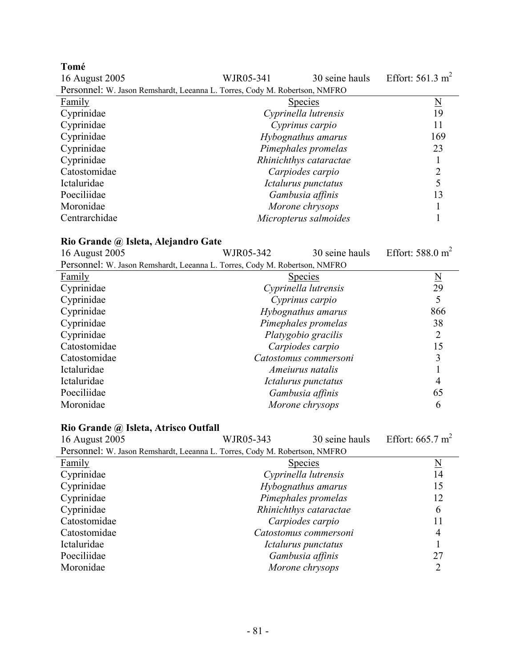**Tomé**  WJR05-341  $30$  seine hauls Effort: 561.3 m<sup>2</sup> Personnel: W. Jason Remshardt, Leeanna L. Torres, Cody M. Robertson, NMFRO

|               | <b>FEISOIIIIEI.</b> W. Jason Remshardt, Leeanna L. Torres, Cody M. Robertson, NMFRO |                          |
|---------------|-------------------------------------------------------------------------------------|--------------------------|
| Family        | Species                                                                             | $\underline{\mathrm{N}}$ |
| Cyprinidae    | Cyprinella lutrensis                                                                | 19                       |
| Cyprinidae    | Cyprinus carpio                                                                     | 11                       |
| Cyprinidae    | Hybognathus amarus                                                                  | 169                      |
| Cyprinidae    | Pimephales promelas                                                                 | 23                       |
| Cyprinidae    | Rhinichthys cataractae                                                              |                          |
| Catostomidae  | Carpiodes carpio                                                                    |                          |
| Ictaluridae   | Ictalurus punctatus                                                                 |                          |
| Poeciliidae   | Gambusia affinis                                                                    | 13                       |
| Moronidae     | Morone chrysops                                                                     |                          |
| Centrarchidae | Micropterus salmoides                                                               |                          |
|               |                                                                                     |                          |

| $\mathbf{A}$ Niv Orange $\left u\right\rangle$ isicia, $\mathbf{A}$ ic anuro Oate |                             |                       |                             |
|-----------------------------------------------------------------------------------|-----------------------------|-----------------------|-----------------------------|
| 16 August 2005                                                                    | 30 seine hauls<br>WJR05-342 |                       | Effort: $588.0 \text{ m}^2$ |
| Personnel: W. Jason Remshardt, Leeanna L. Torres, Cody M. Robertson, NMFRO        |                             |                       |                             |
| Family                                                                            |                             | <b>Species</b>        | N                           |
| Cyprinidae                                                                        |                             | Cyprinella lutrensis  | 29                          |
| Cyprinidae                                                                        |                             | Cyprinus carpio       |                             |
| Cyprinidae                                                                        |                             | Hybognathus amarus    | 866                         |
| Cyprinidae                                                                        |                             | Pimephales promelas   | 38                          |
| Cyprinidae                                                                        |                             | Platygobio gracilis   |                             |
| Catostomidae                                                                      |                             | Carpiodes carpio      | 15                          |
| Catostomidae                                                                      |                             | Catostomus commersoni |                             |
| Ictaluridae                                                                       |                             | Ameiurus natalis      |                             |
| Ictaluridae                                                                       |                             | Ictalurus punctatus   |                             |
| Poeciliidae                                                                       |                             | Gambusia affinis      | 65                          |
| Moronidae                                                                         |                             | Morone chrysops       | 6                           |
|                                                                                   |                             |                       |                             |

| Rio Grande @ Isleta, Atrisco Outfall                                       |                     |                             |    |
|----------------------------------------------------------------------------|---------------------|-----------------------------|----|
| 16 August 2005                                                             | WJR05-343           | Effort: $665.7 \text{ m}^2$ |    |
| Personnel: W. Jason Remshardt, Leeanna L. Torres, Cody M. Robertson, NMFRO |                     |                             |    |
| Family                                                                     |                     | <b>Species</b>              | N  |
| Cyprinidae                                                                 |                     | Cyprinella lutrensis        | 14 |
| Cyprinidae                                                                 | Hybognathus amarus  | 15                          |    |
| Cyprinidae                                                                 | Pimephales promelas | 12                          |    |
| Cyprinidae                                                                 |                     | Rhinichthys cataractae      | 6  |
| Catostomidae                                                               |                     | Carpiodes carpio            | 11 |
| Catostomidae                                                               |                     | Catostomus commersoni       | 4  |
| Ictaluridae                                                                |                     | Ictalurus punctatus         |    |
| Poeciliidae                                                                |                     | Gambusia affinis            | 27 |
| Moronidae                                                                  |                     | Morone chrysops             |    |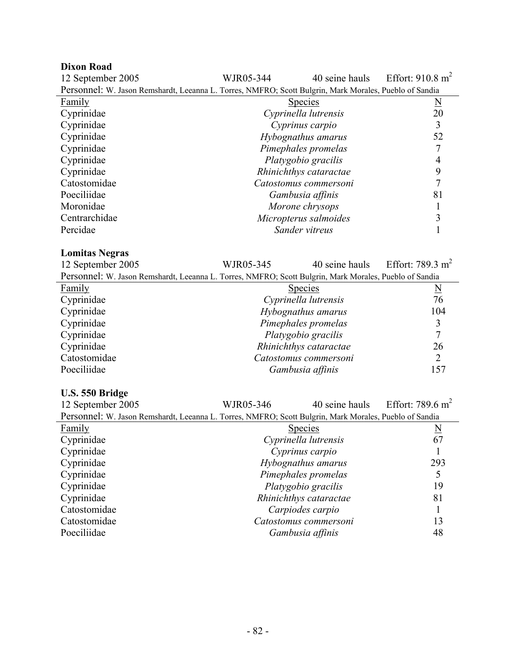### **Dixon Road**

| 12 September 2005                                                                                      | WJR05-344              | 40 seine hauls              | Effort: $910.8 \text{ m}^2$ |
|--------------------------------------------------------------------------------------------------------|------------------------|-----------------------------|-----------------------------|
| Personnel: W. Jason Remshardt, Leeanna L. Torres, NMFRO; Scott Bulgrin, Mark Morales, Pueblo of Sandia |                        |                             |                             |
| Family                                                                                                 | <u>Species</u>         | $\underline{\underline{N}}$ |                             |
| Cyprinidae                                                                                             |                        | Cyprinella lutrensis        | 20                          |
| Cyprinidae                                                                                             |                        | Cyprinus carpio             | 3                           |
| Cyprinidae                                                                                             |                        | Hybognathus amarus          | 52                          |
| Cyprinidae                                                                                             |                        | Pimephales promelas         | 7                           |
| Cyprinidae                                                                                             |                        | Platygobio gracilis         | $\overline{4}$              |
| Cyprinidae                                                                                             |                        | Rhinichthys cataractae      | 9                           |
| Catostomidae                                                                                           |                        | Catostomus commersoni       | $\overline{7}$              |
| Poeciliidae                                                                                            |                        | Gambusia affinis            | 81                          |
| Moronidae                                                                                              |                        | Morone chrysops             | $\mathbf{1}$                |
| Centrarchidae                                                                                          |                        | Micropterus salmoides       | 3                           |
| Percidae                                                                                               | Sander vitreus         |                             | $\mathbf{1}$                |
|                                                                                                        |                        |                             |                             |
| <b>Lomitas Negras</b>                                                                                  |                        |                             |                             |
| 12 September 2005                                                                                      | WJR05-345              | 40 seine hauls              | Effort: 789.3 $m2$          |
| Personnel: W. Jason Remshardt, Leeanna L. Torres, NMFRO; Scott Bulgrin, Mark Morales, Pueblo of Sandia |                        |                             |                             |
| Family                                                                                                 |                        | <b>Species</b>              | $\underline{\underline{N}}$ |
| Cyprinidae                                                                                             |                        | Cyprinella lutrensis        | 76                          |
| Cyprinidae                                                                                             | Hybognathus amarus     |                             | 104                         |
| Cyprinidae                                                                                             | Pimephales promelas    |                             | 3                           |
| Cyprinidae                                                                                             | Platygobio gracilis    |                             | $\overline{7}$              |
| Cyprinidae                                                                                             | Rhinichthys cataractae |                             | 26                          |
| Catostomidae                                                                                           |                        | Catostomus commersoni       | $\overline{2}$              |
| Poeciliidae                                                                                            | Gambusia affinis       |                             | 157                         |
| U.S. 550 Bridge                                                                                        |                        |                             |                             |

| 12 September 2005                                                                                      | WJR05-346                  | 40 seine hauls         | Effort: 789.6 $m^2$ |
|--------------------------------------------------------------------------------------------------------|----------------------------|------------------------|---------------------|
| Personnel: W. Jason Remshardt, Leeanna L. Torres, NMFRO; Scott Bulgrin, Mark Morales, Pueblo of Sandia |                            |                        |                     |
| Family                                                                                                 | <b>Species</b><br><u>N</u> |                        |                     |
| Cyprinidae                                                                                             |                            | Cyprinella lutrensis   | 67                  |
| Cyprinidae                                                                                             |                            | Cyprinus carpio        |                     |
| Cyprinidae                                                                                             |                            | Hybognathus amarus     | 293                 |
| Cyprinidae                                                                                             |                            | Pimephales promelas    |                     |
| Cyprinidae                                                                                             |                            | Platygobio gracilis    | 19                  |
| Cyprinidae                                                                                             |                            | Rhinichthys cataractae | 81                  |
| Catostomidae                                                                                           |                            | Carpiodes carpio       |                     |
| Catostomidae                                                                                           |                            | Catostomus commersoni  | 13                  |
| Poeciliidae                                                                                            |                            | Gambusia affinis       | 48                  |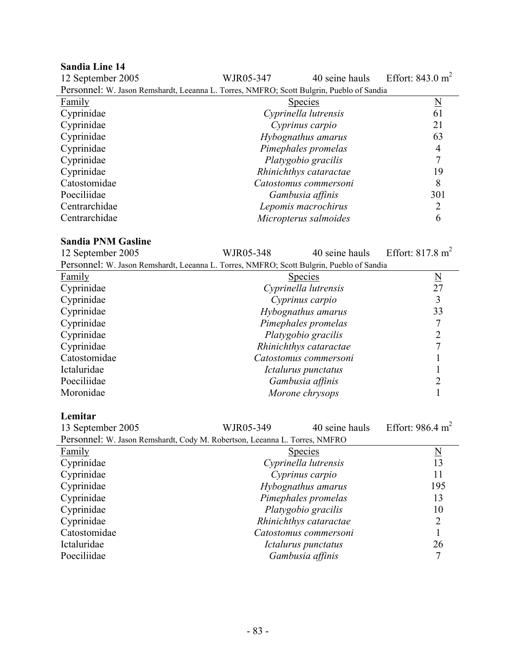| <b>Sandia Line 14</b>                                                                    |                        |                       |                             |
|------------------------------------------------------------------------------------------|------------------------|-----------------------|-----------------------------|
| 12 September 2005                                                                        | WJR05-347              | 40 seine hauls        | Effort: $843.0 \text{ m}^2$ |
| Personnel: W. Jason Remshardt, Leeanna L. Torres, NMFRO; Scott Bulgrin, Pueblo of Sandia |                        |                       |                             |
| Family                                                                                   |                        | <b>Species</b>        | $\underline{\rm N}$         |
| Cyprinidae                                                                               |                        | Cyprinella lutrensis  | 61                          |
| Cyprinidae                                                                               |                        | Cyprinus carpio       | 21                          |
| Cyprinidae                                                                               |                        | Hybognathus amarus    | 63                          |
| Cyprinidae                                                                               |                        | Pimephales promelas   | 4                           |
| Cyprinidae                                                                               |                        | Platygobio gracilis   | 7                           |
| Cyprinidae                                                                               | Rhinichthys cataractae |                       | 19                          |
| Catostomidae                                                                             | Catostomus commersoni  |                       | 8                           |
| Poeciliidae                                                                              | Gambusia affinis       |                       | 301                         |
| Centrarchidae                                                                            |                        | Lepomis macrochirus   | 2                           |
| Centrarchidae                                                                            |                        | Micropterus salmoides | 6                           |
|                                                                                          |                        |                       |                             |
| <b>Sandia PNM Gasline</b>                                                                |                        |                       |                             |
| 12 September 2005                                                                        | WJR05-348              | 40 seine hauls        | Effort: $817.8 \text{ m}^2$ |
| Personnel: W. Jason Remshardt, Leeanna L. Torres, NMFRO; Scott Bulgrin, Pueblo of Sandia |                        |                       |                             |

| T VIDOIMIVI. <i>W. Sudon Kemanara, Legamia L. Torres, Parii</i> Ro, Deoir Duight, Fueblo of Bundia |                        |                         |  |
|----------------------------------------------------------------------------------------------------|------------------------|-------------------------|--|
| Family                                                                                             | <b>Species</b>         | $\overline{\mathbf{N}}$ |  |
| Cyprinidae                                                                                         | Cyprinella lutrensis   | 27                      |  |
| Cyprinidae                                                                                         | Cyprinus carpio        |                         |  |
| Cyprinidae                                                                                         | Hybognathus amarus     | 33                      |  |
| Cyprinidae                                                                                         | Pimephales promelas    |                         |  |
| Cyprinidae                                                                                         | Platygobio gracilis    |                         |  |
| Cyprinidae                                                                                         | Rhinichthys cataractae |                         |  |
| Catostomidae                                                                                       | Catostomus commersoni  |                         |  |
| Ictaluridae                                                                                        | Ictalurus punctatus    |                         |  |
| Poeciliidae                                                                                        | Gambusia affinis       |                         |  |
| Moronidae                                                                                          | Morone chrysops        |                         |  |

# **Lemitar**

| WJR05-349 | 40 seine hauls | Effort: $986.4 \text{ m}^2$                                                                                                                                                                                                                                                                               |
|-----------|----------------|-----------------------------------------------------------------------------------------------------------------------------------------------------------------------------------------------------------------------------------------------------------------------------------------------------------|
|           |                |                                                                                                                                                                                                                                                                                                           |
|           |                | N                                                                                                                                                                                                                                                                                                         |
|           |                | 13                                                                                                                                                                                                                                                                                                        |
|           |                | 11                                                                                                                                                                                                                                                                                                        |
|           |                | 195                                                                                                                                                                                                                                                                                                       |
|           |                | 13                                                                                                                                                                                                                                                                                                        |
|           |                | 10                                                                                                                                                                                                                                                                                                        |
|           |                |                                                                                                                                                                                                                                                                                                           |
|           |                |                                                                                                                                                                                                                                                                                                           |
|           |                | 26                                                                                                                                                                                                                                                                                                        |
|           |                |                                                                                                                                                                                                                                                                                                           |
|           |                | Personnel: W. Jason Remshardt, Cody M. Robertson, Leeanna L. Torres, NMFRO<br><b>Species</b><br>Cyprinella lutrensis<br>Cyprinus carpio<br>Hybognathus amarus<br>Pimephales promelas<br>Platygobio gracilis<br>Rhinichthys cataractae<br>Catostomus commersoni<br>Ictalurus punctatus<br>Gambusia affinis |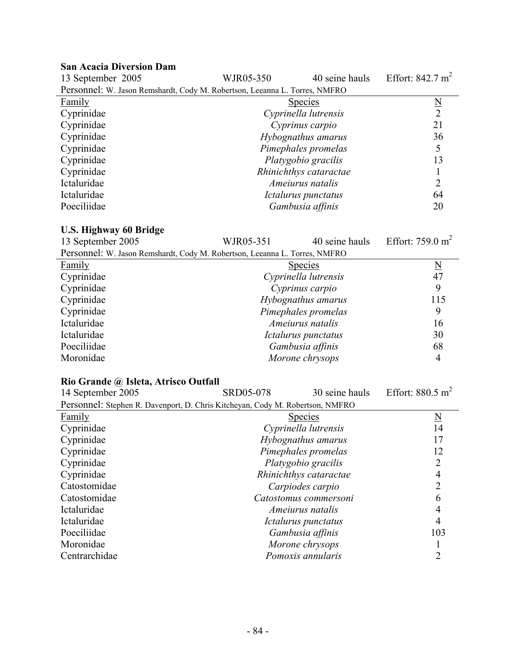# **San Acacia Diversion Dam**

| WJR05-350 | 40 seine hauls | Effort: $842.7 \text{ m}^2$                                                                                                                                                                                                                                                                          |
|-----------|----------------|------------------------------------------------------------------------------------------------------------------------------------------------------------------------------------------------------------------------------------------------------------------------------------------------------|
|           |                |                                                                                                                                                                                                                                                                                                      |
|           |                | N                                                                                                                                                                                                                                                                                                    |
|           |                | $\mathcal{D}$                                                                                                                                                                                                                                                                                        |
|           |                | 21                                                                                                                                                                                                                                                                                                   |
|           |                | 36                                                                                                                                                                                                                                                                                                   |
|           |                |                                                                                                                                                                                                                                                                                                      |
|           |                | 13                                                                                                                                                                                                                                                                                                   |
|           |                |                                                                                                                                                                                                                                                                                                      |
|           |                |                                                                                                                                                                                                                                                                                                      |
|           |                | 64                                                                                                                                                                                                                                                                                                   |
|           |                | 20                                                                                                                                                                                                                                                                                                   |
|           |                | Personnel: W. Jason Remshardt, Cody M. Robertson, Leeanna L. Torres, NMFRO<br><b>Species</b><br>Cyprinella lutrensis<br>Cyprinus carpio<br>Hybognathus amarus<br>Pimephales promelas<br>Platygobio gracilis<br>Rhinichthys cataractae<br>Ameiurus natalis<br>Ictalurus punctatus<br>Gambusia affinis |

# **U.S. Highway 60 Bridge**

| 13 September 2005                                                          | WJR05-351 | 40 seine hauls       | Effort: $759.0 \text{ m}^2$ |
|----------------------------------------------------------------------------|-----------|----------------------|-----------------------------|
| Personnel: W. Jason Remshardt, Cody M. Robertson, Leeanna L. Torres, NMFRO |           |                      |                             |
| Family                                                                     |           | <b>Species</b>       | $\overline{\mathbf{N}}$     |
| Cyprinidae                                                                 |           | Cyprinella lutrensis | 47                          |
| Cyprinidae                                                                 |           | Cyprinus carpio      | 9                           |
| Cyprinidae                                                                 |           | Hybognathus amarus   | 115                         |
| Cyprinidae                                                                 |           | Pimephales promelas  | 9                           |
| Ictaluridae                                                                |           | Ameiurus natalis     | 16                          |
| Ictaluridae                                                                |           | Ictalurus punctatus  | 30                          |
| Poeciliidae                                                                |           | Gambusia affinis     | 68                          |
| Moronidae                                                                  |           | Morone chrysops      | 4                           |

# **Rio Grande @ Isleta, Atrisco Outfall**

| 14 September 2005                                                             | <b>SRD05-078</b> | 30 seine hauls         | Effort: $880.5 \text{ m}^2$ |
|-------------------------------------------------------------------------------|------------------|------------------------|-----------------------------|
| Personnel: Stephen R. Davenport, D. Chris Kitcheyan, Cody M. Robertson, NMFRO |                  |                        |                             |
| Family                                                                        |                  | <b>Species</b>         | N                           |
| Cyprinidae                                                                    |                  | Cyprinella lutrensis   | 14                          |
| Cyprinidae                                                                    |                  | Hybognathus amarus     |                             |
| Cyprinidae                                                                    |                  | Pimephales promelas    | 12                          |
| Cyprinidae                                                                    |                  | Platygobio gracilis    |                             |
| Cyprinidae                                                                    |                  | Rhinichthys cataractae |                             |
| Catostomidae                                                                  |                  | Carpiodes carpio       |                             |
| Catostomidae                                                                  |                  | Catostomus commersoni  | n                           |
| Ictaluridae                                                                   |                  | Ameiurus natalis       |                             |
| Ictaluridae                                                                   |                  | Ictalurus punctatus    |                             |
| Poeciliidae                                                                   |                  | Gambusia affinis       | 103                         |
| Moronidae                                                                     |                  | Morone chrysops        |                             |
| Centrarchidae                                                                 |                  | Pomoxis annularis      |                             |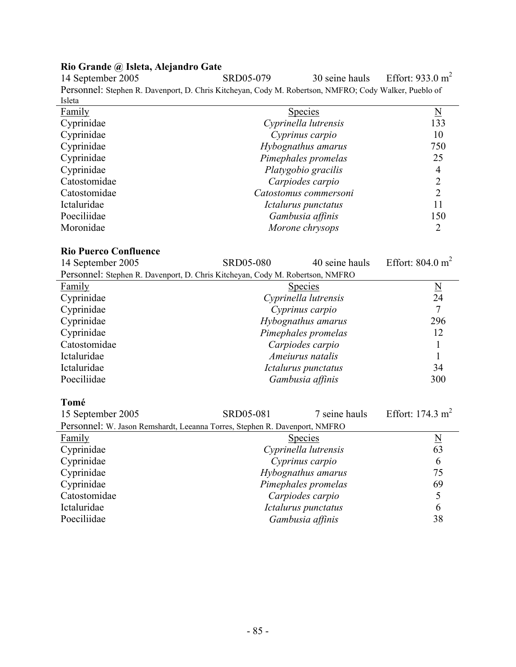## **Rio Grande @ Isleta, Alejandro Gate**

14 September 2005 SRD05-079 30 seine hauls Effort: 933.0 m<sup>2</sup> Personnel: Stephen R. Davenport, D. Chris Kitcheyan, Cody M. Robertson, NMFRO; Cody Walker, Pueblo of Isleta

| 15icia        |                       |     |
|---------------|-----------------------|-----|
| <b>Family</b> | <b>Species</b>        | N   |
| Cyprinidae    | Cyprinella lutrensis  | 133 |
| Cyprinidae    | Cyprinus carpio       | 10  |
| Cyprinidae    | Hybognathus amarus    | 750 |
| Cyprinidae    | Pimephales promelas   | 25  |
| Cyprinidae    | Platygobio gracilis   | 4   |
| Catostomidae  | Carpiodes carpio      |     |
| Catostomidae  | Catostomus commersoni | 2   |
| Ictaluridae   | Ictalurus punctatus   | 11  |
| Poeciliidae   | Gambusia affinis      | 150 |
| Moronidae     | Morone chrysops       |     |

#### **Rio Puerco Confluence**

| 14 September 2005                                                             | <b>SRD05-080</b>     | 40 seine hauls       | Effort: $804.0 \text{ m}^2$ |  |  |
|-------------------------------------------------------------------------------|----------------------|----------------------|-----------------------------|--|--|
| Personnel: Stephen R. Davenport, D. Chris Kitcheyan, Cody M. Robertson, NMFRO |                      |                      |                             |  |  |
| Family                                                                        |                      | <b>Species</b>       | $\underline{N}$             |  |  |
| Cyprinidae                                                                    |                      | Cyprinella lutrensis | 24                          |  |  |
| Cyprinidae                                                                    |                      | Cyprinus carpio      | $\tau$                      |  |  |
| Cyprinidae                                                                    |                      | Hybognathus amarus   | 296                         |  |  |
| Cyprinidae                                                                    |                      | Pimephales promelas  | 12                          |  |  |
| Catostomidae                                                                  |                      | Carpiodes carpio     |                             |  |  |
| Ictaluridae                                                                   | Ameiurus natalis     |                      | 1                           |  |  |
| Ictaluridae                                                                   | Ictalurus punctatus  |                      | 34                          |  |  |
| Poeciliidae                                                                   | Gambusia affinis     |                      | 300                         |  |  |
| Tomé                                                                          |                      |                      |                             |  |  |
| 15 September 2005                                                             | SRD05-081            | 7 seine hauls        | Effort: 174.3 $m2$          |  |  |
| Personnel: W. Jason Remshardt, Leeanna Torres, Stephen R. Davenport, NMFRO    |                      |                      |                             |  |  |
| <b>Family</b>                                                                 | <b>Species</b>       |                      | $\underline{N}$             |  |  |
| Cyprinidae                                                                    | Cyprinella lutrensis |                      | 63                          |  |  |
| Cyprinidae                                                                    | Cyprinus carpio      |                      | 6                           |  |  |
| Cyprinidae                                                                    | Hybognathus amarus   |                      | 75                          |  |  |
| Cyprinidae                                                                    | Pimephales promelas  |                      | 69                          |  |  |

Cyprinidae *Pimephales promelas* 69

Ictaluridae *Ictalurus punctatus* 6 Poeciliidae *Gambusia affinis* 38

Catostomidae *Carpiodes carpio* 5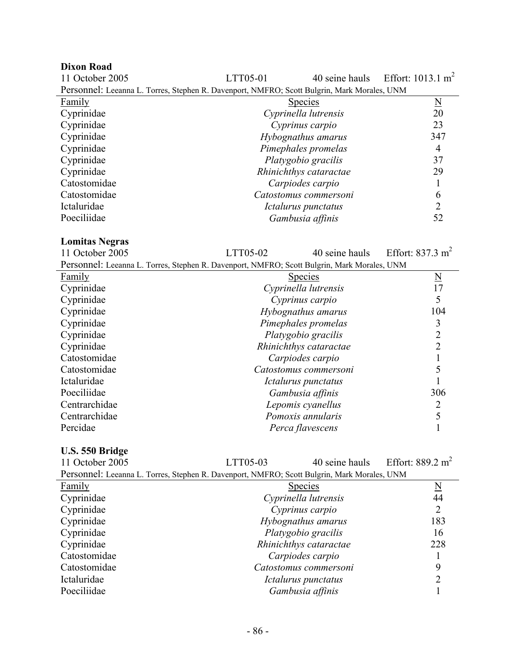| <b>Dixon Road</b>                                                                           |                        |                      |                               |
|---------------------------------------------------------------------------------------------|------------------------|----------------------|-------------------------------|
| 11 October 2005                                                                             | LTT05-01               | 40 seine hauls       | Effort: 1013.1 m <sup>2</sup> |
| Personnel: Leeanna L. Torres, Stephen R. Davenport, NMFRO; Scott Bulgrin, Mark Morales, UNM |                        |                      |                               |
| Family                                                                                      |                        | <b>Species</b>       | $\underline{\rm N}$           |
| Cyprinidae                                                                                  |                        | Cyprinella lutrensis | 20                            |
| Cyprinidae                                                                                  |                        | Cyprinus carpio      | 23                            |
| Cyprinidae                                                                                  | Hybognathus amarus     |                      | 347                           |
| Cyprinidae                                                                                  | Pimephales promelas    |                      | 4                             |
| Cyprinidae                                                                                  | Platygobio gracilis    |                      | 37                            |
| Cyprinidae                                                                                  | Rhinichthys cataractae |                      | 29                            |
| Catostomidae                                                                                |                        | Carpiodes carpio     |                               |
| Catostomidae                                                                                | Catostomus commersoni  |                      | 6                             |
| Ictaluridae                                                                                 |                        | Ictalurus punctatus  | $\overline{2}$                |
| Poeciliidae                                                                                 |                        | Gambusia affinis     | 52                            |

# **Lomitas Negras**

 $LTT05-02$  40 seine hauls Effort: 837.3 m<sup>2</sup>

| Personnel: Leeanna L. Torres, Stephen R. Davenport, NMFRO; Scott Bulgrin, Mark Morales, UNM |                        |                     |  |
|---------------------------------------------------------------------------------------------|------------------------|---------------------|--|
| Family                                                                                      | <b>Species</b>         | $\underline{\rm N}$ |  |
| Cyprinidae                                                                                  | Cyprinella lutrensis   | 17                  |  |
| Cyprinidae                                                                                  | Cyprinus carpio        | 5                   |  |
| Cyprinidae                                                                                  | Hybognathus amarus     | 104                 |  |
| Cyprinidae                                                                                  | Pimephales promelas    | 3                   |  |
| Cyprinidae                                                                                  | Platygobio gracilis    | 2                   |  |
| Cyprinidae                                                                                  | Rhinichthys cataractae | ∍                   |  |
| Catostomidae                                                                                | Carpiodes carpio       |                     |  |
| Catostomidae                                                                                | Catostomus commersoni  |                     |  |
| Ictaluridae                                                                                 | Ictalurus punctatus    |                     |  |
| Poeciliidae                                                                                 | Gambusia affinis       | 306                 |  |
| Centrarchidae                                                                               | Lepomis cyanellus      |                     |  |
| Centrarchidae                                                                               | Pomoxis annularis      |                     |  |
| Percidae                                                                                    | Perca flavescens       |                     |  |

## **U.S. 550 Bridge**

| 11 October 2005                                                                             | LTT05-03           | 40 seine hauls         | Effort: $889.2 \text{ m}^2$ |  |
|---------------------------------------------------------------------------------------------|--------------------|------------------------|-----------------------------|--|
| Personnel: Leeanna L. Torres, Stephen R. Davenport, NMFRO; Scott Bulgrin, Mark Morales, UNM |                    |                        |                             |  |
| Family                                                                                      |                    | <b>Species</b>         | $\underline{\rm N}$         |  |
| Cyprinidae                                                                                  |                    | Cyprinella lutrensis   | 44                          |  |
| Cyprinidae                                                                                  |                    | Cyprinus carpio        | 2                           |  |
| Cyprinidae                                                                                  | Hybognathus amarus |                        | 183                         |  |
| Cyprinidae                                                                                  |                    | Platygobio gracilis    | 16                          |  |
| Cyprinidae                                                                                  |                    | Rhinichthys cataractae | 228                         |  |
| Catostomidae                                                                                |                    | Carpiodes carpio       |                             |  |
| Catostomidae                                                                                |                    | Catostomus commersoni  | 9                           |  |
| Ictaluridae                                                                                 |                    | Ictalurus punctatus    | 2                           |  |
| Poeciliidae                                                                                 |                    | Gambusia affinis       |                             |  |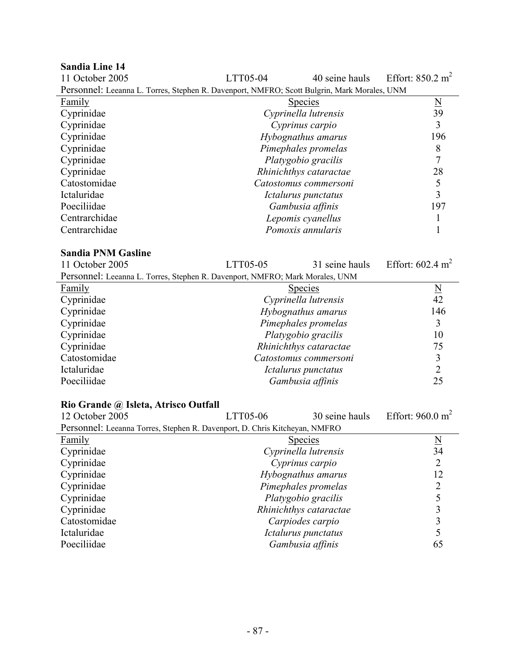# **Sandia Line 14**

| 11 October 2005                                                                             | LTT05-04              | 40 seine hauls         | Effort: $850.2 \text{ m}^2$ |
|---------------------------------------------------------------------------------------------|-----------------------|------------------------|-----------------------------|
| Personnel: Leeanna L. Torres, Stephen R. Davenport, NMFRO; Scott Bulgrin, Mark Morales, UNM |                       |                        |                             |
| <b>Family</b>                                                                               |                       | <b>Species</b>         | $\underline{\rm N}$         |
| Cyprinidae                                                                                  |                       | Cyprinella lutrensis   | 39                          |
| Cyprinidae                                                                                  |                       | Cyprinus carpio        | 3                           |
| Cyprinidae                                                                                  |                       | Hybognathus amarus     | 196                         |
| Cyprinidae                                                                                  |                       | Pimephales promelas    | 8                           |
| Cyprinidae                                                                                  |                       | Platygobio gracilis    |                             |
| Cyprinidae                                                                                  |                       | Rhinichthys cataractae | 28                          |
| Catostomidae                                                                                | Catostomus commersoni |                        | 5                           |
| Ictaluridae                                                                                 | Ictalurus punctatus   |                        | 3                           |
| Poeciliidae                                                                                 | Gambusia affinis      |                        | 197                         |
| Centrarchidae                                                                               | Lepomis cyanellus     |                        |                             |
| Centrarchidae                                                                               | Pomoxis annularis     |                        |                             |
| <b>Sandia PNM Gasline</b>                                                                   |                       |                        |                             |
| 11 October 2005                                                                             | LTT05-05              | 31 seine hauls         | Effort: $602.4 \text{ m}^2$ |
| Personnel: Leeanna L. Torres, Stephen R. Davenport, NMFRO; Mark Morales, UNM                |                       |                        |                             |
| Family                                                                                      | <b>Species</b>        |                        | N                           |

|                        | 1N             |
|------------------------|----------------|
| Cyprinella lutrensis   | 42             |
| Hybognathus amarus     | 146            |
| Pimephales promelas    |                |
| Platygobio gracilis    | 10             |
| Rhinichthys cataractae | 75             |
| Catostomus commersoni  |                |
| Ictalurus punctatus    |                |
| Gambusia affinis       | 25             |
|                        | <b>Species</b> |

# **Rio Grande @ Isleta, Atrisco Outfall**

| 12 October 2005                                                            | LTT05-06           | 30 seine hauls         | Effort: $960.0 \text{ m}^2$ |
|----------------------------------------------------------------------------|--------------------|------------------------|-----------------------------|
| Personnel: Leeanna Torres, Stephen R. Davenport, D. Chris Kitcheyan, NMFRO |                    |                        |                             |
| <b>Family</b>                                                              |                    | <b>Species</b>         | $\overline{\mathbf{N}}$     |
| Cyprinidae                                                                 |                    | Cyprinella lutrensis   | 34                          |
| Cyprinidae                                                                 |                    | Cyprinus carpio        | 2                           |
| Cyprinidae                                                                 | Hybognathus amarus |                        | 12                          |
| Cyprinidae                                                                 |                    | Pimephales promelas    | 2                           |
| Cyprinidae                                                                 |                    | Platygobio gracilis    |                             |
| Cyprinidae                                                                 |                    | Rhinichthys cataractae | 3                           |
| Catostomidae                                                               |                    | Carpiodes carpio       | 3                           |
| Ictaluridae                                                                |                    | Ictalurus punctatus    |                             |
| Poeciliidae                                                                |                    | Gambusia affinis       | 65                          |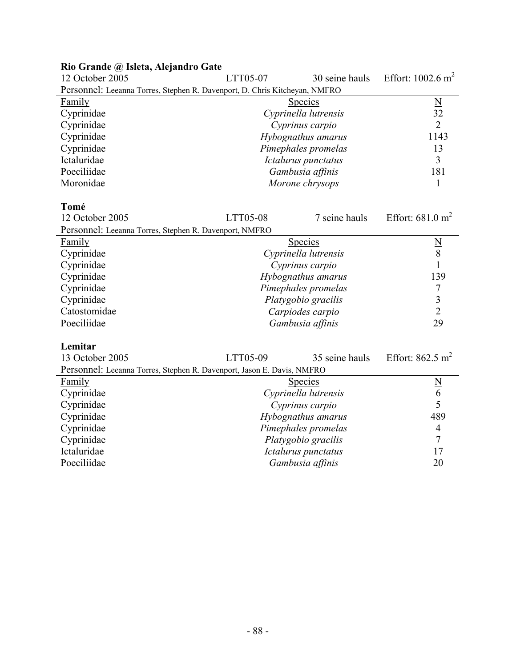| $\sigma$ and $w_i$ isitus the angular $\sigma$ and<br>12 October 2005      | LTT05-07             | 30 seine hauls       | Effort: $1002.6 \text{ m}^2$ |
|----------------------------------------------------------------------------|----------------------|----------------------|------------------------------|
| Personnel: Leeanna Torres, Stephen R. Davenport, D. Chris Kitcheyan, NMFRO |                      |                      |                              |
| <b>Family</b>                                                              |                      | <b>Species</b>       | $\overline{\mathbf{N}}$      |
| Cyprinidae                                                                 |                      | Cyprinella lutrensis | 32                           |
| Cyprinidae                                                                 |                      | Cyprinus carpio      | $\overline{2}$               |
| Cyprinidae                                                                 |                      | Hybognathus amarus   | 1143                         |
| Cyprinidae                                                                 |                      | Pimephales promelas  | 13                           |
| Ictaluridae                                                                |                      | Ictalurus punctatus  | 3                            |
| Poeciliidae                                                                |                      | Gambusia affinis     | 181                          |
| Moronidae                                                                  |                      | Morone chrysops      | 1                            |
|                                                                            |                      |                      |                              |
| Tomé                                                                       |                      |                      |                              |
| 12 October 2005                                                            | LTT05-08             | 7 seine hauls        | Effort: $681.0 \text{ m}^2$  |
| Personnel: Leeanna Torres, Stephen R. Davenport, NMFRO                     |                      |                      |                              |
| <b>Family</b>                                                              |                      | <b>Species</b>       | $\frac{N}{8}$                |
| Cyprinidae                                                                 |                      | Cyprinella lutrensis |                              |
| Cyprinidae                                                                 |                      | Cyprinus carpio      | $\mathbf{1}$                 |
| Cyprinidae                                                                 | Hybognathus amarus   |                      | 139                          |
| Cyprinidae                                                                 | Pimephales promelas  |                      | $\boldsymbol{7}$             |
| Cyprinidae                                                                 |                      | Platygobio gracilis  | $\mathfrak{Z}$               |
| Catostomidae                                                               |                      | Carpiodes carpio     | $\overline{2}$               |
| Poeciliidae                                                                |                      | Gambusia affinis     | 29                           |
|                                                                            |                      |                      |                              |
| Lemitar                                                                    |                      |                      |                              |
| 13 October 2005                                                            | LTT05-09             | 35 seine hauls       | Effort: $862.5 \text{ m}^2$  |
| Personnel: Leeanna Torres, Stephen R. Davenport, Jason E. Davis, NMFRO     |                      |                      |                              |
| <b>Family</b>                                                              |                      | <b>Species</b>       | $\frac{N}{6}$                |
| Cyprinidae                                                                 | Cyprinella lutrensis |                      |                              |
| Cyprinidae                                                                 | Cyprinus carpio      |                      | 5                            |
| Cyprinidae                                                                 | Hybognathus amarus   |                      | 489                          |
| Cyprinidae                                                                 | Pimephales promelas  |                      | $\overline{4}$               |
| Cyprinidae                                                                 |                      | Platygobio gracilis  | $\overline{7}$               |
| Ictaluridae                                                                |                      | Ictalurus punctatus  | 17                           |
| Poeciliidae                                                                |                      | Gambusia affinis     | 20                           |

### **Rio Grande @ Isleta, Alejandro Gate**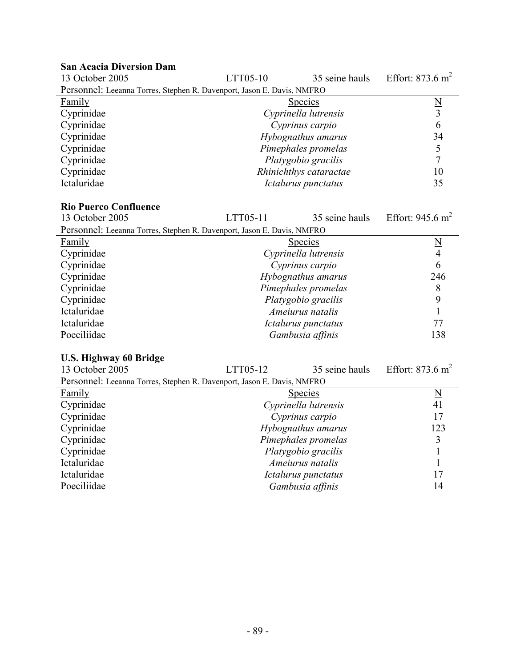| <b>San Acacia Diversion Dam</b>                                        |                 |                        |                             |
|------------------------------------------------------------------------|-----------------|------------------------|-----------------------------|
| 13 October 2005                                                        | LTT05-10        | 35 seine hauls         | Effort: $873.6 \text{ m}^2$ |
| Personnel: Leeanna Torres, Stephen R. Davenport, Jason E. Davis, NMFRO |                 |                        |                             |
| Family                                                                 |                 | <b>Species</b>         | $\underline{\rm N}$         |
| Cyprinidae                                                             |                 | Cyprinella lutrensis   | 3                           |
| Cyprinidae                                                             | Cyprinus carpio |                        | 6                           |
| Cyprinidae                                                             |                 | Hybognathus amarus     | 34                          |
| Cyprinidae                                                             |                 | Pimephales promelas    | 5                           |
| Cyprinidae                                                             |                 | Platygobio gracilis    |                             |
| Cyprinidae                                                             |                 | Rhinichthys cataractae | 10                          |
| Ictaluridae                                                            |                 | Ictalurus punctatus    | 35                          |

# **Rio Puerco Confluence**

| 13 October 2005                                                        | LTT05-11 | 35 seine hauls       | Effort: 945.6 $m^2$ |
|------------------------------------------------------------------------|----------|----------------------|---------------------|
| Personnel: Leeanna Torres, Stephen R. Davenport, Jason E. Davis, NMFRO |          |                      |                     |
| <b>Family</b>                                                          |          | <b>Species</b>       |                     |
| Cyprinidae                                                             |          | Cyprinella lutrensis | 4                   |
| Cyprinidae                                                             |          | Cyprinus carpio      | 6                   |
| Cyprinidae                                                             |          | Hybognathus amarus   | 246                 |
| Cyprinidae                                                             |          | Pimephales promelas  | 8                   |
| Cyprinidae                                                             |          | Platygobio gracilis  | 9                   |
| Ictaluridae                                                            |          | Ameiurus natalis     |                     |
| Ictaluridae                                                            |          | Ictalurus punctatus  | 77                  |
| Poeciliidae                                                            |          | Gambusia affinis     | 138                 |

# **U.S. Highway 60 Bridge**

| 13 October 2005                                                        | LTT05-12            | 35 seine hauls       | Effort: $873.6 \text{ m}^2$ |
|------------------------------------------------------------------------|---------------------|----------------------|-----------------------------|
| Personnel: Leeanna Torres, Stephen R. Davenport, Jason E. Davis, NMFRO |                     |                      |                             |
| <b>Family</b>                                                          |                     | <b>Species</b>       | $\underline{N}$             |
| Cyprinidae                                                             |                     | Cyprinella lutrensis | 41                          |
| Cyprinidae                                                             |                     | Cyprinus carpio      | 17                          |
| Cyprinidae                                                             | Hybognathus amarus  |                      | 123                         |
| Cyprinidae                                                             | Pimephales promelas |                      | 3                           |
| Cyprinidae                                                             |                     | Platygobio gracilis  |                             |
| Ictaluridae                                                            | Ameiurus natalis    |                      |                             |
| Ictaluridae                                                            |                     | Ictalurus punctatus  | 17                          |
| Poeciliidae                                                            |                     | Gambusia affinis     | 14                          |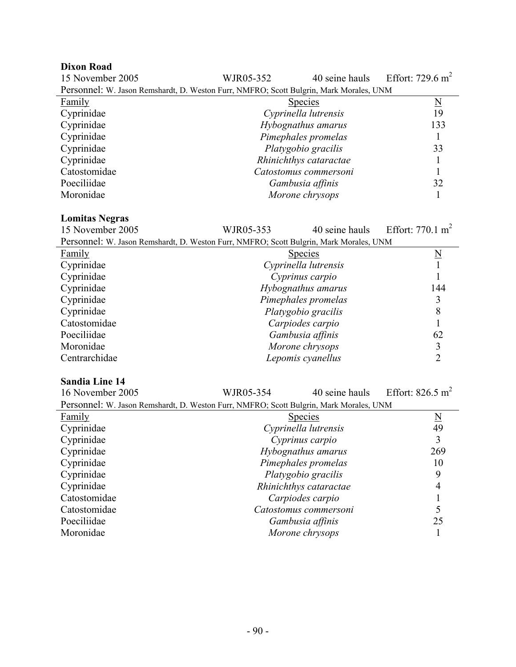#### **Dixon Road**

| 15 November 2005                                                                       | WJR05-352 | 40 seine hauls         | Effort: $729.6 \text{ m}^2$ |
|----------------------------------------------------------------------------------------|-----------|------------------------|-----------------------------|
| Personnel: W. Jason Remshardt, D. Weston Furr, NMFRO; Scott Bulgrin, Mark Morales, UNM |           |                        |                             |
| <b>Family</b>                                                                          |           | <b>Species</b>         | N                           |
| Cyprinidae                                                                             |           | Cyprinella lutrensis   | 19                          |
| Cyprinidae                                                                             |           | Hybognathus amarus     | 133                         |
| Cyprinidae                                                                             |           | Pimephales promelas    |                             |
| Cyprinidae                                                                             |           | Platygobio gracilis    | 33                          |
| Cyprinidae                                                                             |           | Rhinichthys cataractae |                             |
| Catostomidae                                                                           |           | Catostomus commersoni  |                             |
| Poeciliidae                                                                            |           | Gambusia affinis       | 32                          |
| Moronidae                                                                              |           | Morone chrysops        |                             |

# **Lomitas Negras**

WIR05-353  $40$  seine hauls Effort: 770.1 m<sup>2</sup>

| 10 INOVEIIIDEI ZUUJ | WJKUJ-333                                                                              | 40 seme nauis | - EHOIL 770.1 III |
|---------------------|----------------------------------------------------------------------------------------|---------------|-------------------|
|                     | Personnel: W. Jason Remshardt, D. Weston Furr, NMFRO; Scott Bulgrin, Mark Morales, UNM |               |                   |

|               | $\sim$ . The second comparation of $\sim$ . The second case, the second second second comparation is second to the second second second second second second second second second second second second second second second secon |     |
|---------------|-----------------------------------------------------------------------------------------------------------------------------------------------------------------------------------------------------------------------------------|-----|
| Family        | <b>Species</b>                                                                                                                                                                                                                    | N   |
| Cyprinidae    | Cyprinella lutrensis                                                                                                                                                                                                              |     |
| Cyprinidae    | Cyprinus carpio                                                                                                                                                                                                                   |     |
| Cyprinidae    | Hybognathus amarus                                                                                                                                                                                                                | 144 |
| Cyprinidae    | Pimephales promelas                                                                                                                                                                                                               |     |
| Cyprinidae    | Platygobio gracilis                                                                                                                                                                                                               | 8   |
| Catostomidae  | Carpiodes carpio                                                                                                                                                                                                                  |     |
| Poeciliidae   | Gambusia affinis                                                                                                                                                                                                                  | 62  |
| Moronidae     | Morone chrysops                                                                                                                                                                                                                   |     |
| Centrarchidae | Lepomis cyanellus                                                                                                                                                                                                                 |     |
|               |                                                                                                                                                                                                                                   |     |

#### **Sandia Line 14**

16 November 2005 WJR05-354 40 seine hauls Effort: 826.5 m<sup>2</sup> Personnel: W. Jason Remshardt, D. Weston Furr, NMFRO; Scott Bulgrin, Mark Morales, UNM Family Species N Cyprinidae *Cyprinella lutrensis* 49 Cyprinidae *Cyprinus carpio* 3 Cyprinidae *Hybognathus amarus* 269 Cyprinidae *Pimephales promelas* 10 Platygobio gracilis **9** 

| Cyprinidae   | Rhinichthys cataractae |    |
|--------------|------------------------|----|
| Catostomidae | Carpiodes carpio       |    |
| Catostomidae | Catostomus commersoni  |    |
| Poeciliidae  | Gambusia affinis       | 25 |
| Moronidae    | Morone chrysops        |    |
|              |                        |    |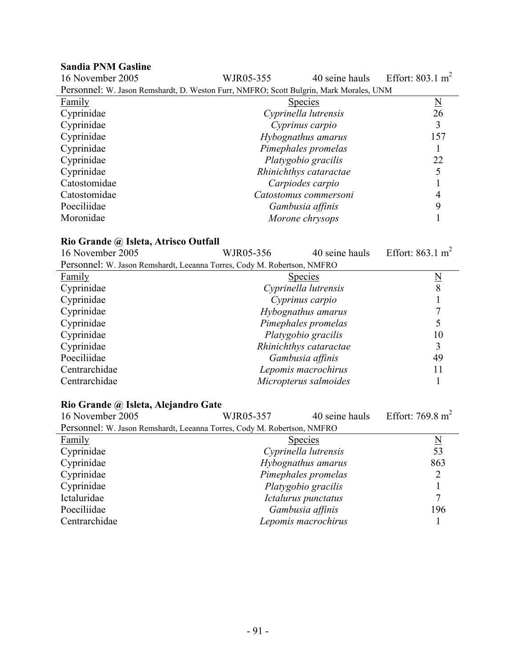# **Sandia PNM Gasline**

| 16 November 2005                                                                       | WJR05-355            | 40 seine hauls         | Effort: $803.1 \text{ m}^2$ |
|----------------------------------------------------------------------------------------|----------------------|------------------------|-----------------------------|
| Personnel: W. Jason Remshardt, D. Weston Furr, NMFRO; Scott Bulgrin, Mark Morales, UNM |                      |                        |                             |
| <b>Family</b>                                                                          |                      | <b>Species</b>         | $\underline{N}$             |
| Cyprinidae                                                                             |                      | Cyprinella lutrensis   | 26                          |
| Cyprinidae                                                                             |                      | Cyprinus carpio        | $\overline{3}$              |
| Cyprinidae                                                                             |                      | Hybognathus amarus     | 157                         |
| Cyprinidae                                                                             |                      | Pimephales promelas    | $\mathbf{1}$                |
| Cyprinidae                                                                             |                      | Platygobio gracilis    | 22                          |
| Cyprinidae                                                                             |                      | Rhinichthys cataractae | 5                           |
| Catostomidae                                                                           |                      | Carpiodes carpio       | $\mathbf{1}$                |
| Catostomidae                                                                           |                      | Catostomus commersoni  | $\overline{4}$              |
| Poeciliidae                                                                            |                      | Gambusia affinis       | 9                           |
| Moronidae                                                                              |                      | Morone chrysops        | $\mathbf{1}$                |
|                                                                                        |                      |                        |                             |
| Rio Grande @ Isleta, Atrisco Outfall                                                   |                      |                        |                             |
| 16 November 2005                                                                       | WJR05-356            | 40 seine hauls         | Effort: $863.1 \text{ m}^2$ |
| Personnel: W. Jason Remshardt, Leeanna Torres, Cody M. Robertson, NMFRO                |                      |                        |                             |
| Family                                                                                 |                      | <b>Species</b>         |                             |
| Cyprinidae                                                                             |                      | Cyprinella lutrensis   | $\frac{N}{8}$               |
| Cyprinidae                                                                             |                      | Cyprinus carpio        | $\mathbf{1}$                |
| Cyprinidae                                                                             | Hybognathus amarus   |                        | 7                           |
| Cyprinidae                                                                             |                      | Pimephales promelas    | 5                           |
| Cyprinidae                                                                             |                      | Platygobio gracilis    | 10                          |
| Cyprinidae                                                                             |                      | Rhinichthys cataractae | 3                           |
| Poeciliidae                                                                            |                      | Gambusia affinis       | 49                          |
| Centrarchidae                                                                          |                      | Lepomis macrochirus    | 11                          |
| Centrarchidae                                                                          |                      | Micropterus salmoides  | 1                           |
|                                                                                        |                      |                        |                             |
| Rio Grande @ Isleta, Alejandro Gate                                                    |                      |                        |                             |
| 16 November 2005                                                                       | WJR05-357            | 40 seine hauls         | Effort: 769.8 $m2$          |
| Personnel: W. Jason Remshardt, Leeanna Torres, Cody M. Robertson, NMFRO                |                      |                        |                             |
| Family                                                                                 |                      | <b>Species</b>         | $\underline{\mathrm{N}}$    |
| Cyprinidae                                                                             | Cyprinella lutrensis |                        | 53                          |
| Cyprinidae                                                                             |                      | Hybognathus amarus     | 863                         |
| Cyprinidae                                                                             |                      | Pimephales promelas    | $\overline{2}$              |
| Cyprinidae                                                                             |                      | Platygobio gracilis    | 1                           |
| Ictaluridae                                                                            |                      | Ictalurus punctatus    | $\overline{7}$              |
| Poeciliidae                                                                            | Gambusia affinis     |                        | 196                         |

Centrarchidae *Lepomis macrochirus* 1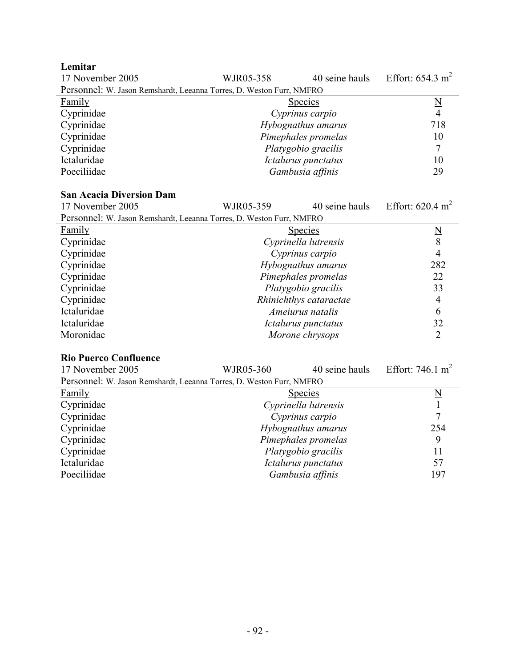**Lemitar** 

| 17 November 2005                                                     | WJR05-358 | 40 seine hauls      | Effort: $654.3 \text{ m}^2$ |
|----------------------------------------------------------------------|-----------|---------------------|-----------------------------|
| Personnel: W. Jason Remshardt, Leeanna Torres, D. Weston Furr, NMFRO |           |                     |                             |
| <b>Family</b>                                                        |           | <b>Species</b>      | N                           |
| Cyprinidae                                                           |           | Cyprinus carpio     | 4                           |
| Cyprinidae                                                           |           | Hybognathus amarus  | 718                         |
| Cyprinidae                                                           |           | Pimephales promelas | 10                          |
| Cyprinidae                                                           |           | Platygobio gracilis |                             |
| Ictaluridae                                                          |           | Ictalurus punctatus | 10                          |
| Poeciliidae                                                          |           | Gambusia affinis    | 29                          |

#### **San Acacia Diversion Dam**

| 17 November 2005                                                     | WJR05-359           | 40 seine hauls         | Effort: $620.4 \text{ m}^2$ |
|----------------------------------------------------------------------|---------------------|------------------------|-----------------------------|
| Personnel: W. Jason Remshardt, Leeanna Torres, D. Weston Furr, NMFRO |                     |                        |                             |
| Family                                                               |                     | <b>Species</b>         | N                           |
| Cyprinidae                                                           |                     | Cyprinella lutrensis   | 8                           |
| Cyprinidae                                                           |                     | Cyprinus carpio        | 4                           |
| Cyprinidae                                                           | Hybognathus amarus  |                        | 282                         |
| Cyprinidae                                                           | Pimephales promelas |                        | 22                          |
| Cyprinidae                                                           |                     | Platygobio gracilis    | 33                          |
| Cyprinidae                                                           |                     | Rhinichthys cataractae | 4                           |
| Ictaluridae                                                          | Ameiurus natalis    |                        | 6                           |
| Ictaluridae                                                          |                     | Ictalurus punctatus    | 32                          |
| Moronidae                                                            |                     | Morone chrysops        | 2                           |

### **Rio Puerco Confluence**

| 17 November 2005                                                     | WJR05-360            | 40 seine hauls | Effort: 746.1 $m2$       |
|----------------------------------------------------------------------|----------------------|----------------|--------------------------|
| Personnel: W. Jason Remshardt, Leeanna Torres, D. Weston Furr, NMFRO |                      |                |                          |
| <b>Family</b>                                                        | <b>Species</b>       |                | $\underline{\mathrm{N}}$ |
| Cyprinidae                                                           | Cyprinella lutrensis |                |                          |
| Cyprinidae                                                           | Cyprinus carpio      |                | 7                        |
| Cyprinidae                                                           | Hybognathus amarus   |                | 254                      |
| Cyprinidae                                                           | Pimephales promelas  |                | 9                        |
| Cyprinidae                                                           | Platygobio gracilis  |                | 11                       |
| Ictaluridae                                                          | Ictalurus punctatus  |                | 57                       |
| Poeciliidae                                                          | Gambusia affinis     |                | 197                      |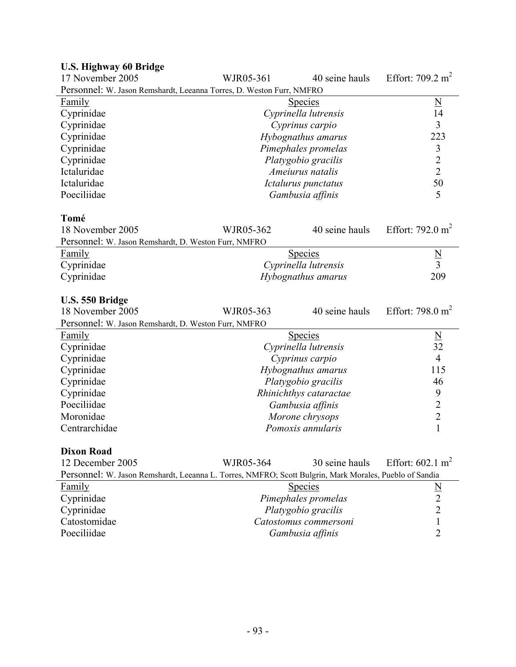| <b>U.S. Highway 60 Bridge</b>                                                                          |           |                                           |                             |
|--------------------------------------------------------------------------------------------------------|-----------|-------------------------------------------|-----------------------------|
| 17 November 2005                                                                                       | WJR05-361 | 40 seine hauls                            | Effort: $709.2 \text{ m}^2$ |
| Personnel: W. Jason Remshardt, Leeanna Torres, D. Weston Furr, NMFRO                                   |           |                                           |                             |
| Family                                                                                                 |           | <u>Species</u>                            | $\underline{N}$             |
| Cyprinidae                                                                                             |           | Cyprinella lutrensis                      | 14                          |
| Cyprinidae                                                                                             |           | Cyprinus carpio                           | 3                           |
| Cyprinidae                                                                                             |           | Hybognathus amarus                        | 223                         |
| Cyprinidae                                                                                             |           | Pimephales promelas                       | $\mathfrak{Z}$              |
| Cyprinidae                                                                                             |           | Platygobio gracilis                       | $\overline{c}$              |
| Ictaluridae                                                                                            |           | Ameiurus natalis                          | $\overline{2}$              |
| Ictaluridae                                                                                            |           | Ictalurus punctatus                       | 50                          |
| Poeciliidae                                                                                            |           | Gambusia affinis                          | 5                           |
|                                                                                                        |           |                                           |                             |
| Tomé<br>18 November 2005                                                                               | WJR05-362 | 40 seine hauls                            | Effort: 792.0 $m2$          |
|                                                                                                        |           |                                           |                             |
| Personnel: W. Jason Remshardt, D. Weston Furr, NMFRO<br>Family                                         |           | <b>Species</b>                            |                             |
| Cyprinidae                                                                                             |           | Cyprinella lutrensis                      | $\frac{N}{3}$               |
| Cyprinidae                                                                                             |           |                                           | 209                         |
|                                                                                                        |           | Hybognathus amarus                        |                             |
| U.S. 550 Bridge                                                                                        |           |                                           |                             |
|                                                                                                        |           |                                           |                             |
| 18 November 2005                                                                                       | WJR05-363 | 40 seine hauls                            | Effort: 798.0 $m2$          |
|                                                                                                        |           |                                           |                             |
| Personnel: W. Jason Remshardt, D. Weston Furr, NMFRO<br><b>Family</b>                                  |           | <b>Species</b>                            |                             |
| Cyprinidae                                                                                             |           | Cyprinella lutrensis                      | $\underline{N}$<br>32       |
| Cyprinidae                                                                                             |           | Cyprinus carpio                           | $\overline{4}$              |
| Cyprinidae                                                                                             |           | Hybognathus amarus                        | 115                         |
| Cyprinidae                                                                                             |           | Platygobio gracilis                       | 46                          |
| Cyprinidae                                                                                             |           | Rhinichthys cataractae                    | 9                           |
| Poeciliidae                                                                                            |           | Gambusia affinis                          | $\overline{2}$              |
| Moronidae                                                                                              |           | Morone chrysops                           | $\overline{2}$              |
| Centrarchidae                                                                                          |           | Pomoxis annularis                         | $\mathbf{1}$                |
|                                                                                                        |           |                                           |                             |
| <b>Dixon Road</b>                                                                                      |           |                                           |                             |
| 12 December 2005                                                                                       | WJR05-364 | 30 seine hauls                            | Effort: $602.1 \text{ m}^2$ |
| Personnel: W. Jason Remshardt, Leeanna L. Torres, NMFRO; Scott Bulgrin, Mark Morales, Pueblo of Sandia |           |                                           |                             |
| Family                                                                                                 |           | <b>Species</b>                            |                             |
| Cyprinidae                                                                                             |           | Pimephales promelas                       | $\frac{N}{2}$               |
| Cyprinidae                                                                                             |           | Platygobio gracilis                       | $\overline{2}$              |
| Catostomidae<br>Poeciliidae                                                                            |           | Catostomus commersoni<br>Gambusia affinis | 1<br>2                      |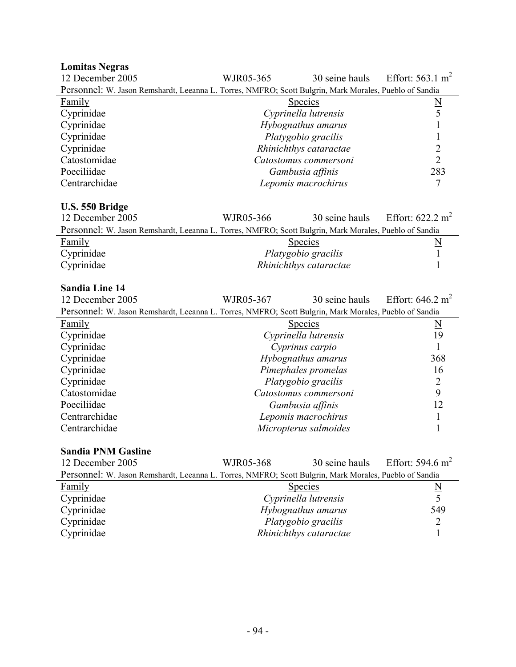# **Lomitas Negras**

| 12 December 2005                                                                                       | WJR05-365              | 30 seine hauls | Effort: $563.1 \text{ m}^2$ |
|--------------------------------------------------------------------------------------------------------|------------------------|----------------|-----------------------------|
| Personnel: W. Jason Remshardt, Leeanna L. Torres, NMFRO; Scott Bulgrin, Mark Morales, Pueblo of Sandia |                        |                |                             |
| Family                                                                                                 | <b>Species</b>         |                |                             |
| Cyprinidae                                                                                             | Cyprinella lutrensis   |                |                             |
| Cyprinidae                                                                                             | Hybognathus amarus     |                |                             |
| Cyprinidae                                                                                             | Platygobio gracilis    |                |                             |
| Cyprinidae                                                                                             | Rhinichthys cataractae |                |                             |
| Catostomidae                                                                                           | Catostomus commersoni  |                |                             |
| Poeciliidae                                                                                            | Gambusia affinis       |                | 283                         |
| Centrarchidae                                                                                          | Lepomis macrochirus    |                |                             |

# **U.S. 550 Bridge**

| 12 December 2005 |                                                                                                        | WJR05-366              | 30 seine hauls | Effort: $622.2 \text{ m}^2$ |
|------------------|--------------------------------------------------------------------------------------------------------|------------------------|----------------|-----------------------------|
|                  | Personnel: W. Jason Remshardt, Leeanna L. Torres, NMFRO; Scott Bulgrin, Mark Morales, Pueblo of Sandia |                        |                |                             |
| <b>Family</b>    |                                                                                                        | <b>Species</b>         |                |                             |
| Cyprinidae       |                                                                                                        | Platygobio gracilis    |                |                             |
| Cyprinidae       |                                                                                                        | Rhinichthys cataractae |                |                             |

# **Sandia Line 14**

| 12 December 2005                                                                                       | WJR05-367             | 30 seine hauls | Effort: $646.2 \text{ m}^2$ |
|--------------------------------------------------------------------------------------------------------|-----------------------|----------------|-----------------------------|
| Personnel: W. Jason Remshardt, Leeanna L. Torres, NMFRO; Scott Bulgrin, Mark Morales, Pueblo of Sandia |                       |                |                             |
| Family                                                                                                 | <b>Species</b>        |                | N                           |
| Cyprinidae                                                                                             | Cyprinella lutrensis  |                | 19                          |
| Cyprinidae                                                                                             | Cyprinus carpio       |                |                             |
| Cyprinidae                                                                                             | Hybognathus amarus    |                | 368                         |
| Cyprinidae                                                                                             | Pimephales promelas   |                | 16                          |
| Cyprinidae                                                                                             | Platygobio gracilis   |                | 2                           |
| Catostomidae                                                                                           | Catostomus commersoni |                | 9                           |
| Poeciliidae                                                                                            | Gambusia affinis      |                | 12                          |
| Centrarchidae                                                                                          | Lepomis macrochirus   |                |                             |
| Centrarchidae                                                                                          | Micropterus salmoides |                |                             |

# **Sandia PNM Gasline**

| 12 December 2005                                                                                       | WJR05-368              | 30 seine hauls | Effort: $594.6 \text{ m}^2$ |
|--------------------------------------------------------------------------------------------------------|------------------------|----------------|-----------------------------|
| Personnel: W. Jason Remshardt, Leeanna L. Torres, NMFRO; Scott Bulgrin, Mark Morales, Pueblo of Sandia |                        |                |                             |
| Family                                                                                                 | <b>Species</b>         |                | N                           |
| Cyprinidae                                                                                             | Cyprinella lutrensis   |                |                             |
| Cyprinidae                                                                                             | Hybognathus amarus     |                | 549                         |
| Cyprinidae                                                                                             | Platygobio gracilis    |                |                             |
| Cyprinidae                                                                                             | Rhinichthys cataractae |                |                             |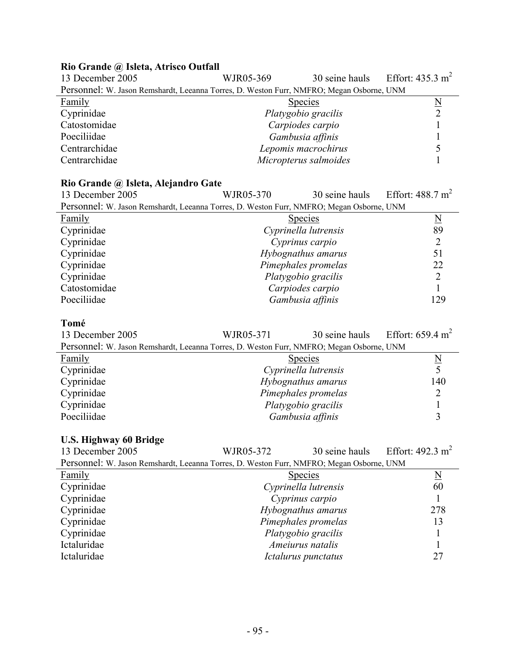# **Rio Grande @ Isleta, Atrisco Outfall**

| 13 December 2005                                                                         | WJR05-369           |                       | 30 seine hauls Effort: $435.3 \text{ m}^2$ |
|------------------------------------------------------------------------------------------|---------------------|-----------------------|--------------------------------------------|
| Personnel: W. Jason Remshardt, Leeanna Torres, D. Weston Furr, NMFRO; Megan Osborne, UNM |                     |                       |                                            |
| <b>Family</b>                                                                            |                     | <b>Species</b>        | N                                          |
| Cyprinidae                                                                               | Platygobio gracilis |                       |                                            |
| Catostomidae                                                                             | Carpiodes carpio    |                       |                                            |
| Poeciliidae                                                                              | Gambusia affinis    |                       |                                            |
| Centrarchidae                                                                            | Lepomis macrochirus |                       |                                            |
| Centrarchidae                                                                            |                     | Micropterus salmoides |                                            |

# **Rio Grande @ Isleta, Alejandro Gate**

| 13 December 2005                                                                         | WJR05-370            | 30 seine hauls | Effort: $488.7 \text{ m}^2$ |
|------------------------------------------------------------------------------------------|----------------------|----------------|-----------------------------|
| Personnel: W. Jason Remshardt, Leeanna Torres, D. Weston Furr, NMFRO; Megan Osborne, UNM |                      |                |                             |
| Family                                                                                   | <b>Species</b>       |                | $\underline{\underline{N}}$ |
| Cyprinidae                                                                               | Cyprinella lutrensis |                | 89                          |
| Cyprinidae                                                                               | Cyprinus carpio      |                |                             |
| Cyprinidae                                                                               | Hybognathus amarus   |                | 51                          |
| Cyprinidae                                                                               | Pimephales promelas  |                | 22                          |
| Cyprinidae                                                                               | Platygobio gracilis  |                |                             |
| Catostomidae                                                                             | Carpiodes carpio     |                |                             |
| Poeciliidae                                                                              | Gambusia affinis     |                | 129                         |

# **Tomé**

| 13 December 2005                                                                         | WJR05-371            |                     | 30 seine hauls Effort: $659.4 \text{ m}^2$ |
|------------------------------------------------------------------------------------------|----------------------|---------------------|--------------------------------------------|
| Personnel: W. Jason Remshardt, Leeanna Torres, D. Weston Furr, NMFRO; Megan Osborne, UNM |                      |                     |                                            |
| Family                                                                                   |                      | <b>Species</b>      | N                                          |
| Cyprinidae                                                                               | Cyprinella lutrensis |                     |                                            |
| Cyprinidae                                                                               |                      | Hybognathus amarus  | 140                                        |
| Cyprinidae                                                                               |                      | Pimephales promelas |                                            |
| Cyprinidae                                                                               |                      | Platygobio gracilis |                                            |
| Poeciliidae                                                                              |                      | Gambusia affinis    |                                            |

# **U.S. Highway 60 Bridge**

| 13 December 2005                                                                         | WJR05-372            | 30 seine hauls      | Effort: $492.3 \text{ m}^2$ |
|------------------------------------------------------------------------------------------|----------------------|---------------------|-----------------------------|
| Personnel: W. Jason Remshardt, Leeanna Torres, D. Weston Furr, NMFRO; Megan Osborne, UNM |                      |                     |                             |
| <b>Family</b>                                                                            |                      | <b>Species</b>      | $\underline{\rm N}$         |
| Cyprinidae                                                                               | Cyprinella lutrensis |                     | 60                          |
| Cyprinidae                                                                               | Cyprinus carpio      |                     |                             |
| Cyprinidae                                                                               | Hybognathus amarus   |                     | 278                         |
| Cyprinidae                                                                               | Pimephales promelas  |                     | 13                          |
| Cyprinidae                                                                               | Platygobio gracilis  |                     |                             |
| Ictaluridae                                                                              | Ameiurus natalis     |                     |                             |
| Ictaluridae                                                                              |                      | Ictalurus punctatus | 27                          |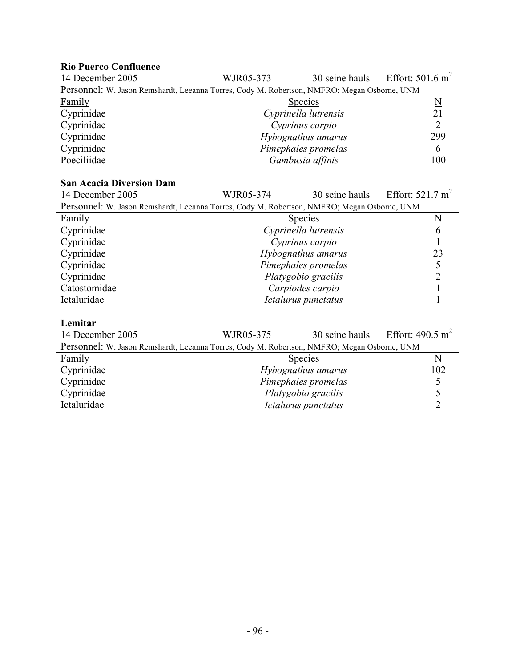# **Rio Puerco Confluence**

| 14 December 2005                                                                            | WJR05-373           | 30 seine hauls       | Effort: $501.6 \text{ m}^2$     |  |
|---------------------------------------------------------------------------------------------|---------------------|----------------------|---------------------------------|--|
| Personnel: W. Jason Remshardt, Leeanna Torres, Cody M. Robertson, NMFRO; Megan Osborne, UNM |                     |                      |                                 |  |
| <b>Family</b>                                                                               |                     | <b>Species</b>       | $\underline{N}$                 |  |
| Cyprinidae                                                                                  |                     | Cyprinella lutrensis | 21                              |  |
| Cyprinidae                                                                                  |                     | Cyprinus carpio      | $\overline{2}$                  |  |
| Cyprinidae                                                                                  |                     | Hybognathus amarus   | 299                             |  |
| Cyprinidae                                                                                  |                     | Pimephales promelas  | 6                               |  |
| Poeciliidae                                                                                 |                     | Gambusia affinis     | 100                             |  |
|                                                                                             |                     |                      |                                 |  |
| <b>San Acacia Diversion Dam</b>                                                             |                     |                      |                                 |  |
| 14 December 2005                                                                            | WJR05-374           | 30 seine hauls       | Effort: $521.7 \text{ m}^2$     |  |
| Personnel: W. Jason Remshardt, Leeanna Torres, Cody M. Robertson, NMFRO; Megan Osborne, UNM |                     |                      |                                 |  |
| Family                                                                                      |                     | <b>Species</b>       | $\frac{N}{6}$                   |  |
| Cyprinidae                                                                                  |                     | Cyprinella lutrensis |                                 |  |
| Cyprinidae                                                                                  |                     | Cyprinus carpio      | $\mathbf{1}$                    |  |
| Cyprinidae                                                                                  |                     | Hybognathus amarus   | 23                              |  |
| Cyprinidae                                                                                  |                     | Pimephales promelas  | 5                               |  |
| Cyprinidae                                                                                  |                     | Platygobio gracilis  | $\overline{2}$                  |  |
| Catostomidae                                                                                |                     | Carpiodes carpio     | $\mathbf{1}$                    |  |
| Ictaluridae                                                                                 |                     | Ictalurus punctatus  | $\mathbf{1}$                    |  |
| Lemitar                                                                                     |                     |                      |                                 |  |
| 14 December 2005                                                                            | WJR05-375           | 30 seine hauls       | Effort: 490.5 $m2$              |  |
| Personnel: W. Jason Remshardt, Leeanna Torres, Cody M. Robertson, NMFRO; Megan Osborne, UNM |                     |                      |                                 |  |
|                                                                                             |                     |                      |                                 |  |
| <b>Family</b>                                                                               |                     | <b>Species</b>       | $\underline{\mathbf{N}}$<br>102 |  |
| Cyprinidae                                                                                  |                     | Hybognathus amarus   |                                 |  |
| Cyprinidae                                                                                  | Pimephales promelas |                      | $rac{5}{5}$                     |  |
| Cyprinidae                                                                                  | Platygobio gracilis |                      |                                 |  |

Ictaluridae *Ictalurus punctatus* 2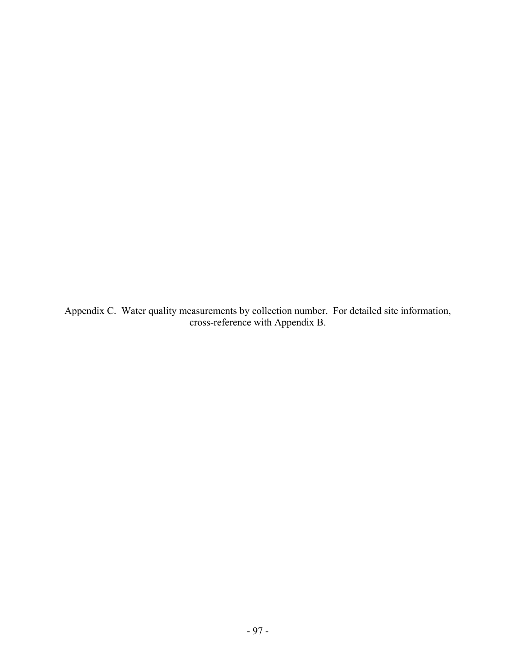Appendix C. Water quality measurements by collection number. For detailed site information, cross-reference with Appendix B.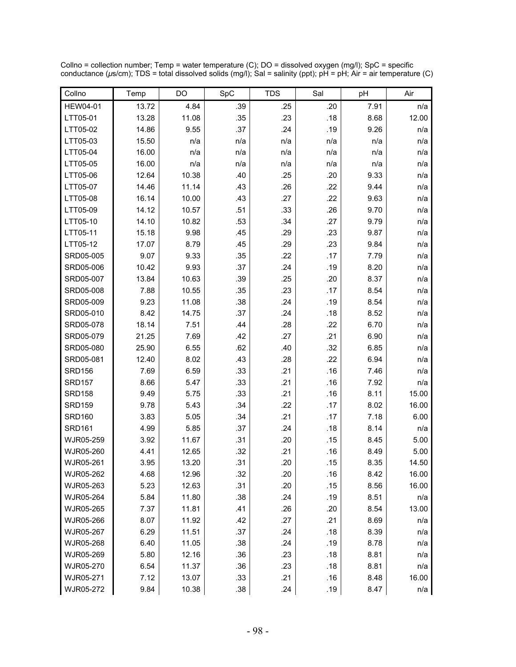| Collno          | Temp  | DO    | SpC | <b>TDS</b> | Sal | pH   | Air   |
|-----------------|-------|-------|-----|------------|-----|------|-------|
| <b>HEW04-01</b> | 13.72 | 4.84  | .39 | .25        | .20 | 7.91 | n/a   |
| LTT05-01        | 13.28 | 11.08 | .35 | .23        | .18 | 8.68 | 12.00 |
| LTT05-02        | 14.86 | 9.55  | .37 | .24        | .19 | 9.26 | n/a   |
| LTT05-03        | 15.50 | n/a   | n/a | n/a        | n/a | n/a  | n/a   |
| LTT05-04        | 16.00 | n/a   | n/a | n/a        | n/a | n/a  | n/a   |
| LTT05-05        | 16.00 | n/a   | n/a | n/a        | n/a | n/a  | n/a   |
| LTT05-06        | 12.64 | 10.38 | .40 | .25        | .20 | 9.33 | n/a   |
| LTT05-07        | 14.46 | 11.14 | .43 | .26        | .22 | 9.44 | n/a   |
| LTT05-08        | 16.14 | 10.00 | .43 | .27        | .22 | 9.63 | n/a   |
| LTT05-09        | 14.12 | 10.57 | .51 | .33        | .26 | 9.70 | n/a   |
| LTT05-10        | 14.10 | 10.82 | .53 | .34        | .27 | 9.79 | n/a   |
| LTT05-11        | 15.18 | 9.98  | .45 | .29        | .23 | 9.87 | n/a   |
| LTT05-12        | 17.07 | 8.79  | .45 | .29        | .23 | 9.84 | n/a   |
| SRD05-005       | 9.07  | 9.33  | .35 | .22        | .17 | 7.79 | n/a   |
| SRD05-006       | 10.42 | 9.93  | .37 | .24        | .19 | 8.20 | n/a   |
| SRD05-007       | 13.84 | 10.63 | .39 | .25        | .20 | 8.37 | n/a   |
| SRD05-008       | 7.88  | 10.55 | .35 | .23        | .17 | 8.54 | n/a   |
| SRD05-009       | 9.23  | 11.08 | .38 | .24        | .19 | 8.54 | n/a   |
| SRD05-010       | 8.42  | 14.75 | .37 | .24        | .18 | 8.52 | n/a   |
| SRD05-078       | 18.14 | 7.51  | .44 | .28        | .22 | 6.70 | n/a   |
| SRD05-079       | 21.25 | 7.69  | .42 | .27        | .21 | 6.90 | n/a   |
| SRD05-080       | 25.90 | 6.55  | .62 | .40        | .32 | 6.85 | n/a   |
| SRD05-081       | 12.40 | 8.02  | .43 | .28        | .22 | 6.94 | n/a   |
| <b>SRD156</b>   | 7.69  | 6.59  | .33 | .21        | .16 | 7.46 | n/a   |
| <b>SRD157</b>   | 8.66  | 5.47  | .33 | .21        | .16 | 7.92 | n/a   |
| <b>SRD158</b>   | 9.49  | 5.75  | .33 | .21        | .16 | 8.11 | 15.00 |
| <b>SRD159</b>   | 9.78  | 5.43  | .34 | .22        | .17 | 8.02 | 16.00 |
| <b>SRD160</b>   | 3.83  | 5.05  | .34 | .21        | .17 | 7.18 | 6.00  |
| <b>SRD161</b>   | 4.99  | 5.85  | .37 | .24        | .18 | 8.14 | n/a   |
| WJR05-259       | 3.92  | 11.67 | .31 | .20        | .15 | 8.45 | 5.00  |
| WJR05-260       | 4.41  | 12.65 | .32 | .21        | .16 | 8.49 | 5.00  |
| WJR05-261       | 3.95  | 13.20 | .31 | .20        | .15 | 8.35 | 14.50 |
| WJR05-262       | 4.68  | 12.96 | .32 | .20        | .16 | 8.42 | 16.00 |
| WJR05-263       | 5.23  | 12.63 | .31 | .20        | .15 | 8.56 | 16.00 |
| WJR05-264       | 5.84  | 11.80 | .38 | .24        | .19 | 8.51 | n/a   |
| WJR05-265       | 7.37  | 11.81 | .41 | .26        | .20 | 8.54 | 13.00 |
| WJR05-266       | 8.07  | 11.92 | .42 | .27        | .21 | 8.69 | n/a   |
| WJR05-267       | 6.29  | 11.51 | .37 | .24        | .18 | 8.39 | n/a   |
| WJR05-268       | 6.40  | 11.05 | .38 | .24        | .19 | 8.78 | n/a   |
| WJR05-269       | 5.80  | 12.16 | .36 | .23        | .18 | 8.81 | n/a   |
| WJR05-270       | 6.54  | 11.37 | .36 | .23        | .18 | 8.81 | n/a   |
| WJR05-271       | 7.12  | 13.07 | .33 | .21        | .16 | 8.48 | 16.00 |
| WJR05-272       | 9.84  | 10.38 | .38 | .24        | .19 | 8.47 | n/a   |

Collno = collection number; Temp = water temperature (C); DO = dissolved oxygen (mg/l); SpC = specific conductance (*µ*s/cm); TDS = total dissolved solids (mg/l); Sal = salinity (ppt); pH = pH; Air = air temperature (C)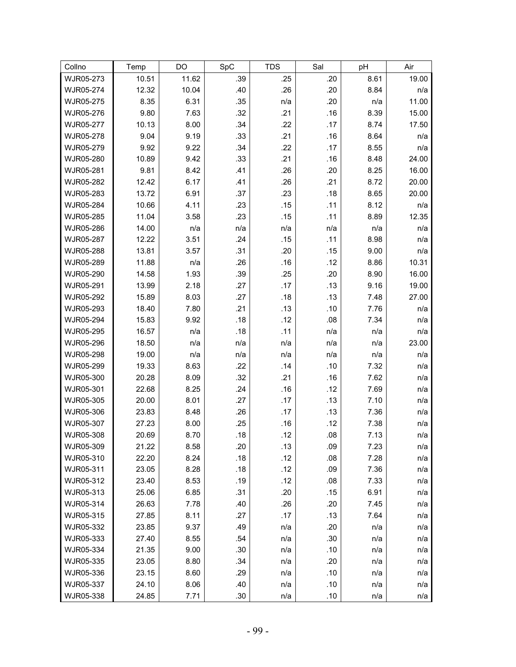| Collno                 | Temp           | DO           | SpC        | <b>TDS</b> | Sal        | pH           | Air        |
|------------------------|----------------|--------------|------------|------------|------------|--------------|------------|
| WJR05-273              | 10.51          | 11.62        | .39        | .25        | .20        | 8.61         | 19.00      |
| WJR05-274              | 12.32          | 10.04        | .40        | .26        | .20        | 8.84         | n/a        |
| WJR05-275              | 8.35           | 6.31         | .35        | n/a        | .20        | n/a          | 11.00      |
| WJR05-276              | 9.80           | 7.63         | .32        | .21        | .16        | 8.39         | 15.00      |
| WJR05-277              | 10.13          | 8.00         | .34        | .22        | .17        | 8.74         | 17.50      |
| WJR05-278              | 9.04           | 9.19         | .33        | .21        | .16        | 8.64         | n/a        |
| WJR05-279              | 9.92           | 9.22         | .34        | .22        | .17        | 8.55         | n/a        |
| WJR05-280              | 10.89          | 9.42         | .33        | .21        | .16        | 8.48         | 24.00      |
| WJR05-281              | 9.81           | 8.42         | .41        | .26        | .20        | 8.25         | 16.00      |
| WJR05-282              | 12.42          | 6.17         | .41        | .26        | .21        | 8.72         | 20.00      |
| WJR05-283              | 13.72          | 6.91         | .37        | .23        | .18        | 8.65         | 20.00      |
| WJR05-284              | 10.66          | 4.11         | .23        | .15        | .11        | 8.12         | n/a        |
| WJR05-285              | 11.04          | 3.58         | .23        | .15        | .11        | 8.89         | 12.35      |
| WJR05-286              | 14.00          | n/a          | n/a        | n/a        | n/a        | n/a          | n/a        |
| WJR05-287              | 12.22          | 3.51         | .24        | .15        | .11        | 8.98         | n/a        |
| WJR05-288              | 13.81          | 3.57         | .31        | .20        | .15        | 9.00         | n/a        |
| WJR05-289              | 11.88          | n/a          | .26        | .16        | .12        | 8.86         | 10.31      |
| WJR05-290              | 14.58          | 1.93         | .39        | .25        | .20        | 8.90         | 16.00      |
| WJR05-291              | 13.99          | 2.18         | .27        | .17        | .13        | 9.16         | 19.00      |
| WJR05-292              | 15.89          | 8.03         | .27        | .18        | .13        | 7.48         | 27.00      |
| WJR05-293              | 18.40          | 7.80         | .21        | .13        | .10        | 7.76         | n/a        |
| WJR05-294              | 15.83          | 9.92         | .18        | .12        | .08        | 7.34         | n/a        |
| WJR05-295              | 16.57          | n/a          | .18        | .11        | n/a        | n/a          | n/a        |
| WJR05-296              | 18.50          | n/a          | n/a        | n/a        | n/a        | n/a          | 23.00      |
| WJR05-298              | 19.00          | n/a          | n/a        | n/a        | n/a        | n/a          | n/a        |
| WJR05-299              | 19.33          | 8.63         | .22        | .14        | .10        | 7.32         | n/a        |
| WJR05-300              | 20.28          | 8.09         | .32        | .21        | .16        | 7.62         | n/a        |
| WJR05-301              | 22.68          | 8.25         | .24        | .16        | .12        | 7.69         | n/a        |
| WJR05-305<br>WJR05-306 | 20.00          | 8.01         | .27        | .17<br>.17 | .13        | 7.10         | n/a        |
| WJR05-307              | 23.83<br>27.23 | 8.48<br>8.00 | .26<br>.25 | .16        | .13<br>.12 | 7.36<br>7.38 | n/a        |
| WJR05-308              | 20.69          | 8.70         | .18        | .12        | .08        | 7.13         | n/a<br>n/a |
| WJR05-309              | 21.22          | 8.58         | .20        | .13        | .09        | 7.23         | n/a        |
| WJR05-310              | 22.20          | 8.24         | .18        | .12        | .08        | 7.28         | n/a        |
| WJR05-311              | 23.05          | 8.28         | .18        | .12        | .09        | 7.36         | n/a        |
| WJR05-312              | 23.40          | 8.53         | .19        | .12        | .08        | 7.33         | n/a        |
| WJR05-313              | 25.06          | 6.85         | .31        | .20        | .15        | 6.91         | n/a        |
| WJR05-314              | 26.63          | 7.78         | .40        | .26        | .20        | 7.45         | n/a        |
| WJR05-315              | 27.85          | 8.11         | .27        | .17        | .13        | 7.64         | n/a        |
| WJR05-332              | 23.85          | 9.37         | .49        | n/a        | .20        | n/a          | n/a        |
| WJR05-333              | 27.40          | 8.55         | .54        | n/a        | .30        | n/a          | n/a        |
| WJR05-334              | 21.35          | 9.00         | .30        | n/a        | .10        | n/a          | n/a        |
| WJR05-335              | 23.05          | 8.80         | .34        | n/a        | .20        | n/a          | n/a        |
| WJR05-336              | 23.15          | 8.60         | .29        | n/a        | .10        | n/a          | n/a        |
| WJR05-337              | 24.10          | 8.06         | .40        | n/a        | .10        | n/a          | n/a        |
| WJR05-338              | 24.85          | 7.71         | .30        | n/a        | .10        | n/a          | n/a        |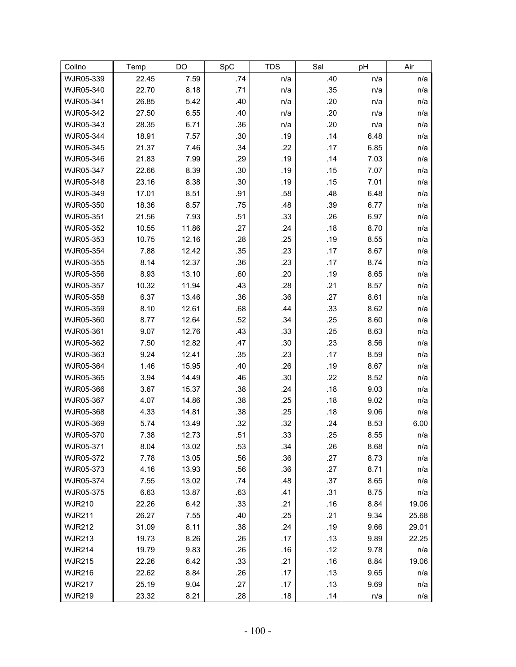| Collno                 | Temp         | DO             | SpC        | <b>TDS</b> | Sal        | pH           | Air        |
|------------------------|--------------|----------------|------------|------------|------------|--------------|------------|
| WJR05-339              | 22.45        | 7.59           | .74        | n/a        | .40        | n/a          | n/a        |
| WJR05-340              | 22.70        | 8.18           | .71        | n/a        | .35        | n/a          | n/a        |
| WJR05-341              | 26.85        | 5.42           | .40        | n/a        | .20        | n/a          | n/a        |
| WJR05-342              | 27.50        | 6.55           | .40        | n/a        | .20        | n/a          | n/a        |
| WJR05-343              | 28.35        | 6.71           | .36        | n/a        | .20        | n/a          | n/a        |
| WJR05-344              | 18.91        | 7.57           | .30        | .19        | .14        | 6.48         | n/a        |
| WJR05-345              | 21.37        | 7.46           | .34        | .22        | .17        | 6.85         | n/a        |
| WJR05-346              | 21.83        | 7.99           | .29        | .19        | .14        | 7.03         | n/a        |
| WJR05-347              | 22.66        | 8.39           | .30        | .19        | .15        | 7.07         | n/a        |
| WJR05-348              | 23.16        | 8.38           | .30        | .19        | .15        | 7.01         | n/a        |
| WJR05-349              | 17.01        | 8.51           | .91        | .58        | .48        | 6.48         | n/a        |
| WJR05-350              | 18.36        | 8.57           | .75        | .48        | .39        | 6.77         | n/a        |
| WJR05-351              | 21.56        | 7.93           | .51        | .33        | .26        | 6.97         | n/a        |
| WJR05-352              | 10.55        | 11.86          | .27        | .24        | .18        | 8.70         | n/a        |
| WJR05-353              | 10.75        | 12.16          | .28        | .25        | .19        | 8.55         | n/a        |
| WJR05-354              | 7.88         | 12.42          | .35        | .23        | .17        | 8.67         | n/a        |
| WJR05-355              | 8.14         | 12.37          | .36        | .23        | .17        | 8.74         | n/a        |
| WJR05-356              | 8.93         | 13.10          | .60        | .20        | .19        | 8.65         | n/a        |
| WJR05-357              | 10.32        | 11.94          | .43        | .28        | .21        | 8.57         | n/a        |
| WJR05-358              | 6.37         | 13.46          | .36        | .36        | .27        | 8.61         | n/a        |
| WJR05-359              | 8.10         | 12.61          | .68        | .44        | .33        | 8.62         | n/a        |
| WJR05-360              | 8.77         | 12.64          | .52        | .34        | .25        | 8.60         | n/a        |
| WJR05-361              | 9.07         | 12.76          | .43        | .33        | .25        | 8.63         | n/a        |
| WJR05-362              | 7.50         | 12.82          | .47        | .30        | .23        | 8.56         | n/a        |
| WJR05-363              | 9.24         | 12.41          | .35        | .23        | .17        | 8.59         | n/a        |
| WJR05-364              | 1.46         | 15.95          | .40        | .26        | .19        | 8.67         | n/a        |
| WJR05-365              | 3.94         | 14.49          | .46        | .30        | .22        | 8.52         | n/a        |
| WJR05-366              | 3.67         | 15.37          | .38        | .24        | .18        | 9.03         | n/a        |
| WJR05-367              | 4.07         | 14.86          | .38        | .25        | .18        | 9.02         | n/a        |
| WJR05-368<br>WJR05-369 | 4.33         | 14.81          | .38        | .25<br>.32 | .18<br>.24 | 9.06         | n/a        |
| WJR05-370              | 5.74<br>7.38 | 13.49<br>12.73 | .32<br>.51 | .33        | .25        | 8.53<br>8.55 | 6.00       |
| WJR05-371              | 8.04         | 13.02          | .53        | .34        | .26        | 8.68         | n/a<br>n/a |
| WJR05-372              | 7.78         | 13.05          | .56        | .36        | .27        | 8.73         | n/a        |
| WJR05-373              | 4.16         | 13.93          | .56        | .36        | .27        | 8.71         | n/a        |
| WJR05-374              | 7.55         | 13.02          | .74        | .48        | .37        | 8.65         | n/a        |
| WJR05-375              | 6.63         | 13.87          | .63        | .41        | .31        | 8.75         | n/a        |
| <b>WJR210</b>          | 22.26        | 6.42           | .33        | .21        | .16        | 8.84         | 19.06      |
| <b>WJR211</b>          | 26.27        | 7.55           | .40        | .25        | .21        | 9.34         | 25.68      |
| <b>WJR212</b>          | 31.09        | 8.11           | .38        | .24        | .19        | 9.66         | 29.01      |
| <b>WJR213</b>          | 19.73        | 8.26           | .26        | .17        | .13        | 9.89         | 22.25      |
| <b>WJR214</b>          | 19.79        | 9.83           | .26        | .16        | .12        | 9.78         | n/a        |
| <b>WJR215</b>          | 22.26        | 6.42           | .33        | .21        | .16        | 8.84         | 19.06      |
| <b>WJR216</b>          | 22.62        | 8.84           | .26        | .17        | .13        | 9.65         | n/a        |
| <b>WJR217</b>          | 25.19        | 9.04           | .27        | .17        | .13        | 9.69         | n/a        |
| <b>WJR219</b>          | 23.32        | 8.21           | .28        | .18        | .14        | n/a          | n/a        |